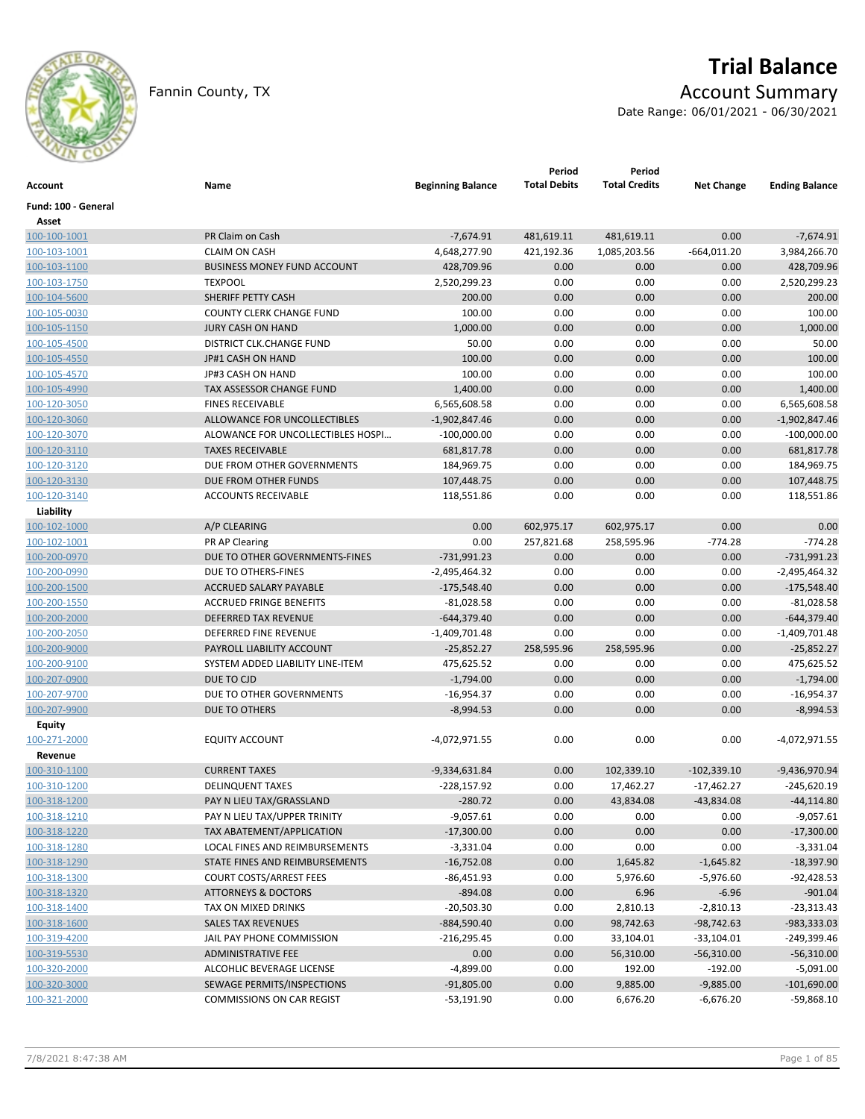

# **Trial Balance**

Fannin County, TX **Account Summary** 

Date Range: 06/01/2021 - 06/30/2021

| Account             | Name                               | <b>Beginning Balance</b> | Period<br><b>Total Debits</b> | Period<br><b>Total Credits</b> | <b>Net Change</b> | <b>Ending Balance</b> |
|---------------------|------------------------------------|--------------------------|-------------------------------|--------------------------------|-------------------|-----------------------|
| Fund: 100 - General |                                    |                          |                               |                                |                   |                       |
| Asset               |                                    |                          |                               |                                |                   |                       |
| 100-100-1001        | PR Claim on Cash                   | $-7,674.91$              | 481,619.11                    | 481,619.11                     | 0.00              | $-7,674.91$           |
| 100-103-1001        | <b>CLAIM ON CASH</b>               | 4,648,277.90             | 421,192.36                    | 1,085,203.56                   | $-664,011.20$     | 3,984,266.70          |
| 100-103-1100        | <b>BUSINESS MONEY FUND ACCOUNT</b> | 428,709.96               | 0.00                          | 0.00                           | 0.00              | 428,709.96            |
| 100-103-1750        | <b>TEXPOOL</b>                     | 2,520,299.23             | 0.00                          | 0.00                           | 0.00              | 2,520,299.23          |
| 100-104-5600        | SHERIFF PETTY CASH                 | 200.00                   | 0.00                          | 0.00                           | 0.00              | 200.00                |
| 100-105-0030        | <b>COUNTY CLERK CHANGE FUND</b>    | 100.00                   | 0.00                          | 0.00                           | 0.00              | 100.00                |
| 100-105-1150        | <b>JURY CASH ON HAND</b>           | 1,000.00                 | 0.00                          | 0.00                           | 0.00              | 1,000.00              |
| 100-105-4500        | <b>DISTRICT CLK.CHANGE FUND</b>    | 50.00                    | 0.00                          | 0.00                           | 0.00              | 50.00                 |
| 100-105-4550        | JP#1 CASH ON HAND                  | 100.00                   | 0.00                          | 0.00                           | 0.00              | 100.00                |
| 100-105-4570        | JP#3 CASH ON HAND                  | 100.00                   | 0.00                          | 0.00                           | 0.00              | 100.00                |
| 100-105-4990        | TAX ASSESSOR CHANGE FUND           | 1,400.00                 | 0.00                          | 0.00                           | 0.00              | 1,400.00              |
| 100-120-3050        | <b>FINES RECEIVABLE</b>            | 6,565,608.58             | 0.00                          | 0.00                           | 0.00              | 6,565,608.58          |
| 100-120-3060        | ALLOWANCE FOR UNCOLLECTIBLES       | $-1,902,847.46$          | 0.00                          | 0.00                           | 0.00              | $-1,902,847.46$       |
| 100-120-3070        | ALOWANCE FOR UNCOLLECTIBLES HOSPI  | $-100,000.00$            | 0.00                          | 0.00                           | 0.00              | $-100,000.00$         |
| 100-120-3110        | <b>TAXES RECEIVABLE</b>            | 681,817.78               | 0.00                          | 0.00                           | 0.00              | 681,817.78            |
| 100-120-3120        | DUE FROM OTHER GOVERNMENTS         | 184,969.75               | 0.00                          | 0.00                           | 0.00              | 184,969.75            |
| 100-120-3130        | DUE FROM OTHER FUNDS               | 107,448.75               | 0.00                          | 0.00                           | 0.00              | 107,448.75            |
| 100-120-3140        | <b>ACCOUNTS RECEIVABLE</b>         | 118,551.86               | 0.00                          | 0.00                           | 0.00              | 118,551.86            |
| Liability           |                                    |                          |                               |                                |                   |                       |
| 100-102-1000        | A/P CLEARING                       | 0.00                     | 602,975.17                    | 602,975.17                     | 0.00              | 0.00                  |
| 100-102-1001        | <b>PR AP Clearing</b>              | 0.00                     | 257,821.68                    | 258,595.96                     | $-774.28$         | $-774.28$             |
| 100-200-0970        | DUE TO OTHER GOVERNMENTS-FINES     | $-731,991.23$            | 0.00                          | 0.00                           | 0.00              | $-731,991.23$         |
| 100-200-0990        | DUE TO OTHERS-FINES                | -2,495,464.32            | 0.00                          | 0.00                           | 0.00              | $-2,495,464.32$       |
| 100-200-1500        | ACCRUED SALARY PAYABLE             | $-175,548.40$            | 0.00                          | 0.00                           | 0.00              | $-175,548.40$         |
| 100-200-1550        | <b>ACCRUED FRINGE BENEFITS</b>     | $-81,028.58$             | 0.00                          | 0.00                           | 0.00              | $-81,028.58$          |
| 100-200-2000        | <b>DEFERRED TAX REVENUE</b>        | -644,379.40              | 0.00                          | 0.00                           | 0.00              | $-644,379.40$         |
| 100-200-2050        | DEFERRED FINE REVENUE              | $-1,409,701.48$          | 0.00                          | 0.00                           | 0.00              | $-1,409,701.48$       |
| 100-200-9000        | PAYROLL LIABILITY ACCOUNT          | $-25,852.27$             | 258,595.96                    | 258,595.96                     | 0.00              | $-25,852.27$          |
| 100-200-9100        | SYSTEM ADDED LIABILITY LINE-ITEM   | 475,625.52               | 0.00                          | 0.00                           | 0.00              | 475,625.52            |
| 100-207-0900        | DUE TO CJD                         | $-1,794.00$              | 0.00                          | 0.00                           | 0.00              | $-1,794.00$           |
|                     | DUE TO OTHER GOVERNMENTS           |                          | 0.00                          | 0.00                           | 0.00              | $-16,954.37$          |
| 100-207-9700        |                                    | -16,954.37               |                               |                                |                   |                       |
| 100-207-9900        | DUE TO OTHERS                      | $-8,994.53$              | 0.00                          | 0.00                           | 0.00              | $-8,994.53$           |
| Equity              |                                    |                          |                               |                                |                   |                       |
| 100-271-2000        | <b>EQUITY ACCOUNT</b>              | -4,072,971.55            | 0.00                          | 0.00                           | 0.00              | -4,072,971.55         |
| Revenue             |                                    |                          |                               |                                |                   |                       |
| 100-310-1100        | <b>CURRENT TAXES</b>               | $-9,334,631.84$          | 0.00                          | 102,339.10                     | $-102,339.10$     | $-9,436,970.94$       |
| 100-310-1200        | <b>DELINQUENT TAXES</b>            | $-228,157.92$            | 0.00                          | 17,462.27                      | $-17,462.27$      | $-245,620.19$         |
| 100-318-1200        | PAY N LIEU TAX/GRASSLAND           | $-280.72$                | 0.00                          | 43,834.08                      | $-43,834.08$      | $-44, 114.80$         |
| 100-318-1210        | PAY N LIEU TAX/UPPER TRINITY       | $-9,057.61$              | 0.00                          | 0.00                           | 0.00              | $-9,057.61$           |
| 100-318-1220        | TAX ABATEMENT/APPLICATION          | $-17,300.00$             | 0.00                          | 0.00                           | 0.00              | $-17,300.00$          |
| 100-318-1280        | LOCAL FINES AND REIMBURSEMENTS     | $-3,331.04$              | 0.00                          | 0.00                           | 0.00              | $-3,331.04$           |
| 100-318-1290        | STATE FINES AND REIMBURSEMENTS     | $-16,752.08$             | 0.00                          | 1,645.82                       | $-1,645.82$       | $-18,397.90$          |
| 100-318-1300        | <b>COURT COSTS/ARREST FEES</b>     | $-86,451.93$             | 0.00                          | 5,976.60                       | $-5,976.60$       | $-92,428.53$          |
| 100-318-1320        | <b>ATTORNEYS &amp; DOCTORS</b>     | $-894.08$                | 0.00                          | 6.96                           | $-6.96$           | $-901.04$             |
| 100-318-1400        | TAX ON MIXED DRINKS                | $-20,503.30$             | 0.00                          | 2,810.13                       | $-2,810.13$       | $-23,313.43$          |
| 100-318-1600        | <b>SALES TAX REVENUES</b>          | $-884,590.40$            | 0.00                          | 98,742.63                      | $-98,742.63$      | -983,333.03           |
| 100-319-4200        | JAIL PAY PHONE COMMISSION          | $-216,295.45$            | 0.00                          | 33,104.01                      | $-33,104.01$      | $-249,399.46$         |
| 100-319-5530        | ADMINISTRATIVE FEE                 | 0.00                     | 0.00                          | 56,310.00                      | $-56,310.00$      | $-56,310.00$          |
| 100-320-2000        | ALCOHLIC BEVERAGE LICENSE          | $-4,899.00$              | 0.00                          | 192.00                         | $-192.00$         | $-5,091.00$           |
| 100-320-3000        | SEWAGE PERMITS/INSPECTIONS         | $-91,805.00$             | 0.00                          | 9,885.00                       | $-9,885.00$       | $-101,690.00$         |
| 100-321-2000        | COMMISSIONS ON CAR REGIST          | -53,191.90               | 0.00                          | 6,676.20                       | $-6,676.20$       | -59,868.10            |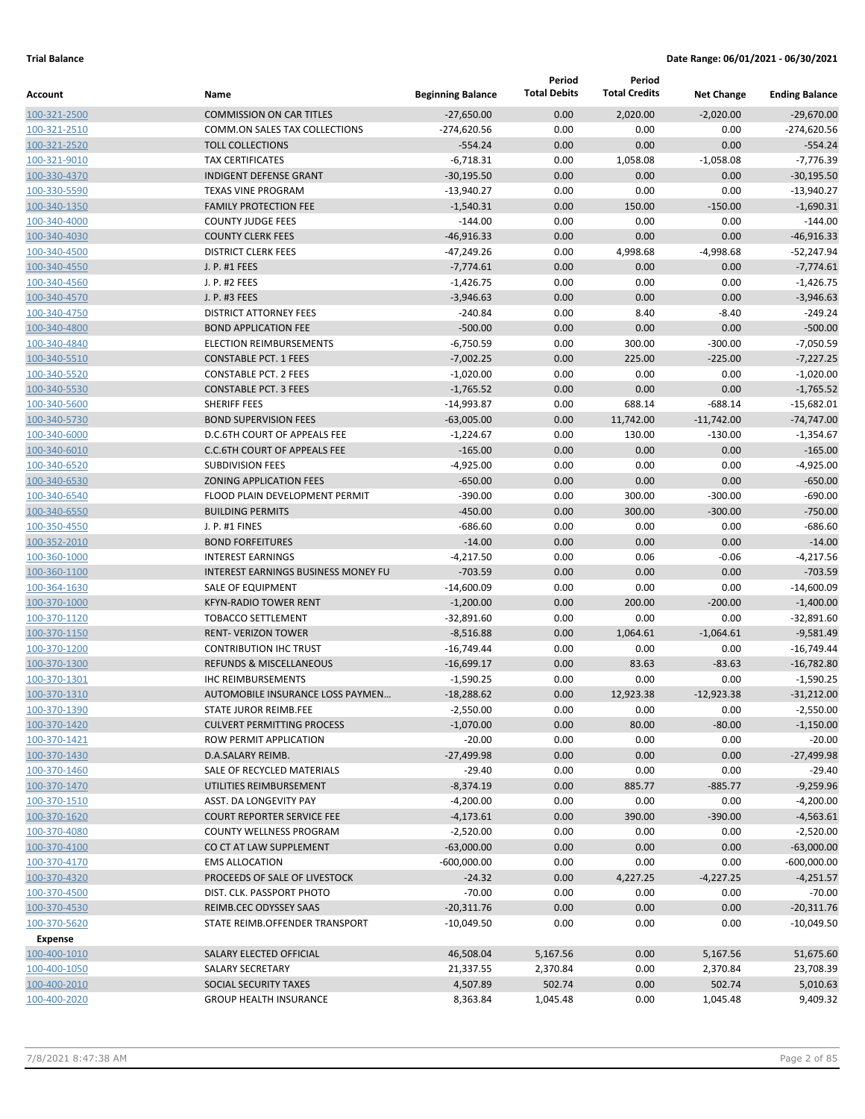| Account                      | Name                                                      | <b>Beginning Balance</b> | Period<br><b>Total Debits</b> | Period<br><b>Total Credits</b> | <b>Net Change</b> | <b>Ending Balance</b>    |
|------------------------------|-----------------------------------------------------------|--------------------------|-------------------------------|--------------------------------|-------------------|--------------------------|
| 100-321-2500                 | <b>COMMISSION ON CAR TITLES</b>                           | $-27.650.00$             | 0.00                          | 2,020.00                       | $-2,020.00$       | $-29.670.00$             |
| 100-321-2510                 | COMM.ON SALES TAX COLLECTIONS                             | $-274,620.56$            | 0.00                          | 0.00                           | 0.00              | $-274,620.56$            |
| 100-321-2520                 | <b>TOLL COLLECTIONS</b>                                   | $-554.24$                | 0.00                          | 0.00                           | 0.00              | $-554.24$                |
| 100-321-9010                 | <b>TAX CERTIFICATES</b>                                   | $-6,718.31$              | 0.00                          | 1,058.08                       | $-1,058.08$       | $-7,776.39$              |
| 100-330-4370                 | <b>INDIGENT DEFENSE GRANT</b>                             | $-30,195.50$             | 0.00                          | 0.00                           | 0.00              | $-30,195.50$             |
| 100-330-5590                 | <b>TEXAS VINE PROGRAM</b>                                 | $-13,940.27$             | 0.00                          | 0.00                           | 0.00              | $-13,940.27$             |
| 100-340-1350                 | <b>FAMILY PROTECTION FEE</b>                              | $-1,540.31$              | 0.00                          | 150.00                         | $-150.00$         | $-1,690.31$              |
| 100-340-4000                 | <b>COUNTY JUDGE FEES</b>                                  | $-144.00$                | 0.00                          | 0.00                           | 0.00              | $-144.00$                |
| 100-340-4030                 | <b>COUNTY CLERK FEES</b>                                  | $-46,916.33$             | 0.00                          | 0.00                           | 0.00              | $-46,916.33$             |
| 100-340-4500                 | <b>DISTRICT CLERK FEES</b>                                | $-47,249.26$             | 0.00                          | 4,998.68                       | $-4,998.68$       | $-52,247.94$             |
| 100-340-4550                 | J. P. #1 FEES                                             | $-7,774.61$              | 0.00                          | 0.00                           | 0.00              | $-7,774.61$              |
| 100-340-4560                 | J. P. #2 FEES                                             | $-1,426.75$              | 0.00                          | 0.00                           | 0.00              | $-1,426.75$              |
| 100-340-4570                 | J. P. #3 FEES                                             | $-3,946.63$              | 0.00                          | 0.00                           | 0.00              | $-3,946.63$              |
| 100-340-4750                 | <b>DISTRICT ATTORNEY FEES</b>                             | $-240.84$                | 0.00                          | 8.40                           | $-8.40$           | $-249.24$                |
| 100-340-4800                 | <b>BOND APPLICATION FEE</b>                               | $-500.00$                | 0.00                          | 0.00                           | 0.00              | $-500.00$                |
| 100-340-4840                 | <b>ELECTION REIMBURSEMENTS</b>                            | $-6,750.59$              | 0.00                          | 300.00                         | $-300.00$         | $-7,050.59$              |
| 100-340-5510                 | <b>CONSTABLE PCT. 1 FEES</b>                              | $-7,002.25$              | 0.00                          | 225.00                         | $-225.00$         | $-7,227.25$              |
| 100-340-5520                 | <b>CONSTABLE PCT. 2 FEES</b>                              | $-1,020.00$              | 0.00                          | 0.00                           | 0.00              | $-1,020.00$              |
| 100-340-5530                 | <b>CONSTABLE PCT. 3 FEES</b>                              | $-1,765.52$              | 0.00                          | 0.00                           | 0.00              | $-1,765.52$              |
| 100-340-5600                 | <b>SHERIFF FEES</b>                                       | $-14,993.87$             | 0.00                          | 688.14                         | $-688.14$         | $-15,682.01$             |
| 100-340-5730                 | <b>BOND SUPERVISION FEES</b>                              | $-63,005.00$             | 0.00                          | 11,742.00                      | $-11,742.00$      | $-74,747.00$             |
| 100-340-6000                 | D.C.6TH COURT OF APPEALS FEE                              | $-1,224.67$              | 0.00                          | 130.00                         | $-130.00$         | $-1,354.67$              |
| 100-340-6010                 | <b>C.C.6TH COURT OF APPEALS FEE</b>                       | $-165.00$                | 0.00                          | 0.00                           | 0.00              | $-165.00$                |
| 100-340-6520<br>100-340-6530 | <b>SUBDIVISION FEES</b><br><b>ZONING APPLICATION FEES</b> | $-4,925.00$<br>$-650.00$ | 0.00<br>0.00                  | 0.00<br>0.00                   | 0.00<br>0.00      | $-4,925.00$<br>$-650.00$ |
| 100-340-6540                 | FLOOD PLAIN DEVELOPMENT PERMIT                            | $-390.00$                | 0.00                          | 300.00                         | $-300.00$         | $-690.00$                |
| 100-340-6550                 | <b>BUILDING PERMITS</b>                                   | $-450.00$                | 0.00                          | 300.00                         | $-300.00$         | $-750.00$                |
| 100-350-4550                 | J. P. #1 FINES                                            | $-686.60$                | 0.00                          | 0.00                           | 0.00              | $-686.60$                |
| 100-352-2010                 | <b>BOND FORFEITURES</b>                                   | $-14.00$                 | 0.00                          | 0.00                           | 0.00              | $-14.00$                 |
| 100-360-1000                 | <b>INTEREST EARNINGS</b>                                  | $-4,217.50$              | 0.00                          | 0.06                           | $-0.06$           | $-4,217.56$              |
| 100-360-1100                 | <b>INTEREST EARNINGS BUSINESS MONEY FU</b>                | $-703.59$                | 0.00                          | 0.00                           | 0.00              | $-703.59$                |
| 100-364-1630                 | SALE OF EQUIPMENT                                         | $-14,600.09$             | 0.00                          | 0.00                           | 0.00              | $-14,600.09$             |
| 100-370-1000                 | <b>KFYN-RADIO TOWER RENT</b>                              | $-1,200.00$              | 0.00                          | 200.00                         | $-200.00$         | $-1,400.00$              |
| 100-370-1120                 | <b>TOBACCO SETTLEMENT</b>                                 | $-32,891.60$             | 0.00                          | 0.00                           | 0.00              | $-32,891.60$             |
| 100-370-1150                 | <b>RENT- VERIZON TOWER</b>                                | $-8,516.88$              | 0.00                          | 1,064.61                       | $-1,064.61$       | $-9,581.49$              |
| 100-370-1200                 | <b>CONTRIBUTION IHC TRUST</b>                             | $-16,749.44$             | 0.00                          | 0.00                           | 0.00              | $-16,749.44$             |
| 100-370-1300                 | <b>REFUNDS &amp; MISCELLANEOUS</b>                        | $-16,699.17$             | 0.00                          | 83.63                          | $-83.63$          | $-16,782.80$             |
| 100-370-1301                 | <b>IHC REIMBURSEMENTS</b>                                 | $-1,590.25$              | 0.00                          | 0.00                           | 0.00              | $-1,590.25$              |
| 100-370-1310                 | AUTOMOBILE INSURANCE LOSS PAYMEN                          | $-18,288.62$             | 0.00                          | 12,923.38                      | $-12,923.38$      | $-31,212.00$             |
| 100-370-1390                 | STATE JUROR REIMB.FEE                                     | $-2,550.00$              | 0.00                          | 0.00                           | 0.00              | $-2,550.00$              |
| 100-370-1420                 | <b>CULVERT PERMITTING PROCESS</b>                         | $-1,070.00$              | 0.00                          | 80.00                          | $-80.00$          | $-1,150.00$              |
| 100-370-1421                 | ROW PERMIT APPLICATION                                    | $-20.00$                 | 0.00                          | 0.00                           | 0.00              | $-20.00$                 |
| 100-370-1430                 | D.A.SALARY REIMB.                                         | $-27,499.98$             | 0.00                          | 0.00                           | 0.00              | $-27,499.98$             |
| 100-370-1460                 | SALE OF RECYCLED MATERIALS                                | $-29.40$                 | 0.00                          | 0.00                           | 0.00              | $-29.40$                 |
| 100-370-1470                 | UTILITIES REIMBURSEMENT                                   | $-8,374.19$              | 0.00                          | 885.77                         | $-885.77$         | $-9,259.96$              |
| 100-370-1510                 | ASST. DA LONGEVITY PAY                                    | $-4,200.00$              | 0.00                          | 0.00                           | 0.00              | $-4,200.00$              |
| 100-370-1620                 | <b>COURT REPORTER SERVICE FEE</b>                         | $-4,173.61$              | 0.00                          | 390.00                         | $-390.00$         | $-4,563.61$              |
| 100-370-4080                 | COUNTY WELLNESS PROGRAM                                   | $-2,520.00$              | 0.00                          | 0.00                           | 0.00              | $-2,520.00$              |
| 100-370-4100                 | CO CT AT LAW SUPPLEMENT                                   | $-63,000.00$             | 0.00                          | 0.00                           | 0.00              | $-63,000.00$             |
| 100-370-4170                 | <b>EMS ALLOCATION</b>                                     | $-600,000.00$            | 0.00                          | 0.00                           | 0.00              | $-600,000.00$            |
| 100-370-4320                 | PROCEEDS OF SALE OF LIVESTOCK                             | $-24.32$                 | 0.00                          | 4,227.25                       | $-4,227.25$       | $-4,251.57$              |
| 100-370-4500                 | DIST. CLK. PASSPORT PHOTO                                 | $-70.00$                 | 0.00                          | 0.00                           | 0.00              | $-70.00$                 |
| 100-370-4530                 | REIMB.CEC ODYSSEY SAAS                                    | $-20,311.76$             | 0.00                          | 0.00                           | 0.00              | $-20,311.76$             |
| 100-370-5620                 | STATE REIMB.OFFENDER TRANSPORT                            | $-10,049.50$             | 0.00                          | 0.00                           | 0.00              | $-10,049.50$             |
| Expense                      |                                                           |                          |                               |                                |                   |                          |
| 100-400-1010                 | SALARY ELECTED OFFICIAL                                   | 46,508.04                | 5,167.56                      | 0.00                           | 5,167.56          | 51,675.60                |
| 100-400-1050                 | SALARY SECRETARY                                          | 21,337.55                | 2,370.84                      | 0.00                           | 2,370.84          | 23,708.39                |
| 100-400-2010                 | SOCIAL SECURITY TAXES                                     | 4,507.89                 | 502.74                        | 0.00                           | 502.74            | 5,010.63                 |
| 100-400-2020                 | <b>GROUP HEALTH INSURANCE</b>                             | 8,363.84                 | 1,045.48                      | 0.00                           | 1,045.48          | 9,409.32                 |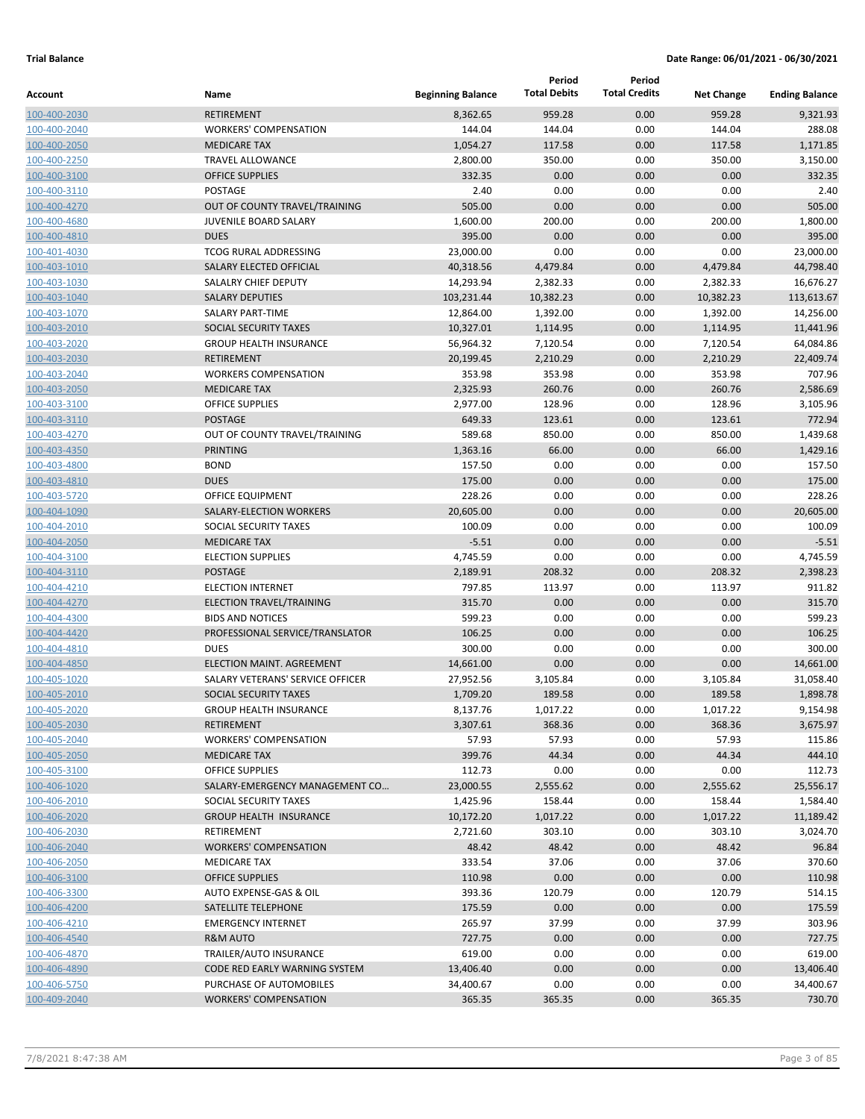|              |                                  |                          | Period              | Period               |                   |                       |
|--------------|----------------------------------|--------------------------|---------------------|----------------------|-------------------|-----------------------|
| Account      | Name                             | <b>Beginning Balance</b> | <b>Total Debits</b> | <b>Total Credits</b> | <b>Net Change</b> | <b>Ending Balance</b> |
| 100-400-2030 | <b>RETIREMENT</b>                | 8,362.65                 | 959.28              | 0.00                 | 959.28            | 9,321.93              |
| 100-400-2040 | <b>WORKERS' COMPENSATION</b>     | 144.04                   | 144.04              | 0.00                 | 144.04            | 288.08                |
| 100-400-2050 | <b>MEDICARE TAX</b>              | 1,054.27                 | 117.58              | 0.00                 | 117.58            | 1,171.85              |
| 100-400-2250 | <b>TRAVEL ALLOWANCE</b>          | 2,800.00                 | 350.00              | 0.00                 | 350.00            | 3,150.00              |
| 100-400-3100 | <b>OFFICE SUPPLIES</b>           | 332.35                   | 0.00                | 0.00                 | 0.00              | 332.35                |
| 100-400-3110 | POSTAGE                          | 2.40                     | 0.00                | 0.00                 | 0.00              | 2.40                  |
| 100-400-4270 | OUT OF COUNTY TRAVEL/TRAINING    | 505.00                   | 0.00                | 0.00                 | 0.00              | 505.00                |
| 100-400-4680 | JUVENILE BOARD SALARY            | 1,600.00                 | 200.00              | 0.00                 | 200.00            | 1,800.00              |
| 100-400-4810 | <b>DUES</b>                      | 395.00                   | 0.00                | 0.00                 | 0.00              | 395.00                |
| 100-401-4030 | <b>TCOG RURAL ADDRESSING</b>     | 23,000.00                | 0.00                | 0.00                 | 0.00              | 23,000.00             |
| 100-403-1010 | SALARY ELECTED OFFICIAL          | 40,318.56                | 4,479.84            | 0.00                 | 4,479.84          | 44,798.40             |
| 100-403-1030 | SALALRY CHIEF DEPUTY             | 14,293.94                | 2,382.33            | 0.00                 | 2,382.33          | 16,676.27             |
| 100-403-1040 | <b>SALARY DEPUTIES</b>           | 103,231.44               | 10,382.23           | 0.00                 | 10,382.23         | 113,613.67            |
| 100-403-1070 | <b>SALARY PART-TIME</b>          | 12,864.00                | 1,392.00            | 0.00                 | 1,392.00          | 14,256.00             |
| 100-403-2010 | SOCIAL SECURITY TAXES            | 10,327.01                | 1,114.95            | 0.00                 | 1,114.95          | 11,441.96             |
| 100-403-2020 | <b>GROUP HEALTH INSURANCE</b>    | 56,964.32                | 7,120.54            | 0.00                 | 7,120.54          | 64,084.86             |
| 100-403-2030 | <b>RETIREMENT</b>                | 20,199.45                | 2,210.29            | 0.00                 | 2,210.29          | 22,409.74             |
| 100-403-2040 | <b>WORKERS COMPENSATION</b>      | 353.98                   | 353.98              | 0.00                 | 353.98            | 707.96                |
| 100-403-2050 | <b>MEDICARE TAX</b>              | 2,325.93                 | 260.76              | 0.00                 | 260.76            | 2,586.69              |
| 100-403-3100 | <b>OFFICE SUPPLIES</b>           | 2,977.00                 | 128.96              | 0.00                 | 128.96            | 3,105.96              |
| 100-403-3110 | <b>POSTAGE</b>                   | 649.33                   | 123.61              | 0.00                 | 123.61            | 772.94                |
| 100-403-4270 | OUT OF COUNTY TRAVEL/TRAINING    | 589.68                   | 850.00              | 0.00                 | 850.00            | 1,439.68              |
| 100-403-4350 | <b>PRINTING</b>                  | 1,363.16                 | 66.00               | 0.00                 | 66.00             | 1,429.16              |
| 100-403-4800 | <b>BOND</b>                      | 157.50                   | 0.00                | 0.00                 | 0.00              | 157.50                |
| 100-403-4810 | <b>DUES</b>                      | 175.00                   | 0.00                | 0.00                 | 0.00              | 175.00                |
| 100-403-5720 | OFFICE EQUIPMENT                 | 228.26                   | 0.00                | 0.00                 | 0.00              | 228.26                |
| 100-404-1090 | SALARY-ELECTION WORKERS          | 20,605.00                | 0.00                | 0.00                 | 0.00              | 20,605.00             |
| 100-404-2010 | SOCIAL SECURITY TAXES            | 100.09                   | 0.00                | 0.00                 | 0.00              | 100.09                |
| 100-404-2050 | <b>MEDICARE TAX</b>              | $-5.51$                  | 0.00                | 0.00                 | 0.00              | $-5.51$               |
| 100-404-3100 | <b>ELECTION SUPPLIES</b>         | 4,745.59                 | 0.00                | 0.00                 | 0.00              | 4,745.59              |
| 100-404-3110 | <b>POSTAGE</b>                   | 2,189.91                 | 208.32              | 0.00                 | 208.32            | 2,398.23              |
| 100-404-4210 | <b>ELECTION INTERNET</b>         | 797.85                   | 113.97              | 0.00                 | 113.97            | 911.82                |
| 100-404-4270 | ELECTION TRAVEL/TRAINING         | 315.70                   | 0.00                | 0.00                 | 0.00              | 315.70                |
| 100-404-4300 | <b>BIDS AND NOTICES</b>          | 599.23                   | 0.00                | 0.00                 | 0.00              | 599.23                |
| 100-404-4420 | PROFESSIONAL SERVICE/TRANSLATOR  | 106.25                   | 0.00                | 0.00                 | 0.00              | 106.25                |
| 100-404-4810 | <b>DUES</b>                      | 300.00                   | 0.00                | 0.00                 | 0.00              | 300.00                |
| 100-404-4850 | ELECTION MAINT. AGREEMENT        | 14,661.00                | 0.00                | 0.00                 | 0.00              | 14,661.00             |
| 100-405-1020 | SALARY VETERANS' SERVICE OFFICER | 27,952.56                | 3,105.84            | 0.00                 | 3,105.84          | 31,058.40             |
| 100-405-2010 | SOCIAL SECURITY TAXES            | 1,709.20                 | 189.58              | 0.00                 | 189.58            | 1,898.78              |
| 100-405-2020 | <b>GROUP HEALTH INSURANCE</b>    | 8,137.76                 | 1,017.22            | 0.00                 | 1,017.22          | 9,154.98              |
| 100-405-2030 | RETIREMENT                       | 3,307.61                 | 368.36              | 0.00                 | 368.36            | 3,675.97              |
| 100-405-2040 | <b>WORKERS' COMPENSATION</b>     | 57.93                    | 57.93               | 0.00                 | 57.93             | 115.86                |
| 100-405-2050 | <b>MEDICARE TAX</b>              | 399.76                   | 44.34               | 0.00                 | 44.34             | 444.10                |
| 100-405-3100 | <b>OFFICE SUPPLIES</b>           | 112.73                   | 0.00                | 0.00                 | 0.00              | 112.73                |
| 100-406-1020 | SALARY-EMERGENCY MANAGEMENT CO   | 23,000.55                | 2,555.62            | 0.00                 | 2,555.62          | 25,556.17             |
| 100-406-2010 | SOCIAL SECURITY TAXES            | 1,425.96                 | 158.44              | 0.00                 | 158.44            | 1,584.40              |
| 100-406-2020 | <b>GROUP HEALTH INSURANCE</b>    | 10,172.20                | 1,017.22            | 0.00                 | 1,017.22          | 11,189.42             |
| 100-406-2030 | RETIREMENT                       | 2,721.60                 | 303.10              | 0.00                 | 303.10            | 3,024.70              |
| 100-406-2040 | <b>WORKERS' COMPENSATION</b>     | 48.42                    | 48.42               | 0.00                 | 48.42             | 96.84                 |
| 100-406-2050 | <b>MEDICARE TAX</b>              | 333.54                   | 37.06               | 0.00                 | 37.06             | 370.60                |
| 100-406-3100 | <b>OFFICE SUPPLIES</b>           | 110.98                   | 0.00                | 0.00                 | 0.00              | 110.98                |
| 100-406-3300 | AUTO EXPENSE-GAS & OIL           | 393.36                   | 120.79              | 0.00                 | 120.79            | 514.15                |
| 100-406-4200 | SATELLITE TELEPHONE              | 175.59                   | 0.00                | 0.00                 | 0.00              | 175.59                |
| 100-406-4210 | <b>EMERGENCY INTERNET</b>        | 265.97                   | 37.99               | 0.00                 | 37.99             | 303.96                |
| 100-406-4540 | R&M AUTO                         | 727.75                   | 0.00                | 0.00                 | 0.00              | 727.75                |
| 100-406-4870 | TRAILER/AUTO INSURANCE           | 619.00                   | 0.00                | 0.00                 | 0.00              | 619.00                |
| 100-406-4890 | CODE RED EARLY WARNING SYSTEM    | 13,406.40                | 0.00                | 0.00                 | 0.00              | 13,406.40             |
| 100-406-5750 | PURCHASE OF AUTOMOBILES          | 34,400.67                | 0.00                | 0.00                 | 0.00              | 34,400.67             |
| 100-409-2040 | <b>WORKERS' COMPENSATION</b>     | 365.35                   | 365.35              | 0.00                 | 365.35            | 730.70                |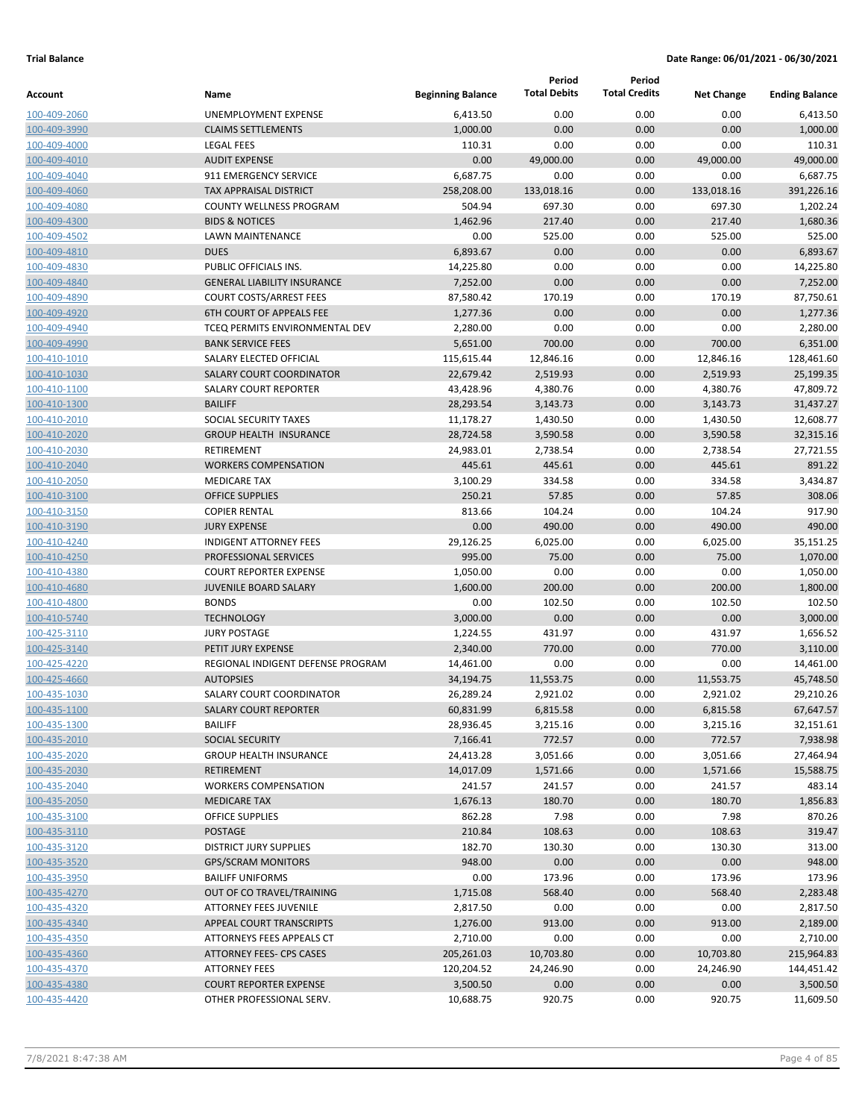|              |                                       |                          | Period              | Period               |                   |                       |
|--------------|---------------------------------------|--------------------------|---------------------|----------------------|-------------------|-----------------------|
| Account      | Name                                  | <b>Beginning Balance</b> | <b>Total Debits</b> | <b>Total Credits</b> | <b>Net Change</b> | <b>Ending Balance</b> |
| 100-409-2060 | UNEMPLOYMENT EXPENSE                  | 6,413.50                 | 0.00                | 0.00                 | 0.00              | 6,413.50              |
| 100-409-3990 | <b>CLAIMS SETTLEMENTS</b>             | 1,000.00                 | 0.00                | 0.00                 | 0.00              | 1,000.00              |
| 100-409-4000 | <b>LEGAL FEES</b>                     | 110.31                   | 0.00                | 0.00                 | 0.00              | 110.31                |
| 100-409-4010 | <b>AUDIT EXPENSE</b>                  | 0.00                     | 49,000.00           | 0.00                 | 49,000.00         | 49,000.00             |
| 100-409-4040 | 911 EMERGENCY SERVICE                 | 6,687.75                 | 0.00                | 0.00                 | 0.00              | 6,687.75              |
| 100-409-4060 | <b>TAX APPRAISAL DISTRICT</b>         | 258,208.00               | 133,018.16          | 0.00                 | 133,018.16        | 391,226.16            |
| 100-409-4080 | <b>COUNTY WELLNESS PROGRAM</b>        | 504.94                   | 697.30              | 0.00                 | 697.30            | 1,202.24              |
| 100-409-4300 | <b>BIDS &amp; NOTICES</b>             | 1,462.96                 | 217.40              | 0.00                 | 217.40            | 1,680.36              |
| 100-409-4502 | <b>LAWN MAINTENANCE</b>               | 0.00                     | 525.00              | 0.00                 | 525.00            | 525.00                |
| 100-409-4810 | <b>DUES</b>                           | 6,893.67                 | 0.00                | 0.00                 | 0.00              | 6,893.67              |
| 100-409-4830 | PUBLIC OFFICIALS INS.                 | 14,225.80                | 0.00                | 0.00                 | 0.00              | 14,225.80             |
| 100-409-4840 | <b>GENERAL LIABILITY INSURANCE</b>    | 7,252.00                 | 0.00                | 0.00                 | 0.00              | 7,252.00              |
| 100-409-4890 | <b>COURT COSTS/ARREST FEES</b>        | 87,580.42                | 170.19              | 0.00                 | 170.19            | 87,750.61             |
| 100-409-4920 | <b>6TH COURT OF APPEALS FEE</b>       | 1,277.36                 | 0.00                | 0.00                 | 0.00              | 1,277.36              |
| 100-409-4940 | <b>TCEO PERMITS ENVIRONMENTAL DEV</b> | 2,280.00                 | 0.00                | 0.00                 | 0.00              | 2,280.00              |
| 100-409-4990 | <b>BANK SERVICE FEES</b>              | 5,651.00                 | 700.00              | 0.00                 | 700.00            | 6,351.00              |
| 100-410-1010 | SALARY ELECTED OFFICIAL               | 115,615.44               | 12,846.16           | 0.00                 | 12,846.16         | 128,461.60            |
| 100-410-1030 | <b>SALARY COURT COORDINATOR</b>       | 22,679.42                | 2,519.93            | 0.00                 | 2,519.93          | 25,199.35             |
| 100-410-1100 | <b>SALARY COURT REPORTER</b>          | 43,428.96                | 4,380.76            | 0.00                 | 4,380.76          | 47,809.72             |
| 100-410-1300 | <b>BAILIFF</b>                        | 28,293.54                | 3,143.73            | 0.00                 | 3,143.73          | 31,437.27             |
| 100-410-2010 | SOCIAL SECURITY TAXES                 | 11,178.27                | 1,430.50            | 0.00                 | 1,430.50          | 12,608.77             |
| 100-410-2020 | <b>GROUP HEALTH INSURANCE</b>         | 28,724.58                | 3,590.58            | 0.00                 | 3,590.58          | 32,315.16             |
| 100-410-2030 | RETIREMENT                            | 24,983.01                | 2,738.54            | 0.00                 | 2,738.54          | 27,721.55             |
| 100-410-2040 | <b>WORKERS COMPENSATION</b>           | 445.61                   | 445.61              | 0.00                 | 445.61            | 891.22                |
| 100-410-2050 | <b>MEDICARE TAX</b>                   | 3,100.29                 | 334.58              | 0.00                 | 334.58            | 3,434.87              |
| 100-410-3100 | <b>OFFICE SUPPLIES</b>                | 250.21                   | 57.85               | 0.00                 | 57.85             | 308.06                |
| 100-410-3150 | <b>COPIER RENTAL</b>                  | 813.66                   | 104.24              | 0.00                 | 104.24            | 917.90                |
| 100-410-3190 | <b>JURY EXPENSE</b>                   | 0.00                     | 490.00              | 0.00                 | 490.00            | 490.00                |
| 100-410-4240 | <b>INDIGENT ATTORNEY FEES</b>         | 29,126.25                | 6,025.00            | 0.00                 | 6,025.00          | 35,151.25             |
| 100-410-4250 | <b>PROFESSIONAL SERVICES</b>          | 995.00                   | 75.00               | 0.00                 | 75.00             | 1,070.00              |
| 100-410-4380 | <b>COURT REPORTER EXPENSE</b>         | 1,050.00                 | 0.00                | 0.00                 | 0.00              | 1,050.00              |
| 100-410-4680 | <b>JUVENILE BOARD SALARY</b>          | 1,600.00                 | 200.00              | 0.00                 | 200.00            | 1,800.00              |
| 100-410-4800 | <b>BONDS</b>                          | 0.00                     | 102.50              | 0.00                 | 102.50            | 102.50                |
| 100-410-5740 | <b>TECHNOLOGY</b>                     | 3,000.00                 | 0.00                | 0.00                 | 0.00              | 3,000.00              |
| 100-425-3110 | <b>JURY POSTAGE</b>                   | 1,224.55                 | 431.97              | 0.00                 | 431.97            | 1,656.52              |
| 100-425-3140 | PETIT JURY EXPENSE                    | 2,340.00                 | 770.00              | 0.00                 | 770.00            | 3,110.00              |
| 100-425-4220 | REGIONAL INDIGENT DEFENSE PROGRAM     | 14,461.00                | 0.00                | 0.00                 | 0.00              | 14,461.00             |
| 100-425-4660 | <b>AUTOPSIES</b>                      | 34,194.75                | 11,553.75           | 0.00                 | 11,553.75         | 45,748.50             |
| 100-435-1030 | SALARY COURT COORDINATOR              | 26,289.24                | 2,921.02            | 0.00                 | 2,921.02          | 29,210.26             |
| 100-435-1100 | <b>SALARY COURT REPORTER</b>          | 60,831.99                | 6,815.58            | 0.00                 | 6,815.58          | 67,647.57             |
| 100-435-1300 | <b>BAILIFF</b>                        | 28,936.45                | 3,215.16            | 0.00                 | 3,215.16          | 32,151.61             |
| 100-435-2010 | <b>SOCIAL SECURITY</b>                | 7,166.41                 | 772.57              | 0.00                 | 772.57            | 7,938.98              |
| 100-435-2020 | <b>GROUP HEALTH INSURANCE</b>         | 24,413.28                | 3,051.66            | 0.00                 | 3,051.66          | 27,464.94             |
| 100-435-2030 | <b>RETIREMENT</b>                     | 14,017.09                | 1,571.66            | 0.00                 | 1,571.66          | 15,588.75             |
| 100-435-2040 | <b>WORKERS COMPENSATION</b>           | 241.57                   | 241.57              | 0.00                 | 241.57            | 483.14                |
| 100-435-2050 | <b>MEDICARE TAX</b>                   | 1,676.13                 | 180.70              | 0.00                 | 180.70            | 1,856.83              |
| 100-435-3100 | OFFICE SUPPLIES                       | 862.28                   | 7.98                | 0.00                 | 7.98              | 870.26                |
| 100-435-3110 | POSTAGE                               | 210.84                   | 108.63              | 0.00                 | 108.63            | 319.47                |
| 100-435-3120 | <b>DISTRICT JURY SUPPLIES</b>         | 182.70                   | 130.30              | 0.00                 | 130.30            | 313.00                |
| 100-435-3520 | <b>GPS/SCRAM MONITORS</b>             | 948.00                   | 0.00                | 0.00                 | 0.00              | 948.00                |
| 100-435-3950 | <b>BAILIFF UNIFORMS</b>               | 0.00                     | 173.96              | 0.00                 | 173.96            | 173.96                |
| 100-435-4270 | OUT OF CO TRAVEL/TRAINING             | 1,715.08                 | 568.40              | 0.00                 | 568.40            | 2,283.48              |
| 100-435-4320 | ATTORNEY FEES JUVENILE                | 2,817.50                 | 0.00                | 0.00                 | 0.00              | 2,817.50              |
| 100-435-4340 | APPEAL COURT TRANSCRIPTS              | 1,276.00                 | 913.00              | 0.00                 | 913.00            | 2,189.00              |
| 100-435-4350 | ATTORNEYS FEES APPEALS CT             | 2,710.00                 | 0.00                | 0.00                 | 0.00              | 2,710.00              |
| 100-435-4360 | ATTORNEY FEES- CPS CASES              | 205,261.03               | 10,703.80           | 0.00                 | 10,703.80         | 215,964.83            |
| 100-435-4370 | <b>ATTORNEY FEES</b>                  | 120,204.52               | 24,246.90           | 0.00                 | 24,246.90         | 144,451.42            |
| 100-435-4380 | <b>COURT REPORTER EXPENSE</b>         | 3,500.50                 | 0.00                | 0.00                 | 0.00              | 3,500.50              |
| 100-435-4420 | OTHER PROFESSIONAL SERV.              | 10,688.75                | 920.75              | 0.00                 | 920.75            | 11,609.50             |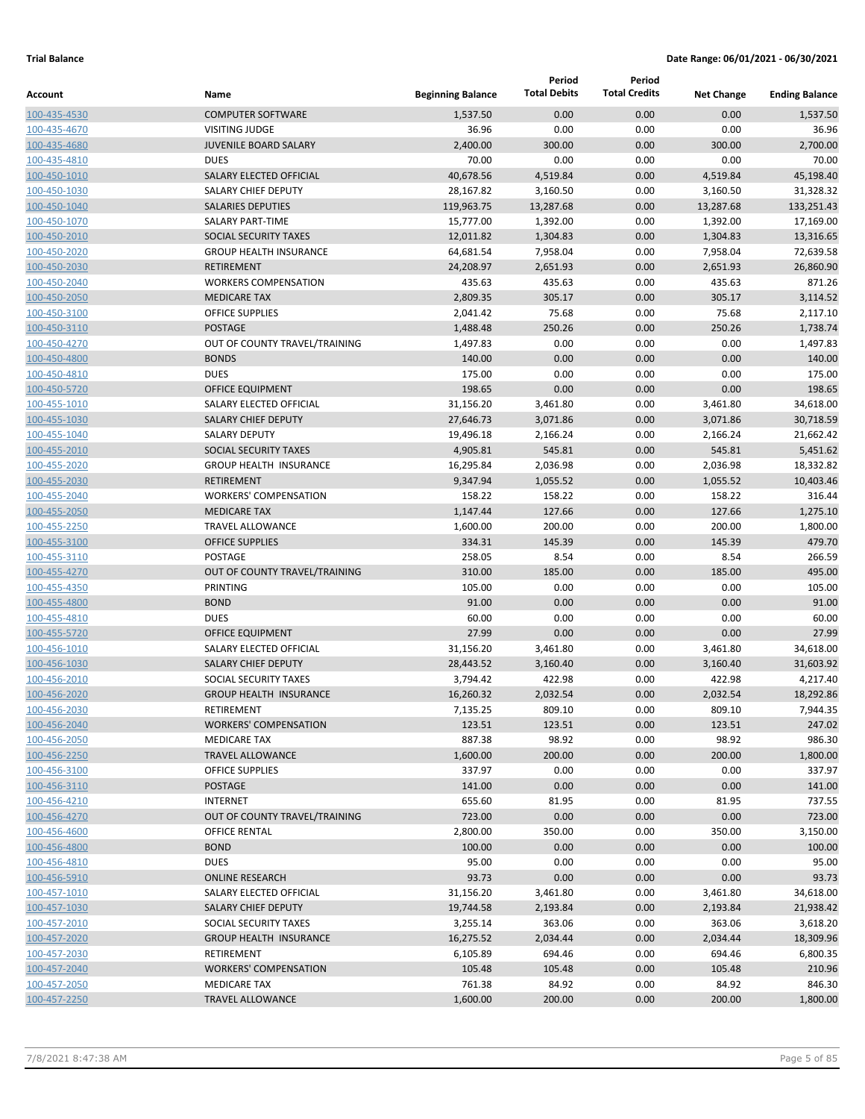|                              |                                                         |                          | Period<br><b>Total Debits</b> | Period<br><b>Total Credits</b> |                      |                        |
|------------------------------|---------------------------------------------------------|--------------------------|-------------------------------|--------------------------------|----------------------|------------------------|
| Account                      | Name                                                    | <b>Beginning Balance</b> |                               |                                | <b>Net Change</b>    | <b>Ending Balance</b>  |
| 100-435-4530                 | <b>COMPUTER SOFTWARE</b>                                | 1,537.50                 | 0.00                          | 0.00                           | 0.00                 | 1,537.50               |
| 100-435-4670                 | <b>VISITING JUDGE</b>                                   | 36.96                    | 0.00                          | 0.00                           | 0.00                 | 36.96                  |
| 100-435-4680                 | <b>JUVENILE BOARD SALARY</b>                            | 2,400.00                 | 300.00                        | 0.00                           | 300.00               | 2,700.00               |
| 100-435-4810                 | <b>DUES</b>                                             | 70.00                    | 0.00                          | 0.00                           | 0.00                 | 70.00                  |
| 100-450-1010                 | SALARY ELECTED OFFICIAL                                 | 40,678.56                | 4,519.84                      | 0.00                           | 4,519.84             | 45,198.40              |
| 100-450-1030                 | SALARY CHIEF DEPUTY                                     | 28,167.82                | 3,160.50                      | 0.00                           | 3,160.50             | 31,328.32              |
| 100-450-1040                 | <b>SALARIES DEPUTIES</b>                                | 119,963.75               | 13,287.68                     | 0.00                           | 13,287.68            | 133,251.43             |
| 100-450-1070                 | <b>SALARY PART-TIME</b><br><b>SOCIAL SECURITY TAXES</b> | 15,777.00                | 1,392.00                      | 0.00                           | 1,392.00             | 17,169.00              |
| 100-450-2010                 | <b>GROUP HEALTH INSURANCE</b>                           | 12,011.82                | 1,304.83<br>7,958.04          | 0.00<br>0.00                   | 1,304.83             | 13,316.65<br>72,639.58 |
| 100-450-2020                 | <b>RETIREMENT</b>                                       | 64,681.54<br>24,208.97   | 2,651.93                      | 0.00                           | 7,958.04<br>2,651.93 | 26,860.90              |
| 100-450-2030<br>100-450-2040 | <b>WORKERS COMPENSATION</b>                             | 435.63                   | 435.63                        | 0.00                           | 435.63               | 871.26                 |
| 100-450-2050                 | <b>MEDICARE TAX</b>                                     | 2,809.35                 | 305.17                        | 0.00                           | 305.17               | 3,114.52               |
| 100-450-3100                 | <b>OFFICE SUPPLIES</b>                                  | 2,041.42                 | 75.68                         | 0.00                           | 75.68                | 2,117.10               |
| 100-450-3110                 | <b>POSTAGE</b>                                          | 1,488.48                 | 250.26                        | 0.00                           | 250.26               | 1,738.74               |
| 100-450-4270                 | OUT OF COUNTY TRAVEL/TRAINING                           | 1,497.83                 | 0.00                          | 0.00                           | 0.00                 | 1,497.83               |
| 100-450-4800                 | <b>BONDS</b>                                            | 140.00                   | 0.00                          | 0.00                           | 0.00                 | 140.00                 |
| 100-450-4810                 | <b>DUES</b>                                             | 175.00                   | 0.00                          | 0.00                           | 0.00                 | 175.00                 |
| 100-450-5720                 | OFFICE EQUIPMENT                                        | 198.65                   | 0.00                          | 0.00                           | 0.00                 | 198.65                 |
| 100-455-1010                 | SALARY ELECTED OFFICIAL                                 | 31,156.20                | 3,461.80                      | 0.00                           | 3,461.80             | 34,618.00              |
| 100-455-1030                 | <b>SALARY CHIEF DEPUTY</b>                              | 27,646.73                | 3,071.86                      | 0.00                           | 3,071.86             | 30,718.59              |
| 100-455-1040                 | <b>SALARY DEPUTY</b>                                    | 19,496.18                | 2,166.24                      | 0.00                           | 2,166.24             | 21,662.42              |
| 100-455-2010                 | <b>SOCIAL SECURITY TAXES</b>                            | 4,905.81                 | 545.81                        | 0.00                           | 545.81               | 5,451.62               |
| 100-455-2020                 | <b>GROUP HEALTH INSURANCE</b>                           | 16,295.84                | 2,036.98                      | 0.00                           | 2,036.98             | 18,332.82              |
| 100-455-2030                 | <b>RETIREMENT</b>                                       | 9,347.94                 | 1,055.52                      | 0.00                           | 1,055.52             | 10,403.46              |
| 100-455-2040                 | <b>WORKERS' COMPENSATION</b>                            | 158.22                   | 158.22                        | 0.00                           | 158.22               | 316.44                 |
| 100-455-2050                 | <b>MEDICARE TAX</b>                                     | 1,147.44                 | 127.66                        | 0.00                           | 127.66               | 1,275.10               |
| 100-455-2250                 | <b>TRAVEL ALLOWANCE</b>                                 | 1,600.00                 | 200.00                        | 0.00                           | 200.00               | 1,800.00               |
| 100-455-3100                 | <b>OFFICE SUPPLIES</b>                                  | 334.31                   | 145.39                        | 0.00                           | 145.39               | 479.70                 |
| 100-455-3110                 | POSTAGE                                                 | 258.05                   | 8.54                          | 0.00                           | 8.54                 | 266.59                 |
| 100-455-4270                 | OUT OF COUNTY TRAVEL/TRAINING                           | 310.00                   | 185.00                        | 0.00                           | 185.00               | 495.00                 |
| 100-455-4350                 | PRINTING                                                | 105.00                   | 0.00                          | 0.00                           | 0.00                 | 105.00                 |
| 100-455-4800                 | <b>BOND</b>                                             | 91.00                    | 0.00                          | 0.00                           | 0.00                 | 91.00                  |
| 100-455-4810                 | <b>DUES</b>                                             | 60.00                    | 0.00                          | 0.00                           | 0.00                 | 60.00                  |
| 100-455-5720                 | <b>OFFICE EQUIPMENT</b>                                 | 27.99                    | 0.00                          | 0.00                           | 0.00                 | 27.99                  |
| 100-456-1010                 | SALARY ELECTED OFFICIAL                                 | 31,156.20                | 3,461.80                      | 0.00                           | 3,461.80             | 34,618.00              |
| 100-456-1030                 | <b>SALARY CHIEF DEPUTY</b>                              | 28,443.52                | 3,160.40                      | 0.00                           | 3,160.40             | 31,603.92              |
| 100-456-2010                 | SOCIAL SECURITY TAXES                                   | 3,794.42                 | 422.98                        | 0.00                           | 422.98               | 4,217.40               |
| 100-456-2020                 | <b>GROUP HEALTH INSURANCE</b>                           | 16,260.32                | 2,032.54                      | 0.00                           | 2,032.54             | 18,292.86              |
| 100-456-2030                 | RETIREMENT                                              | 7,135.25                 | 809.10                        | 0.00                           | 809.10               | 7,944.35               |
| 100-456-2040                 | <b>WORKERS' COMPENSATION</b>                            | 123.51                   | 123.51                        | 0.00                           | 123.51               | 247.02                 |
| 100-456-2050                 | <b>MEDICARE TAX</b>                                     | 887.38                   | 98.92                         | 0.00                           | 98.92                | 986.30                 |
| 100-456-2250                 | <b>TRAVEL ALLOWANCE</b>                                 | 1,600.00                 | 200.00                        | 0.00                           | 200.00               | 1,800.00               |
| 100-456-3100                 | OFFICE SUPPLIES                                         | 337.97                   | 0.00                          | 0.00                           | 0.00                 | 337.97                 |
| 100-456-3110                 | POSTAGE                                                 | 141.00                   | 0.00                          | 0.00                           | 0.00                 | 141.00                 |
| 100-456-4210                 | <b>INTERNET</b>                                         | 655.60                   | 81.95                         | 0.00                           | 81.95                | 737.55                 |
| 100-456-4270                 | OUT OF COUNTY TRAVEL/TRAINING                           | 723.00                   | 0.00                          | 0.00                           | 0.00                 | 723.00                 |
| 100-456-4600                 | <b>OFFICE RENTAL</b>                                    | 2,800.00                 | 350.00                        | 0.00                           | 350.00               | 3,150.00               |
| 100-456-4800                 | <b>BOND</b>                                             | 100.00                   | 0.00                          | 0.00                           | 0.00                 | 100.00                 |
| 100-456-4810                 | <b>DUES</b>                                             | 95.00                    | 0.00                          | 0.00                           | 0.00                 | 95.00                  |
| 100-456-5910                 | <b>ONLINE RESEARCH</b>                                  | 93.73                    | 0.00                          | 0.00                           | 0.00                 | 93.73                  |
| 100-457-1010                 | SALARY ELECTED OFFICIAL                                 | 31,156.20                | 3,461.80                      | 0.00                           | 3,461.80             | 34,618.00              |
| 100-457-1030                 | SALARY CHIEF DEPUTY                                     | 19,744.58                | 2,193.84                      | 0.00                           | 2,193.84             | 21,938.42              |
| 100-457-2010                 | SOCIAL SECURITY TAXES                                   | 3,255.14                 | 363.06                        | 0.00                           | 363.06               | 3,618.20               |
| 100-457-2020                 | <b>GROUP HEALTH INSURANCE</b>                           | 16,275.52                | 2,034.44                      | 0.00                           | 2,034.44             | 18,309.96              |
| 100-457-2030                 | RETIREMENT                                              | 6,105.89                 | 694.46                        | 0.00                           | 694.46               | 6,800.35               |
| 100-457-2040                 | <b>WORKERS' COMPENSATION</b>                            | 105.48                   | 105.48                        | 0.00                           | 105.48               | 210.96                 |
| 100-457-2050                 | <b>MEDICARE TAX</b>                                     | 761.38                   | 84.92                         | 0.00                           | 84.92                | 846.30                 |
| 100-457-2250                 | <b>TRAVEL ALLOWANCE</b>                                 | 1,600.00                 | 200.00                        | 0.00                           | 200.00               | 1,800.00               |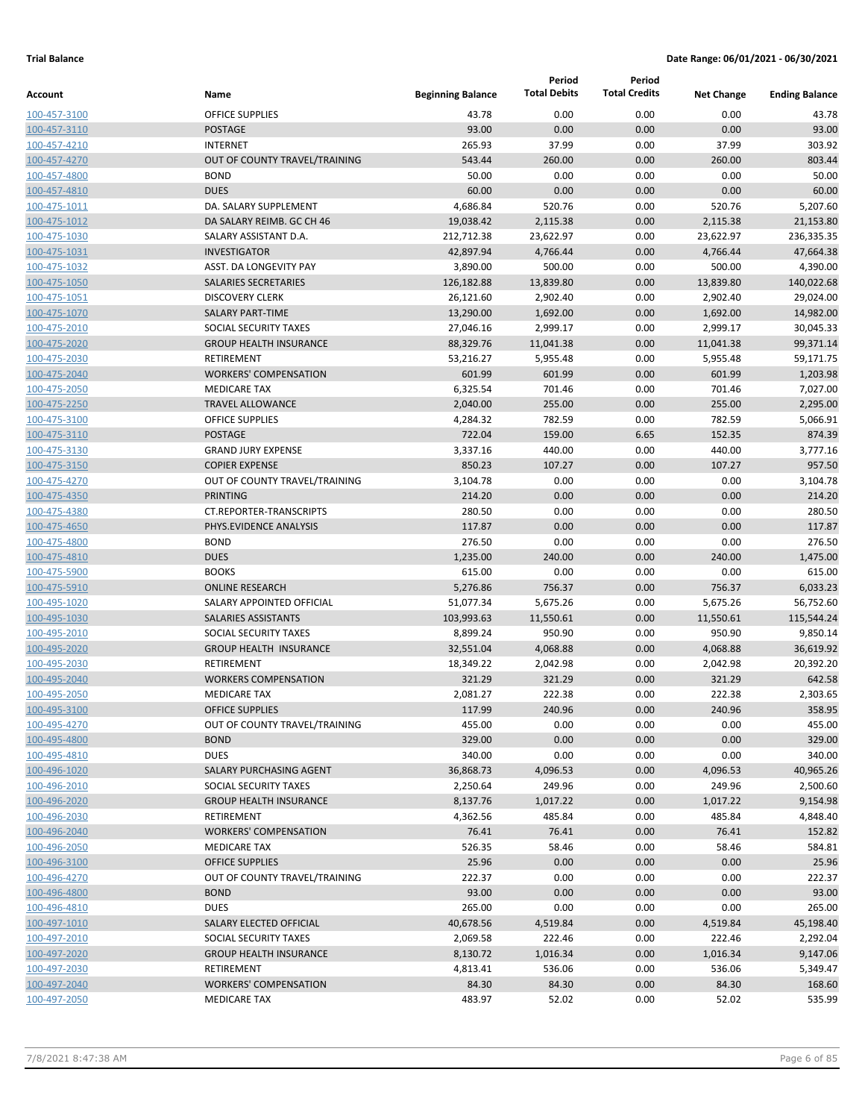|                              |                                                  |                          | Period              | Period               |                   |                       |
|------------------------------|--------------------------------------------------|--------------------------|---------------------|----------------------|-------------------|-----------------------|
| Account                      | Name                                             | <b>Beginning Balance</b> | <b>Total Debits</b> | <b>Total Credits</b> | <b>Net Change</b> | <b>Ending Balance</b> |
| 100-457-3100                 | <b>OFFICE SUPPLIES</b>                           | 43.78                    | 0.00                | 0.00                 | 0.00              | 43.78                 |
| 100-457-3110                 | <b>POSTAGE</b>                                   | 93.00                    | 0.00                | 0.00                 | 0.00              | 93.00                 |
| 100-457-4210                 | <b>INTERNET</b>                                  | 265.93                   | 37.99               | 0.00                 | 37.99             | 303.92                |
| 100-457-4270                 | OUT OF COUNTY TRAVEL/TRAINING                    | 543.44                   | 260.00              | 0.00                 | 260.00            | 803.44                |
| 100-457-4800                 | <b>BOND</b>                                      | 50.00                    | 0.00                | 0.00                 | 0.00              | 50.00                 |
| 100-457-4810                 | <b>DUES</b>                                      | 60.00                    | 0.00                | 0.00                 | 0.00              | 60.00                 |
| 100-475-1011                 | DA. SALARY SUPPLEMENT                            | 4,686.84                 | 520.76              | 0.00                 | 520.76            | 5,207.60              |
| 100-475-1012                 | DA SALARY REIMB. GC CH 46                        | 19,038.42                | 2,115.38            | 0.00                 | 2,115.38          | 21,153.80             |
| 100-475-1030                 | SALARY ASSISTANT D.A.                            | 212,712.38               | 23,622.97           | 0.00                 | 23,622.97         | 236,335.35            |
| 100-475-1031                 | <b>INVESTIGATOR</b>                              | 42,897.94                | 4,766.44            | 0.00                 | 4,766.44          | 47,664.38             |
| 100-475-1032                 | ASST. DA LONGEVITY PAY                           | 3,890.00                 | 500.00              | 0.00                 | 500.00            | 4,390.00              |
| 100-475-1050                 | <b>SALARIES SECRETARIES</b>                      | 126,182.88               | 13,839.80           | 0.00                 | 13,839.80         | 140,022.68            |
| 100-475-1051                 | <b>DISCOVERY CLERK</b>                           | 26,121.60                | 2,902.40            | 0.00                 | 2,902.40          | 29,024.00             |
| 100-475-1070                 | <b>SALARY PART-TIME</b>                          | 13,290.00                | 1,692.00            | 0.00                 | 1,692.00          | 14,982.00             |
| 100-475-2010                 | SOCIAL SECURITY TAXES                            | 27,046.16                | 2,999.17            | 0.00                 | 2,999.17          | 30,045.33             |
| 100-475-2020                 | <b>GROUP HEALTH INSURANCE</b>                    | 88,329.76                | 11,041.38           | 0.00                 | 11,041.38         | 99,371.14             |
| 100-475-2030                 | RETIREMENT                                       | 53,216.27                | 5,955.48            | 0.00                 | 5,955.48          | 59,171.75             |
| 100-475-2040                 | <b>WORKERS' COMPENSATION</b>                     | 601.99                   | 601.99              | 0.00                 | 601.99            | 1,203.98              |
| 100-475-2050                 | <b>MEDICARE TAX</b>                              | 6,325.54                 | 701.46              | 0.00                 | 701.46            | 7,027.00              |
| 100-475-2250                 | <b>TRAVEL ALLOWANCE</b>                          | 2,040.00                 | 255.00              | 0.00                 | 255.00            | 2,295.00              |
| 100-475-3100                 | <b>OFFICE SUPPLIES</b>                           | 4,284.32                 | 782.59              | 0.00                 | 782.59            | 5,066.91              |
| 100-475-3110                 | <b>POSTAGE</b>                                   | 722.04                   | 159.00              | 6.65                 | 152.35            | 874.39                |
| 100-475-3130                 | <b>GRAND JURY EXPENSE</b>                        | 3,337.16                 | 440.00              | 0.00                 | 440.00            | 3,777.16              |
| 100-475-3150                 | <b>COPIER EXPENSE</b>                            | 850.23                   | 107.27              | 0.00                 | 107.27            | 957.50                |
| 100-475-4270                 | OUT OF COUNTY TRAVEL/TRAINING                    | 3,104.78                 | 0.00                | 0.00                 | 0.00              | 3,104.78              |
| 100-475-4350                 | <b>PRINTING</b>                                  | 214.20                   | 0.00                | 0.00                 | 0.00              | 214.20                |
| 100-475-4380                 | <b>CT.REPORTER-TRANSCRIPTS</b>                   | 280.50                   | 0.00                | 0.00                 | 0.00              | 280.50                |
| 100-475-4650                 | PHYS.EVIDENCE ANALYSIS                           | 117.87                   | 0.00                | 0.00                 | 0.00              | 117.87                |
| 100-475-4800                 | <b>BOND</b>                                      | 276.50                   | 0.00                | 0.00                 | 0.00              | 276.50                |
| 100-475-4810                 | <b>DUES</b>                                      | 1,235.00                 | 240.00              | 0.00                 | 240.00            | 1,475.00              |
| 100-475-5900                 | <b>BOOKS</b>                                     | 615.00                   | 0.00                | 0.00                 | 0.00              | 615.00                |
| 100-475-5910                 | <b>ONLINE RESEARCH</b>                           | 5,276.86                 | 756.37              | 0.00                 | 756.37            | 6,033.23              |
| 100-495-1020                 | SALARY APPOINTED OFFICIAL                        | 51,077.34                | 5,675.26            | 0.00                 | 5,675.26          | 56,752.60             |
| 100-495-1030                 | <b>SALARIES ASSISTANTS</b>                       | 103,993.63               | 11,550.61           | 0.00                 | 11,550.61         | 115,544.24            |
| 100-495-2010                 | SOCIAL SECURITY TAXES                            | 8,899.24                 | 950.90              | 0.00                 | 950.90            | 9,850.14              |
| 100-495-2020                 | <b>GROUP HEALTH INSURANCE</b>                    | 32,551.04                | 4,068.88            | 0.00                 | 4,068.88          | 36,619.92             |
| 100-495-2030                 | <b>RETIREMENT</b><br><b>WORKERS COMPENSATION</b> | 18,349.22                | 2,042.98            | 0.00                 | 2,042.98          | 20,392.20             |
| 100-495-2040<br>100-495-2050 | <b>MEDICARE TAX</b>                              | 321.29<br>2,081.27       | 321.29<br>222.38    | 0.00<br>0.00         | 321.29<br>222.38  | 642.58<br>2,303.65    |
| 100-495-3100                 | <b>OFFICE SUPPLIES</b>                           | 117.99                   | 240.96              | 0.00                 | 240.96            | 358.95                |
| 100-495-4270                 | OUT OF COUNTY TRAVEL/TRAINING                    | 455.00                   | 0.00                | 0.00                 | 0.00              | 455.00                |
| 100-495-4800                 | <b>BOND</b>                                      | 329.00                   | 0.00                | 0.00                 | 0.00              | 329.00                |
| 100-495-4810                 | <b>DUES</b>                                      | 340.00                   | 0.00                | 0.00                 | 0.00              | 340.00                |
| 100-496-1020                 | SALARY PURCHASING AGENT                          | 36,868.73                | 4,096.53            | 0.00                 | 4,096.53          | 40,965.26             |
| 100-496-2010                 | SOCIAL SECURITY TAXES                            | 2,250.64                 | 249.96              | 0.00                 | 249.96            | 2,500.60              |
| 100-496-2020                 | <b>GROUP HEALTH INSURANCE</b>                    | 8,137.76                 | 1,017.22            | 0.00                 | 1,017.22          | 9,154.98              |
| 100-496-2030                 | RETIREMENT                                       | 4,362.56                 | 485.84              | 0.00                 | 485.84            | 4,848.40              |
| 100-496-2040                 | <b>WORKERS' COMPENSATION</b>                     | 76.41                    | 76.41               | 0.00                 | 76.41             | 152.82                |
| 100-496-2050                 | <b>MEDICARE TAX</b>                              | 526.35                   | 58.46               | 0.00                 | 58.46             | 584.81                |
| 100-496-3100                 | <b>OFFICE SUPPLIES</b>                           | 25.96                    | 0.00                | 0.00                 | 0.00              | 25.96                 |
| 100-496-4270                 | OUT OF COUNTY TRAVEL/TRAINING                    | 222.37                   | 0.00                | 0.00                 | 0.00              | 222.37                |
| 100-496-4800                 | <b>BOND</b>                                      | 93.00                    | 0.00                | 0.00                 | 0.00              | 93.00                 |
| 100-496-4810                 | <b>DUES</b>                                      | 265.00                   | 0.00                | 0.00                 | 0.00              | 265.00                |
| 100-497-1010                 | SALARY ELECTED OFFICIAL                          | 40,678.56                | 4,519.84            | 0.00                 | 4,519.84          | 45,198.40             |
| 100-497-2010                 | SOCIAL SECURITY TAXES                            | 2,069.58                 | 222.46              | 0.00                 | 222.46            | 2,292.04              |
| 100-497-2020                 | <b>GROUP HEALTH INSURANCE</b>                    | 8,130.72                 | 1,016.34            | 0.00                 | 1,016.34          | 9,147.06              |
| 100-497-2030                 | RETIREMENT                                       | 4,813.41                 | 536.06              | 0.00                 | 536.06            | 5,349.47              |
| 100-497-2040                 | <b>WORKERS' COMPENSATION</b>                     | 84.30                    | 84.30               | 0.00                 | 84.30             | 168.60                |
| 100-497-2050                 | <b>MEDICARE TAX</b>                              | 483.97                   | 52.02               | 0.00                 | 52.02             | 535.99                |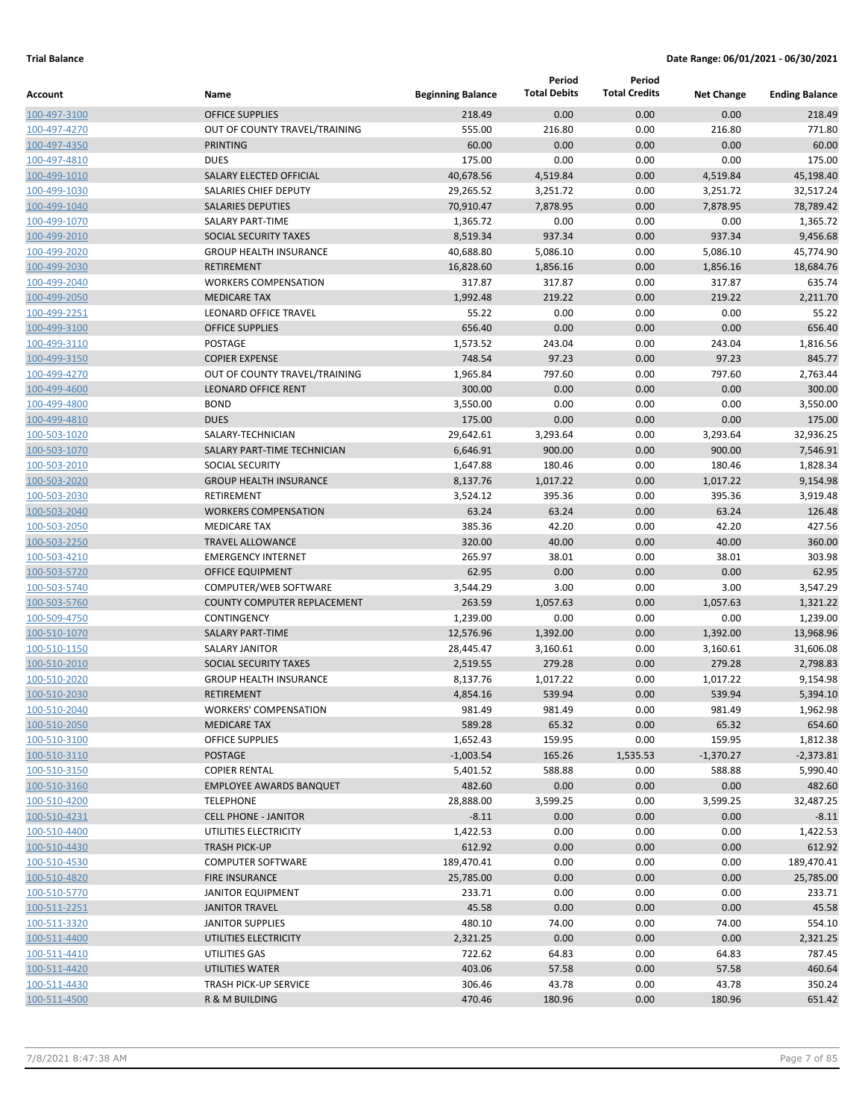|                              |                                            |                          | Period              | Period               |                   |                       |
|------------------------------|--------------------------------------------|--------------------------|---------------------|----------------------|-------------------|-----------------------|
| Account                      | Name                                       | <b>Beginning Balance</b> | <b>Total Debits</b> | <b>Total Credits</b> | <b>Net Change</b> | <b>Ending Balance</b> |
| 100-497-3100                 | <b>OFFICE SUPPLIES</b>                     | 218.49                   | 0.00                | 0.00                 | 0.00              | 218.49                |
| 100-497-4270                 | OUT OF COUNTY TRAVEL/TRAINING              | 555.00                   | 216.80              | 0.00                 | 216.80            | 771.80                |
| 100-497-4350                 | <b>PRINTING</b>                            | 60.00                    | 0.00                | 0.00                 | 0.00              | 60.00                 |
| 100-497-4810                 | <b>DUES</b>                                | 175.00                   | 0.00                | 0.00                 | 0.00              | 175.00                |
| 100-499-1010                 | SALARY ELECTED OFFICIAL                    | 40,678.56                | 4,519.84            | 0.00                 | 4,519.84          | 45,198.40             |
| 100-499-1030                 | SALARIES CHIEF DEPUTY                      | 29,265.52                | 3,251.72            | 0.00                 | 3,251.72          | 32,517.24             |
| 100-499-1040                 | <b>SALARIES DEPUTIES</b>                   | 70,910.47                | 7,878.95            | 0.00                 | 7,878.95          | 78,789.42             |
| 100-499-1070                 | <b>SALARY PART-TIME</b>                    | 1,365.72                 | 0.00                | 0.00                 | 0.00              | 1,365.72              |
| 100-499-2010                 | SOCIAL SECURITY TAXES                      | 8,519.34                 | 937.34              | 0.00                 | 937.34            | 9,456.68              |
| 100-499-2020                 | <b>GROUP HEALTH INSURANCE</b>              | 40,688.80                | 5,086.10            | 0.00                 | 5,086.10          | 45,774.90             |
| 100-499-2030                 | <b>RETIREMENT</b>                          | 16,828.60                | 1,856.16            | 0.00                 | 1,856.16          | 18,684.76             |
| 100-499-2040                 | <b>WORKERS COMPENSATION</b>                | 317.87                   | 317.87              | 0.00                 | 317.87            | 635.74                |
| 100-499-2050                 | <b>MEDICARE TAX</b>                        | 1,992.48                 | 219.22              | 0.00                 | 219.22            | 2,211.70              |
| 100-499-2251                 | LEONARD OFFICE TRAVEL                      | 55.22                    | 0.00                | 0.00                 | 0.00              | 55.22                 |
| 100-499-3100                 | <b>OFFICE SUPPLIES</b>                     | 656.40                   | 0.00                | 0.00                 | 0.00              | 656.40                |
| 100-499-3110                 | POSTAGE                                    | 1,573.52                 | 243.04              | 0.00                 | 243.04            | 1,816.56              |
| 100-499-3150                 | <b>COPIER EXPENSE</b>                      | 748.54                   | 97.23               | 0.00                 | 97.23             | 845.77                |
| 100-499-4270                 | OUT OF COUNTY TRAVEL/TRAINING              | 1,965.84                 | 797.60              | 0.00                 | 797.60            | 2,763.44              |
| 100-499-4600                 | <b>LEONARD OFFICE RENT</b>                 | 300.00                   | 0.00                | 0.00                 | 0.00              | 300.00                |
| 100-499-4800                 | <b>BOND</b>                                | 3,550.00                 | 0.00                | 0.00                 | 0.00              | 3,550.00              |
| 100-499-4810                 | <b>DUES</b>                                | 175.00                   | 0.00                | 0.00                 | 0.00              | 175.00                |
| 100-503-1020                 | SALARY-TECHNICIAN                          | 29,642.61                | 3,293.64            | 0.00                 | 3,293.64          | 32,936.25             |
| 100-503-1070                 | SALARY PART-TIME TECHNICIAN                | 6,646.91                 | 900.00              | 0.00                 | 900.00            | 7,546.91              |
| 100-503-2010                 | <b>SOCIAL SECURITY</b>                     | 1,647.88                 | 180.46              | 0.00                 | 180.46            | 1,828.34              |
| 100-503-2020                 | <b>GROUP HEALTH INSURANCE</b>              | 8,137.76                 | 1,017.22            | 0.00                 | 1,017.22          | 9,154.98              |
| 100-503-2030                 | RETIREMENT                                 | 3,524.12                 | 395.36              | 0.00                 | 395.36            | 3,919.48              |
| 100-503-2040                 | <b>WORKERS COMPENSATION</b>                | 63.24                    | 63.24               | 0.00                 | 63.24             | 126.48                |
| 100-503-2050                 | <b>MEDICARE TAX</b>                        | 385.36                   | 42.20               | 0.00                 | 42.20             | 427.56                |
| 100-503-2250                 | <b>TRAVEL ALLOWANCE</b>                    | 320.00<br>265.97         | 40.00               | 0.00                 | 40.00             | 360.00<br>303.98      |
| 100-503-4210                 | <b>EMERGENCY INTERNET</b>                  | 62.95                    | 38.01<br>0.00       | 0.00<br>0.00         | 38.01<br>0.00     | 62.95                 |
| 100-503-5720                 | <b>OFFICE EQUIPMENT</b>                    |                          | 3.00                | 0.00                 | 3.00              |                       |
| 100-503-5740                 | COMPUTER/WEB SOFTWARE                      | 3,544.29                 |                     |                      |                   | 3,547.29              |
| 100-503-5760<br>100-509-4750 | COUNTY COMPUTER REPLACEMENT<br>CONTINGENCY | 263.59<br>1,239.00       | 1,057.63<br>0.00    | 0.00<br>0.00         | 1,057.63<br>0.00  | 1,321.22<br>1,239.00  |
| 100-510-1070                 | <b>SALARY PART-TIME</b>                    | 12,576.96                | 1,392.00            | 0.00                 | 1,392.00          | 13,968.96             |
| 100-510-1150                 | <b>SALARY JANITOR</b>                      | 28,445.47                | 3,160.61            | 0.00                 | 3,160.61          | 31,606.08             |
| 100-510-2010                 | SOCIAL SECURITY TAXES                      | 2,519.55                 | 279.28              | 0.00                 | 279.28            | 2,798.83              |
| 100-510-2020                 | <b>GROUP HEALTH INSURANCE</b>              | 8,137.76                 | 1,017.22            | 0.00                 | 1,017.22          | 9,154.98              |
| 100-510-2030                 | <b>RETIREMENT</b>                          | 4,854.16                 | 539.94              | 0.00                 | 539.94            | 5,394.10              |
| 100-510-2040                 | <b>WORKERS' COMPENSATION</b>               | 981.49                   | 981.49              | 0.00                 | 981.49            | 1,962.98              |
| 100-510-2050                 | <b>MEDICARE TAX</b>                        | 589.28                   | 65.32               | 0.00                 | 65.32             | 654.60                |
| 100-510-3100                 | <b>OFFICE SUPPLIES</b>                     | 1,652.43                 | 159.95              | 0.00                 | 159.95            | 1,812.38              |
| 100-510-3110                 | <b>POSTAGE</b>                             | $-1,003.54$              | 165.26              | 1,535.53             | $-1,370.27$       | $-2,373.81$           |
| 100-510-3150                 | <b>COPIER RENTAL</b>                       | 5,401.52                 | 588.88              | 0.00                 | 588.88            | 5,990.40              |
| 100-510-3160                 | <b>EMPLOYEE AWARDS BANQUET</b>             | 482.60                   | 0.00                | 0.00                 | 0.00              | 482.60                |
| 100-510-4200                 | <b>TELEPHONE</b>                           | 28,888.00                | 3,599.25            | 0.00                 | 3,599.25          | 32,487.25             |
| 100-510-4231                 | <b>CELL PHONE - JANITOR</b>                | $-8.11$                  | 0.00                | 0.00                 | 0.00              | $-8.11$               |
| 100-510-4400                 | UTILITIES ELECTRICITY                      | 1,422.53                 | 0.00                | 0.00                 | 0.00              | 1,422.53              |
| 100-510-4430                 | <b>TRASH PICK-UP</b>                       | 612.92                   | 0.00                | 0.00                 | 0.00              | 612.92                |
| 100-510-4530                 | <b>COMPUTER SOFTWARE</b>                   | 189,470.41               | 0.00                | 0.00                 | 0.00              | 189,470.41            |
| 100-510-4820                 | FIRE INSURANCE                             | 25,785.00                | 0.00                | 0.00                 | 0.00              | 25,785.00             |
| 100-510-5770                 | <b>JANITOR EQUIPMENT</b>                   | 233.71                   | 0.00                | 0.00                 | 0.00              | 233.71                |
| 100-511-2251                 | <b>JANITOR TRAVEL</b>                      | 45.58                    | 0.00                | 0.00                 | 0.00              | 45.58                 |
| 100-511-3320                 | <b>JANITOR SUPPLIES</b>                    | 480.10                   | 74.00               | 0.00                 | 74.00             | 554.10                |
| 100-511-4400                 | UTILITIES ELECTRICITY                      | 2,321.25                 | 0.00                | 0.00                 | 0.00              | 2,321.25              |
| 100-511-4410                 | UTILITIES GAS                              | 722.62                   | 64.83               | 0.00                 | 64.83             | 787.45                |
| 100-511-4420                 | UTILITIES WATER                            | 403.06                   | 57.58               | 0.00                 | 57.58             | 460.64                |
| 100-511-4430                 | TRASH PICK-UP SERVICE                      | 306.46                   | 43.78               | 0.00                 | 43.78             | 350.24                |
| 100-511-4500                 | R & M BUILDING                             | 470.46                   | 180.96              | 0.00                 | 180.96            | 651.42                |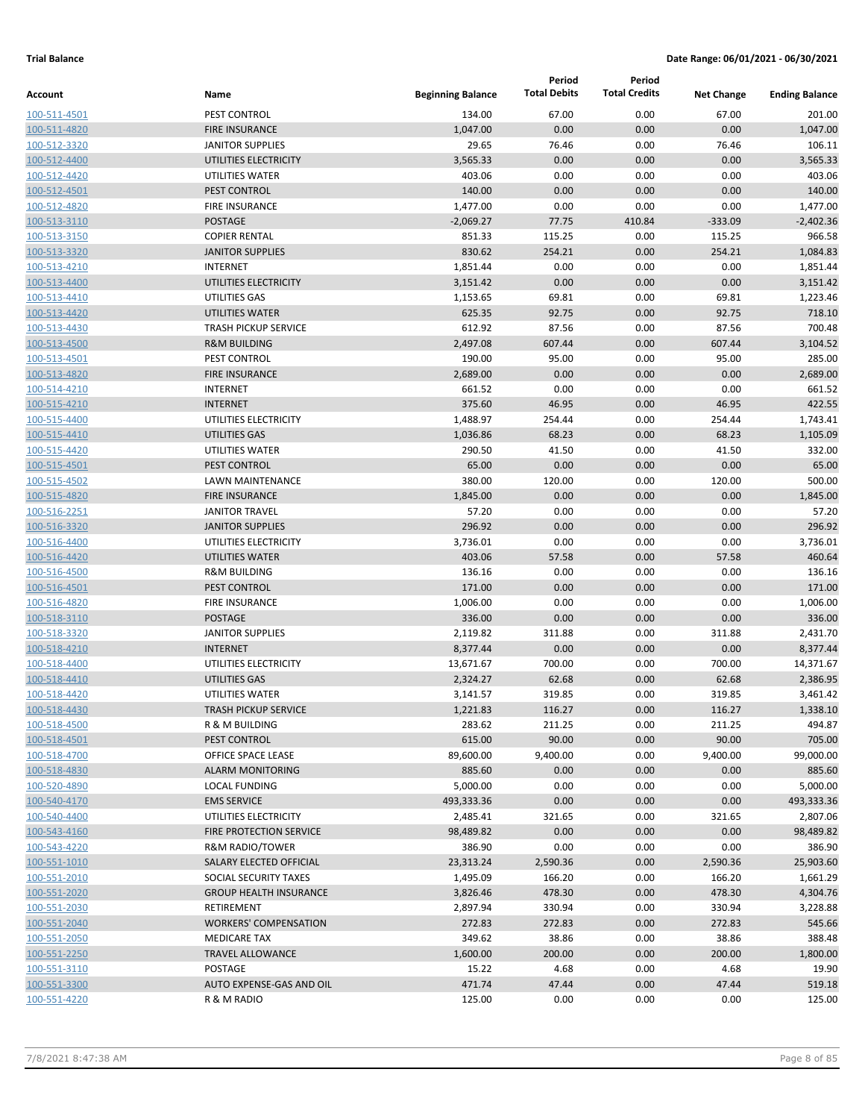|                |                                |                          | Period              | Period               |                   |                       |
|----------------|--------------------------------|--------------------------|---------------------|----------------------|-------------------|-----------------------|
| <b>Account</b> | Name                           | <b>Beginning Balance</b> | <b>Total Debits</b> | <b>Total Credits</b> | <b>Net Change</b> | <b>Ending Balance</b> |
| 100-511-4501   | PEST CONTROL                   | 134.00                   | 67.00               | 0.00                 | 67.00             | 201.00                |
| 100-511-4820   | <b>FIRE INSURANCE</b>          | 1,047.00                 | 0.00                | 0.00                 | 0.00              | 1,047.00              |
| 100-512-3320   | <b>JANITOR SUPPLIES</b>        | 29.65                    | 76.46               | 0.00                 | 76.46             | 106.11                |
| 100-512-4400   | UTILITIES ELECTRICITY          | 3,565.33                 | 0.00                | 0.00                 | 0.00              | 3,565.33              |
|                | UTILITIES WATER                | 403.06                   | 0.00                | 0.00                 | 0.00              | 403.06                |
| 100-512-4420   |                                | 140.00                   | 0.00                |                      |                   | 140.00                |
| 100-512-4501   | PEST CONTROL                   |                          |                     | 0.00                 | 0.00              |                       |
| 100-512-4820   | <b>FIRE INSURANCE</b>          | 1,477.00                 | 0.00                | 0.00                 | 0.00              | 1,477.00              |
| 100-513-3110   | <b>POSTAGE</b>                 | $-2,069.27$              | 77.75               | 410.84               | $-333.09$         | $-2,402.36$           |
| 100-513-3150   | <b>COPIER RENTAL</b>           | 851.33                   | 115.25              | 0.00                 | 115.25            | 966.58                |
| 100-513-3320   | <b>JANITOR SUPPLIES</b>        | 830.62                   | 254.21              | 0.00                 | 254.21            | 1,084.83              |
| 100-513-4210   | <b>INTERNET</b>                | 1,851.44                 | 0.00                | 0.00                 | 0.00              | 1,851.44              |
| 100-513-4400   | UTILITIES ELECTRICITY          | 3,151.42                 | 0.00                | 0.00                 | 0.00              | 3,151.42              |
| 100-513-4410   | UTILITIES GAS                  | 1,153.65                 | 69.81               | 0.00                 | 69.81             | 1,223.46              |
| 100-513-4420   | UTILITIES WATER                | 625.35                   | 92.75               | 0.00                 | 92.75             | 718.10                |
| 100-513-4430   | <b>TRASH PICKUP SERVICE</b>    | 612.92                   | 87.56               | 0.00                 | 87.56             | 700.48                |
| 100-513-4500   | <b>R&amp;M BUILDING</b>        | 2,497.08                 | 607.44              | 0.00                 | 607.44            | 3,104.52              |
| 100-513-4501   | PEST CONTROL                   | 190.00                   | 95.00               | 0.00                 | 95.00             | 285.00                |
| 100-513-4820   | <b>FIRE INSURANCE</b>          | 2,689.00                 | 0.00                | 0.00                 | 0.00              | 2,689.00              |
| 100-514-4210   | <b>INTERNET</b>                | 661.52                   | 0.00                | 0.00                 | 0.00              | 661.52                |
| 100-515-4210   | <b>INTERNET</b>                | 375.60                   | 46.95               | 0.00                 | 46.95             | 422.55                |
| 100-515-4400   | UTILITIES ELECTRICITY          | 1,488.97                 | 254.44              | 0.00                 | 254.44            | 1,743.41              |
| 100-515-4410   | UTILITIES GAS                  | 1,036.86                 | 68.23               | 0.00                 | 68.23             | 1,105.09              |
| 100-515-4420   | UTILITIES WATER                | 290.50                   | 41.50               | 0.00                 | 41.50             | 332.00                |
| 100-515-4501   | PEST CONTROL                   | 65.00                    | 0.00                | 0.00                 | 0.00              | 65.00                 |
| 100-515-4502   | <b>LAWN MAINTENANCE</b>        | 380.00                   | 120.00              | 0.00                 | 120.00            | 500.00                |
| 100-515-4820   | <b>FIRE INSURANCE</b>          | 1,845.00                 | 0.00                | 0.00                 | 0.00              | 1,845.00              |
| 100-516-2251   | <b>JANITOR TRAVEL</b>          | 57.20                    | 0.00                | 0.00                 | 0.00              | 57.20                 |
| 100-516-3320   | <b>JANITOR SUPPLIES</b>        | 296.92                   | 0.00                | 0.00                 | 0.00              | 296.92                |
| 100-516-4400   | UTILITIES ELECTRICITY          | 3,736.01                 | 0.00                | 0.00                 | 0.00              | 3,736.01              |
| 100-516-4420   | UTILITIES WATER                | 403.06                   | 57.58               | 0.00                 | 57.58             | 460.64                |
| 100-516-4500   | <b>R&amp;M BUILDING</b>        | 136.16                   | 0.00                | 0.00                 | 0.00              | 136.16                |
| 100-516-4501   | PEST CONTROL                   | 171.00                   | 0.00                | 0.00                 | 0.00              | 171.00                |
| 100-516-4820   | <b>FIRE INSURANCE</b>          | 1,006.00                 | 0.00                | 0.00                 | 0.00              | 1,006.00              |
| 100-518-3110   | <b>POSTAGE</b>                 | 336.00                   | 0.00                | 0.00                 | 0.00              | 336.00                |
| 100-518-3320   | <b>JANITOR SUPPLIES</b>        | 2,119.82                 | 311.88              | 0.00                 | 311.88            | 2,431.70              |
| 100-518-4210   | <b>INTERNET</b>                | 8,377.44                 | 0.00                | 0.00                 | 0.00              | 8,377.44              |
| 100-518-4400   | UTILITIES ELECTRICITY          | 13,671.67                | 700.00              | 0.00                 | 700.00            | 14,371.67             |
| 100-518-4410   | UTILITIES GAS                  | 2,324.27                 | 62.68               | 0.00                 | 62.68             | 2,386.95              |
| 100-518-4420   | UTILITIES WATER                | 3,141.57                 | 319.85              | 0.00                 | 319.85            | 3,461.42              |
| 100-518-4430   | <b>TRASH PICKUP SERVICE</b>    | 1,221.83                 | 116.27              | 0.00                 | 116.27            | 1,338.10              |
| 100-518-4500   | R & M BUILDING                 | 283.62                   | 211.25              | 0.00                 | 211.25            | 494.87                |
| 100-518-4501   | PEST CONTROL                   | 615.00                   | 90.00               | 0.00                 | 90.00             | 705.00                |
| 100-518-4700   | OFFICE SPACE LEASE             | 89,600.00                | 9,400.00            | 0.00                 | 9,400.00          | 99,000.00             |
| 100-518-4830   | <b>ALARM MONITORING</b>        | 885.60                   | 0.00                | 0.00                 | 0.00              | 885.60                |
| 100-520-4890   | <b>LOCAL FUNDING</b>           | 5,000.00                 | 0.00                | 0.00                 | 0.00              | 5,000.00              |
| 100-540-4170   | <b>EMS SERVICE</b>             | 493,333.36               | 0.00                | 0.00                 | 0.00              | 493,333.36            |
| 100-540-4400   | UTILITIES ELECTRICITY          | 2,485.41                 | 321.65              | 0.00                 | 321.65            | 2,807.06              |
| 100-543-4160   | <b>FIRE PROTECTION SERVICE</b> | 98,489.82                | 0.00                | 0.00                 | 0.00              | 98,489.82             |
| 100-543-4220   | R&M RADIO/TOWER                | 386.90                   | 0.00                | 0.00                 | 0.00              | 386.90                |
| 100-551-1010   | SALARY ELECTED OFFICIAL        | 23,313.24                | 2,590.36            | 0.00                 | 2,590.36          | 25,903.60             |
| 100-551-2010   | SOCIAL SECURITY TAXES          | 1,495.09                 | 166.20              | 0.00                 | 166.20            | 1,661.29              |
| 100-551-2020   | <b>GROUP HEALTH INSURANCE</b>  | 3,826.46                 | 478.30              | 0.00                 | 478.30            | 4,304.76              |
| 100-551-2030   | RETIREMENT                     | 2,897.94                 | 330.94              | 0.00                 | 330.94            | 3,228.88              |
| 100-551-2040   | <b>WORKERS' COMPENSATION</b>   | 272.83                   | 272.83              | 0.00                 | 272.83            | 545.66                |
| 100-551-2050   | <b>MEDICARE TAX</b>            | 349.62                   | 38.86               | 0.00                 | 38.86             | 388.48                |
| 100-551-2250   | <b>TRAVEL ALLOWANCE</b>        | 1,600.00                 | 200.00              | 0.00                 | 200.00            | 1,800.00              |
| 100-551-3110   | POSTAGE                        | 15.22                    | 4.68                | 0.00                 | 4.68              | 19.90                 |
| 100-551-3300   | AUTO EXPENSE-GAS AND OIL       | 471.74                   | 47.44               | 0.00                 | 47.44             | 519.18                |
| 100-551-4220   | R & M RADIO                    | 125.00                   | 0.00                | 0.00                 | 0.00              | 125.00                |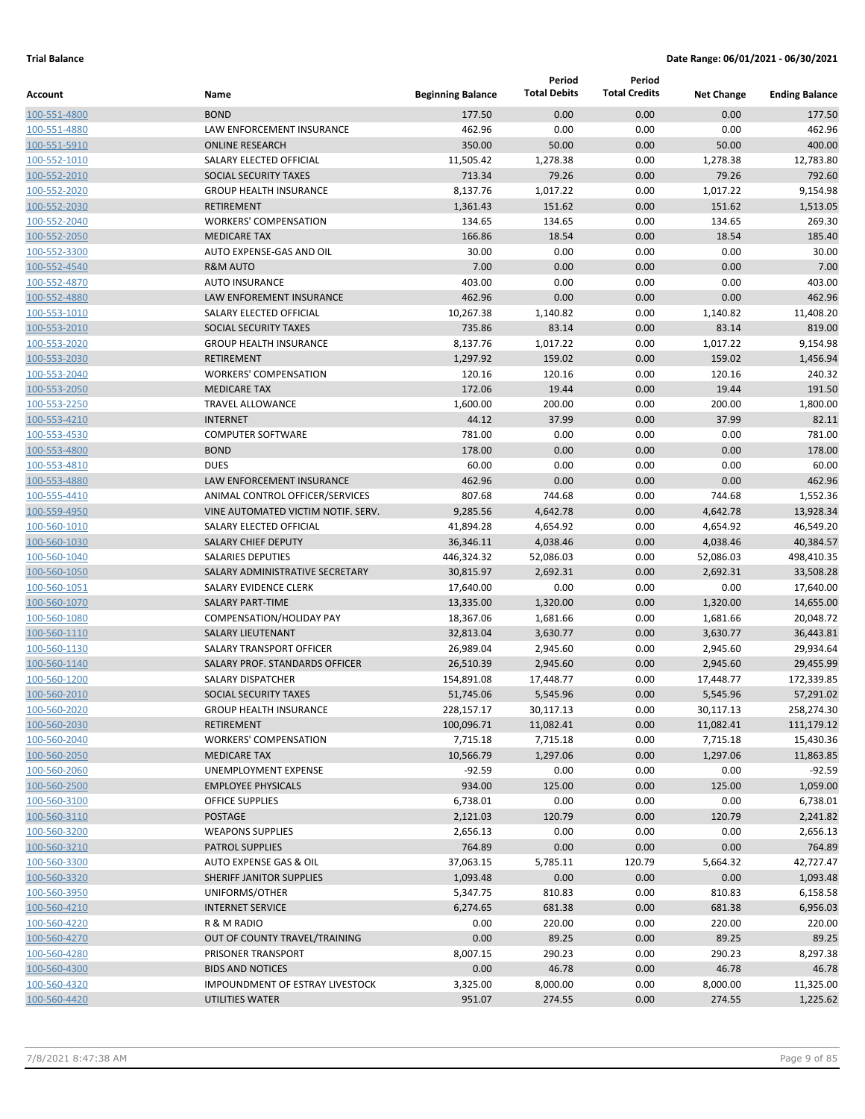|                              |                                                        |                          | Period               | Period               |                      |                        |
|------------------------------|--------------------------------------------------------|--------------------------|----------------------|----------------------|----------------------|------------------------|
| Account                      | Name                                                   | <b>Beginning Balance</b> | <b>Total Debits</b>  | <b>Total Credits</b> | <b>Net Change</b>    | <b>Ending Balance</b>  |
| 100-551-4800                 | <b>BOND</b>                                            | 177.50                   | 0.00                 | 0.00                 | 0.00                 | 177.50                 |
| 100-551-4880                 | LAW ENFORCEMENT INSURANCE                              | 462.96                   | 0.00                 | 0.00                 | 0.00                 | 462.96                 |
| 100-551-5910                 | <b>ONLINE RESEARCH</b>                                 | 350.00                   | 50.00                | 0.00                 | 50.00                | 400.00                 |
| 100-552-1010                 | SALARY ELECTED OFFICIAL                                | 11,505.42                | 1,278.38             | 0.00                 | 1,278.38             | 12,783.80              |
| 100-552-2010                 | SOCIAL SECURITY TAXES                                  | 713.34                   | 79.26                | 0.00                 | 79.26                | 792.60                 |
| 100-552-2020                 | <b>GROUP HEALTH INSURANCE</b>                          | 8,137.76                 | 1,017.22             | 0.00                 | 1,017.22             | 9,154.98               |
| 100-552-2030                 | <b>RETIREMENT</b>                                      | 1,361.43                 | 151.62               | 0.00                 | 151.62               | 1,513.05               |
| 100-552-2040                 | <b>WORKERS' COMPENSATION</b>                           | 134.65                   | 134.65               | 0.00                 | 134.65               | 269.30                 |
| 100-552-2050                 | <b>MEDICARE TAX</b>                                    | 166.86                   | 18.54                | 0.00                 | 18.54                | 185.40                 |
| 100-552-3300                 | AUTO EXPENSE-GAS AND OIL                               | 30.00                    | 0.00                 | 0.00                 | 0.00                 | 30.00                  |
| 100-552-4540                 | <b>R&amp;M AUTO</b>                                    | 7.00                     | 0.00                 | 0.00                 | 0.00                 | 7.00                   |
| 100-552-4870                 | <b>AUTO INSURANCE</b>                                  | 403.00                   | 0.00                 | 0.00                 | 0.00                 | 403.00                 |
| 100-552-4880                 | LAW ENFOREMENT INSURANCE                               | 462.96                   | 0.00                 | 0.00                 | 0.00                 | 462.96                 |
| 100-553-1010                 | SALARY ELECTED OFFICIAL                                | 10,267.38                | 1,140.82             | 0.00                 | 1,140.82             | 11,408.20              |
| 100-553-2010                 | SOCIAL SECURITY TAXES                                  | 735.86                   | 83.14                | 0.00                 | 83.14                | 819.00                 |
| 100-553-2020                 | <b>GROUP HEALTH INSURANCE</b>                          | 8,137.76                 | 1,017.22             | 0.00                 | 1,017.22             | 9,154.98               |
| 100-553-2030                 | <b>RETIREMENT</b>                                      | 1,297.92                 | 159.02               | 0.00                 | 159.02               | 1,456.94               |
| 100-553-2040                 | <b>WORKERS' COMPENSATION</b>                           | 120.16                   | 120.16               | 0.00                 | 120.16               | 240.32                 |
| 100-553-2050                 | <b>MEDICARE TAX</b>                                    | 172.06                   | 19.44                | 0.00                 | 19.44                | 191.50                 |
| 100-553-2250                 | <b>TRAVEL ALLOWANCE</b>                                | 1,600.00                 | 200.00               | 0.00                 | 200.00               | 1,800.00               |
| 100-553-4210                 | <b>INTERNET</b>                                        | 44.12                    | 37.99                | 0.00                 | 37.99                | 82.11                  |
| 100-553-4530                 | <b>COMPUTER SOFTWARE</b>                               | 781.00                   | 0.00                 | 0.00                 | 0.00                 | 781.00                 |
| 100-553-4800                 | <b>BOND</b>                                            | 178.00                   | 0.00                 | 0.00                 | 0.00                 | 178.00                 |
| 100-553-4810                 | <b>DUES</b>                                            | 60.00                    | 0.00                 | 0.00                 | 0.00                 | 60.00                  |
| 100-553-4880                 | <b>LAW ENFORCEMENT INSURANCE</b>                       | 462.96                   | 0.00                 | 0.00                 | 0.00                 | 462.96                 |
| 100-555-4410                 | ANIMAL CONTROL OFFICER/SERVICES                        | 807.68                   | 744.68               | 0.00                 | 744.68               | 1,552.36               |
| 100-559-4950                 | VINE AUTOMATED VICTIM NOTIF. SERV.                     | 9,285.56                 | 4,642.78             | 0.00                 | 4,642.78             | 13,928.34              |
| 100-560-1010                 | SALARY ELECTED OFFICIAL                                | 41,894.28                | 4,654.92             | 0.00                 | 4,654.92             | 46,549.20              |
| 100-560-1030                 | <b>SALARY CHIEF DEPUTY</b><br><b>SALARIES DEPUTIES</b> | 36,346.11                | 4,038.46             | 0.00                 | 4,038.46             | 40,384.57              |
| 100-560-1040                 |                                                        | 446,324.32               | 52,086.03            | 0.00                 | 52,086.03            | 498,410.35             |
| 100-560-1050                 | SALARY ADMINISTRATIVE SECRETARY                        | 30,815.97                | 2,692.31             | 0.00                 | 2,692.31             | 33,508.28              |
| 100-560-1051                 | SALARY EVIDENCE CLERK<br><b>SALARY PART-TIME</b>       | 17,640.00                | 0.00                 | 0.00                 | 0.00                 | 17,640.00              |
| 100-560-1070<br>100-560-1080 | COMPENSATION/HOLIDAY PAY                               | 13,335.00<br>18,367.06   | 1,320.00<br>1,681.66 | 0.00<br>0.00         | 1,320.00<br>1,681.66 | 14,655.00<br>20,048.72 |
| 100-560-1110                 | <b>SALARY LIEUTENANT</b>                               | 32,813.04                | 3,630.77             | 0.00                 | 3,630.77             | 36,443.81              |
| 100-560-1130                 | SALARY TRANSPORT OFFICER                               | 26,989.04                | 2,945.60             | 0.00                 | 2,945.60             | 29,934.64              |
| 100-560-1140                 | SALARY PROF. STANDARDS OFFICER                         | 26,510.39                | 2,945.60             | 0.00                 | 2,945.60             | 29,455.99              |
| 100-560-1200                 | SALARY DISPATCHER                                      | 154,891.08               | 17,448.77            | 0.00                 | 17,448.77            | 172,339.85             |
| 100-560-2010                 | SOCIAL SECURITY TAXES                                  | 51,745.06                | 5,545.96             | 0.00                 | 5,545.96             | 57,291.02              |
| 100-560-2020                 | <b>GROUP HEALTH INSURANCE</b>                          | 228,157.17               | 30,117.13            | 0.00                 | 30,117.13            | 258,274.30             |
| 100-560-2030                 | RETIREMENT                                             | 100,096.71               | 11,082.41            | 0.00                 | 11,082.41            | 111,179.12             |
| 100-560-2040                 | <b>WORKERS' COMPENSATION</b>                           | 7,715.18                 | 7,715.18             | 0.00                 | 7,715.18             | 15,430.36              |
| 100-560-2050                 | <b>MEDICARE TAX</b>                                    | 10,566.79                | 1,297.06             | 0.00                 | 1,297.06             | 11,863.85              |
| 100-560-2060                 | <b>UNEMPLOYMENT EXPENSE</b>                            | $-92.59$                 | 0.00                 | 0.00                 | 0.00                 | $-92.59$               |
| 100-560-2500                 | <b>EMPLOYEE PHYSICALS</b>                              | 934.00                   | 125.00               | 0.00                 | 125.00               | 1,059.00               |
| 100-560-3100                 | <b>OFFICE SUPPLIES</b>                                 | 6,738.01                 | 0.00                 | 0.00                 | 0.00                 | 6,738.01               |
| 100-560-3110                 | <b>POSTAGE</b>                                         | 2,121.03                 | 120.79               | 0.00                 | 120.79               | 2,241.82               |
| 100-560-3200                 | <b>WEAPONS SUPPLIES</b>                                | 2,656.13                 | 0.00                 | 0.00                 | 0.00                 | 2,656.13               |
| 100-560-3210                 | PATROL SUPPLIES                                        | 764.89                   | 0.00                 | 0.00                 | 0.00                 | 764.89                 |
| 100-560-3300                 | AUTO EXPENSE GAS & OIL                                 | 37,063.15                | 5,785.11             | 120.79               | 5,664.32             | 42,727.47              |
| 100-560-3320                 | SHERIFF JANITOR SUPPLIES                               | 1,093.48                 | 0.00                 | 0.00                 | 0.00                 | 1,093.48               |
| 100-560-3950                 | UNIFORMS/OTHER                                         | 5,347.75                 | 810.83               | 0.00                 | 810.83               | 6,158.58               |
| 100-560-4210                 | <b>INTERNET SERVICE</b>                                | 6,274.65                 | 681.38               | 0.00                 | 681.38               | 6,956.03               |
| 100-560-4220                 | R & M RADIO                                            | 0.00                     | 220.00               | 0.00                 | 220.00               | 220.00                 |
| 100-560-4270                 | OUT OF COUNTY TRAVEL/TRAINING                          | 0.00                     | 89.25                | 0.00                 | 89.25                | 89.25                  |
| 100-560-4280                 | PRISONER TRANSPORT                                     | 8,007.15                 | 290.23               | 0.00                 | 290.23               | 8,297.38               |
| 100-560-4300                 | <b>BIDS AND NOTICES</b>                                | 0.00                     | 46.78                | 0.00                 | 46.78                | 46.78                  |
| 100-560-4320                 | IMPOUNDMENT OF ESTRAY LIVESTOCK                        | 3,325.00                 | 8,000.00             | 0.00                 | 8,000.00             | 11,325.00              |
| 100-560-4420                 | UTILITIES WATER                                        | 951.07                   | 274.55               | 0.00                 | 274.55               | 1,225.62               |
|                              |                                                        |                          |                      |                      |                      |                        |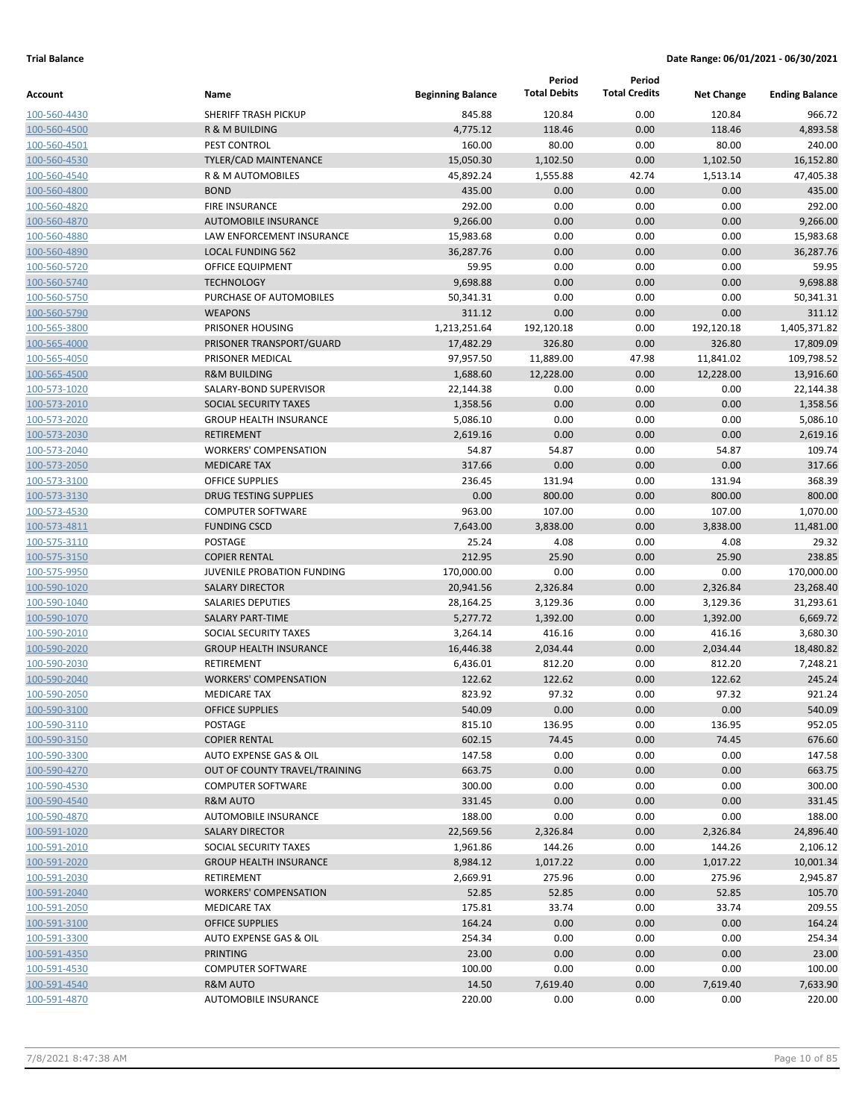|              |                               |                          | Period              | Period               |                   |                       |
|--------------|-------------------------------|--------------------------|---------------------|----------------------|-------------------|-----------------------|
| Account      | Name                          | <b>Beginning Balance</b> | <b>Total Debits</b> | <b>Total Credits</b> | <b>Net Change</b> | <b>Ending Balance</b> |
| 100-560-4430 | <b>SHERIFF TRASH PICKUP</b>   | 845.88                   | 120.84              | 0.00                 | 120.84            | 966.72                |
| 100-560-4500 | <b>R &amp; M BUILDING</b>     | 4,775.12                 | 118.46              | 0.00                 | 118.46            | 4,893.58              |
| 100-560-4501 | PEST CONTROL                  | 160.00                   | 80.00               | 0.00                 | 80.00             | 240.00                |
| 100-560-4530 | <b>TYLER/CAD MAINTENANCE</b>  | 15,050.30                | 1,102.50            | 0.00                 | 1,102.50          | 16,152.80             |
| 100-560-4540 | <b>R &amp; M AUTOMOBILES</b>  | 45,892.24                | 1,555.88            | 42.74                | 1,513.14          | 47,405.38             |
| 100-560-4800 | <b>BOND</b>                   | 435.00                   | 0.00                | 0.00                 | 0.00              | 435.00                |
| 100-560-4820 | <b>FIRE INSURANCE</b>         | 292.00                   | 0.00                | 0.00                 | 0.00              | 292.00                |
| 100-560-4870 | <b>AUTOMOBILE INSURANCE</b>   | 9,266.00                 | 0.00                | 0.00                 | 0.00              | 9,266.00              |
| 100-560-4880 | LAW ENFORCEMENT INSURANCE     | 15,983.68                | 0.00                | 0.00                 | 0.00              | 15,983.68             |
| 100-560-4890 | <b>LOCAL FUNDING 562</b>      | 36,287.76                | 0.00                | 0.00                 | 0.00              | 36,287.76             |
| 100-560-5720 | <b>OFFICE EQUIPMENT</b>       | 59.95                    | 0.00                | 0.00                 | 0.00              | 59.95                 |
| 100-560-5740 | <b>TECHNOLOGY</b>             | 9,698.88                 | 0.00                | 0.00                 | 0.00              | 9,698.88              |
| 100-560-5750 | PURCHASE OF AUTOMOBILES       | 50,341.31                | 0.00                | 0.00                 | 0.00              | 50,341.31             |
| 100-560-5790 | <b>WEAPONS</b>                | 311.12                   | 0.00                | 0.00                 | 0.00              | 311.12                |
| 100-565-3800 | PRISONER HOUSING              | 1,213,251.64             | 192,120.18          | 0.00                 | 192,120.18        | 1,405,371.82          |
| 100-565-4000 | PRISONER TRANSPORT/GUARD      | 17,482.29                | 326.80              | 0.00                 | 326.80            | 17,809.09             |
| 100-565-4050 | PRISONER MEDICAL              | 97,957.50                | 11,889.00           | 47.98                | 11,841.02         | 109,798.52            |
| 100-565-4500 | <b>R&amp;M BUILDING</b>       | 1,688.60                 | 12,228.00           | 0.00                 | 12,228.00         | 13,916.60             |
| 100-573-1020 | SALARY-BOND SUPERVISOR        | 22,144.38                | 0.00                | 0.00                 | 0.00              | 22,144.38             |
| 100-573-2010 | SOCIAL SECURITY TAXES         | 1,358.56                 | 0.00                | 0.00                 | 0.00              | 1,358.56              |
| 100-573-2020 | <b>GROUP HEALTH INSURANCE</b> | 5,086.10                 | 0.00                | 0.00                 | 0.00              | 5,086.10              |
| 100-573-2030 | <b>RETIREMENT</b>             | 2,619.16                 | 0.00                | 0.00                 | 0.00              | 2,619.16              |
| 100-573-2040 | <b>WORKERS' COMPENSATION</b>  | 54.87                    | 54.87               | 0.00                 | 54.87             | 109.74                |
| 100-573-2050 | <b>MEDICARE TAX</b>           | 317.66                   | 0.00                | 0.00                 | 0.00              | 317.66                |
| 100-573-3100 | <b>OFFICE SUPPLIES</b>        | 236.45                   | 131.94              | 0.00                 | 131.94            | 368.39                |
| 100-573-3130 | <b>DRUG TESTING SUPPLIES</b>  | 0.00                     | 800.00              | 0.00                 | 800.00            | 800.00                |
| 100-573-4530 | <b>COMPUTER SOFTWARE</b>      | 963.00                   | 107.00              | 0.00                 | 107.00            | 1,070.00              |
| 100-573-4811 | <b>FUNDING CSCD</b>           | 7,643.00                 | 3,838.00            | 0.00                 | 3,838.00          | 11,481.00             |
| 100-575-3110 | POSTAGE                       | 25.24                    | 4.08                | 0.00                 | 4.08              | 29.32                 |
| 100-575-3150 | <b>COPIER RENTAL</b>          | 212.95                   | 25.90               | 0.00                 | 25.90             | 238.85                |
| 100-575-9950 | JUVENILE PROBATION FUNDING    | 170,000.00               | 0.00                | 0.00                 | 0.00              | 170,000.00            |
| 100-590-1020 | <b>SALARY DIRECTOR</b>        | 20,941.56                | 2,326.84            | 0.00                 | 2,326.84          | 23,268.40             |
| 100-590-1040 | <b>SALARIES DEPUTIES</b>      | 28,164.25                | 3,129.36            | 0.00                 | 3,129.36          | 31,293.61             |
| 100-590-1070 | <b>SALARY PART-TIME</b>       | 5,277.72                 | 1,392.00            | 0.00                 | 1,392.00          | 6,669.72              |
| 100-590-2010 | SOCIAL SECURITY TAXES         | 3,264.14                 | 416.16              | 0.00                 | 416.16            | 3,680.30              |
| 100-590-2020 | <b>GROUP HEALTH INSURANCE</b> | 16,446.38                | 2,034.44            | 0.00                 | 2,034.44          | 18,480.82             |
| 100-590-2030 | RETIREMENT                    | 6,436.01                 | 812.20              | 0.00                 | 812.20            | 7,248.21              |
| 100-590-2040 | <b>WORKERS' COMPENSATION</b>  | 122.62                   | 122.62              | 0.00                 | 122.62            | 245.24                |
| 100-590-2050 | <b>MEDICARE TAX</b>           | 823.92                   | 97.32               | 0.00                 | 97.32             | 921.24                |
| 100-590-3100 | <b>OFFICE SUPPLIES</b>        | 540.09                   | 0.00                | 0.00                 | 0.00              | 540.09                |
| 100-590-3110 | POSTAGE                       | 815.10                   | 136.95              | 0.00                 | 136.95            | 952.05                |
| 100-590-3150 | <b>COPIER RENTAL</b>          | 602.15                   | 74.45               | 0.00                 | 74.45             | 676.60                |
| 100-590-3300 | AUTO EXPENSE GAS & OIL        | 147.58                   | 0.00                | 0.00                 | 0.00              | 147.58                |
| 100-590-4270 | OUT OF COUNTY TRAVEL/TRAINING | 663.75                   | 0.00                | 0.00                 | 0.00              | 663.75                |
| 100-590-4530 | <b>COMPUTER SOFTWARE</b>      | 300.00                   | 0.00                | 0.00                 | 0.00              | 300.00                |
| 100-590-4540 | <b>R&amp;M AUTO</b>           | 331.45                   | 0.00                | 0.00                 | 0.00              | 331.45                |
| 100-590-4870 | AUTOMOBILE INSURANCE          | 188.00                   | 0.00                | 0.00                 | 0.00              | 188.00                |
| 100-591-1020 | <b>SALARY DIRECTOR</b>        | 22,569.56                | 2,326.84            | 0.00                 | 2,326.84          | 24,896.40             |
| 100-591-2010 | SOCIAL SECURITY TAXES         | 1,961.86                 | 144.26              | 0.00                 | 144.26            | 2,106.12              |
| 100-591-2020 | <b>GROUP HEALTH INSURANCE</b> | 8,984.12                 | 1,017.22            | 0.00                 | 1,017.22          | 10,001.34             |
| 100-591-2030 | RETIREMENT                    | 2,669.91                 | 275.96              | 0.00                 | 275.96            | 2,945.87              |
| 100-591-2040 | <b>WORKERS' COMPENSATION</b>  | 52.85                    | 52.85               | 0.00                 | 52.85             | 105.70                |
| 100-591-2050 | MEDICARE TAX                  | 175.81                   | 33.74               | 0.00                 | 33.74             | 209.55                |
| 100-591-3100 | <b>OFFICE SUPPLIES</b>        | 164.24                   | 0.00                | 0.00                 | 0.00              | 164.24                |
| 100-591-3300 | AUTO EXPENSE GAS & OIL        | 254.34                   | 0.00                | 0.00                 | 0.00              | 254.34                |
| 100-591-4350 | <b>PRINTING</b>               | 23.00                    | 0.00                | 0.00                 | 0.00              | 23.00                 |
| 100-591-4530 | <b>COMPUTER SOFTWARE</b>      | 100.00                   | 0.00                | 0.00                 | 0.00              | 100.00                |
| 100-591-4540 | <b>R&amp;M AUTO</b>           | 14.50                    | 7,619.40            | 0.00                 | 7,619.40          | 7,633.90              |
| 100-591-4870 | AUTOMOBILE INSURANCE          | 220.00                   | 0.00                | 0.00                 | 0.00              | 220.00                |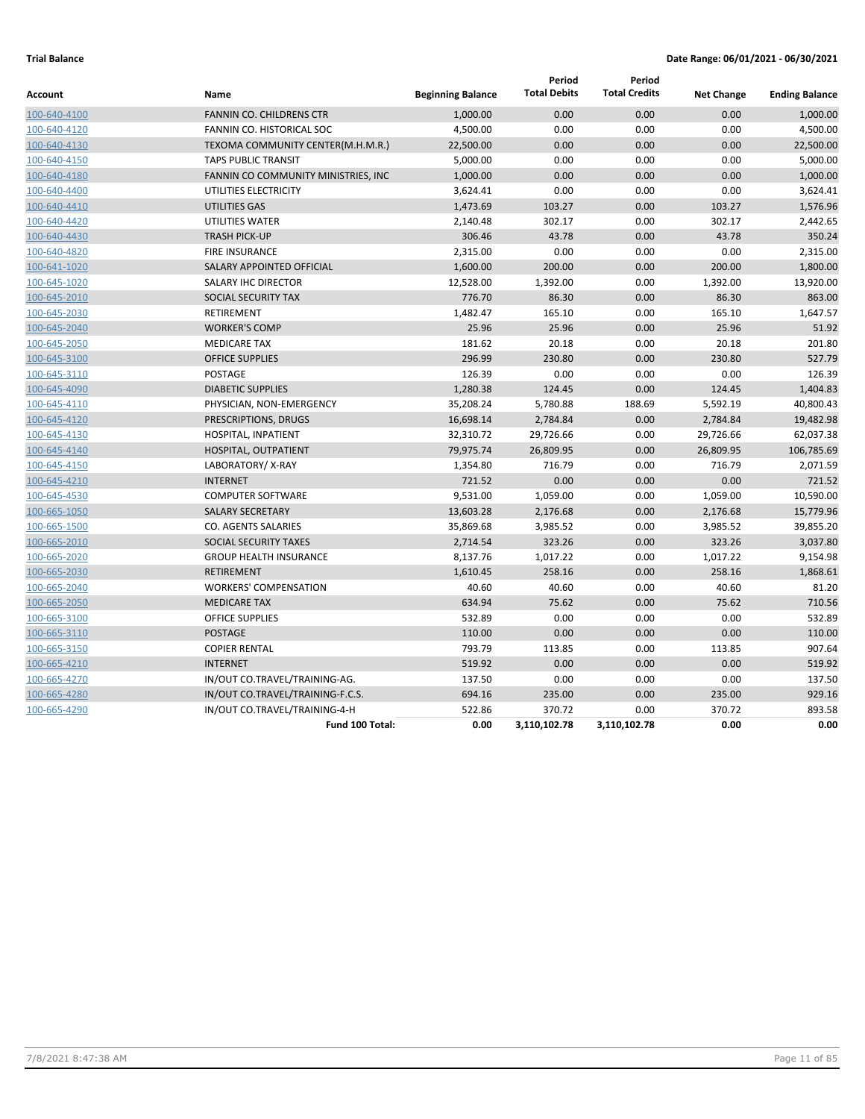| Account      | Name                                | <b>Beginning Balance</b> | Period<br><b>Total Debits</b> | Period<br><b>Total Credits</b> | <b>Net Change</b> | <b>Ending Balance</b> |
|--------------|-------------------------------------|--------------------------|-------------------------------|--------------------------------|-------------------|-----------------------|
| 100-640-4100 | <b>FANNIN CO. CHILDRENS CTR</b>     | 1,000.00                 | 0.00                          | 0.00                           | 0.00              | 1,000.00              |
| 100-640-4120 | FANNIN CO. HISTORICAL SOC           | 4,500.00                 | 0.00                          | 0.00                           | 0.00              | 4,500.00              |
| 100-640-4130 | TEXOMA COMMUNITY CENTER(M.H.M.R.)   | 22,500.00                | 0.00                          | 0.00                           | 0.00              | 22,500.00             |
| 100-640-4150 | <b>TAPS PUBLIC TRANSIT</b>          | 5,000.00                 | 0.00                          | 0.00                           | 0.00              | 5,000.00              |
| 100-640-4180 | FANNIN CO COMMUNITY MINISTRIES, INC | 1,000.00                 | 0.00                          | 0.00                           | 0.00              | 1,000.00              |
| 100-640-4400 | UTILITIES ELECTRICITY               | 3,624.41                 | 0.00                          | 0.00                           | 0.00              | 3,624.41              |
| 100-640-4410 | UTILITIES GAS                       | 1,473.69                 | 103.27                        | 0.00                           | 103.27            | 1,576.96              |
| 100-640-4420 | UTILITIES WATER                     | 2,140.48                 | 302.17                        | 0.00                           | 302.17            | 2,442.65              |
| 100-640-4430 | <b>TRASH PICK-UP</b>                | 306.46                   | 43.78                         | 0.00                           | 43.78             | 350.24                |
| 100-640-4820 | <b>FIRE INSURANCE</b>               | 2,315.00                 | 0.00                          | 0.00                           | 0.00              | 2,315.00              |
| 100-641-1020 | SALARY APPOINTED OFFICIAL           | 1,600.00                 | 200.00                        | 0.00                           | 200.00            | 1,800.00              |
| 100-645-1020 | SALARY IHC DIRECTOR                 | 12,528.00                | 1,392.00                      | 0.00                           | 1,392.00          | 13,920.00             |
| 100-645-2010 | SOCIAL SECURITY TAX                 | 776.70                   | 86.30                         | 0.00                           | 86.30             | 863.00                |
| 100-645-2030 | RETIREMENT                          | 1,482.47                 | 165.10                        | 0.00                           | 165.10            | 1,647.57              |
| 100-645-2040 | <b>WORKER'S COMP</b>                | 25.96                    | 25.96                         | 0.00                           | 25.96             | 51.92                 |
| 100-645-2050 | <b>MEDICARE TAX</b>                 | 181.62                   | 20.18                         | 0.00                           | 20.18             | 201.80                |
| 100-645-3100 | <b>OFFICE SUPPLIES</b>              | 296.99                   | 230.80                        | 0.00                           | 230.80            | 527.79                |
| 100-645-3110 | <b>POSTAGE</b>                      | 126.39                   | 0.00                          | 0.00                           | 0.00              | 126.39                |
| 100-645-4090 | <b>DIABETIC SUPPLIES</b>            | 1,280.38                 | 124.45                        | 0.00                           | 124.45            | 1,404.83              |
| 100-645-4110 | PHYSICIAN, NON-EMERGENCY            | 35,208.24                | 5,780.88                      | 188.69                         | 5,592.19          | 40,800.43             |
| 100-645-4120 | PRESCRIPTIONS, DRUGS                | 16,698.14                | 2,784.84                      | 0.00                           | 2,784.84          | 19,482.98             |
| 100-645-4130 | HOSPITAL, INPATIENT                 | 32,310.72                | 29,726.66                     | 0.00                           | 29,726.66         | 62,037.38             |
| 100-645-4140 | HOSPITAL, OUTPATIENT                | 79,975.74                | 26,809.95                     | 0.00                           | 26,809.95         | 106,785.69            |
| 100-645-4150 | LABORATORY/X-RAY                    | 1,354.80                 | 716.79                        | 0.00                           | 716.79            | 2,071.59              |
| 100-645-4210 | <b>INTERNET</b>                     | 721.52                   | 0.00                          | 0.00                           | 0.00              | 721.52                |
| 100-645-4530 | <b>COMPUTER SOFTWARE</b>            | 9,531.00                 | 1,059.00                      | 0.00                           | 1,059.00          | 10,590.00             |
| 100-665-1050 | <b>SALARY SECRETARY</b>             | 13,603.28                | 2,176.68                      | 0.00                           | 2,176.68          | 15,779.96             |
| 100-665-1500 | CO. AGENTS SALARIES                 | 35,869.68                | 3,985.52                      | 0.00                           | 3,985.52          | 39,855.20             |
| 100-665-2010 | SOCIAL SECURITY TAXES               | 2,714.54                 | 323.26                        | 0.00                           | 323.26            | 3,037.80              |
| 100-665-2020 | <b>GROUP HEALTH INSURANCE</b>       | 8,137.76                 | 1,017.22                      | 0.00                           | 1,017.22          | 9,154.98              |
| 100-665-2030 | <b>RETIREMENT</b>                   | 1,610.45                 | 258.16                        | 0.00                           | 258.16            | 1,868.61              |
| 100-665-2040 | <b>WORKERS' COMPENSATION</b>        | 40.60                    | 40.60                         | 0.00                           | 40.60             | 81.20                 |
| 100-665-2050 | <b>MEDICARE TAX</b>                 | 634.94                   | 75.62                         | 0.00                           | 75.62             | 710.56                |
| 100-665-3100 | <b>OFFICE SUPPLIES</b>              | 532.89                   | 0.00                          | 0.00                           | 0.00              | 532.89                |
| 100-665-3110 | <b>POSTAGE</b>                      | 110.00                   | 0.00                          | 0.00                           | 0.00              | 110.00                |
| 100-665-3150 | <b>COPIER RENTAL</b>                | 793.79                   | 113.85                        | 0.00                           | 113.85            | 907.64                |
| 100-665-4210 | <b>INTERNET</b>                     | 519.92                   | 0.00                          | 0.00                           | 0.00              | 519.92                |
| 100-665-4270 | IN/OUT CO.TRAVEL/TRAINING-AG.       | 137.50                   | 0.00                          | 0.00                           | 0.00              | 137.50                |
| 100-665-4280 | IN/OUT CO.TRAVEL/TRAINING-F.C.S.    | 694.16                   | 235.00                        | 0.00                           | 235.00            | 929.16                |
| 100-665-4290 | IN/OUT CO.TRAVEL/TRAINING-4-H       | 522.86                   | 370.72                        | 0.00                           | 370.72            | 893.58                |
|              | Fund 100 Total:                     | 0.00                     | 3,110,102.78                  | 3,110,102.78                   | 0.00              | 0.00                  |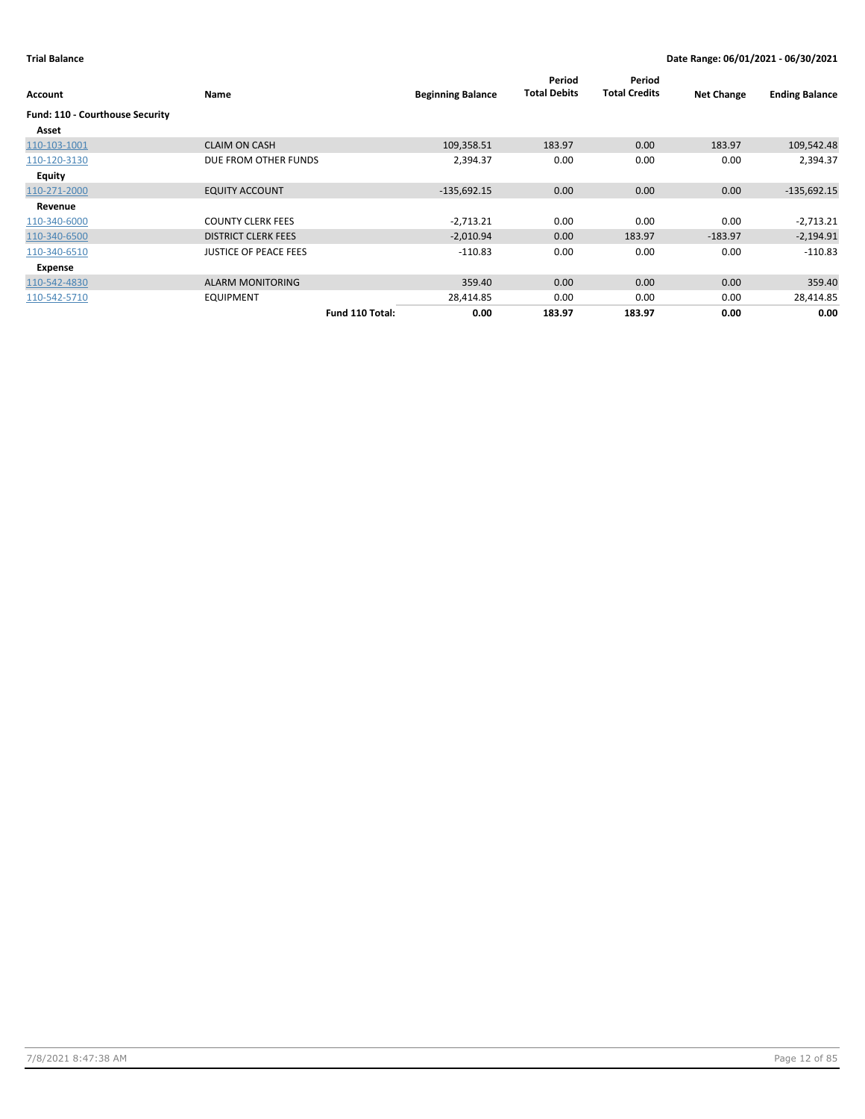| Account                         | Name                         |                 | <b>Beginning Balance</b> | Period<br><b>Total Debits</b> | Period<br><b>Total Credits</b> | <b>Net Change</b> | <b>Ending Balance</b> |
|---------------------------------|------------------------------|-----------------|--------------------------|-------------------------------|--------------------------------|-------------------|-----------------------|
| Fund: 110 - Courthouse Security |                              |                 |                          |                               |                                |                   |                       |
| Asset                           |                              |                 |                          |                               |                                |                   |                       |
| 110-103-1001                    | <b>CLAIM ON CASH</b>         |                 | 109,358.51               | 183.97                        | 0.00                           | 183.97            | 109,542.48            |
| 110-120-3130                    | DUE FROM OTHER FUNDS         |                 | 2,394.37                 | 0.00                          | 0.00                           | 0.00              | 2,394.37              |
| Equity                          |                              |                 |                          |                               |                                |                   |                       |
| 110-271-2000                    | <b>EQUITY ACCOUNT</b>        |                 | $-135,692.15$            | 0.00                          | 0.00                           | 0.00              | $-135,692.15$         |
| Revenue                         |                              |                 |                          |                               |                                |                   |                       |
| 110-340-6000                    | <b>COUNTY CLERK FEES</b>     |                 | $-2,713.21$              | 0.00                          | 0.00                           | 0.00              | $-2,713.21$           |
| 110-340-6500                    | <b>DISTRICT CLERK FEES</b>   |                 | $-2,010.94$              | 0.00                          | 183.97                         | $-183.97$         | $-2,194.91$           |
| 110-340-6510                    | <b>JUSTICE OF PEACE FEES</b> |                 | $-110.83$                | 0.00                          | 0.00                           | 0.00              | $-110.83$             |
| Expense                         |                              |                 |                          |                               |                                |                   |                       |
| 110-542-4830                    | <b>ALARM MONITORING</b>      |                 | 359.40                   | 0.00                          | 0.00                           | 0.00              | 359.40                |
| 110-542-5710                    | <b>EQUIPMENT</b>             |                 | 28,414.85                | 0.00                          | 0.00                           | 0.00              | 28,414.85             |
|                                 |                              | Fund 110 Total: | 0.00                     | 183.97                        | 183.97                         | 0.00              | 0.00                  |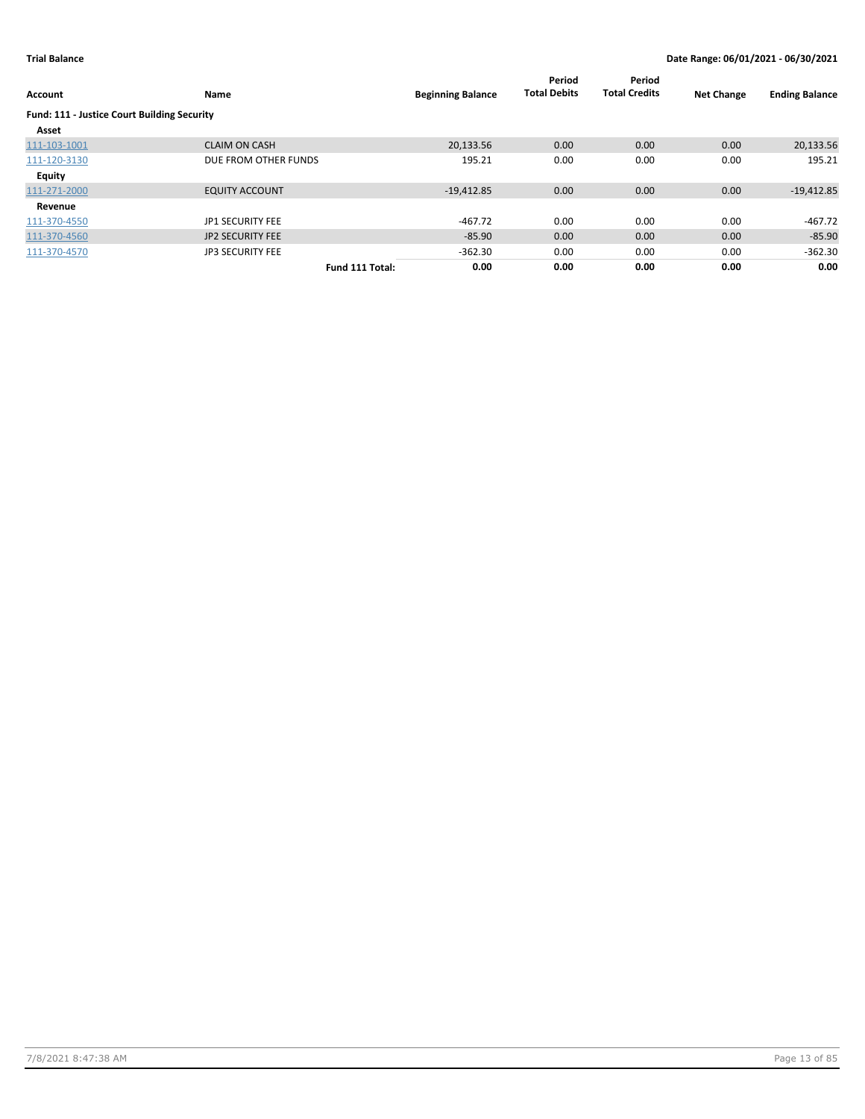| <b>Account</b>                              | Name                    |                 | <b>Beginning Balance</b> | Period<br><b>Total Debits</b> | Period<br><b>Total Credits</b> | <b>Net Change</b> | <b>Ending Balance</b> |
|---------------------------------------------|-------------------------|-----------------|--------------------------|-------------------------------|--------------------------------|-------------------|-----------------------|
| Fund: 111 - Justice Court Building Security |                         |                 |                          |                               |                                |                   |                       |
| Asset                                       |                         |                 |                          |                               |                                |                   |                       |
| 111-103-1001                                | <b>CLAIM ON CASH</b>    |                 | 20.133.56                | 0.00                          | 0.00                           | 0.00              | 20,133.56             |
| 111-120-3130                                | DUE FROM OTHER FUNDS    |                 | 195.21                   | 0.00                          | 0.00                           | 0.00              | 195.21                |
| <b>Equity</b>                               |                         |                 |                          |                               |                                |                   |                       |
| 111-271-2000                                | <b>EQUITY ACCOUNT</b>   |                 | $-19,412.85$             | 0.00                          | 0.00                           | 0.00              | $-19,412.85$          |
| Revenue                                     |                         |                 |                          |                               |                                |                   |                       |
| 111-370-4550                                | JP1 SECURITY FEE        |                 | $-467.72$                | 0.00                          | 0.00                           | 0.00              | $-467.72$             |
| 111-370-4560                                | <b>JP2 SECURITY FEE</b> |                 | $-85.90$                 | 0.00                          | 0.00                           | 0.00              | $-85.90$              |
| 111-370-4570                                | <b>JP3 SECURITY FEE</b> |                 | $-362.30$                | 0.00                          | 0.00                           | 0.00              | $-362.30$             |
|                                             |                         | Fund 111 Total: | 0.00                     | 0.00                          | 0.00                           | 0.00              | 0.00                  |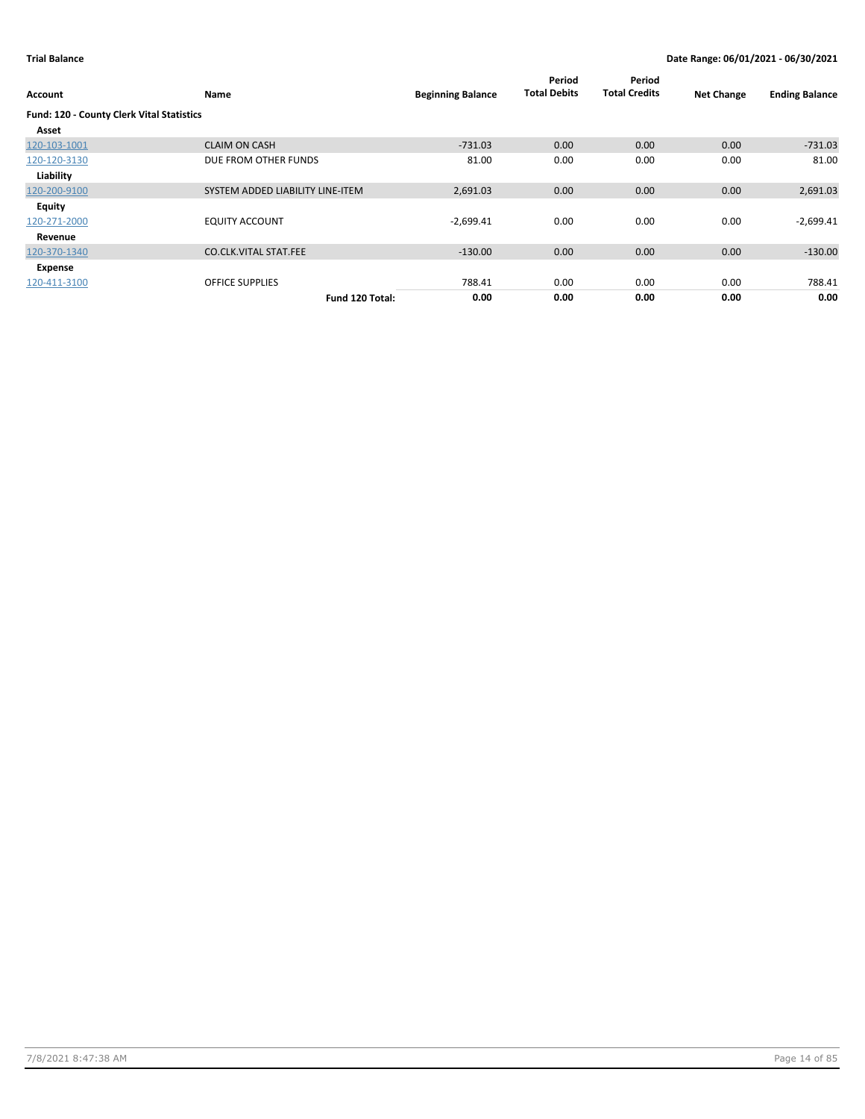| Account                                          | Name                             | <b>Beginning Balance</b> | Period<br><b>Total Debits</b> | Period<br><b>Total Credits</b> | <b>Net Change</b> | <b>Ending Balance</b> |
|--------------------------------------------------|----------------------------------|--------------------------|-------------------------------|--------------------------------|-------------------|-----------------------|
| <b>Fund: 120 - County Clerk Vital Statistics</b> |                                  |                          |                               |                                |                   |                       |
| Asset                                            |                                  |                          |                               |                                |                   |                       |
| 120-103-1001                                     | <b>CLAIM ON CASH</b>             | $-731.03$                | 0.00                          | 0.00                           | 0.00              | $-731.03$             |
| 120-120-3130                                     | DUE FROM OTHER FUNDS             | 81.00                    | 0.00                          | 0.00                           | 0.00              | 81.00                 |
| Liability                                        |                                  |                          |                               |                                |                   |                       |
| 120-200-9100                                     | SYSTEM ADDED LIABILITY LINE-ITEM | 2,691.03                 | 0.00                          | 0.00                           | 0.00              | 2,691.03              |
| Equity                                           |                                  |                          |                               |                                |                   |                       |
| 120-271-2000                                     | <b>EQUITY ACCOUNT</b>            | $-2,699.41$              | 0.00                          | 0.00                           | 0.00              | $-2,699.41$           |
| Revenue                                          |                                  |                          |                               |                                |                   |                       |
| 120-370-1340                                     | <b>CO.CLK.VITAL STAT.FEE</b>     | $-130.00$                | 0.00                          | 0.00                           | 0.00              | $-130.00$             |
| Expense                                          |                                  |                          |                               |                                |                   |                       |
| 120-411-3100                                     | <b>OFFICE SUPPLIES</b>           | 788.41                   | 0.00                          | 0.00                           | 0.00              | 788.41                |
|                                                  | Fund 120 Total:                  | 0.00                     | 0.00                          | 0.00                           | 0.00              | 0.00                  |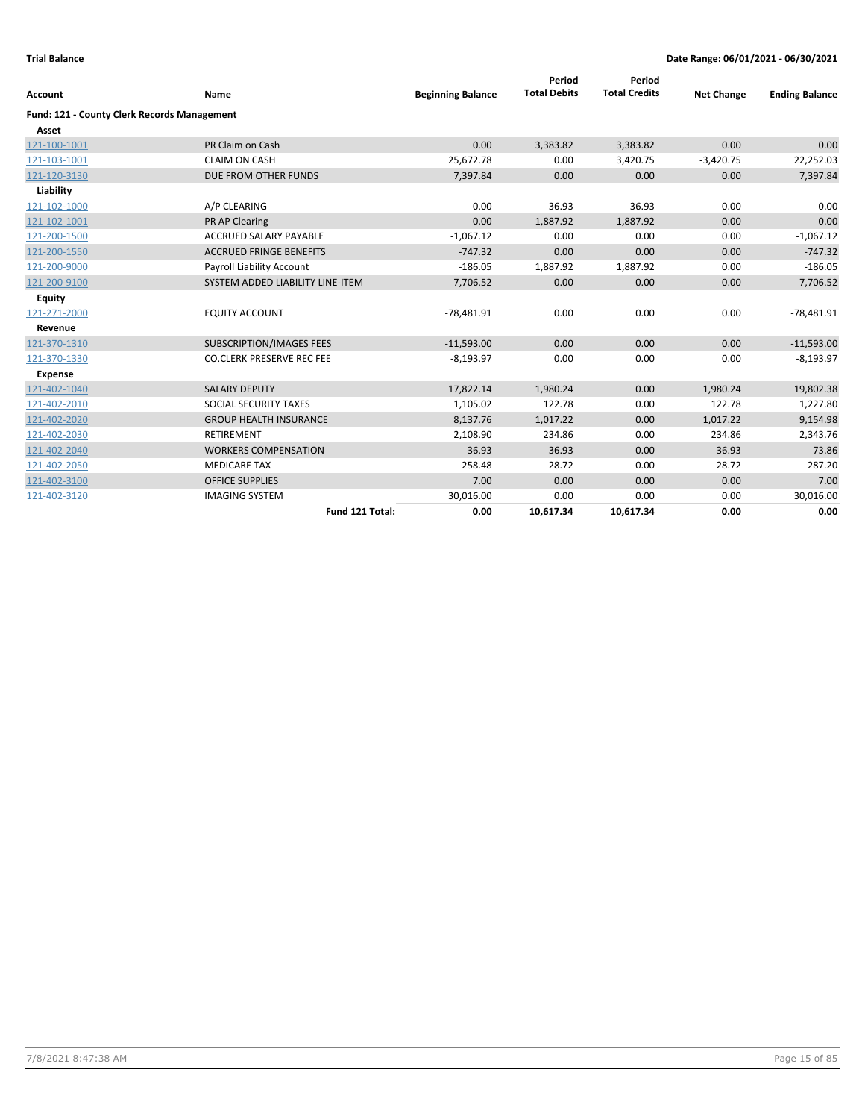| Account                                            | Name                             | <b>Beginning Balance</b> | Period<br><b>Total Debits</b> | Period<br><b>Total Credits</b> | <b>Net Change</b> | <b>Ending Balance</b> |
|----------------------------------------------------|----------------------------------|--------------------------|-------------------------------|--------------------------------|-------------------|-----------------------|
| <b>Fund: 121 - County Clerk Records Management</b> |                                  |                          |                               |                                |                   |                       |
| Asset                                              |                                  |                          |                               |                                |                   |                       |
| 121-100-1001                                       | PR Claim on Cash                 | 0.00                     | 3,383.82                      | 3,383.82                       | 0.00              | 0.00                  |
| 121-103-1001                                       | <b>CLAIM ON CASH</b>             | 25,672.78                | 0.00                          | 3,420.75                       | $-3,420.75$       | 22,252.03             |
| 121-120-3130                                       | DUE FROM OTHER FUNDS             | 7,397.84                 | 0.00                          | 0.00                           | 0.00              | 7,397.84              |
| Liability                                          |                                  |                          |                               |                                |                   |                       |
| 121-102-1000                                       | A/P CLEARING                     | 0.00                     | 36.93                         | 36.93                          | 0.00              | 0.00                  |
| 121-102-1001                                       | PR AP Clearing                   | 0.00                     | 1,887.92                      | 1,887.92                       | 0.00              | 0.00                  |
| 121-200-1500                                       | <b>ACCRUED SALARY PAYABLE</b>    | $-1,067.12$              | 0.00                          | 0.00                           | 0.00              | $-1,067.12$           |
| 121-200-1550                                       | <b>ACCRUED FRINGE BENEFITS</b>   | $-747.32$                | 0.00                          | 0.00                           | 0.00              | $-747.32$             |
| 121-200-9000                                       | <b>Payroll Liability Account</b> | $-186.05$                | 1,887.92                      | 1,887.92                       | 0.00              | $-186.05$             |
| 121-200-9100                                       | SYSTEM ADDED LIABILITY LINE-ITEM | 7,706.52                 | 0.00                          | 0.00                           | 0.00              | 7,706.52              |
| <b>Equity</b>                                      |                                  |                          |                               |                                |                   |                       |
| 121-271-2000                                       | <b>EQUITY ACCOUNT</b>            | $-78,481.91$             | 0.00                          | 0.00                           | 0.00              | $-78,481.91$          |
| Revenue                                            |                                  |                          |                               |                                |                   |                       |
| 121-370-1310                                       | <b>SUBSCRIPTION/IMAGES FEES</b>  | $-11,593.00$             | 0.00                          | 0.00                           | 0.00              | $-11,593.00$          |
| 121-370-1330                                       | <b>CO.CLERK PRESERVE REC FEE</b> | $-8,193.97$              | 0.00                          | 0.00                           | 0.00              | $-8,193.97$           |
| Expense                                            |                                  |                          |                               |                                |                   |                       |
| 121-402-1040                                       | <b>SALARY DEPUTY</b>             | 17,822.14                | 1,980.24                      | 0.00                           | 1,980.24          | 19,802.38             |
| 121-402-2010                                       | SOCIAL SECURITY TAXES            | 1,105.02                 | 122.78                        | 0.00                           | 122.78            | 1,227.80              |
| 121-402-2020                                       | <b>GROUP HEALTH INSURANCE</b>    | 8,137.76                 | 1,017.22                      | 0.00                           | 1,017.22          | 9,154.98              |
| 121-402-2030                                       | <b>RETIREMENT</b>                | 2,108.90                 | 234.86                        | 0.00                           | 234.86            | 2,343.76              |
| 121-402-2040                                       | <b>WORKERS COMPENSATION</b>      | 36.93                    | 36.93                         | 0.00                           | 36.93             | 73.86                 |
| 121-402-2050                                       | <b>MEDICARE TAX</b>              | 258.48                   | 28.72                         | 0.00                           | 28.72             | 287.20                |
| 121-402-3100                                       | <b>OFFICE SUPPLIES</b>           | 7.00                     | 0.00                          | 0.00                           | 0.00              | 7.00                  |
| 121-402-3120                                       | <b>IMAGING SYSTEM</b>            | 30,016.00                | 0.00                          | 0.00                           | 0.00              | 30,016.00             |
|                                                    | Fund 121 Total:                  | 0.00                     | 10,617.34                     | 10,617.34                      | 0.00              | 0.00                  |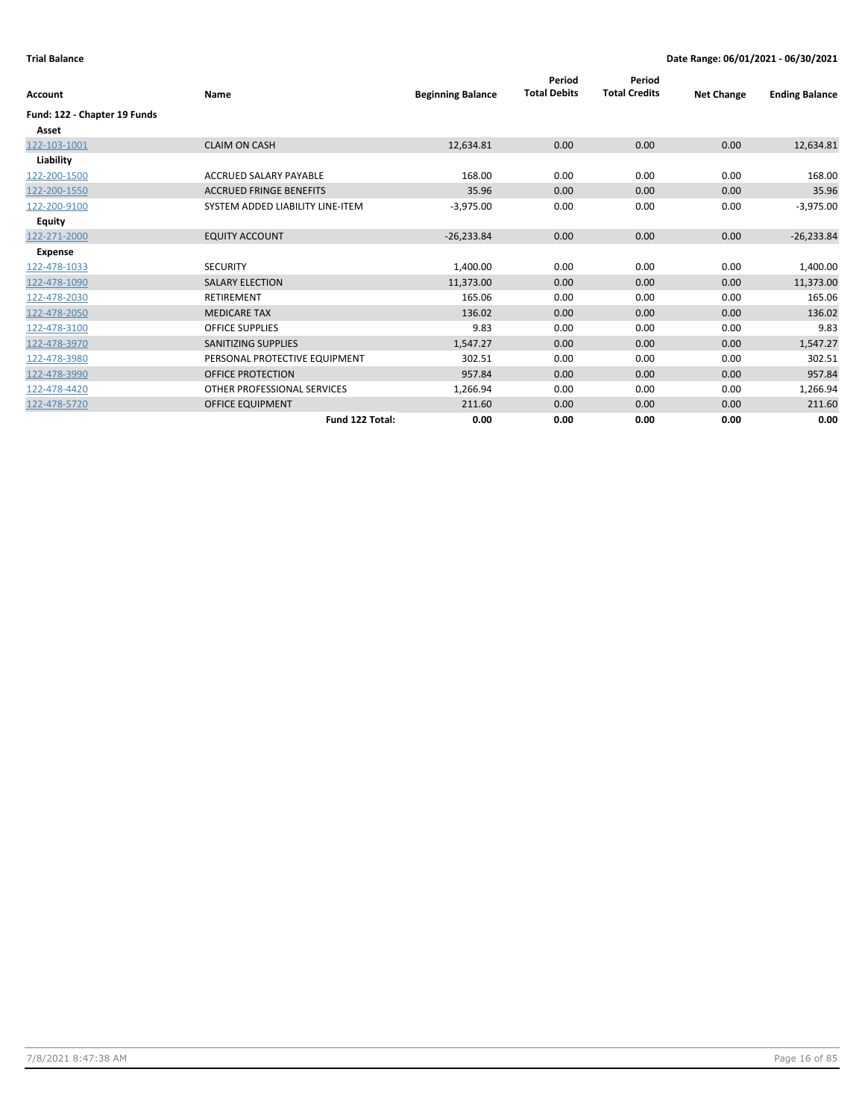| Account                      | Name                             | <b>Beginning Balance</b> | Period<br><b>Total Debits</b> | Period<br><b>Total Credits</b> | <b>Net Change</b> | <b>Ending Balance</b> |
|------------------------------|----------------------------------|--------------------------|-------------------------------|--------------------------------|-------------------|-----------------------|
| Fund: 122 - Chapter 19 Funds |                                  |                          |                               |                                |                   |                       |
| Asset                        |                                  |                          |                               |                                |                   |                       |
| 122-103-1001                 | <b>CLAIM ON CASH</b>             | 12,634.81                | 0.00                          | 0.00                           | 0.00              | 12,634.81             |
| Liability                    |                                  |                          |                               |                                |                   |                       |
| 122-200-1500                 | ACCRUED SALARY PAYABLE           | 168.00                   | 0.00                          | 0.00                           | 0.00              | 168.00                |
| 122-200-1550                 | <b>ACCRUED FRINGE BENEFITS</b>   | 35.96                    | 0.00                          | 0.00                           | 0.00              | 35.96                 |
| 122-200-9100                 | SYSTEM ADDED LIABILITY LINE-ITEM | $-3,975.00$              | 0.00                          | 0.00                           | 0.00              | $-3,975.00$           |
| <b>Equity</b>                |                                  |                          |                               |                                |                   |                       |
| 122-271-2000                 | <b>EQUITY ACCOUNT</b>            | $-26,233.84$             | 0.00                          | 0.00                           | 0.00              | $-26,233.84$          |
| <b>Expense</b>               |                                  |                          |                               |                                |                   |                       |
| 122-478-1033                 | <b>SECURITY</b>                  | 1,400.00                 | 0.00                          | 0.00                           | 0.00              | 1,400.00              |
| 122-478-1090                 | <b>SALARY ELECTION</b>           | 11,373.00                | 0.00                          | 0.00                           | 0.00              | 11,373.00             |
| 122-478-2030                 | <b>RETIREMENT</b>                | 165.06                   | 0.00                          | 0.00                           | 0.00              | 165.06                |
| 122-478-2050                 | <b>MEDICARE TAX</b>              | 136.02                   | 0.00                          | 0.00                           | 0.00              | 136.02                |
| 122-478-3100                 | <b>OFFICE SUPPLIES</b>           | 9.83                     | 0.00                          | 0.00                           | 0.00              | 9.83                  |
| 122-478-3970                 | <b>SANITIZING SUPPLIES</b>       | 1,547.27                 | 0.00                          | 0.00                           | 0.00              | 1,547.27              |
| 122-478-3980                 | PERSONAL PROTECTIVE EQUIPMENT    | 302.51                   | 0.00                          | 0.00                           | 0.00              | 302.51                |
| 122-478-3990                 | <b>OFFICE PROTECTION</b>         | 957.84                   | 0.00                          | 0.00                           | 0.00              | 957.84                |
| 122-478-4420                 | OTHER PROFESSIONAL SERVICES      | 1,266.94                 | 0.00                          | 0.00                           | 0.00              | 1,266.94              |
| 122-478-5720                 | <b>OFFICE EQUIPMENT</b>          | 211.60                   | 0.00                          | 0.00                           | 0.00              | 211.60                |
|                              | Fund 122 Total:                  | 0.00                     | 0.00                          | 0.00                           | 0.00              | 0.00                  |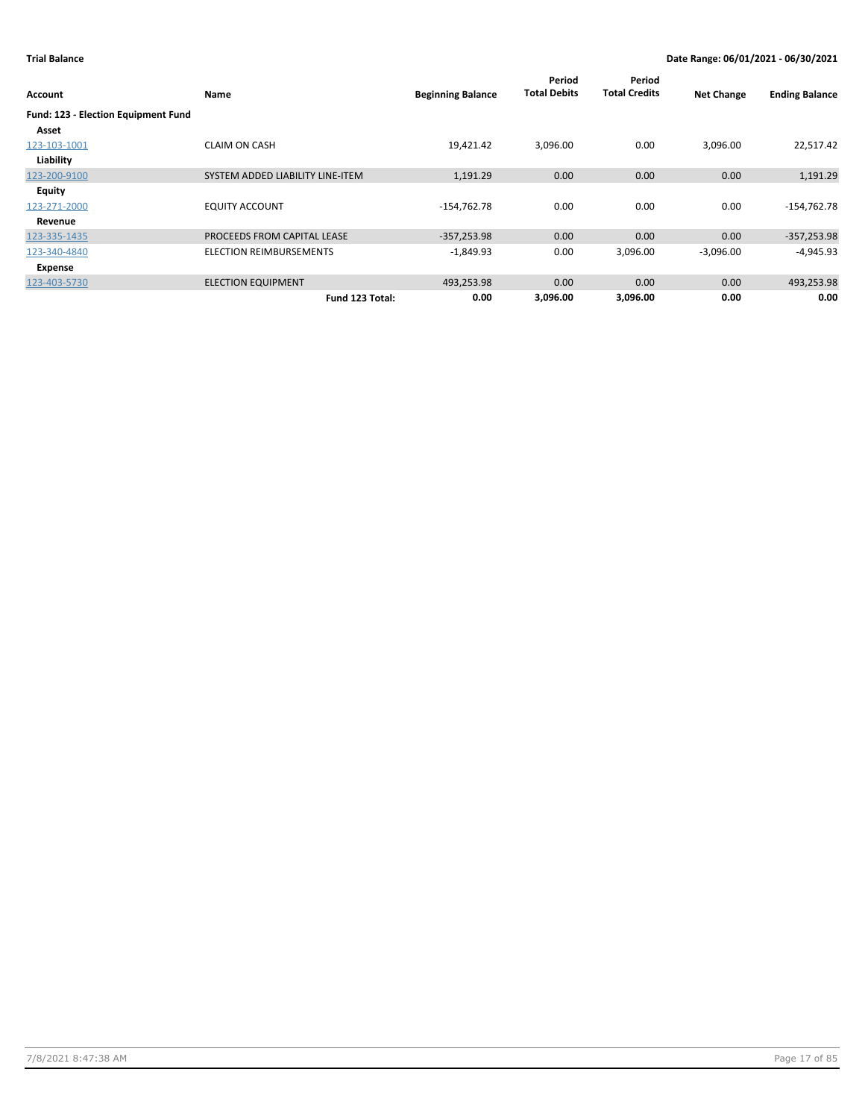| Account                             | Name                             | <b>Beginning Balance</b> | Period<br><b>Total Debits</b> | Period<br><b>Total Credits</b> | <b>Net Change</b> | <b>Ending Balance</b> |
|-------------------------------------|----------------------------------|--------------------------|-------------------------------|--------------------------------|-------------------|-----------------------|
| Fund: 123 - Election Equipment Fund |                                  |                          |                               |                                |                   |                       |
| Asset                               |                                  |                          |                               |                                |                   |                       |
| 123-103-1001                        | <b>CLAIM ON CASH</b>             | 19,421.42                | 3,096.00                      | 0.00                           | 3,096.00          | 22,517.42             |
| Liability                           |                                  |                          |                               |                                |                   |                       |
| 123-200-9100                        | SYSTEM ADDED LIABILITY LINE-ITEM | 1,191.29                 | 0.00                          | 0.00                           | 0.00              | 1,191.29              |
| <b>Equity</b>                       |                                  |                          |                               |                                |                   |                       |
| 123-271-2000                        | <b>EQUITY ACCOUNT</b>            | $-154,762.78$            | 0.00                          | 0.00                           | 0.00              | $-154,762.78$         |
| Revenue                             |                                  |                          |                               |                                |                   |                       |
| 123-335-1435                        | PROCEEDS FROM CAPITAL LEASE      | $-357,253.98$            | 0.00                          | 0.00                           | 0.00              | $-357,253.98$         |
| 123-340-4840                        | <b>ELECTION REIMBURSEMENTS</b>   | $-1,849.93$              | 0.00                          | 3,096.00                       | $-3,096.00$       | $-4,945.93$           |
| Expense                             |                                  |                          |                               |                                |                   |                       |
| 123-403-5730                        | <b>ELECTION EQUIPMENT</b>        | 493,253.98               | 0.00                          | 0.00                           | 0.00              | 493,253.98            |
|                                     | Fund 123 Total:                  | 0.00                     | 3,096.00                      | 3,096.00                       | 0.00              | 0.00                  |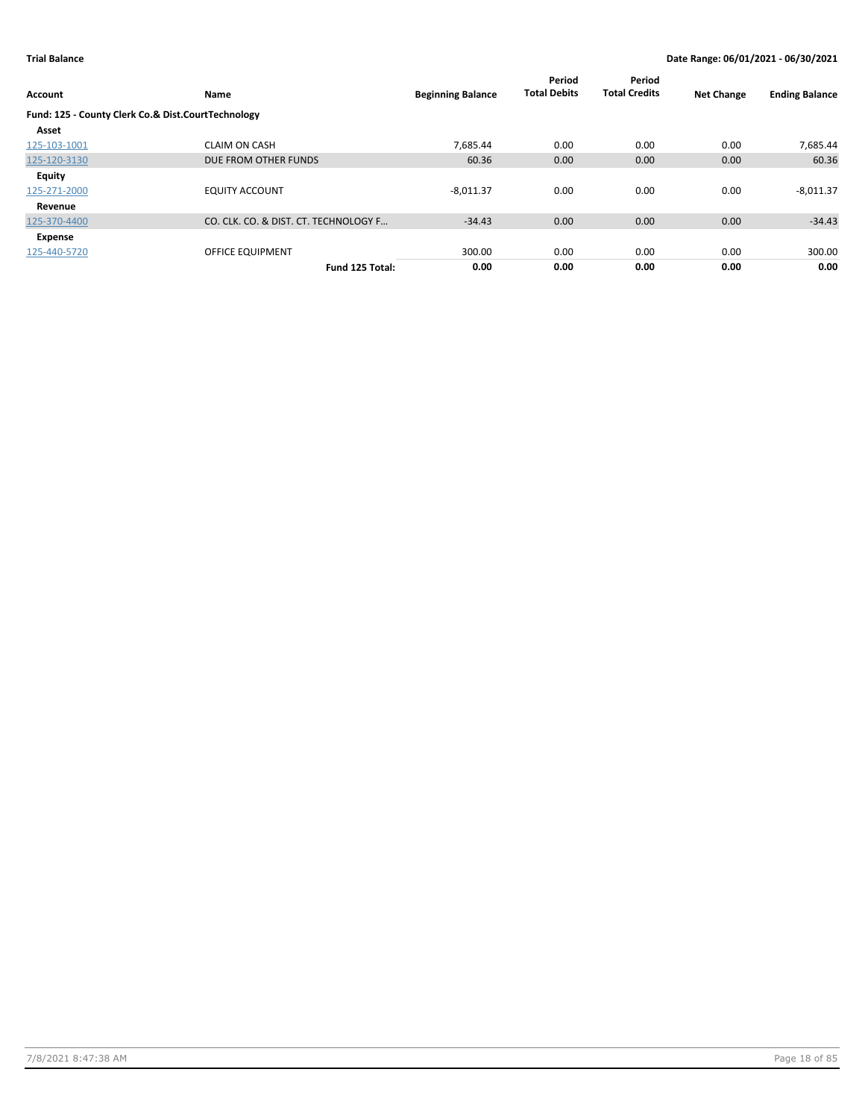| <b>Account</b>                                     | Name                                  | <b>Beginning Balance</b> | Period<br><b>Total Debits</b> | Period<br><b>Total Credits</b> | <b>Net Change</b> | <b>Ending Balance</b> |
|----------------------------------------------------|---------------------------------------|--------------------------|-------------------------------|--------------------------------|-------------------|-----------------------|
| Fund: 125 - County Clerk Co.& Dist.CourtTechnology |                                       |                          |                               |                                |                   |                       |
| Asset                                              |                                       |                          |                               |                                |                   |                       |
| 125-103-1001                                       | <b>CLAIM ON CASH</b>                  | 7.685.44                 | 0.00                          | 0.00                           | 0.00              | 7,685.44              |
| 125-120-3130                                       | DUE FROM OTHER FUNDS                  | 60.36                    | 0.00                          | 0.00                           | 0.00              | 60.36                 |
| <b>Equity</b>                                      |                                       |                          |                               |                                |                   |                       |
| 125-271-2000                                       | <b>EQUITY ACCOUNT</b>                 | $-8,011.37$              | 0.00                          | 0.00                           | 0.00              | $-8,011.37$           |
| Revenue                                            |                                       |                          |                               |                                |                   |                       |
| 125-370-4400                                       | CO. CLK. CO. & DIST. CT. TECHNOLOGY F | $-34.43$                 | 0.00                          | 0.00                           | 0.00              | $-34.43$              |
| Expense                                            |                                       |                          |                               |                                |                   |                       |
| 125-440-5720                                       | OFFICE EQUIPMENT                      | 300.00                   | 0.00                          | 0.00                           | 0.00              | 300.00                |
|                                                    | Fund 125 Total:                       | 0.00                     | 0.00                          | 0.00                           | 0.00              | 0.00                  |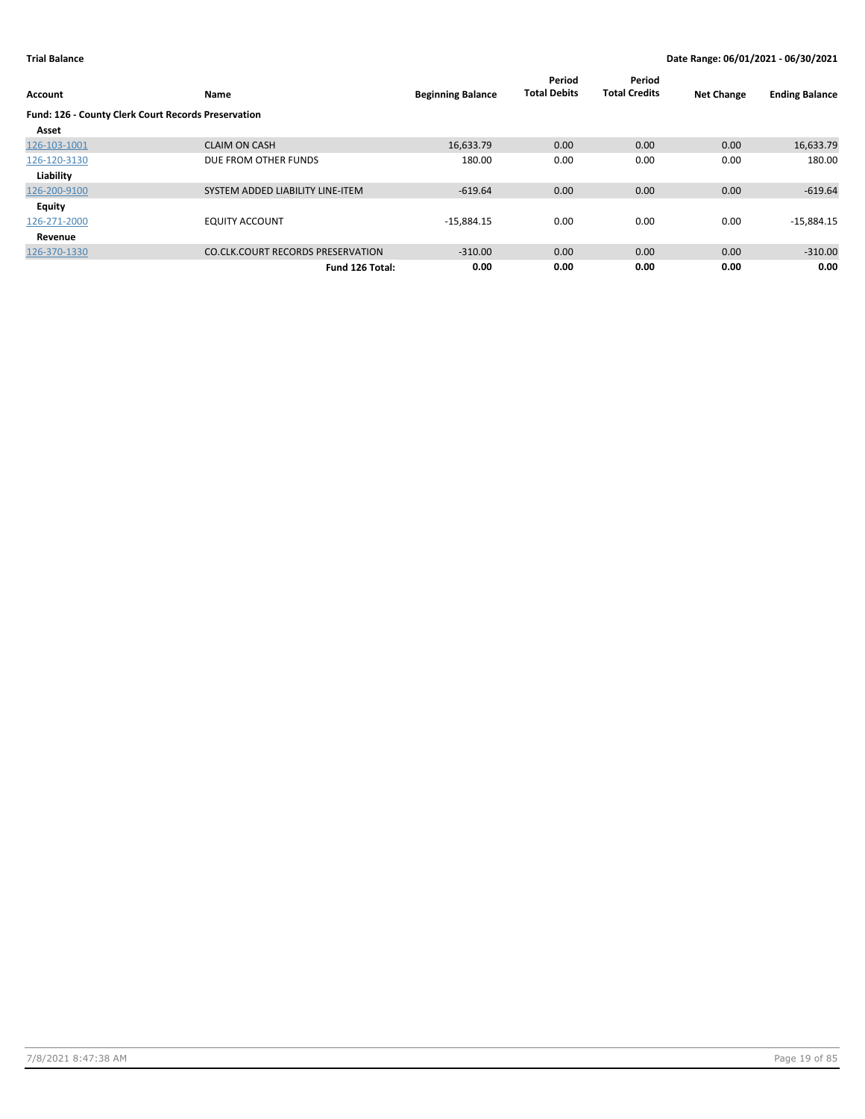| Account                                             | Name                                     | <b>Beginning Balance</b> | Period<br><b>Total Debits</b> | Period<br><b>Total Credits</b> | <b>Net Change</b> | <b>Ending Balance</b> |
|-----------------------------------------------------|------------------------------------------|--------------------------|-------------------------------|--------------------------------|-------------------|-----------------------|
| Fund: 126 - County Clerk Court Records Preservation |                                          |                          |                               |                                |                   |                       |
| Asset                                               |                                          |                          |                               |                                |                   |                       |
| 126-103-1001                                        | <b>CLAIM ON CASH</b>                     | 16,633.79                | 0.00                          | 0.00                           | 0.00              | 16,633.79             |
| 126-120-3130                                        | DUE FROM OTHER FUNDS                     | 180.00                   | 0.00                          | 0.00                           | 0.00              | 180.00                |
| Liability                                           |                                          |                          |                               |                                |                   |                       |
| 126-200-9100                                        | SYSTEM ADDED LIABILITY LINE-ITEM         | $-619.64$                | 0.00                          | 0.00                           | 0.00              | $-619.64$             |
| Equity                                              |                                          |                          |                               |                                |                   |                       |
| 126-271-2000                                        | <b>EQUITY ACCOUNT</b>                    | $-15,884.15$             | 0.00                          | 0.00                           | 0.00              | $-15,884.15$          |
| Revenue                                             |                                          |                          |                               |                                |                   |                       |
| 126-370-1330                                        | <b>CO.CLK.COURT RECORDS PRESERVATION</b> | $-310.00$                | 0.00                          | 0.00                           | 0.00              | $-310.00$             |
|                                                     | Fund 126 Total:                          | 0.00                     | 0.00                          | 0.00                           | 0.00              | 0.00                  |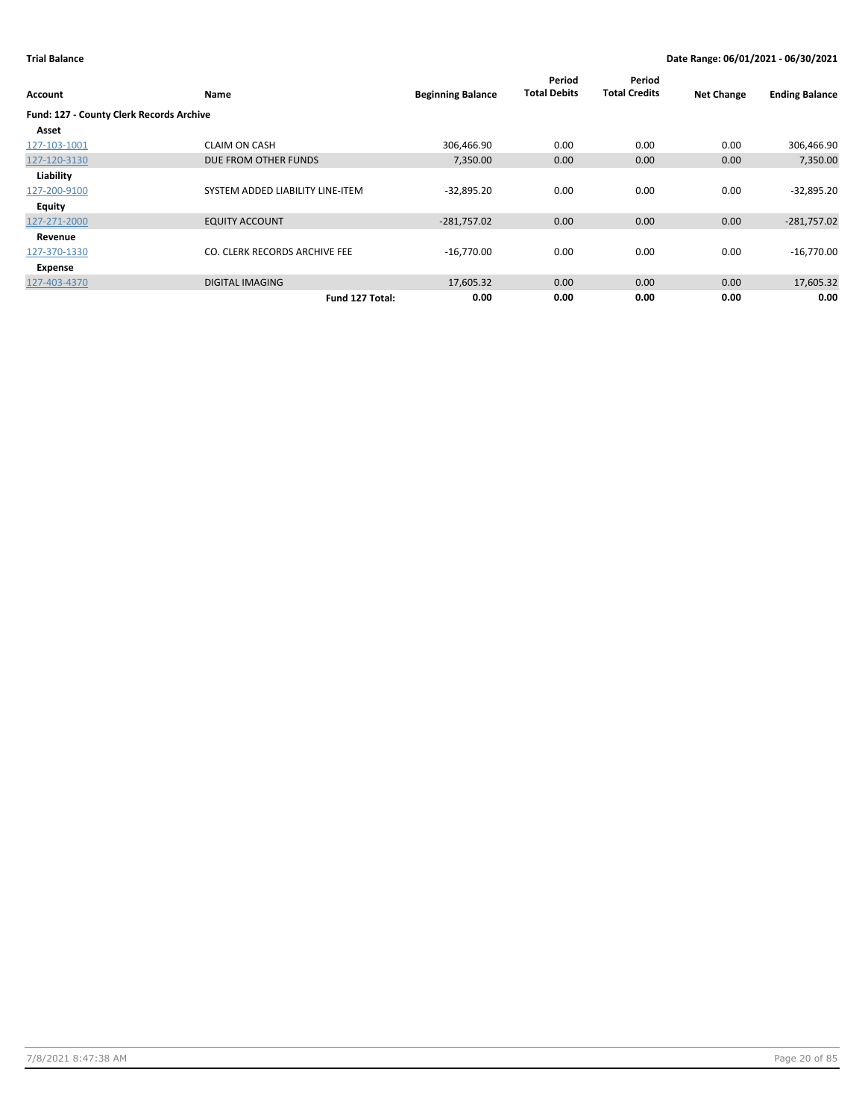| Account                                  | Name                             | <b>Beginning Balance</b> | Period<br><b>Total Debits</b> | Period<br><b>Total Credits</b> | <b>Net Change</b> | <b>Ending Balance</b> |
|------------------------------------------|----------------------------------|--------------------------|-------------------------------|--------------------------------|-------------------|-----------------------|
| Fund: 127 - County Clerk Records Archive |                                  |                          |                               |                                |                   |                       |
| Asset                                    |                                  |                          |                               |                                |                   |                       |
| 127-103-1001                             | <b>CLAIM ON CASH</b>             | 306,466.90               | 0.00                          | 0.00                           | 0.00              | 306,466.90            |
| 127-120-3130                             | DUE FROM OTHER FUNDS             | 7.350.00                 | 0.00                          | 0.00                           | 0.00              | 7,350.00              |
| Liability                                |                                  |                          |                               |                                |                   |                       |
| 127-200-9100                             | SYSTEM ADDED LIABILITY LINE-ITEM | $-32,895.20$             | 0.00                          | 0.00                           | 0.00              | $-32,895.20$          |
| Equity                                   |                                  |                          |                               |                                |                   |                       |
| 127-271-2000                             | <b>EQUITY ACCOUNT</b>            | $-281,757.02$            | 0.00                          | 0.00                           | 0.00              | $-281,757.02$         |
| Revenue                                  |                                  |                          |                               |                                |                   |                       |
| 127-370-1330                             | CO. CLERK RECORDS ARCHIVE FEE    | $-16,770.00$             | 0.00                          | 0.00                           | 0.00              | $-16,770.00$          |
| Expense                                  |                                  |                          |                               |                                |                   |                       |
| 127-403-4370                             | <b>DIGITAL IMAGING</b>           | 17,605.32                | 0.00                          | 0.00                           | 0.00              | 17,605.32             |
|                                          | Fund 127 Total:                  | 0.00                     | 0.00                          | 0.00                           | 0.00              | 0.00                  |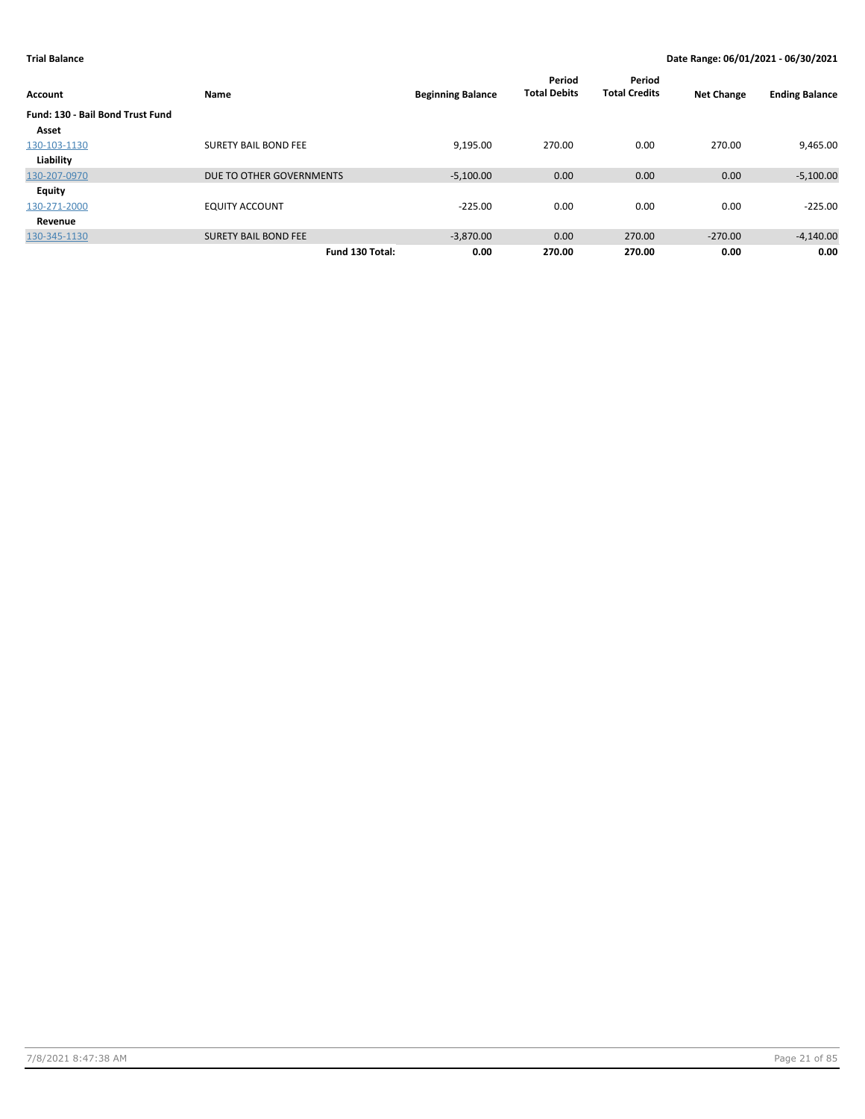| Account                          | Name                        | <b>Beginning Balance</b> | Period<br><b>Total Debits</b> | Period<br><b>Total Credits</b> | <b>Net Change</b> | <b>Ending Balance</b> |
|----------------------------------|-----------------------------|--------------------------|-------------------------------|--------------------------------|-------------------|-----------------------|
| Fund: 130 - Bail Bond Trust Fund |                             |                          |                               |                                |                   |                       |
| Asset                            |                             |                          |                               |                                |                   |                       |
| 130-103-1130                     | <b>SURETY BAIL BOND FEE</b> | 9.195.00                 | 270.00                        | 0.00                           | 270.00            | 9,465.00              |
| Liability                        |                             |                          |                               |                                |                   |                       |
| 130-207-0970                     | DUE TO OTHER GOVERNMENTS    | $-5,100.00$              | 0.00                          | 0.00                           | 0.00              | $-5,100.00$           |
| Equity                           |                             |                          |                               |                                |                   |                       |
| 130-271-2000                     | <b>EQUITY ACCOUNT</b>       | $-225.00$                | 0.00                          | 0.00                           | 0.00              | $-225.00$             |
| Revenue                          |                             |                          |                               |                                |                   |                       |
| 130-345-1130                     | <b>SURETY BAIL BOND FEE</b> | $-3,870.00$              | 0.00                          | 270.00                         | $-270.00$         | $-4,140.00$           |
|                                  | Fund 130 Total:             | 0.00                     | 270.00                        | 270.00                         | 0.00              | 0.00                  |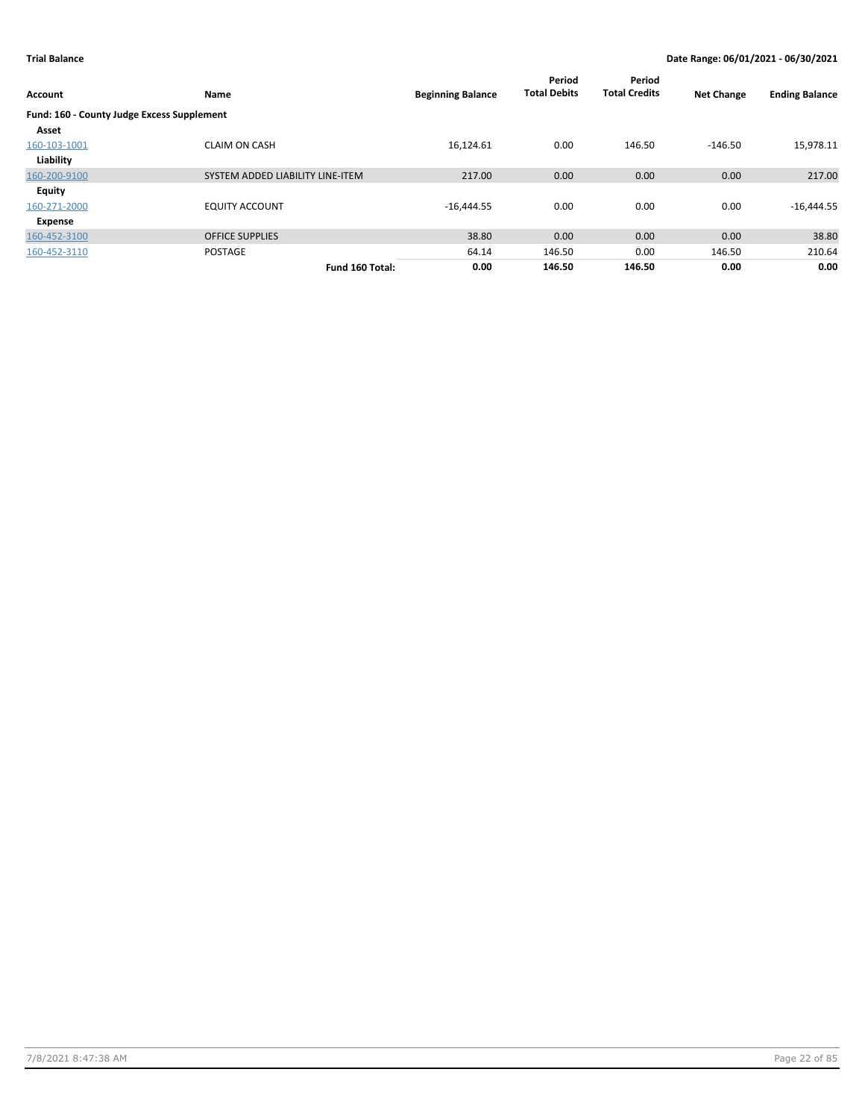| Account                                    | Name                             | <b>Beginning Balance</b> | Period<br><b>Total Debits</b> | Period<br><b>Total Credits</b> | <b>Net Change</b> | <b>Ending Balance</b> |
|--------------------------------------------|----------------------------------|--------------------------|-------------------------------|--------------------------------|-------------------|-----------------------|
| Fund: 160 - County Judge Excess Supplement |                                  |                          |                               |                                |                   |                       |
| Asset                                      |                                  |                          |                               |                                |                   |                       |
| 160-103-1001                               | <b>CLAIM ON CASH</b>             | 16,124.61                | 0.00                          | 146.50                         | $-146.50$         | 15,978.11             |
| Liability                                  |                                  |                          |                               |                                |                   |                       |
| 160-200-9100                               | SYSTEM ADDED LIABILITY LINE-ITEM | 217.00                   | 0.00                          | 0.00                           | 0.00              | 217.00                |
| <b>Equity</b>                              |                                  |                          |                               |                                |                   |                       |
| 160-271-2000                               | <b>EQUITY ACCOUNT</b>            | $-16,444.55$             | 0.00                          | 0.00                           | 0.00              | $-16,444.55$          |
| Expense                                    |                                  |                          |                               |                                |                   |                       |
| 160-452-3100                               | <b>OFFICE SUPPLIES</b>           | 38.80                    | 0.00                          | 0.00                           | 0.00              | 38.80                 |
| 160-452-3110                               | <b>POSTAGE</b>                   | 64.14                    | 146.50                        | 0.00                           | 146.50            | 210.64                |
|                                            | Fund 160 Total:                  | 0.00                     | 146.50                        | 146.50                         | 0.00              | 0.00                  |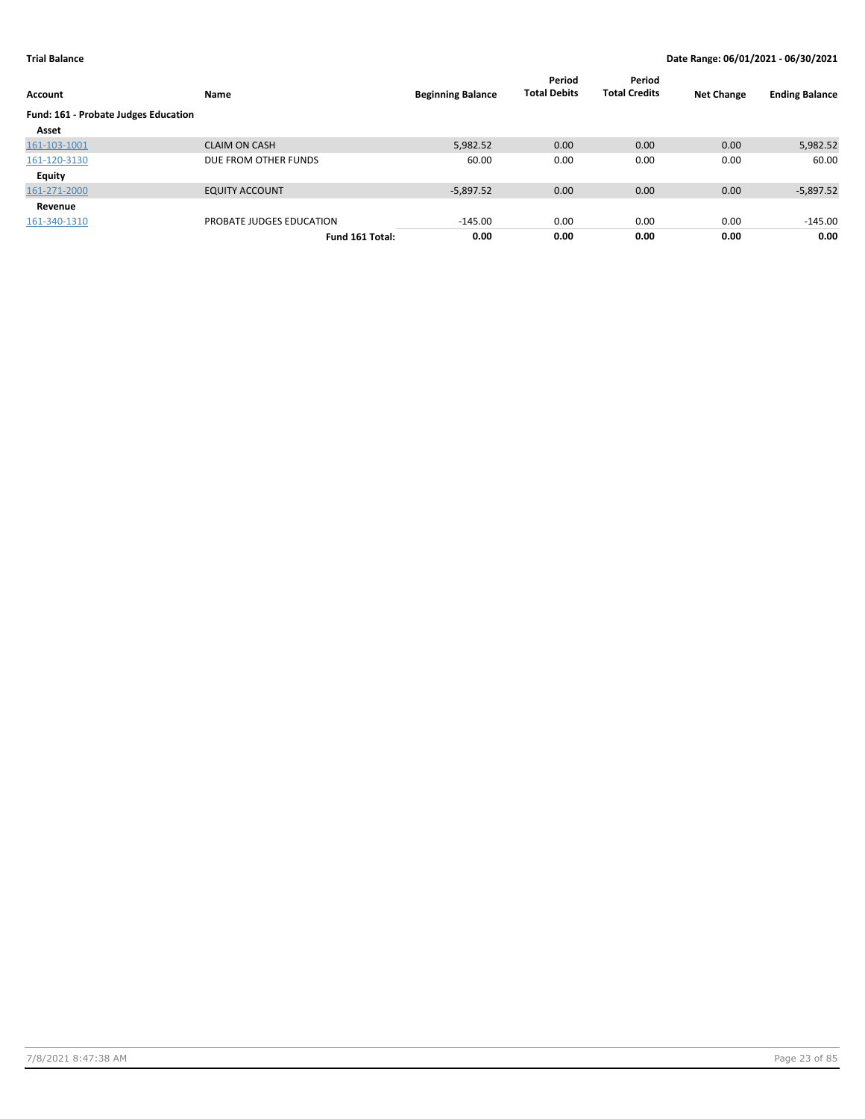| Account                              | Name                     | <b>Beginning Balance</b> | Period<br><b>Total Debits</b> | Period<br><b>Total Credits</b> | <b>Net Change</b> | <b>Ending Balance</b> |
|--------------------------------------|--------------------------|--------------------------|-------------------------------|--------------------------------|-------------------|-----------------------|
| Fund: 161 - Probate Judges Education |                          |                          |                               |                                |                   |                       |
| Asset                                |                          |                          |                               |                                |                   |                       |
| 161-103-1001                         | <b>CLAIM ON CASH</b>     | 5,982.52                 | 0.00                          | 0.00                           | 0.00              | 5,982.52              |
| 161-120-3130                         | DUE FROM OTHER FUNDS     | 60.00                    | 0.00                          | 0.00                           | 0.00              | 60.00                 |
| Equity                               |                          |                          |                               |                                |                   |                       |
| 161-271-2000                         | <b>EQUITY ACCOUNT</b>    | $-5,897.52$              | 0.00                          | 0.00                           | 0.00              | $-5,897.52$           |
| Revenue                              |                          |                          |                               |                                |                   |                       |
| 161-340-1310                         | PROBATE JUDGES EDUCATION | $-145.00$                | 0.00                          | 0.00                           | 0.00              | $-145.00$             |
|                                      | Fund 161 Total:          | 0.00                     | 0.00                          | 0.00                           | 0.00              | 0.00                  |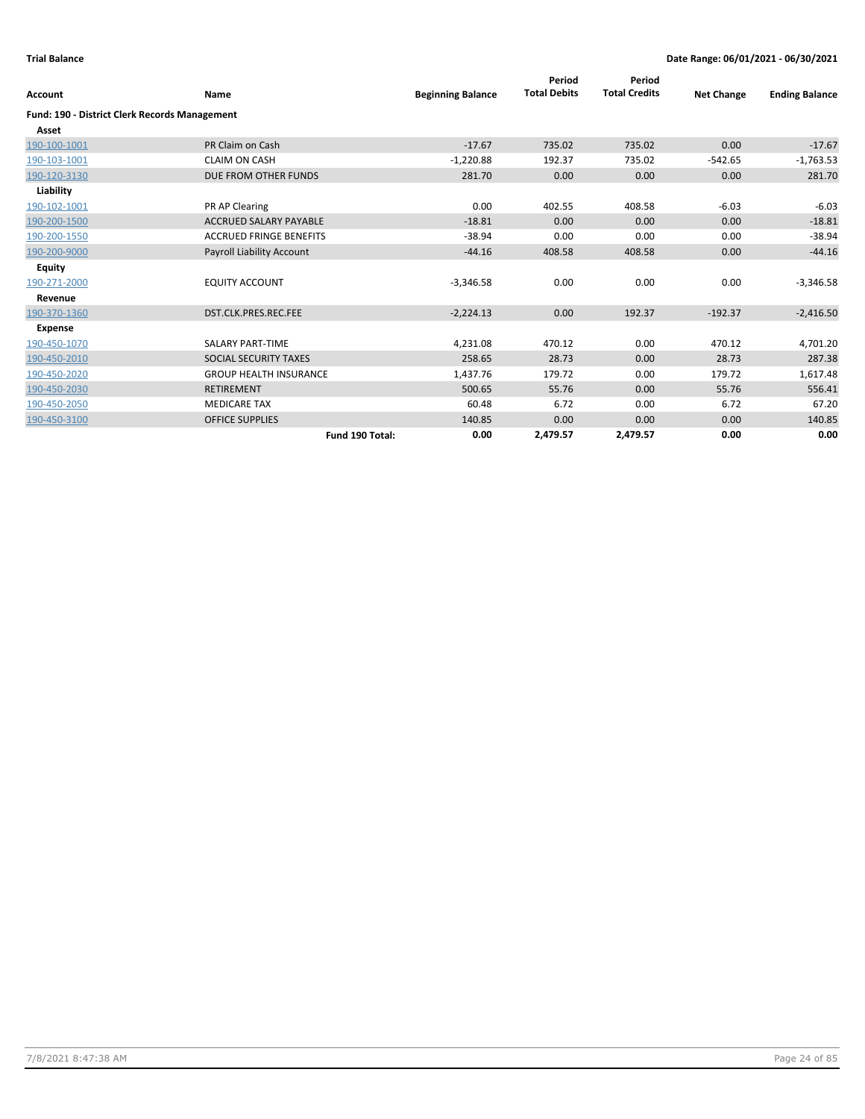| <b>Account</b>                                | Name                           | <b>Beginning Balance</b> | Period<br><b>Total Debits</b> | Period<br><b>Total Credits</b> | <b>Net Change</b> | <b>Ending Balance</b> |
|-----------------------------------------------|--------------------------------|--------------------------|-------------------------------|--------------------------------|-------------------|-----------------------|
| Fund: 190 - District Clerk Records Management |                                |                          |                               |                                |                   |                       |
| Asset                                         |                                |                          |                               |                                |                   |                       |
| 190-100-1001                                  | PR Claim on Cash               | $-17.67$                 | 735.02                        | 735.02                         | 0.00              | $-17.67$              |
| 190-103-1001                                  | <b>CLAIM ON CASH</b>           | $-1,220.88$              | 192.37                        | 735.02                         | $-542.65$         | $-1,763.53$           |
| 190-120-3130                                  | DUE FROM OTHER FUNDS           | 281.70                   | 0.00                          | 0.00                           | 0.00              | 281.70                |
| Liability                                     |                                |                          |                               |                                |                   |                       |
| 190-102-1001                                  | PR AP Clearing                 | 0.00                     | 402.55                        | 408.58                         | $-6.03$           | $-6.03$               |
| 190-200-1500                                  | <b>ACCRUED SALARY PAYABLE</b>  | $-18.81$                 | 0.00                          | 0.00                           | 0.00              | $-18.81$              |
| 190-200-1550                                  | <b>ACCRUED FRINGE BENEFITS</b> | $-38.94$                 | 0.00                          | 0.00                           | 0.00              | $-38.94$              |
| 190-200-9000                                  | Payroll Liability Account      | $-44.16$                 | 408.58                        | 408.58                         | 0.00              | $-44.16$              |
| <b>Equity</b>                                 |                                |                          |                               |                                |                   |                       |
| 190-271-2000                                  | <b>EQUITY ACCOUNT</b>          | $-3,346.58$              | 0.00                          | 0.00                           | 0.00              | $-3,346.58$           |
| Revenue                                       |                                |                          |                               |                                |                   |                       |
| 190-370-1360                                  | DST.CLK.PRES.REC.FEE           | $-2,224.13$              | 0.00                          | 192.37                         | $-192.37$         | $-2,416.50$           |
| <b>Expense</b>                                |                                |                          |                               |                                |                   |                       |
| 190-450-1070                                  | <b>SALARY PART-TIME</b>        | 4,231.08                 | 470.12                        | 0.00                           | 470.12            | 4,701.20              |
| 190-450-2010                                  | SOCIAL SECURITY TAXES          | 258.65                   | 28.73                         | 0.00                           | 28.73             | 287.38                |
| 190-450-2020                                  | <b>GROUP HEALTH INSURANCE</b>  | 1,437.76                 | 179.72                        | 0.00                           | 179.72            | 1,617.48              |
| 190-450-2030                                  | <b>RETIREMENT</b>              | 500.65                   | 55.76                         | 0.00                           | 55.76             | 556.41                |
| 190-450-2050                                  | <b>MEDICARE TAX</b>            | 60.48                    | 6.72                          | 0.00                           | 6.72              | 67.20                 |
| 190-450-3100                                  | <b>OFFICE SUPPLIES</b>         | 140.85                   | 0.00                          | 0.00                           | 0.00              | 140.85                |
|                                               | Fund 190 Total:                | 0.00                     | 2,479.57                      | 2,479.57                       | 0.00              | 0.00                  |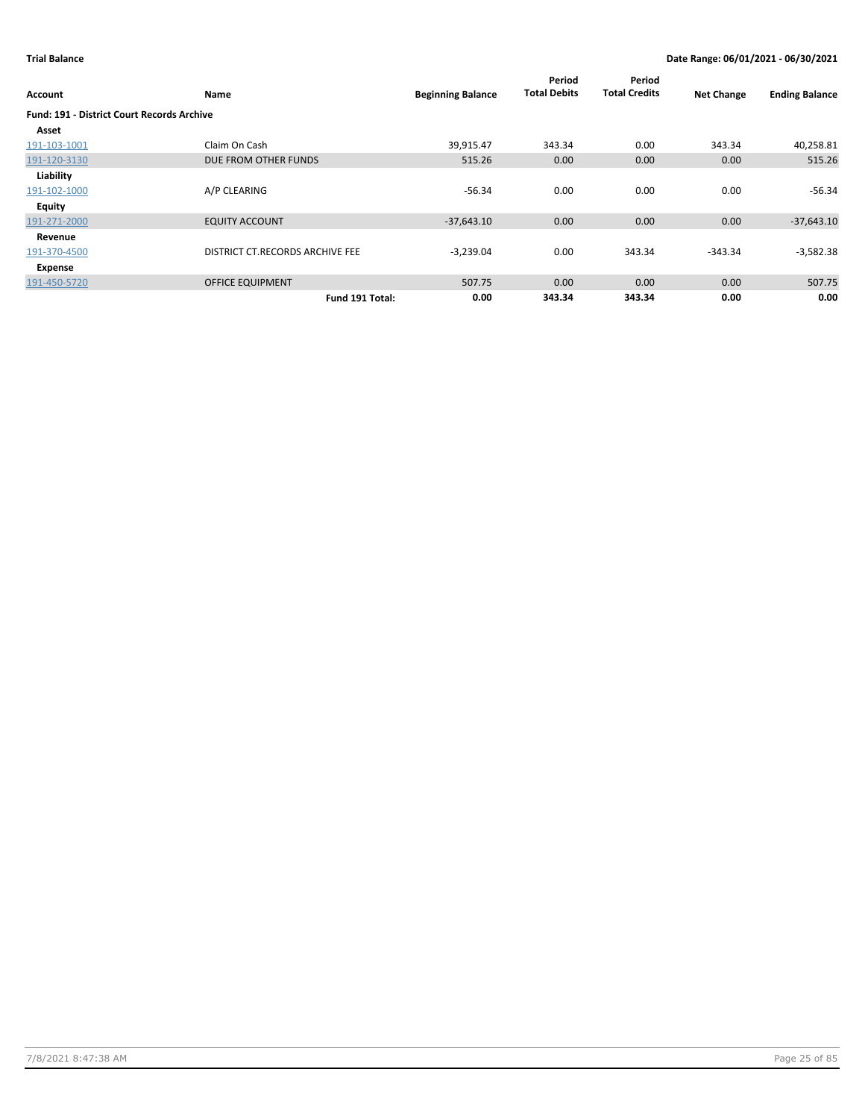| Account                                           | Name                            | <b>Beginning Balance</b> | Period<br><b>Total Debits</b> | Period<br><b>Total Credits</b> | <b>Net Change</b> | <b>Ending Balance</b> |
|---------------------------------------------------|---------------------------------|--------------------------|-------------------------------|--------------------------------|-------------------|-----------------------|
| <b>Fund: 191 - District Court Records Archive</b> |                                 |                          |                               |                                |                   |                       |
| Asset                                             |                                 |                          |                               |                                |                   |                       |
| 191-103-1001                                      | Claim On Cash                   | 39,915.47                | 343.34                        | 0.00                           | 343.34            | 40,258.81             |
| 191-120-3130                                      | DUE FROM OTHER FUNDS            | 515.26                   | 0.00                          | 0.00                           | 0.00              | 515.26                |
| Liability                                         |                                 |                          |                               |                                |                   |                       |
| 191-102-1000                                      | A/P CLEARING                    | $-56.34$                 | 0.00                          | 0.00                           | 0.00              | $-56.34$              |
| Equity                                            |                                 |                          |                               |                                |                   |                       |
| 191-271-2000                                      | <b>EQUITY ACCOUNT</b>           | $-37,643.10$             | 0.00                          | 0.00                           | 0.00              | $-37,643.10$          |
| Revenue                                           |                                 |                          |                               |                                |                   |                       |
| 191-370-4500                                      | DISTRICT CT.RECORDS ARCHIVE FEE | $-3,239.04$              | 0.00                          | 343.34                         | $-343.34$         | $-3,582.38$           |
| Expense                                           |                                 |                          |                               |                                |                   |                       |
| 191-450-5720                                      | <b>OFFICE EQUIPMENT</b>         | 507.75                   | 0.00                          | 0.00                           | 0.00              | 507.75                |
|                                                   | Fund 191 Total:                 | 0.00                     | 343.34                        | 343.34                         | 0.00              | 0.00                  |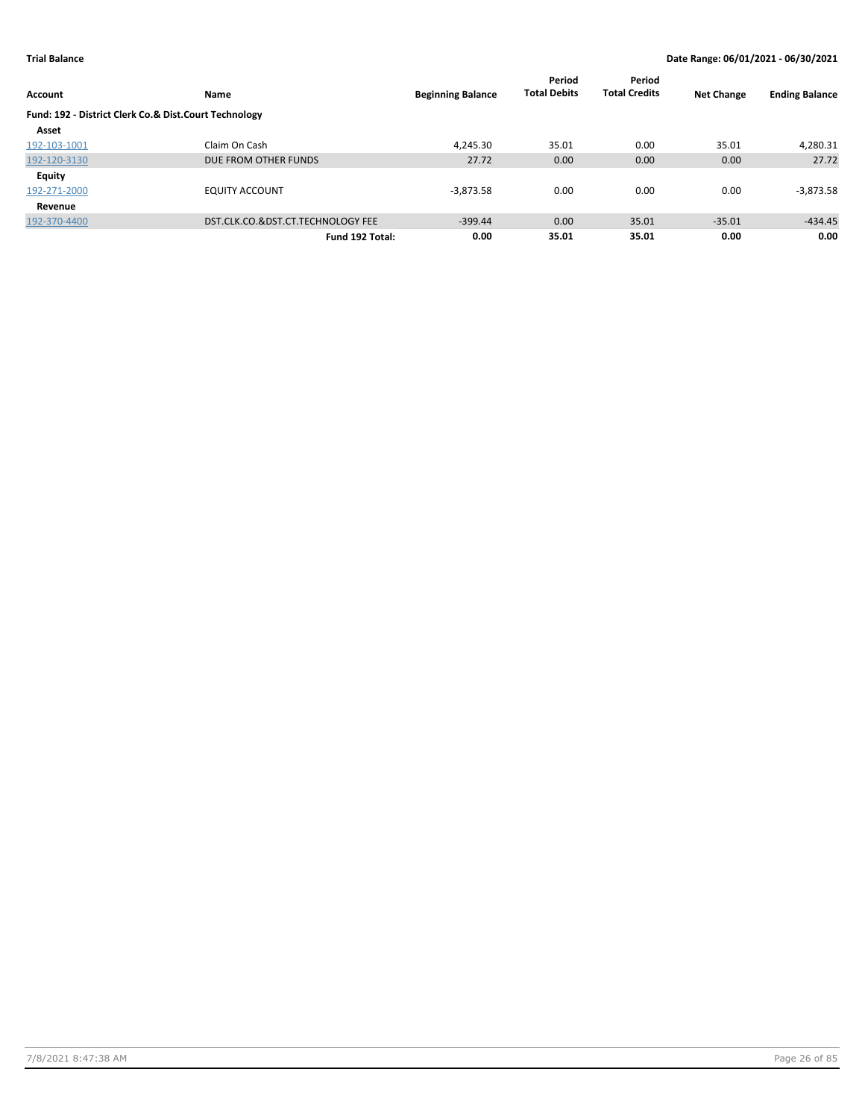| Account                                               | Name                              | <b>Beginning Balance</b> | Period<br><b>Total Debits</b> | Period<br><b>Total Credits</b> | <b>Net Change</b> | <b>Ending Balance</b> |
|-------------------------------------------------------|-----------------------------------|--------------------------|-------------------------------|--------------------------------|-------------------|-----------------------|
| Fund: 192 - District Clerk Co.& Dist.Court Technology |                                   |                          |                               |                                |                   |                       |
| Asset                                                 |                                   |                          |                               |                                |                   |                       |
| 192-103-1001                                          | Claim On Cash                     | 4.245.30                 | 35.01                         | 0.00                           | 35.01             | 4,280.31              |
| 192-120-3130                                          | DUE FROM OTHER FUNDS              | 27.72                    | 0.00                          | 0.00                           | 0.00              | 27.72                 |
| <b>Equity</b>                                         |                                   |                          |                               |                                |                   |                       |
| 192-271-2000                                          | <b>EQUITY ACCOUNT</b>             | $-3,873.58$              | 0.00                          | 0.00                           | 0.00              | $-3,873.58$           |
| Revenue                                               |                                   |                          |                               |                                |                   |                       |
| 192-370-4400                                          | DST.CLK.CO.&DST.CT.TECHNOLOGY FEE | $-399.44$                | 0.00                          | 35.01                          | $-35.01$          | $-434.45$             |
|                                                       | Fund 192 Total:                   | 0.00                     | 35.01                         | 35.01                          | 0.00              | 0.00                  |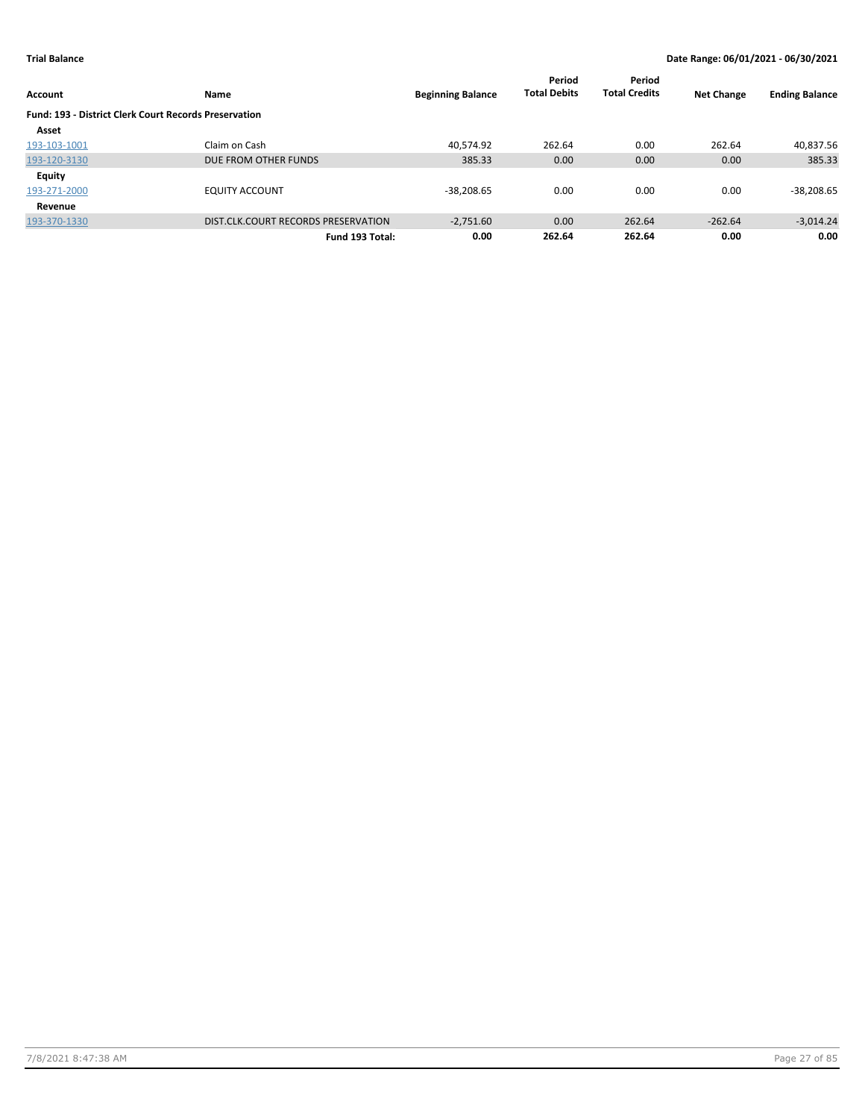|                                                              |                                     |                          | Period              | Period               |                   |                       |
|--------------------------------------------------------------|-------------------------------------|--------------------------|---------------------|----------------------|-------------------|-----------------------|
| <b>Account</b>                                               | Name                                | <b>Beginning Balance</b> | <b>Total Debits</b> | <b>Total Credits</b> | <b>Net Change</b> | <b>Ending Balance</b> |
| <b>Fund: 193 - District Clerk Court Records Preservation</b> |                                     |                          |                     |                      |                   |                       |
| Asset                                                        |                                     |                          |                     |                      |                   |                       |
| 193-103-1001                                                 | Claim on Cash                       | 40.574.92                | 262.64              | 0.00                 | 262.64            | 40,837.56             |
| 193-120-3130                                                 | DUE FROM OTHER FUNDS                | 385.33                   | 0.00                | 0.00                 | 0.00              | 385.33                |
| <b>Equity</b>                                                |                                     |                          |                     |                      |                   |                       |
| 193-271-2000                                                 | <b>EQUITY ACCOUNT</b>               | $-38.208.65$             | 0.00                | 0.00                 | 0.00              | $-38,208.65$          |
| Revenue                                                      |                                     |                          |                     |                      |                   |                       |
| 193-370-1330                                                 | DIST.CLK.COURT RECORDS PRESERVATION | $-2.751.60$              | 0.00                | 262.64               | $-262.64$         | $-3,014.24$           |
|                                                              | Fund 193 Total:                     | 0.00                     | 262.64              | 262.64               | 0.00              | 0.00                  |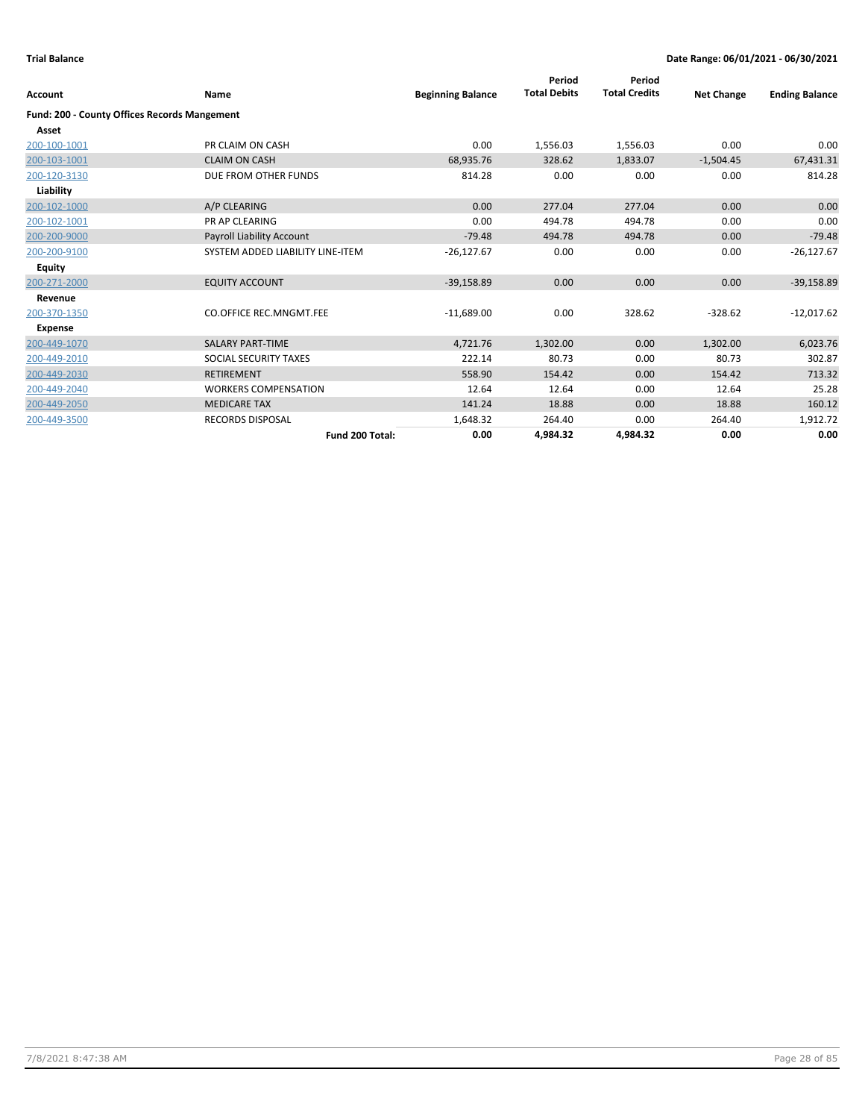| Account                                      | <b>Name</b>                      | <b>Beginning Balance</b> | Period<br><b>Total Debits</b> | Period<br><b>Total Credits</b> | <b>Net Change</b> | <b>Ending Balance</b> |
|----------------------------------------------|----------------------------------|--------------------------|-------------------------------|--------------------------------|-------------------|-----------------------|
| Fund: 200 - County Offices Records Mangement |                                  |                          |                               |                                |                   |                       |
| Asset                                        |                                  |                          |                               |                                |                   |                       |
| 200-100-1001                                 | PR CLAIM ON CASH                 | 0.00                     | 1,556.03                      | 1,556.03                       | 0.00              | 0.00                  |
| 200-103-1001                                 | <b>CLAIM ON CASH</b>             | 68,935.76                | 328.62                        | 1,833.07                       | $-1,504.45$       | 67,431.31             |
| 200-120-3130                                 | DUE FROM OTHER FUNDS             | 814.28                   | 0.00                          | 0.00                           | 0.00              | 814.28                |
| Liability                                    |                                  |                          |                               |                                |                   |                       |
| 200-102-1000                                 | A/P CLEARING                     | 0.00                     | 277.04                        | 277.04                         | 0.00              | 0.00                  |
| 200-102-1001                                 | <b>PR AP CLEARING</b>            | 0.00                     | 494.78                        | 494.78                         | 0.00              | 0.00                  |
| 200-200-9000                                 | Payroll Liability Account        | $-79.48$                 | 494.78                        | 494.78                         | 0.00              | $-79.48$              |
| 200-200-9100                                 | SYSTEM ADDED LIABILITY LINE-ITEM | $-26,127.67$             | 0.00                          | 0.00                           | 0.00              | $-26,127.67$          |
| Equity                                       |                                  |                          |                               |                                |                   |                       |
| 200-271-2000                                 | <b>EQUITY ACCOUNT</b>            | $-39,158.89$             | 0.00                          | 0.00                           | 0.00              | $-39,158.89$          |
| Revenue                                      |                                  |                          |                               |                                |                   |                       |
| 200-370-1350                                 | <b>CO.OFFICE REC.MNGMT.FEE</b>   | $-11,689.00$             | 0.00                          | 328.62                         | $-328.62$         | $-12,017.62$          |
| <b>Expense</b>                               |                                  |                          |                               |                                |                   |                       |
| 200-449-1070                                 | <b>SALARY PART-TIME</b>          | 4,721.76                 | 1,302.00                      | 0.00                           | 1,302.00          | 6,023.76              |
| 200-449-2010                                 | SOCIAL SECURITY TAXES            | 222.14                   | 80.73                         | 0.00                           | 80.73             | 302.87                |
| 200-449-2030                                 | <b>RETIREMENT</b>                | 558.90                   | 154.42                        | 0.00                           | 154.42            | 713.32                |
| 200-449-2040                                 | <b>WORKERS COMPENSATION</b>      | 12.64                    | 12.64                         | 0.00                           | 12.64             | 25.28                 |
| 200-449-2050                                 | <b>MEDICARE TAX</b>              | 141.24                   | 18.88                         | 0.00                           | 18.88             | 160.12                |
| 200-449-3500                                 | <b>RECORDS DISPOSAL</b>          | 1,648.32                 | 264.40                        | 0.00                           | 264.40            | 1,912.72              |
|                                              | Fund 200 Total:                  | 0.00                     | 4,984.32                      | 4,984.32                       | 0.00              | 0.00                  |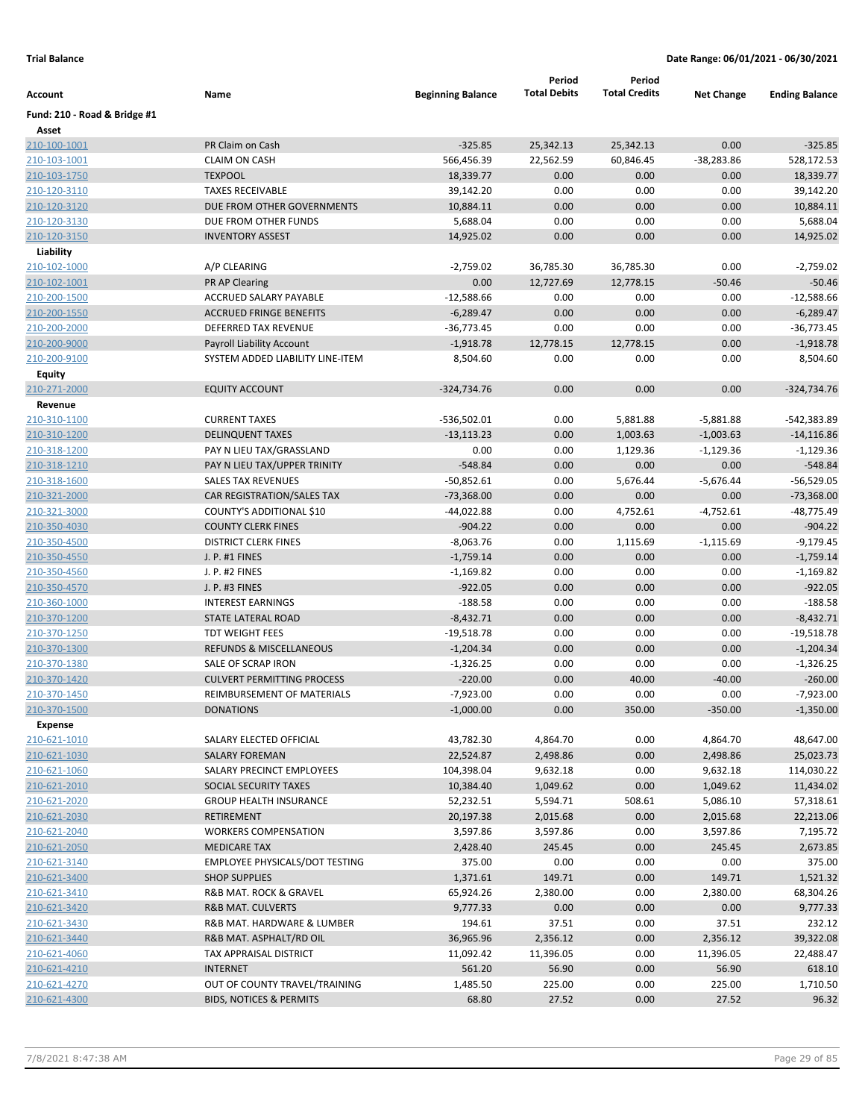| Account                      | Name                                       | <b>Beginning Balance</b> | Period<br><b>Total Debits</b> | Period<br><b>Total Credits</b> | <b>Net Change</b> | <b>Ending Balance</b>    |
|------------------------------|--------------------------------------------|--------------------------|-------------------------------|--------------------------------|-------------------|--------------------------|
| Fund: 210 - Road & Bridge #1 |                                            |                          |                               |                                |                   |                          |
| Asset                        |                                            |                          |                               |                                |                   |                          |
| 210-100-1001                 | PR Claim on Cash                           | $-325.85$                | 25,342.13                     | 25,342.13                      | 0.00              | $-325.85$                |
| 210-103-1001                 | <b>CLAIM ON CASH</b>                       | 566,456.39               | 22,562.59                     | 60,846.45                      | -38,283.86        | 528,172.53               |
| 210-103-1750                 | <b>TEXPOOL</b>                             | 18,339.77                | 0.00                          | 0.00                           | 0.00              | 18,339.77                |
| 210-120-3110                 | <b>TAXES RECEIVABLE</b>                    | 39,142.20                | 0.00                          | 0.00                           | 0.00              | 39,142.20                |
| 210-120-3120                 | DUE FROM OTHER GOVERNMENTS                 | 10,884.11                | 0.00                          | 0.00                           | 0.00              | 10,884.11                |
| 210-120-3130                 | DUE FROM OTHER FUNDS                       | 5,688.04                 | 0.00                          | 0.00                           | 0.00              | 5,688.04                 |
| 210-120-3150                 | <b>INVENTORY ASSEST</b>                    | 14,925.02                | 0.00                          | 0.00                           | 0.00              | 14,925.02                |
| Liability                    |                                            |                          |                               |                                |                   |                          |
| 210-102-1000                 | A/P CLEARING                               | $-2,759.02$              | 36,785.30                     | 36,785.30                      | 0.00              | $-2,759.02$              |
| 210-102-1001                 | PR AP Clearing                             | 0.00                     | 12,727.69                     | 12,778.15                      | $-50.46$          | $-50.46$                 |
| 210-200-1500                 | ACCRUED SALARY PAYABLE                     | $-12,588.66$             | 0.00                          | 0.00                           | 0.00              | -12,588.66               |
| 210-200-1550                 | <b>ACCRUED FRINGE BENEFITS</b>             | $-6,289.47$              | 0.00                          | 0.00                           | 0.00              | $-6,289.47$              |
| 210-200-2000                 | <b>DEFERRED TAX REVENUE</b>                | -36,773.45               | 0.00                          | 0.00                           | 0.00              | $-36,773.45$             |
| 210-200-9000                 | <b>Payroll Liability Account</b>           | $-1,918.78$              | 12,778.15                     | 12,778.15                      | 0.00              | $-1,918.78$              |
| 210-200-9100                 | SYSTEM ADDED LIABILITY LINE-ITEM           | 8,504.60                 | 0.00                          | 0.00                           | 0.00              | 8,504.60                 |
| Equity                       |                                            |                          |                               |                                |                   |                          |
| 210-271-2000                 | <b>EQUITY ACCOUNT</b>                      | $-324,734.76$            | 0.00                          | 0.00                           | 0.00              | $-324,734.76$            |
| Revenue                      |                                            |                          |                               |                                |                   |                          |
| 210-310-1100                 | <b>CURRENT TAXES</b>                       | -536,502.01              | 0.00                          | 5,881.88                       | $-5,881.88$       | -542,383.89              |
| 210-310-1200                 | <b>DELINQUENT TAXES</b>                    | $-13,113.23$             | 0.00                          | 1,003.63                       | $-1,003.63$       | $-14, 116.86$            |
| 210-318-1200                 | PAY N LIEU TAX/GRASSLAND                   | 0.00                     | 0.00                          | 1,129.36                       | $-1,129.36$       | $-1,129.36$              |
| 210-318-1210                 | PAY N LIEU TAX/UPPER TRINITY               | $-548.84$                | 0.00                          | 0.00                           | 0.00              | $-548.84$                |
| 210-318-1600                 | <b>SALES TAX REVENUES</b>                  | $-50,852.61$             | 0.00                          | 5,676.44                       | $-5,676.44$       | $-56,529.05$             |
| 210-321-2000                 | CAR REGISTRATION/SALES TAX                 | $-73,368.00$             | 0.00                          | 0.00                           | 0.00              | $-73,368.00$             |
| 210-321-3000                 | COUNTY'S ADDITIONAL \$10                   | -44,022.88               | 0.00                          | 4,752.61                       | $-4,752.61$       | $-48,775.49$             |
| 210-350-4030                 | <b>COUNTY CLERK FINES</b>                  | $-904.22$                | 0.00                          | 0.00                           | 0.00              | $-904.22$                |
| 210-350-4500                 | <b>DISTRICT CLERK FINES</b>                | $-8,063.76$              | 0.00                          | 1,115.69                       | $-1,115.69$       | $-9,179.45$              |
| 210-350-4550                 | J. P. #1 FINES                             | $-1,759.14$              | 0.00                          | 0.00                           | 0.00              | $-1,759.14$              |
| 210-350-4560                 | J. P. #2 FINES                             | $-1,169.82$<br>$-922.05$ | 0.00                          | 0.00                           | 0.00              | $-1,169.82$              |
| 210-350-4570                 | J. P. #3 FINES<br><b>INTEREST EARNINGS</b> |                          | 0.00<br>0.00                  | 0.00                           | 0.00              | $-922.05$                |
| 210-360-1000<br>210-370-1200 | STATE LATERAL ROAD                         | $-188.58$<br>$-8,432.71$ | 0.00                          | 0.00<br>0.00                   | 0.00<br>0.00      | $-188.58$<br>$-8,432.71$ |
| 210-370-1250                 | <b>TDT WEIGHT FEES</b>                     | $-19,518.78$             | 0.00                          | 0.00                           | 0.00              | $-19,518.78$             |
| 210-370-1300                 | <b>REFUNDS &amp; MISCELLANEOUS</b>         | $-1,204.34$              | 0.00                          | 0.00                           | 0.00              | $-1,204.34$              |
| 210-370-1380                 | SALE OF SCRAP IRON                         | $-1,326.25$              | 0.00                          | 0.00                           | 0.00              | $-1,326.25$              |
| 210-370-1420                 | <b>CULVERT PERMITTING PROCESS</b>          | $-220.00$                | 0.00                          | 40.00                          | $-40.00$          | $-260.00$                |
| 210-370-1450                 | REIMBURSEMENT OF MATERIALS                 | $-7,923.00$              | 0.00                          | 0.00                           | 0.00              | $-7,923.00$              |
| 210-370-1500                 | <b>DONATIONS</b>                           | $-1,000.00$              | 0.00                          | 350.00                         | $-350.00$         | $-1,350.00$              |
| <b>Expense</b>               |                                            |                          |                               |                                |                   |                          |
| 210-621-1010                 | SALARY ELECTED OFFICIAL                    | 43,782.30                | 4,864.70                      | 0.00                           | 4,864.70          | 48,647.00                |
| 210-621-1030                 | <b>SALARY FOREMAN</b>                      | 22,524.87                | 2,498.86                      | 0.00                           | 2,498.86          | 25,023.73                |
| 210-621-1060                 | SALARY PRECINCT EMPLOYEES                  | 104,398.04               | 9,632.18                      | 0.00                           | 9,632.18          | 114,030.22               |
| 210-621-2010                 | SOCIAL SECURITY TAXES                      | 10,384.40                | 1,049.62                      | 0.00                           | 1,049.62          | 11,434.02                |
| 210-621-2020                 | <b>GROUP HEALTH INSURANCE</b>              | 52,232.51                | 5,594.71                      | 508.61                         | 5,086.10          | 57,318.61                |
| 210-621-2030                 | <b>RETIREMENT</b>                          | 20,197.38                | 2,015.68                      | 0.00                           | 2,015.68          | 22,213.06                |
| 210-621-2040                 | <b>WORKERS COMPENSATION</b>                | 3,597.86                 | 3,597.86                      | 0.00                           | 3,597.86          | 7,195.72                 |
| 210-621-2050                 | <b>MEDICARE TAX</b>                        | 2,428.40                 | 245.45                        | 0.00                           | 245.45            | 2,673.85                 |
| 210-621-3140                 | <b>EMPLOYEE PHYSICALS/DOT TESTING</b>      | 375.00                   | 0.00                          | 0.00                           | 0.00              | 375.00                   |
| 210-621-3400                 | <b>SHOP SUPPLIES</b>                       | 1,371.61                 | 149.71                        | 0.00                           | 149.71            | 1,521.32                 |
| 210-621-3410                 | R&B MAT. ROCK & GRAVEL                     | 65,924.26                | 2,380.00                      | 0.00                           | 2,380.00          | 68,304.26                |
| 210-621-3420                 | <b>R&amp;B MAT. CULVERTS</b>               | 9,777.33                 | 0.00                          | 0.00                           | 0.00              | 9,777.33                 |
| 210-621-3430                 | R&B MAT. HARDWARE & LUMBER                 | 194.61                   | 37.51                         | 0.00                           | 37.51             | 232.12                   |
| 210-621-3440                 | R&B MAT. ASPHALT/RD OIL                    | 36,965.96                | 2,356.12                      | 0.00                           | 2,356.12          | 39,322.08                |
| 210-621-4060                 | TAX APPRAISAL DISTRICT                     | 11,092.42                | 11,396.05                     | 0.00                           | 11,396.05         | 22,488.47                |
| 210-621-4210                 | <b>INTERNET</b>                            | 561.20                   | 56.90                         | 0.00                           | 56.90             | 618.10                   |
| 210-621-4270                 | OUT OF COUNTY TRAVEL/TRAINING              | 1,485.50                 | 225.00                        | 0.00                           | 225.00            | 1,710.50                 |
| 210-621-4300                 | <b>BIDS, NOTICES &amp; PERMITS</b>         | 68.80                    | 27.52                         | 0.00                           | 27.52             | 96.32                    |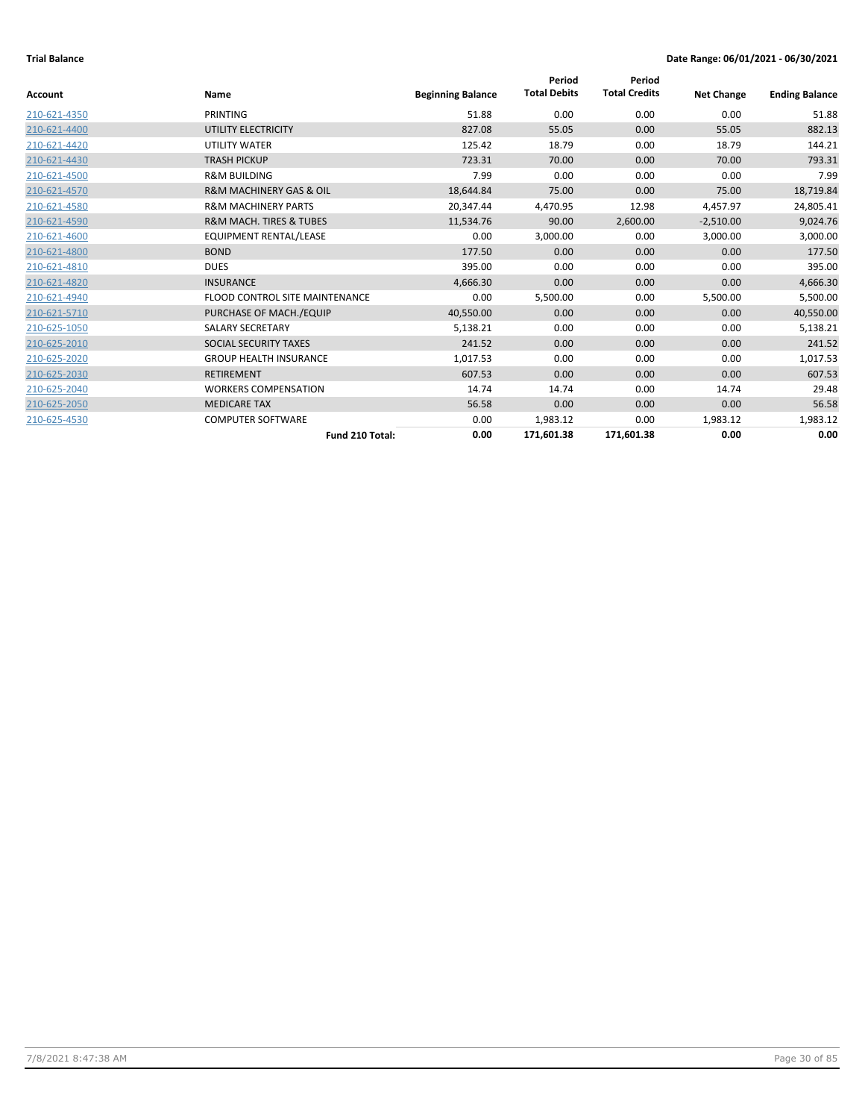|                |                                        |                          | Period              | Period               |                   |                       |
|----------------|----------------------------------------|--------------------------|---------------------|----------------------|-------------------|-----------------------|
| <b>Account</b> | Name                                   | <b>Beginning Balance</b> | <b>Total Debits</b> | <b>Total Credits</b> | <b>Net Change</b> | <b>Ending Balance</b> |
| 210-621-4350   | PRINTING                               | 51.88                    | 0.00                | 0.00                 | 0.00              | 51.88                 |
| 210-621-4400   | UTILITY ELECTRICITY                    | 827.08                   | 55.05               | 0.00                 | 55.05             | 882.13                |
| 210-621-4420   | UTILITY WATER                          | 125.42                   | 18.79               | 0.00                 | 18.79             | 144.21                |
| 210-621-4430   | <b>TRASH PICKUP</b>                    | 723.31                   | 70.00               | 0.00                 | 70.00             | 793.31                |
| 210-621-4500   | <b>R&amp;M BUILDING</b>                | 7.99                     | 0.00                | 0.00                 | 0.00              | 7.99                  |
| 210-621-4570   | <b>R&amp;M MACHINERY GAS &amp; OIL</b> | 18,644.84                | 75.00               | 0.00                 | 75.00             | 18,719.84             |
| 210-621-4580   | <b>R&amp;M MACHINERY PARTS</b>         | 20,347.44                | 4,470.95            | 12.98                | 4,457.97          | 24,805.41             |
| 210-621-4590   | <b>R&amp;M MACH. TIRES &amp; TUBES</b> | 11,534.76                | 90.00               | 2,600.00             | $-2,510.00$       | 9,024.76              |
| 210-621-4600   | EQUIPMENT RENTAL/LEASE                 | 0.00                     | 3,000.00            | 0.00                 | 3,000.00          | 3,000.00              |
| 210-621-4800   | <b>BOND</b>                            | 177.50                   | 0.00                | 0.00                 | 0.00              | 177.50                |
| 210-621-4810   | <b>DUES</b>                            | 395.00                   | 0.00                | 0.00                 | 0.00              | 395.00                |
| 210-621-4820   | <b>INSURANCE</b>                       | 4,666.30                 | 0.00                | 0.00                 | 0.00              | 4,666.30              |
| 210-621-4940   | <b>FLOOD CONTROL SITE MAINTENANCE</b>  | 0.00                     | 5,500.00            | 0.00                 | 5,500.00          | 5,500.00              |
| 210-621-5710   | PURCHASE OF MACH./EQUIP                | 40,550.00                | 0.00                | 0.00                 | 0.00              | 40,550.00             |
| 210-625-1050   | <b>SALARY SECRETARY</b>                | 5,138.21                 | 0.00                | 0.00                 | 0.00              | 5,138.21              |
| 210-625-2010   | SOCIAL SECURITY TAXES                  | 241.52                   | 0.00                | 0.00                 | 0.00              | 241.52                |
| 210-625-2020   | <b>GROUP HEALTH INSURANCE</b>          | 1,017.53                 | 0.00                | 0.00                 | 0.00              | 1,017.53              |
| 210-625-2030   | <b>RETIREMENT</b>                      | 607.53                   | 0.00                | 0.00                 | 0.00              | 607.53                |
| 210-625-2040   | <b>WORKERS COMPENSATION</b>            | 14.74                    | 14.74               | 0.00                 | 14.74             | 29.48                 |
| 210-625-2050   | <b>MEDICARE TAX</b>                    | 56.58                    | 0.00                | 0.00                 | 0.00              | 56.58                 |
| 210-625-4530   | <b>COMPUTER SOFTWARE</b>               | 0.00                     | 1,983.12            | 0.00                 | 1,983.12          | 1,983.12              |
|                | Fund 210 Total:                        | 0.00                     | 171,601.38          | 171,601.38           | 0.00              | 0.00                  |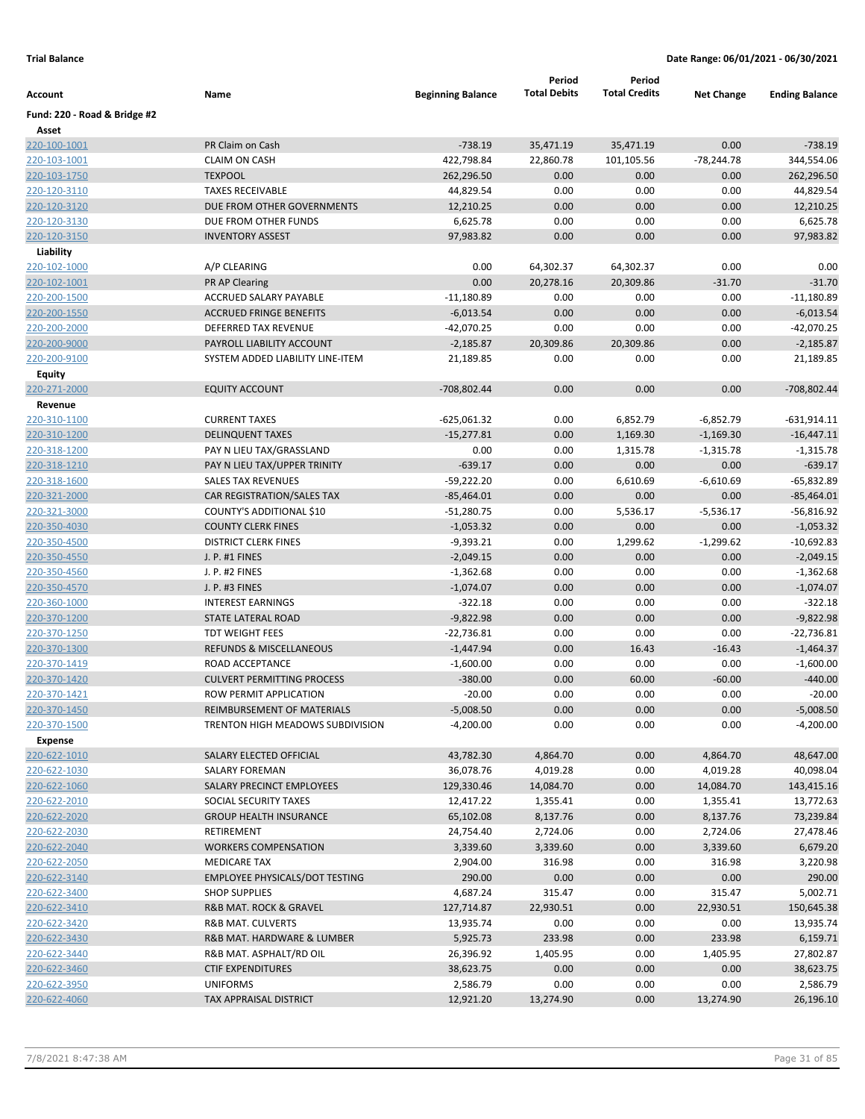|                              |                                       |                          | Period               | Period               |                      |                       |
|------------------------------|---------------------------------------|--------------------------|----------------------|----------------------|----------------------|-----------------------|
| Account                      | Name                                  | <b>Beginning Balance</b> | <b>Total Debits</b>  | <b>Total Credits</b> | <b>Net Change</b>    | <b>Ending Balance</b> |
| Fund: 220 - Road & Bridge #2 |                                       |                          |                      |                      |                      |                       |
| Asset<br>220-100-1001        | PR Claim on Cash                      | $-738.19$                | 35,471.19            | 35,471.19            | 0.00                 | $-738.19$             |
| 220-103-1001                 | <b>CLAIM ON CASH</b>                  | 422,798.84               | 22,860.78            | 101,105.56           | -78,244.78           | 344,554.06            |
| 220-103-1750                 | <b>TEXPOOL</b>                        | 262,296.50               | 0.00                 | 0.00                 | 0.00                 | 262,296.50            |
| 220-120-3110                 | <b>TAXES RECEIVABLE</b>               | 44,829.54                | 0.00                 | 0.00                 | 0.00                 | 44,829.54             |
| 220-120-3120                 | DUE FROM OTHER GOVERNMENTS            | 12,210.25                | 0.00                 | 0.00                 | 0.00                 | 12,210.25             |
| 220-120-3130                 | DUE FROM OTHER FUNDS                  | 6,625.78                 | 0.00                 | 0.00                 | 0.00                 | 6,625.78              |
| 220-120-3150                 | <b>INVENTORY ASSEST</b>               | 97,983.82                | 0.00                 | 0.00                 | 0.00                 | 97,983.82             |
| Liability                    |                                       |                          |                      |                      |                      |                       |
| 220-102-1000                 | A/P CLEARING                          | 0.00                     | 64,302.37            | 64,302.37            | 0.00                 | 0.00                  |
| 220-102-1001                 | PR AP Clearing                        | 0.00                     | 20,278.16            | 20,309.86            | $-31.70$             | $-31.70$              |
| 220-200-1500                 | ACCRUED SALARY PAYABLE                | $-11,180.89$             | 0.00                 | 0.00                 | 0.00                 | $-11,180.89$          |
| 220-200-1550                 | <b>ACCRUED FRINGE BENEFITS</b>        | $-6,013.54$              | 0.00                 | 0.00                 | 0.00                 | $-6,013.54$           |
| 220-200-2000                 | <b>DEFERRED TAX REVENUE</b>           | $-42,070.25$             | 0.00                 | 0.00                 | 0.00                 | $-42,070.25$          |
| 220-200-9000                 | PAYROLL LIABILITY ACCOUNT             | $-2,185.87$              | 20,309.86            | 20,309.86            | 0.00                 | $-2,185.87$           |
| 220-200-9100                 | SYSTEM ADDED LIABILITY LINE-ITEM      | 21,189.85                | 0.00                 | 0.00                 | 0.00                 | 21,189.85             |
| Equity                       |                                       |                          |                      |                      |                      |                       |
| 220-271-2000                 | <b>EQUITY ACCOUNT</b>                 | -708,802.44              | 0.00                 | 0.00                 | 0.00                 | -708,802.44           |
| Revenue                      |                                       |                          |                      |                      |                      |                       |
| 220-310-1100                 | <b>CURRENT TAXES</b>                  | $-625,061.32$            | 0.00                 | 6,852.79             | $-6,852.79$          | $-631,914.11$         |
| 220-310-1200                 | <b>DELINQUENT TAXES</b>               | $-15,277.81$             | 0.00                 | 1,169.30             | $-1,169.30$          | $-16,447.11$          |
| 220-318-1200                 | PAY N LIEU TAX/GRASSLAND              | 0.00                     | 0.00                 | 1,315.78             | $-1,315.78$          | $-1,315.78$           |
| 220-318-1210                 | PAY N LIEU TAX/UPPER TRINITY          | $-639.17$                | 0.00                 | 0.00                 | 0.00                 | $-639.17$             |
| 220-318-1600                 | <b>SALES TAX REVENUES</b>             | $-59,222.20$             | 0.00                 | 6,610.69             | $-6,610.69$          | $-65,832.89$          |
| 220-321-2000                 | CAR REGISTRATION/SALES TAX            | $-85,464.01$             | 0.00                 | 0.00                 | 0.00                 | $-85,464.01$          |
| 220-321-3000                 | COUNTY'S ADDITIONAL \$10              | $-51,280.75$             | 0.00                 | 5,536.17             | $-5,536.17$          | $-56,816.92$          |
| 220-350-4030                 | <b>COUNTY CLERK FINES</b>             | $-1,053.32$              | 0.00                 | 0.00                 | 0.00                 | $-1,053.32$           |
| 220-350-4500                 | <b>DISTRICT CLERK FINES</b>           | $-9,393.21$              | 0.00                 | 1,299.62             | $-1,299.62$          | $-10,692.83$          |
| 220-350-4550                 | J. P. #1 FINES                        | $-2,049.15$              | 0.00                 | 0.00                 | 0.00                 | $-2,049.15$           |
| 220-350-4560                 | J. P. #2 FINES                        | $-1,362.68$              | 0.00                 | 0.00                 | 0.00                 | $-1,362.68$           |
| 220-350-4570                 | J. P. #3 FINES                        | $-1,074.07$              | 0.00                 | 0.00                 | 0.00                 | $-1,074.07$           |
| 220-360-1000                 | <b>INTEREST EARNINGS</b>              | $-322.18$                | 0.00                 | 0.00                 | 0.00                 | $-322.18$             |
| 220-370-1200                 | <b>STATE LATERAL ROAD</b>             | $-9,822.98$              | 0.00                 | 0.00                 | 0.00                 | $-9,822.98$           |
| 220-370-1250                 | <b>TDT WEIGHT FEES</b>                | $-22,736.81$             | 0.00                 | 0.00                 | 0.00                 | $-22,736.81$          |
| 220-370-1300                 | REFUNDS & MISCELLANEOUS               | $-1,447.94$              | 0.00                 | 16.43                | $-16.43$             | $-1,464.37$           |
| 220-370-1419                 | ROAD ACCEPTANCE                       | $-1,600.00$              | 0.00                 | 0.00                 | 0.00                 | $-1,600.00$           |
| 220-370-1420                 | <b>CULVERT PERMITTING PROCESS</b>     | $-380.00$                | 0.00                 | 60.00                | $-60.00$             | $-440.00$             |
| 220-370-1421                 | ROW PERMIT APPLICATION                | $-20.00$                 | 0.00                 | 0.00                 | 0.00                 | $-20.00$              |
| 220-370-1450                 | REIMBURSEMENT OF MATERIALS            | $-5,008.50$              | 0.00                 | 0.00                 | 0.00                 | $-5,008.50$           |
| 220-370-1500                 | TRENTON HIGH MEADOWS SUBDIVISION      | $-4,200.00$              | 0.00                 | 0.00                 | 0.00                 | $-4,200.00$           |
| Expense                      | SALARY ELECTED OFFICIAL               |                          |                      |                      |                      | 48,647.00             |
| 220-622-1010<br>220-622-1030 | <b>SALARY FOREMAN</b>                 | 43,782.30<br>36,078.76   | 4,864.70<br>4,019.28 | 0.00<br>0.00         | 4,864.70<br>4,019.28 | 40,098.04             |
| 220-622-1060                 | SALARY PRECINCT EMPLOYEES             | 129,330.46               | 14,084.70            | 0.00                 | 14,084.70            | 143,415.16            |
| 220-622-2010                 | SOCIAL SECURITY TAXES                 | 12,417.22                | 1,355.41             | 0.00                 | 1,355.41             | 13,772.63             |
| 220-622-2020                 | <b>GROUP HEALTH INSURANCE</b>         | 65,102.08                | 8,137.76             | 0.00                 | 8,137.76             | 73,239.84             |
| 220-622-2030                 | RETIREMENT                            | 24,754.40                | 2,724.06             | 0.00                 | 2,724.06             | 27,478.46             |
| 220-622-2040                 | <b>WORKERS COMPENSATION</b>           | 3,339.60                 | 3,339.60             | 0.00                 | 3,339.60             | 6,679.20              |
| 220-622-2050                 | <b>MEDICARE TAX</b>                   | 2,904.00                 | 316.98               | 0.00                 | 316.98               | 3,220.98              |
| 220-622-3140                 | <b>EMPLOYEE PHYSICALS/DOT TESTING</b> | 290.00                   | 0.00                 | 0.00                 | 0.00                 | 290.00                |
| 220-622-3400                 | <b>SHOP SUPPLIES</b>                  | 4,687.24                 | 315.47               | 0.00                 | 315.47               | 5,002.71              |
| 220-622-3410                 | <b>R&amp;B MAT. ROCK &amp; GRAVEL</b> | 127,714.87               | 22,930.51            | 0.00                 | 22,930.51            | 150,645.38            |
| 220-622-3420                 | R&B MAT. CULVERTS                     | 13,935.74                | 0.00                 | 0.00                 | 0.00                 | 13,935.74             |
| 220-622-3430                 | R&B MAT. HARDWARE & LUMBER            | 5,925.73                 | 233.98               | 0.00                 | 233.98               | 6,159.71              |
| 220-622-3440                 | R&B MAT. ASPHALT/RD OIL               | 26,396.92                | 1,405.95             | 0.00                 | 1,405.95             | 27,802.87             |
| 220-622-3460                 | <b>CTIF EXPENDITURES</b>              | 38,623.75                | 0.00                 | 0.00                 | 0.00                 | 38,623.75             |
| 220-622-3950                 | <b>UNIFORMS</b>                       | 2,586.79                 | 0.00                 | 0.00                 | 0.00                 | 2,586.79              |
| 220-622-4060                 | TAX APPRAISAL DISTRICT                | 12,921.20                | 13,274.90            | 0.00                 | 13,274.90            | 26,196.10             |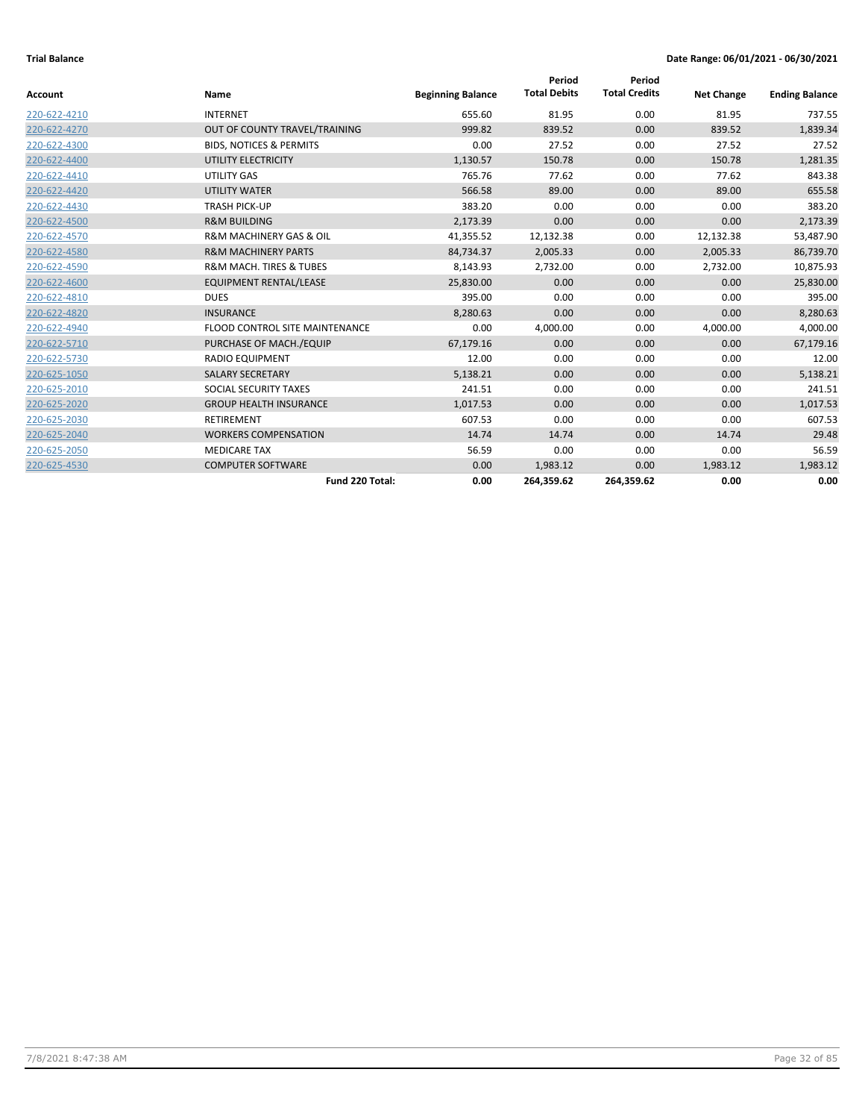|              |                                        |                          | Period              | Period               |                   |                       |
|--------------|----------------------------------------|--------------------------|---------------------|----------------------|-------------------|-----------------------|
| Account      | Name                                   | <b>Beginning Balance</b> | <b>Total Debits</b> | <b>Total Credits</b> | <b>Net Change</b> | <b>Ending Balance</b> |
| 220-622-4210 | <b>INTERNET</b>                        | 655.60                   | 81.95               | 0.00                 | 81.95             | 737.55                |
| 220-622-4270 | OUT OF COUNTY TRAVEL/TRAINING          | 999.82                   | 839.52              | 0.00                 | 839.52            | 1,839.34              |
| 220-622-4300 | <b>BIDS, NOTICES &amp; PERMITS</b>     | 0.00                     | 27.52               | 0.00                 | 27.52             | 27.52                 |
| 220-622-4400 | UTILITY ELECTRICITY                    | 1,130.57                 | 150.78              | 0.00                 | 150.78            | 1,281.35              |
| 220-622-4410 | UTILITY GAS                            | 765.76                   | 77.62               | 0.00                 | 77.62             | 843.38                |
| 220-622-4420 | <b>UTILITY WATER</b>                   | 566.58                   | 89.00               | 0.00                 | 89.00             | 655.58                |
| 220-622-4430 | <b>TRASH PICK-UP</b>                   | 383.20                   | 0.00                | 0.00                 | 0.00              | 383.20                |
| 220-622-4500 | <b>R&amp;M BUILDING</b>                | 2,173.39                 | 0.00                | 0.00                 | 0.00              | 2,173.39              |
| 220-622-4570 | <b>R&amp;M MACHINERY GAS &amp; OIL</b> | 41,355.52                | 12,132.38           | 0.00                 | 12,132.38         | 53,487.90             |
| 220-622-4580 | <b>R&amp;M MACHINERY PARTS</b>         | 84,734.37                | 2,005.33            | 0.00                 | 2,005.33          | 86,739.70             |
| 220-622-4590 | <b>R&amp;M MACH. TIRES &amp; TUBES</b> | 8,143.93                 | 2,732.00            | 0.00                 | 2,732.00          | 10,875.93             |
| 220-622-4600 | <b>EQUIPMENT RENTAL/LEASE</b>          | 25,830.00                | 0.00                | 0.00                 | 0.00              | 25,830.00             |
| 220-622-4810 | <b>DUES</b>                            | 395.00                   | 0.00                | 0.00                 | 0.00              | 395.00                |
| 220-622-4820 | <b>INSURANCE</b>                       | 8,280.63                 | 0.00                | 0.00                 | 0.00              | 8,280.63              |
| 220-622-4940 | <b>FLOOD CONTROL SITE MAINTENANCE</b>  | 0.00                     | 4,000.00            | 0.00                 | 4,000.00          | 4,000.00              |
| 220-622-5710 | PURCHASE OF MACH./EQUIP                | 67,179.16                | 0.00                | 0.00                 | 0.00              | 67,179.16             |
| 220-622-5730 | <b>RADIO EQUIPMENT</b>                 | 12.00                    | 0.00                | 0.00                 | 0.00              | 12.00                 |
| 220-625-1050 | <b>SALARY SECRETARY</b>                | 5,138.21                 | 0.00                | 0.00                 | 0.00              | 5,138.21              |
| 220-625-2010 | SOCIAL SECURITY TAXES                  | 241.51                   | 0.00                | 0.00                 | 0.00              | 241.51                |
| 220-625-2020 | <b>GROUP HEALTH INSURANCE</b>          | 1,017.53                 | 0.00                | 0.00                 | 0.00              | 1,017.53              |
| 220-625-2030 | <b>RETIREMENT</b>                      | 607.53                   | 0.00                | 0.00                 | 0.00              | 607.53                |
| 220-625-2040 | <b>WORKERS COMPENSATION</b>            | 14.74                    | 14.74               | 0.00                 | 14.74             | 29.48                 |
| 220-625-2050 | <b>MEDICARE TAX</b>                    | 56.59                    | 0.00                | 0.00                 | 0.00              | 56.59                 |
| 220-625-4530 | <b>COMPUTER SOFTWARE</b>               | 0.00                     | 1,983.12            | 0.00                 | 1,983.12          | 1,983.12              |
|              | Fund 220 Total:                        | 0.00                     | 264,359.62          | 264,359.62           | 0.00              | 0.00                  |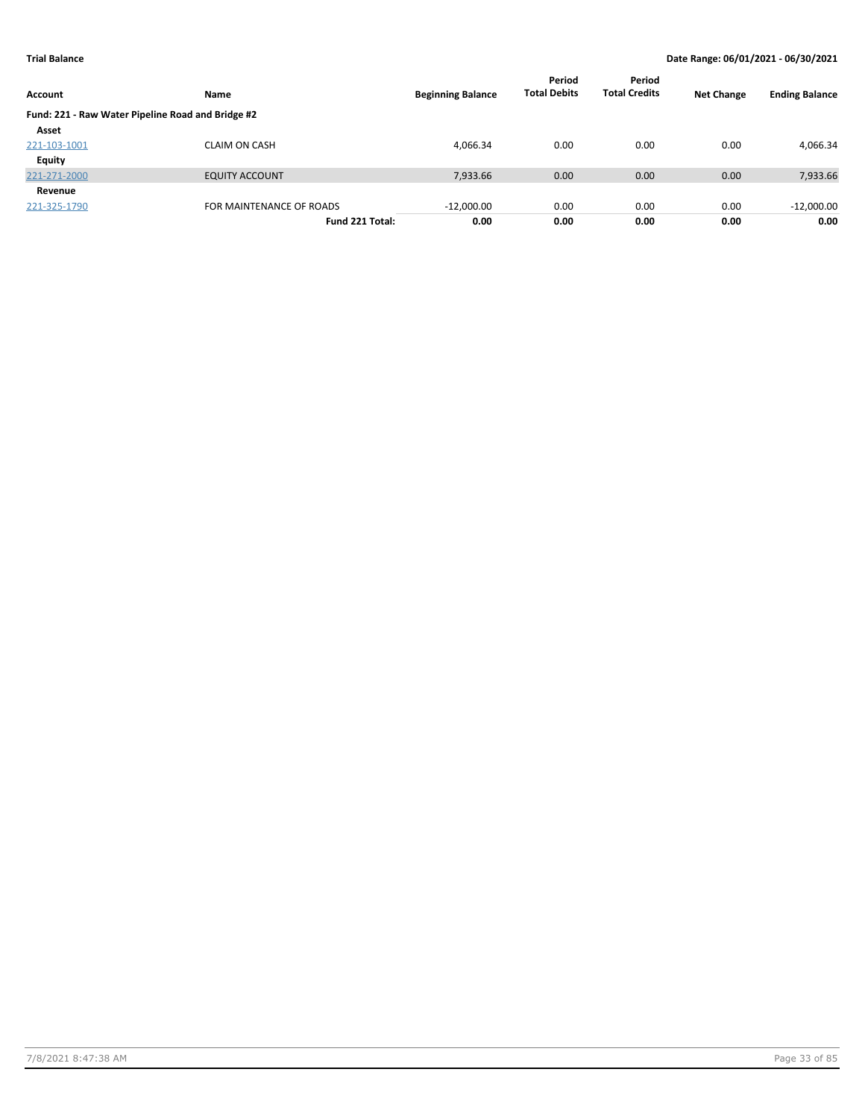| Account                                           | <b>Name</b>              | <b>Beginning Balance</b> | Period<br><b>Total Debits</b> | Period<br><b>Total Credits</b> | <b>Net Change</b> | <b>Ending Balance</b> |
|---------------------------------------------------|--------------------------|--------------------------|-------------------------------|--------------------------------|-------------------|-----------------------|
| Fund: 221 - Raw Water Pipeline Road and Bridge #2 |                          |                          |                               |                                |                   |                       |
| Asset                                             |                          |                          |                               |                                |                   |                       |
| 221-103-1001                                      | <b>CLAIM ON CASH</b>     | 4,066.34                 | 0.00                          | 0.00                           | 0.00              | 4,066.34              |
| <b>Equity</b>                                     |                          |                          |                               |                                |                   |                       |
| 221-271-2000                                      | <b>EQUITY ACCOUNT</b>    | 7,933.66                 | 0.00                          | 0.00                           | 0.00              | 7,933.66              |
| Revenue                                           |                          |                          |                               |                                |                   |                       |
| 221-325-1790                                      | FOR MAINTENANCE OF ROADS | $-12,000.00$             | 0.00                          | 0.00                           | 0.00              | $-12,000.00$          |
|                                                   | Fund 221 Total:          | 0.00                     | 0.00                          | 0.00                           | 0.00              | 0.00                  |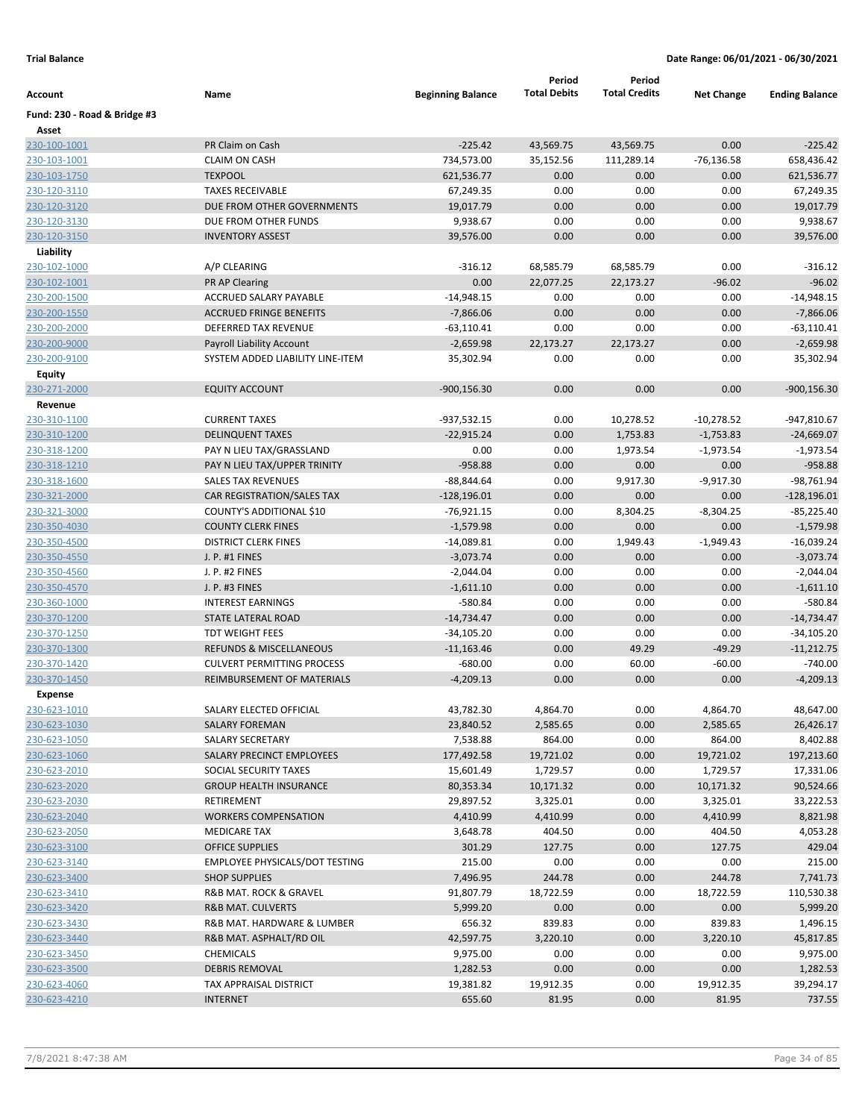|                              |                                                           |                           | Period              | Period               |                     |                               |
|------------------------------|-----------------------------------------------------------|---------------------------|---------------------|----------------------|---------------------|-------------------------------|
| Account                      | Name                                                      | <b>Beginning Balance</b>  | <b>Total Debits</b> | <b>Total Credits</b> | <b>Net Change</b>   | <b>Ending Balance</b>         |
| Fund: 230 - Road & Bridge #3 |                                                           |                           |                     |                      |                     |                               |
| Asset                        |                                                           |                           |                     |                      |                     |                               |
| 230-100-1001                 | PR Claim on Cash                                          | $-225.42$                 | 43,569.75           | 43,569.75            | 0.00                | $-225.42$                     |
| 230-103-1001                 | <b>CLAIM ON CASH</b>                                      | 734,573.00                | 35,152.56           | 111,289.14           | $-76,136.58$        | 658,436.42                    |
| 230-103-1750                 | <b>TEXPOOL</b>                                            | 621,536.77                | 0.00                | 0.00                 | 0.00                | 621,536.77                    |
| 230-120-3110                 | <b>TAXES RECEIVABLE</b>                                   | 67,249.35                 | 0.00                | 0.00                 | 0.00                | 67,249.35                     |
| 230-120-3120                 | DUE FROM OTHER GOVERNMENTS                                | 19,017.79                 | 0.00                | 0.00                 | 0.00                | 19,017.79                     |
| 230-120-3130                 | DUE FROM OTHER FUNDS                                      | 9,938.67                  | 0.00                | 0.00                 | 0.00                | 9,938.67                      |
| 230-120-3150                 | <b>INVENTORY ASSEST</b>                                   | 39,576.00                 | 0.00                | 0.00                 | 0.00                | 39,576.00                     |
| Liability                    |                                                           |                           |                     |                      |                     |                               |
| 230-102-1000                 | A/P CLEARING                                              | $-316.12$                 | 68,585.79           | 68,585.79            | 0.00                | $-316.12$                     |
| 230-102-1001                 | <b>PR AP Clearing</b>                                     | 0.00                      | 22,077.25           | 22,173.27            | $-96.02$            | $-96.02$                      |
| 230-200-1500                 | ACCRUED SALARY PAYABLE                                    | $-14,948.15$              | 0.00                | 0.00                 | 0.00                | -14,948.15                    |
| 230-200-1550                 | <b>ACCRUED FRINGE BENEFITS</b>                            | $-7,866.06$               | 0.00                | 0.00                 | 0.00                | $-7,866.06$                   |
| 230-200-2000                 | DEFERRED TAX REVENUE                                      | $-63,110.41$              | 0.00                | 0.00                 | 0.00                | $-63,110.41$                  |
| 230-200-9000                 | Payroll Liability Account                                 | $-2,659.98$               | 22,173.27           | 22,173.27            | 0.00                | $-2,659.98$                   |
| 230-200-9100                 | SYSTEM ADDED LIABILITY LINE-ITEM                          | 35,302.94                 | 0.00                | 0.00                 | 0.00                | 35,302.94                     |
| <b>Equity</b>                |                                                           |                           |                     |                      |                     |                               |
| 230-271-2000                 | <b>EQUITY ACCOUNT</b>                                     | $-900, 156.30$            | 0.00                | 0.00                 | 0.00                | $-900, 156.30$                |
| Revenue                      |                                                           |                           |                     |                      |                     |                               |
| 230-310-1100                 | <b>CURRENT TAXES</b>                                      | $-937,532.15$             | 0.00                | 10,278.52            | $-10,278.52$        | -947,810.67                   |
| 230-310-1200                 | <b>DELINQUENT TAXES</b>                                   | $-22,915.24$              | 0.00                | 1,753.83             | $-1,753.83$         | $-24,669.07$                  |
| 230-318-1200                 | PAY N LIEU TAX/GRASSLAND                                  | 0.00                      | 0.00                | 1,973.54             | $-1,973.54$         | $-1,973.54$                   |
| 230-318-1210<br>230-318-1600 | PAY N LIEU TAX/UPPER TRINITY<br><b>SALES TAX REVENUES</b> | $-958.88$                 | 0.00                | 0.00                 | 0.00                | $-958.88$                     |
|                              |                                                           | $-88,844.64$              | 0.00<br>0.00        | 9,917.30             | $-9,917.30$         | $-98,761.94$                  |
| 230-321-2000                 | CAR REGISTRATION/SALES TAX                                | $-128,196.01$             | 0.00                | 0.00                 | 0.00<br>$-8,304.25$ | $-128,196.01$<br>$-85,225.40$ |
| 230-321-3000                 | COUNTY'S ADDITIONAL \$10                                  | $-76,921.15$              | 0.00                | 8,304.25             |                     |                               |
| 230-350-4030                 | <b>COUNTY CLERK FINES</b><br><b>DISTRICT CLERK FINES</b>  | $-1,579.98$               | 0.00                | 0.00<br>1,949.43     | 0.00<br>$-1,949.43$ | $-1,579.98$<br>-16,039.24     |
| 230-350-4500<br>230-350-4550 | J. P. #1 FINES                                            | -14,089.81<br>$-3,073.74$ | 0.00                | 0.00                 | 0.00                | $-3,073.74$                   |
| 230-350-4560                 | J. P. #2 FINES                                            | $-2,044.04$               | 0.00                | 0.00                 | 0.00                | $-2,044.04$                   |
| 230-350-4570                 | J. P. #3 FINES                                            | $-1,611.10$               | 0.00                | 0.00                 | 0.00                | $-1,611.10$                   |
| 230-360-1000                 | <b>INTEREST EARNINGS</b>                                  | -580.84                   | 0.00                | 0.00                 | 0.00                | -580.84                       |
| 230-370-1200                 | STATE LATERAL ROAD                                        | $-14,734.47$              | 0.00                | 0.00                 | 0.00                | $-14,734.47$                  |
| 230-370-1250                 | TDT WEIGHT FEES                                           | $-34,105.20$              | 0.00                | 0.00                 | 0.00                | $-34,105.20$                  |
| 230-370-1300                 | <b>REFUNDS &amp; MISCELLANEOUS</b>                        | $-11,163.46$              | 0.00                | 49.29                | $-49.29$            | $-11,212.75$                  |
| 230-370-1420                 | <b>CULVERT PERMITTING PROCESS</b>                         | $-680.00$                 | 0.00                | 60.00                | $-60.00$            | $-740.00$                     |
| 230-370-1450                 | REIMBURSEMENT OF MATERIALS                                | $-4,209.13$               | 0.00                | 0.00                 | 0.00                | $-4,209.13$                   |
| <b>Expense</b>               |                                                           |                           |                     |                      |                     |                               |
| 230-623-1010                 | SALARY ELECTED OFFICIAL                                   | 43,782.30                 | 4,864.70            | 0.00                 | 4,864.70            | 48,647.00                     |
| 230-623-1030                 | SALARY FOREMAN                                            | 23,840.52                 | 2,585.65            | 0.00                 | 2,585.65            | 26,426.17                     |
| 230-623-1050                 | SALARY SECRETARY                                          | 7,538.88                  | 864.00              | 0.00                 | 864.00              | 8,402.88                      |
| 230-623-1060                 | SALARY PRECINCT EMPLOYEES                                 | 177,492.58                | 19,721.02           | 0.00                 | 19,721.02           | 197,213.60                    |
| 230-623-2010                 | SOCIAL SECURITY TAXES                                     | 15,601.49                 | 1,729.57            | 0.00                 | 1,729.57            | 17,331.06                     |
| 230-623-2020                 | <b>GROUP HEALTH INSURANCE</b>                             | 80,353.34                 | 10,171.32           | 0.00                 | 10,171.32           | 90,524.66                     |
| 230-623-2030                 | RETIREMENT                                                | 29,897.52                 | 3,325.01            | 0.00                 | 3,325.01            | 33,222.53                     |
| 230-623-2040                 | <b>WORKERS COMPENSATION</b>                               | 4,410.99                  | 4,410.99            | 0.00                 | 4,410.99            | 8,821.98                      |
| 230-623-2050                 | <b>MEDICARE TAX</b>                                       | 3,648.78                  | 404.50              | 0.00                 | 404.50              | 4,053.28                      |
| 230-623-3100                 | <b>OFFICE SUPPLIES</b>                                    | 301.29                    | 127.75              | 0.00                 | 127.75              | 429.04                        |
| 230-623-3140                 | EMPLOYEE PHYSICALS/DOT TESTING                            | 215.00                    | 0.00                | 0.00                 | 0.00                | 215.00                        |
| 230-623-3400                 | <b>SHOP SUPPLIES</b>                                      | 7,496.95                  | 244.78              | 0.00                 | 244.78              | 7,741.73                      |
| 230-623-3410                 | R&B MAT. ROCK & GRAVEL                                    | 91,807.79                 | 18,722.59           | 0.00                 | 18,722.59           | 110,530.38                    |
| 230-623-3420                 | R&B MAT. CULVERTS                                         | 5,999.20                  | 0.00                | 0.00                 | 0.00                | 5,999.20                      |
| 230-623-3430                 | R&B MAT. HARDWARE & LUMBER                                | 656.32                    | 839.83              | 0.00                 | 839.83              | 1,496.15                      |
| 230-623-3440                 | R&B MAT. ASPHALT/RD OIL                                   | 42,597.75                 | 3,220.10            | 0.00                 | 3,220.10            | 45,817.85                     |
| 230-623-3450                 | <b>CHEMICALS</b>                                          | 9,975.00                  | 0.00                | 0.00                 | 0.00                | 9,975.00                      |
| 230-623-3500                 | <b>DEBRIS REMOVAL</b>                                     | 1,282.53                  | 0.00                | 0.00                 | 0.00                | 1,282.53                      |
| 230-623-4060                 | TAX APPRAISAL DISTRICT                                    | 19,381.82                 | 19,912.35           | 0.00                 | 19,912.35           | 39,294.17                     |
| 230-623-4210                 | <b>INTERNET</b>                                           | 655.60                    | 81.95               | 0.00                 | 81.95               | 737.55                        |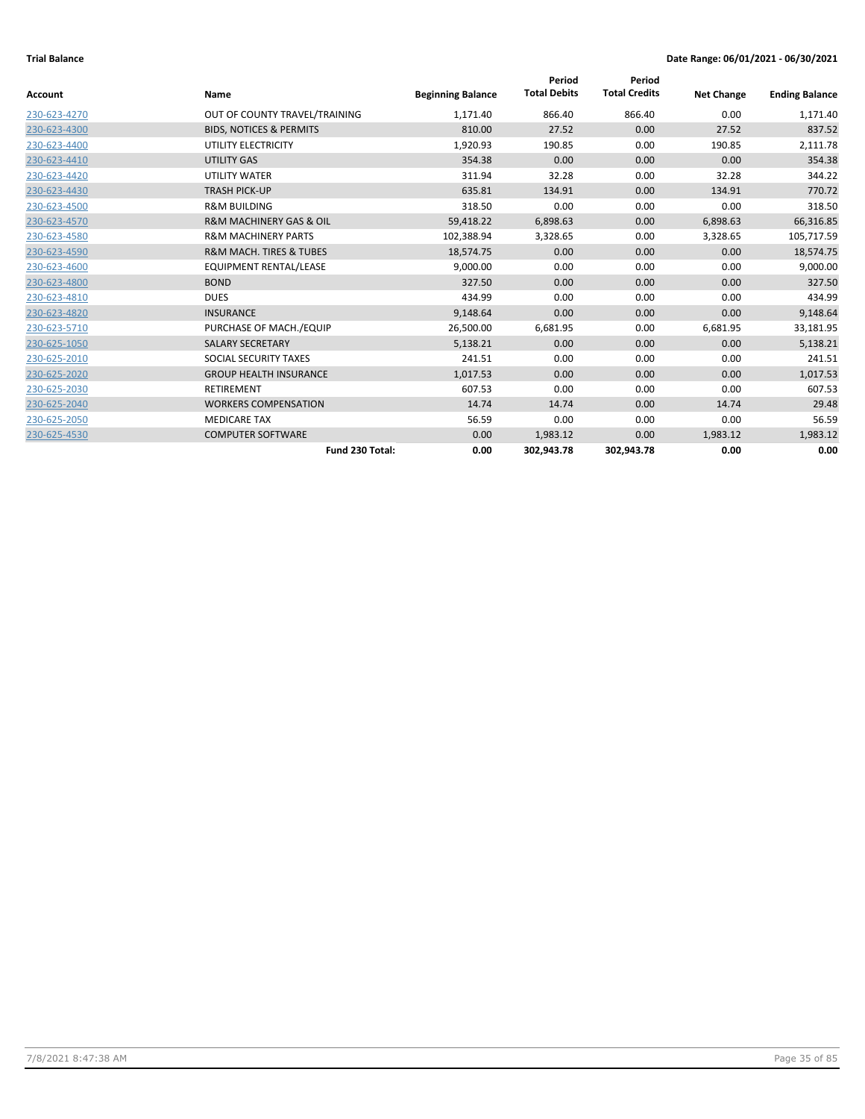|              |                                        |                          | Period              | Period               |                   |                       |
|--------------|----------------------------------------|--------------------------|---------------------|----------------------|-------------------|-----------------------|
| Account      | Name                                   | <b>Beginning Balance</b> | <b>Total Debits</b> | <b>Total Credits</b> | <b>Net Change</b> | <b>Ending Balance</b> |
| 230-623-4270 | OUT OF COUNTY TRAVEL/TRAINING          | 1,171.40                 | 866.40              | 866.40               | 0.00              | 1,171.40              |
| 230-623-4300 | <b>BIDS, NOTICES &amp; PERMITS</b>     | 810.00                   | 27.52               | 0.00                 | 27.52             | 837.52                |
| 230-623-4400 | UTILITY ELECTRICITY                    | 1,920.93                 | 190.85              | 0.00                 | 190.85            | 2,111.78              |
| 230-623-4410 | UTILITY GAS                            | 354.38                   | 0.00                | 0.00                 | 0.00              | 354.38                |
| 230-623-4420 | UTILITY WATER                          | 311.94                   | 32.28               | 0.00                 | 32.28             | 344.22                |
| 230-623-4430 | <b>TRASH PICK-UP</b>                   | 635.81                   | 134.91              | 0.00                 | 134.91            | 770.72                |
| 230-623-4500 | <b>R&amp;M BUILDING</b>                | 318.50                   | 0.00                | 0.00                 | 0.00              | 318.50                |
| 230-623-4570 | <b>R&amp;M MACHINERY GAS &amp; OIL</b> | 59,418.22                | 6,898.63            | 0.00                 | 6,898.63          | 66,316.85             |
| 230-623-4580 | <b>R&amp;M MACHINERY PARTS</b>         | 102,388.94               | 3,328.65            | 0.00                 | 3,328.65          | 105,717.59            |
| 230-623-4590 | <b>R&amp;M MACH. TIRES &amp; TUBES</b> | 18,574.75                | 0.00                | 0.00                 | 0.00              | 18,574.75             |
| 230-623-4600 | EQUIPMENT RENTAL/LEASE                 | 9,000.00                 | 0.00                | 0.00                 | 0.00              | 9,000.00              |
| 230-623-4800 | <b>BOND</b>                            | 327.50                   | 0.00                | 0.00                 | 0.00              | 327.50                |
| 230-623-4810 | <b>DUES</b>                            | 434.99                   | 0.00                | 0.00                 | 0.00              | 434.99                |
| 230-623-4820 | <b>INSURANCE</b>                       | 9,148.64                 | 0.00                | 0.00                 | 0.00              | 9,148.64              |
| 230-623-5710 | PURCHASE OF MACH./EQUIP                | 26,500.00                | 6,681.95            | 0.00                 | 6,681.95          | 33,181.95             |
| 230-625-1050 | <b>SALARY SECRETARY</b>                | 5,138.21                 | 0.00                | 0.00                 | 0.00              | 5,138.21              |
| 230-625-2010 | SOCIAL SECURITY TAXES                  | 241.51                   | 0.00                | 0.00                 | 0.00              | 241.51                |
| 230-625-2020 | <b>GROUP HEALTH INSURANCE</b>          | 1,017.53                 | 0.00                | 0.00                 | 0.00              | 1,017.53              |
| 230-625-2030 | RETIREMENT                             | 607.53                   | 0.00                | 0.00                 | 0.00              | 607.53                |
| 230-625-2040 | <b>WORKERS COMPENSATION</b>            | 14.74                    | 14.74               | 0.00                 | 14.74             | 29.48                 |
| 230-625-2050 | <b>MEDICARE TAX</b>                    | 56.59                    | 0.00                | 0.00                 | 0.00              | 56.59                 |
| 230-625-4530 | <b>COMPUTER SOFTWARE</b>               | 0.00                     | 1,983.12            | 0.00                 | 1,983.12          | 1,983.12              |
|              | Fund 230 Total:                        | 0.00                     | 302,943.78          | 302,943.78           | 0.00              | 0.00                  |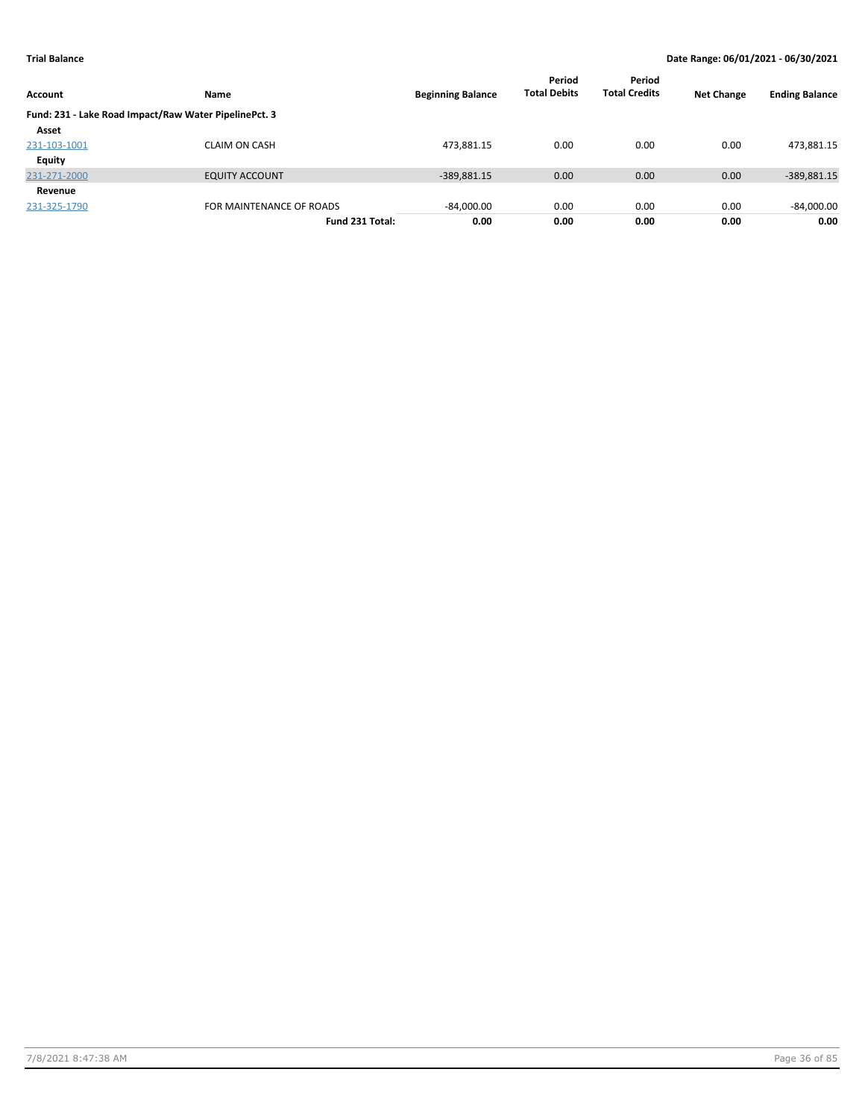| Account      | Name                                                  | <b>Beginning Balance</b> | Period<br><b>Total Debits</b> | Period<br><b>Total Credits</b> | <b>Net Change</b> | <b>Ending Balance</b> |
|--------------|-------------------------------------------------------|--------------------------|-------------------------------|--------------------------------|-------------------|-----------------------|
|              | Fund: 231 - Lake Road Impact/Raw Water PipelinePct. 3 |                          |                               |                                |                   |                       |
| Asset        |                                                       |                          |                               |                                |                   |                       |
| 231-103-1001 | <b>CLAIM ON CASH</b>                                  | 473,881.15               | 0.00                          | 0.00                           | 0.00              | 473,881.15            |
| Equity       |                                                       |                          |                               |                                |                   |                       |
| 231-271-2000 | <b>EQUITY ACCOUNT</b>                                 | $-389,881.15$            | 0.00                          | 0.00                           | 0.00              | -389,881.15           |
| Revenue      |                                                       |                          |                               |                                |                   |                       |
| 231-325-1790 | FOR MAINTENANCE OF ROADS                              | $-84,000.00$             | 0.00                          | 0.00                           | 0.00              | $-84,000.00$          |
|              | Fund 231 Total:                                       | 0.00                     | 0.00                          | 0.00                           | 0.00              | 0.00                  |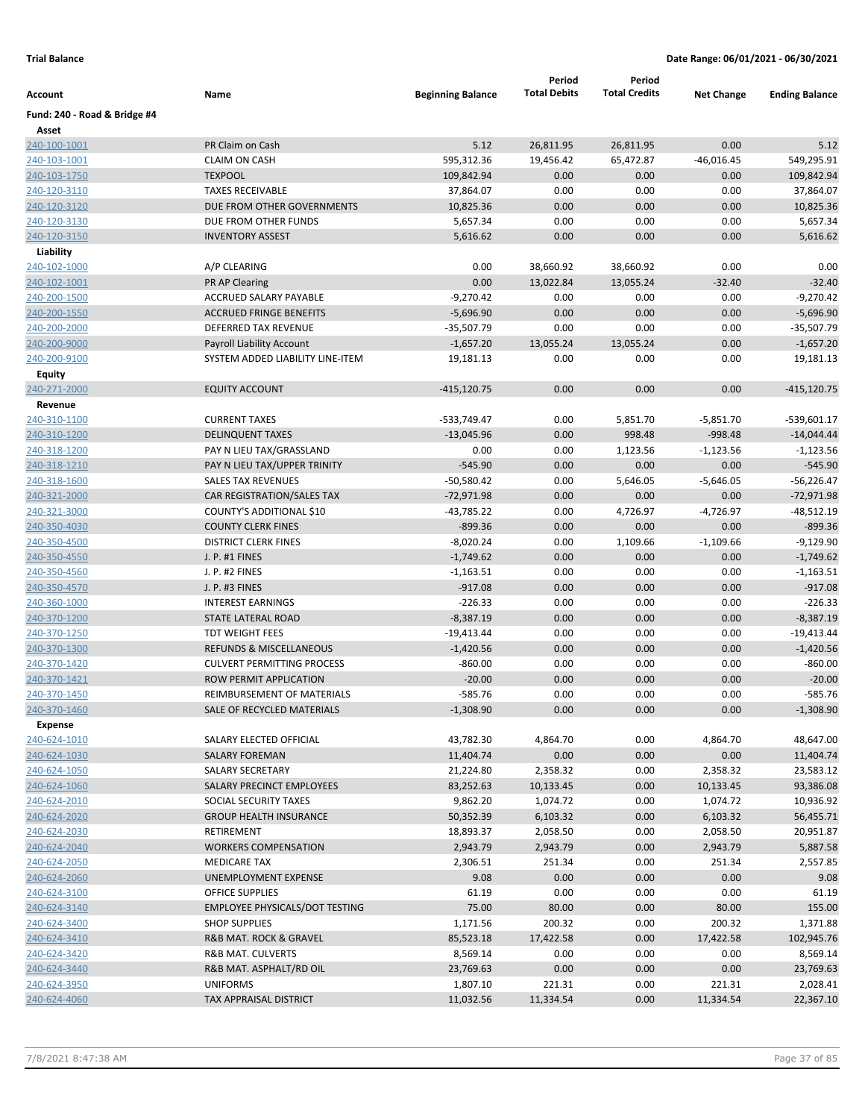|                              |                                       |                          | Period              | Period               |                   |                       |
|------------------------------|---------------------------------------|--------------------------|---------------------|----------------------|-------------------|-----------------------|
| Account                      | Name                                  | <b>Beginning Balance</b> | <b>Total Debits</b> | <b>Total Credits</b> | <b>Net Change</b> | <b>Ending Balance</b> |
| Fund: 240 - Road & Bridge #4 |                                       |                          |                     |                      |                   |                       |
| Asset                        |                                       |                          |                     |                      |                   |                       |
| 240-100-1001                 | PR Claim on Cash                      | 5.12                     | 26,811.95           | 26,811.95            | 0.00              | 5.12                  |
| 240-103-1001                 | <b>CLAIM ON CASH</b>                  | 595,312.36               | 19,456.42           | 65,472.87            | $-46,016.45$      | 549,295.91            |
| 240-103-1750                 | <b>TEXPOOL</b>                        | 109,842.94               | 0.00                | 0.00                 | 0.00              | 109,842.94            |
| 240-120-3110                 | <b>TAXES RECEIVABLE</b>               | 37,864.07                | 0.00                | 0.00                 | 0.00              | 37,864.07             |
| 240-120-3120                 | DUE FROM OTHER GOVERNMENTS            | 10,825.36                | 0.00                | 0.00                 | 0.00              | 10,825.36             |
| 240-120-3130                 | DUE FROM OTHER FUNDS                  | 5,657.34                 | 0.00                | 0.00                 | 0.00              | 5,657.34              |
| 240-120-3150                 | <b>INVENTORY ASSEST</b>               | 5,616.62                 | 0.00                | 0.00                 | 0.00              | 5,616.62              |
| Liability                    |                                       |                          |                     |                      |                   |                       |
| 240-102-1000                 | A/P CLEARING                          | 0.00                     | 38,660.92           | 38,660.92            | 0.00              | 0.00                  |
| 240-102-1001                 | PR AP Clearing                        | 0.00                     | 13,022.84           | 13,055.24            | $-32.40$          | $-32.40$              |
| 240-200-1500                 | ACCRUED SALARY PAYABLE                | $-9,270.42$              | 0.00                | 0.00                 | 0.00              | $-9,270.42$           |
| 240-200-1550                 | <b>ACCRUED FRINGE BENEFITS</b>        | $-5,696.90$              | 0.00                | 0.00                 | 0.00              | $-5,696.90$           |
| 240-200-2000                 | DEFERRED TAX REVENUE                  | $-35,507.79$             | 0.00                | 0.00                 | 0.00              | $-35,507.79$          |
| 240-200-9000                 | <b>Payroll Liability Account</b>      | $-1,657.20$              | 13,055.24           | 13,055.24            | 0.00              | $-1,657.20$           |
| 240-200-9100                 | SYSTEM ADDED LIABILITY LINE-ITEM      | 19,181.13                | 0.00                | 0.00                 | 0.00              | 19,181.13             |
| Equity                       |                                       |                          |                     |                      |                   |                       |
| 240-271-2000                 | <b>EQUITY ACCOUNT</b>                 | $-415, 120.75$           | 0.00                | 0.00                 | 0.00              | $-415, 120.75$        |
| Revenue                      |                                       |                          |                     |                      |                   |                       |
| 240-310-1100                 | <b>CURRENT TAXES</b>                  | -533,749.47              | 0.00                | 5,851.70             | $-5,851.70$       | -539,601.17           |
| 240-310-1200                 | <b>DELINQUENT TAXES</b>               | $-13,045.96$             | 0.00                | 998.48               | $-998.48$         | $-14,044.44$          |
| 240-318-1200                 | PAY N LIEU TAX/GRASSLAND              | 0.00                     | 0.00                | 1,123.56             | $-1,123.56$       | $-1,123.56$           |
| 240-318-1210                 | PAY N LIEU TAX/UPPER TRINITY          | $-545.90$                | 0.00                | 0.00                 | 0.00              | $-545.90$             |
| 240-318-1600                 | <b>SALES TAX REVENUES</b>             | $-50,580.42$             | 0.00                | 5,646.05             | $-5,646.05$       | $-56,226.47$          |
| 240-321-2000                 | CAR REGISTRATION/SALES TAX            | $-72,971.98$             | 0.00                | 0.00                 | 0.00              | $-72,971.98$          |
| 240-321-3000                 | COUNTY'S ADDITIONAL \$10              | $-43,785.22$             | 0.00                | 4,726.97             | $-4,726.97$       | $-48,512.19$          |
| 240-350-4030                 | <b>COUNTY CLERK FINES</b>             | $-899.36$                | 0.00                | 0.00                 | 0.00              | $-899.36$             |
| 240-350-4500                 | <b>DISTRICT CLERK FINES</b>           | $-8,020.24$              | 0.00                | 1,109.66             | $-1,109.66$       | $-9,129.90$           |
| 240-350-4550                 | J. P. #1 FINES                        | $-1,749.62$              | 0.00                | 0.00                 | 0.00              | $-1,749.62$           |
| 240-350-4560                 | J. P. #2 FINES                        | $-1,163.51$              | 0.00                | 0.00                 | 0.00              | $-1,163.51$           |
| 240-350-4570                 | J. P. #3 FINES                        | $-917.08$                | 0.00                | 0.00                 | 0.00              | $-917.08$             |
| 240-360-1000                 | <b>INTEREST EARNINGS</b>              | $-226.33$                | 0.00                | 0.00                 | 0.00              | $-226.33$             |
| 240-370-1200                 | STATE LATERAL ROAD                    | $-8,387.19$              | 0.00                | 0.00                 | 0.00              | $-8,387.19$           |
| 240-370-1250                 | <b>TDT WEIGHT FEES</b>                | $-19,413.44$             | 0.00                | 0.00                 | 0.00              | $-19,413.44$          |
| 240-370-1300                 | REFUNDS & MISCELLANEOUS               | $-1,420.56$              | 0.00                | 0.00                 | 0.00              | $-1,420.56$           |
| 240-370-1420                 | <b>CULVERT PERMITTING PROCESS</b>     | $-860.00$                | 0.00                | 0.00                 | 0.00              | $-860.00$             |
| 240-370-1421                 | ROW PERMIT APPLICATION                | $-20.00$                 | 0.00                | 0.00                 | 0.00              | $-20.00$              |
| 240-370-1450                 | REIMBURSEMENT OF MATERIALS            | $-585.76$                | 0.00                | 0.00                 | 0.00              | $-585.76$             |
| 240-370-1460                 | SALE OF RECYCLED MATERIALS            | $-1,308.90$              | 0.00                | 0.00                 | 0.00              | $-1,308.90$           |
| <b>Expense</b>               |                                       |                          |                     |                      |                   |                       |
| 240-624-1010                 | SALARY ELECTED OFFICIAL               | 43,782.30                | 4,864.70            | 0.00                 | 4,864.70          | 48,647.00             |
| 240-624-1030                 | <b>SALARY FOREMAN</b>                 | 11,404.74                | 0.00                | 0.00                 | 0.00              | 11,404.74             |
| 240-624-1050                 | SALARY SECRETARY                      | 21,224.80                | 2,358.32            | 0.00                 | 2,358.32          | 23,583.12             |
| 240-624-1060                 | <b>SALARY PRECINCT EMPLOYEES</b>      | 83,252.63                | 10,133.45           | 0.00                 | 10,133.45         | 93,386.08             |
| 240-624-2010                 | SOCIAL SECURITY TAXES                 | 9,862.20                 | 1,074.72            | 0.00                 | 1,074.72          | 10,936.92             |
| 240-624-2020                 | <b>GROUP HEALTH INSURANCE</b>         | 50,352.39                | 6,103.32            | 0.00                 | 6,103.32          | 56,455.71             |
| 240-624-2030                 | RETIREMENT                            | 18,893.37                | 2,058.50            | 0.00                 | 2,058.50          | 20,951.87             |
| 240-624-2040                 | <b>WORKERS COMPENSATION</b>           | 2,943.79                 | 2,943.79            | 0.00                 | 2,943.79          | 5,887.58              |
| 240-624-2050                 | <b>MEDICARE TAX</b>                   | 2,306.51                 | 251.34              | 0.00                 | 251.34            | 2,557.85              |
| 240-624-2060                 | UNEMPLOYMENT EXPENSE                  | 9.08                     | 0.00                | 0.00                 | 0.00              | 9.08                  |
| 240-624-3100                 | <b>OFFICE SUPPLIES</b>                | 61.19                    | 0.00                | 0.00                 | 0.00              | 61.19                 |
| 240-624-3140                 | <b>EMPLOYEE PHYSICALS/DOT TESTING</b> | 75.00                    | 80.00               | 0.00                 | 80.00             | 155.00                |
| 240-624-3400                 | <b>SHOP SUPPLIES</b>                  | 1,171.56                 | 200.32              | 0.00                 | 200.32            | 1,371.88              |
| 240-624-3410                 | R&B MAT. ROCK & GRAVEL                | 85,523.18                | 17,422.58           | 0.00                 | 17,422.58         | 102,945.76            |
| 240-624-3420                 | R&B MAT. CULVERTS                     | 8,569.14                 | 0.00                | 0.00                 | 0.00              | 8,569.14              |
| 240-624-3440                 | R&B MAT. ASPHALT/RD OIL               | 23,769.63                | 0.00                | 0.00                 | 0.00              | 23,769.63             |
| 240-624-3950                 | <b>UNIFORMS</b>                       | 1,807.10                 | 221.31              | 0.00                 | 221.31            | 2,028.41              |
| 240-624-4060                 | TAX APPRAISAL DISTRICT                | 11,032.56                | 11,334.54           | 0.00                 | 11,334.54         | 22,367.10             |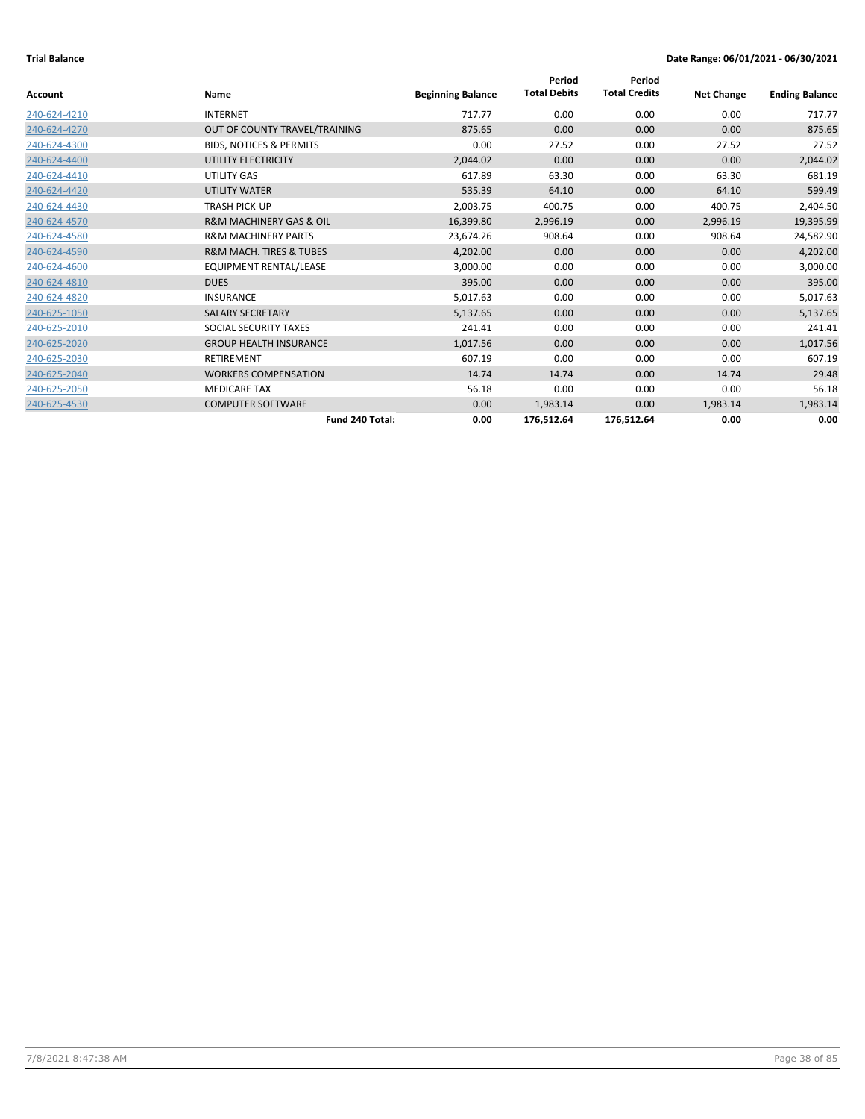|                |                                        |                          | Period              | Period               |                   |                       |
|----------------|----------------------------------------|--------------------------|---------------------|----------------------|-------------------|-----------------------|
| <b>Account</b> | Name                                   | <b>Beginning Balance</b> | <b>Total Debits</b> | <b>Total Credits</b> | <b>Net Change</b> | <b>Ending Balance</b> |
| 240-624-4210   | <b>INTERNET</b>                        | 717.77                   | 0.00                | 0.00                 | 0.00              | 717.77                |
| 240-624-4270   | OUT OF COUNTY TRAVEL/TRAINING          | 875.65                   | 0.00                | 0.00                 | 0.00              | 875.65                |
| 240-624-4300   | <b>BIDS, NOTICES &amp; PERMITS</b>     | 0.00                     | 27.52               | 0.00                 | 27.52             | 27.52                 |
| 240-624-4400   | UTILITY ELECTRICITY                    | 2,044.02                 | 0.00                | 0.00                 | 0.00              | 2,044.02              |
| 240-624-4410   | UTILITY GAS                            | 617.89                   | 63.30               | 0.00                 | 63.30             | 681.19                |
| 240-624-4420   | UTILITY WATER                          | 535.39                   | 64.10               | 0.00                 | 64.10             | 599.49                |
| 240-624-4430   | <b>TRASH PICK-UP</b>                   | 2,003.75                 | 400.75              | 0.00                 | 400.75            | 2,404.50              |
| 240-624-4570   | <b>R&amp;M MACHINERY GAS &amp; OIL</b> | 16,399.80                | 2,996.19            | 0.00                 | 2,996.19          | 19,395.99             |
| 240-624-4580   | <b>R&amp;M MACHINERY PARTS</b>         | 23,674.26                | 908.64              | 0.00                 | 908.64            | 24,582.90             |
| 240-624-4590   | <b>R&amp;M MACH. TIRES &amp; TUBES</b> | 4,202.00                 | 0.00                | 0.00                 | 0.00              | 4,202.00              |
| 240-624-4600   | <b>EQUIPMENT RENTAL/LEASE</b>          | 3,000.00                 | 0.00                | 0.00                 | 0.00              | 3,000.00              |
| 240-624-4810   | <b>DUES</b>                            | 395.00                   | 0.00                | 0.00                 | 0.00              | 395.00                |
| 240-624-4820   | <b>INSURANCE</b>                       | 5,017.63                 | 0.00                | 0.00                 | 0.00              | 5,017.63              |
| 240-625-1050   | <b>SALARY SECRETARY</b>                | 5,137.65                 | 0.00                | 0.00                 | 0.00              | 5,137.65              |
| 240-625-2010   | SOCIAL SECURITY TAXES                  | 241.41                   | 0.00                | 0.00                 | 0.00              | 241.41                |
| 240-625-2020   | <b>GROUP HEALTH INSURANCE</b>          | 1,017.56                 | 0.00                | 0.00                 | 0.00              | 1,017.56              |
| 240-625-2030   | <b>RETIREMENT</b>                      | 607.19                   | 0.00                | 0.00                 | 0.00              | 607.19                |
| 240-625-2040   | <b>WORKERS COMPENSATION</b>            | 14.74                    | 14.74               | 0.00                 | 14.74             | 29.48                 |
| 240-625-2050   | <b>MEDICARE TAX</b>                    | 56.18                    | 0.00                | 0.00                 | 0.00              | 56.18                 |
| 240-625-4530   | <b>COMPUTER SOFTWARE</b>               | 0.00                     | 1,983.14            | 0.00                 | 1,983.14          | 1,983.14              |
|                | Fund 240 Total:                        | 0.00                     | 176,512.64          | 176,512.64           | 0.00              | 0.00                  |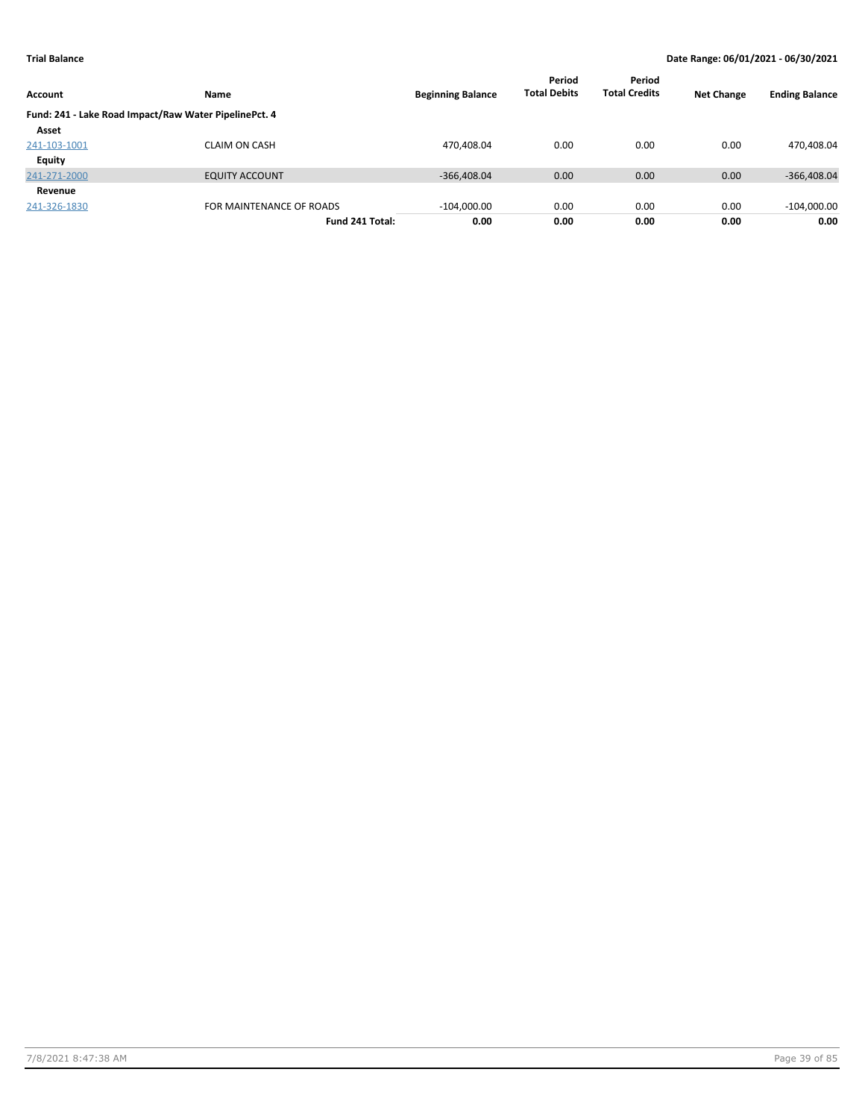| Account      | Name                                                  | <b>Beginning Balance</b> | Period<br><b>Total Debits</b> | Period<br><b>Total Credits</b> | <b>Net Change</b> | <b>Ending Balance</b> |
|--------------|-------------------------------------------------------|--------------------------|-------------------------------|--------------------------------|-------------------|-----------------------|
|              | Fund: 241 - Lake Road Impact/Raw Water PipelinePct. 4 |                          |                               |                                |                   |                       |
| Asset        |                                                       |                          |                               |                                |                   |                       |
| 241-103-1001 | <b>CLAIM ON CASH</b>                                  | 470,408.04               | 0.00                          | 0.00                           | 0.00              | 470,408.04            |
| Equity       |                                                       |                          |                               |                                |                   |                       |
| 241-271-2000 | <b>EQUITY ACCOUNT</b>                                 | $-366,408.04$            | 0.00                          | 0.00                           | 0.00              | $-366,408.04$         |
| Revenue      |                                                       |                          |                               |                                |                   |                       |
| 241-326-1830 | FOR MAINTENANCE OF ROADS                              | $-104,000.00$            | 0.00                          | 0.00                           | 0.00              | $-104,000.00$         |
|              | Fund 241 Total:                                       | 0.00                     | 0.00                          | 0.00                           | 0.00              | 0.00                  |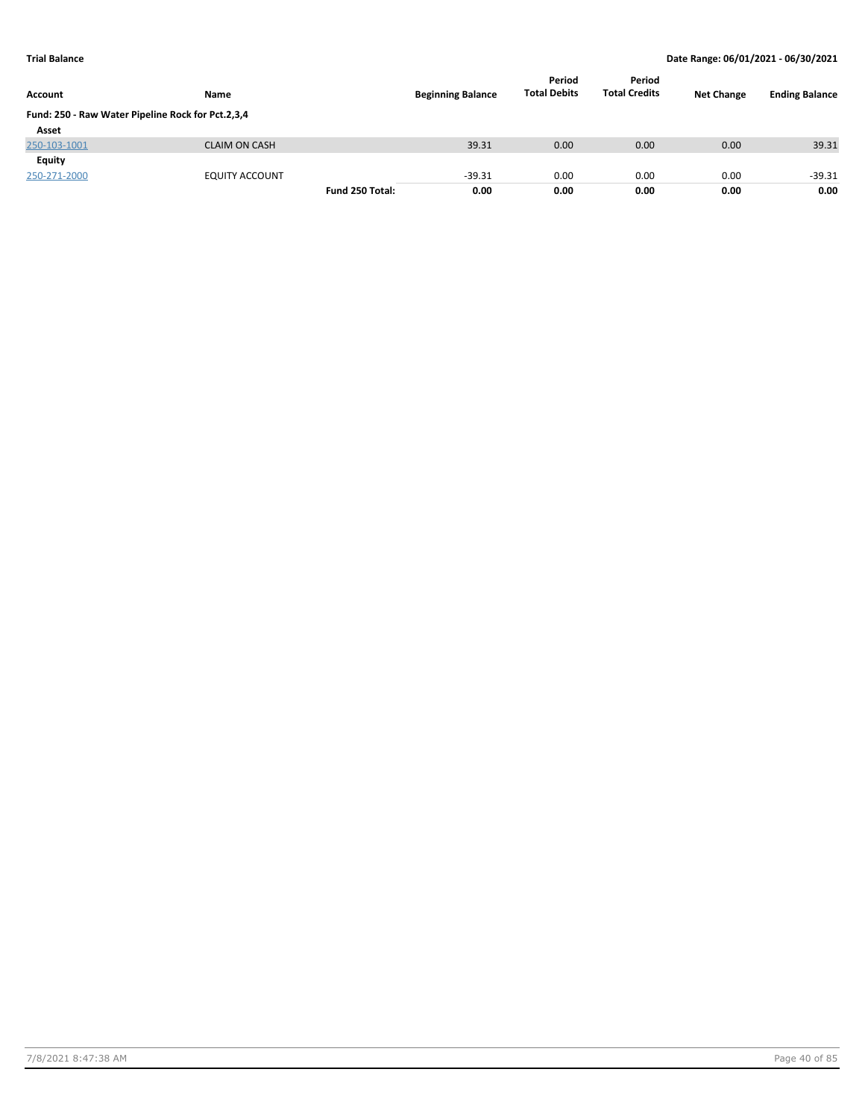| <b>Account</b>                                    | <b>Name</b>           |                 | <b>Beginning Balance</b> | Period<br><b>Total Debits</b> | Period<br><b>Total Credits</b> | <b>Net Change</b> | <b>Ending Balance</b> |
|---------------------------------------------------|-----------------------|-----------------|--------------------------|-------------------------------|--------------------------------|-------------------|-----------------------|
| Fund: 250 - Raw Water Pipeline Rock for Pct.2,3,4 |                       |                 |                          |                               |                                |                   |                       |
| Asset                                             |                       |                 |                          |                               |                                |                   |                       |
| 250-103-1001                                      | <b>CLAIM ON CASH</b>  |                 | 39.31                    | 0.00                          | 0.00                           | 0.00              | 39.31                 |
| <b>Equity</b>                                     |                       |                 |                          |                               |                                |                   |                       |
| 250-271-2000                                      | <b>EQUITY ACCOUNT</b> |                 | $-39.31$                 | 0.00                          | 0.00                           | 0.00              | $-39.31$              |
|                                                   |                       | Fund 250 Total: | 0.00                     | 0.00                          | 0.00                           | 0.00              | 0.00                  |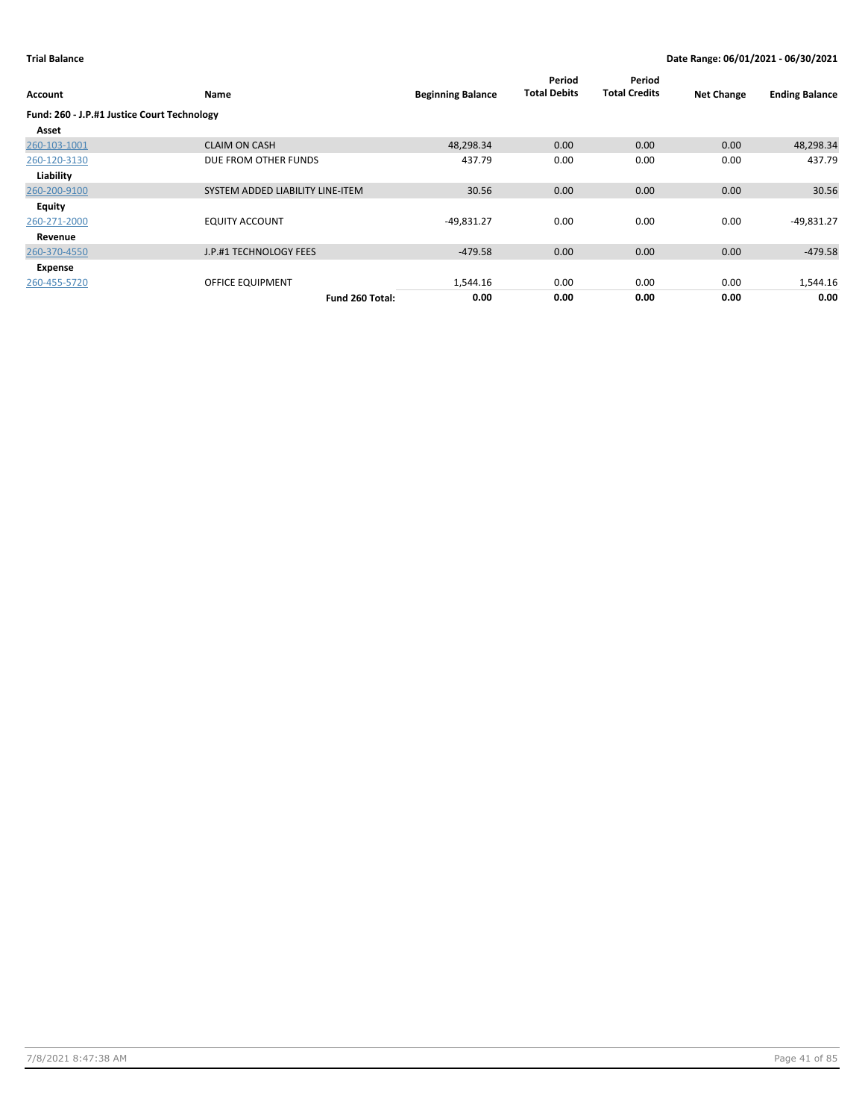| <b>Account</b>                              | Name                             | <b>Beginning Balance</b> | Period<br><b>Total Debits</b> | Period<br><b>Total Credits</b> | <b>Net Change</b> | <b>Ending Balance</b> |
|---------------------------------------------|----------------------------------|--------------------------|-------------------------------|--------------------------------|-------------------|-----------------------|
| Fund: 260 - J.P.#1 Justice Court Technology |                                  |                          |                               |                                |                   |                       |
| Asset                                       |                                  |                          |                               |                                |                   |                       |
| 260-103-1001                                | <b>CLAIM ON CASH</b>             | 48,298.34                | 0.00                          | 0.00                           | 0.00              | 48,298.34             |
| 260-120-3130                                | DUE FROM OTHER FUNDS             | 437.79                   | 0.00                          | 0.00                           | 0.00              | 437.79                |
| Liability                                   |                                  |                          |                               |                                |                   |                       |
| 260-200-9100                                | SYSTEM ADDED LIABILITY LINE-ITEM | 30.56                    | 0.00                          | 0.00                           | 0.00              | 30.56                 |
| <b>Equity</b>                               |                                  |                          |                               |                                |                   |                       |
| 260-271-2000                                | <b>EQUITY ACCOUNT</b>            | $-49,831.27$             | 0.00                          | 0.00                           | 0.00              | $-49,831.27$          |
| Revenue                                     |                                  |                          |                               |                                |                   |                       |
| 260-370-4550                                | J.P.#1 TECHNOLOGY FEES           | $-479.58$                | 0.00                          | 0.00                           | 0.00              | $-479.58$             |
| Expense                                     |                                  |                          |                               |                                |                   |                       |
| 260-455-5720                                | OFFICE EQUIPMENT                 | 1,544.16                 | 0.00                          | 0.00                           | 0.00              | 1,544.16              |
|                                             | Fund 260 Total:                  | 0.00                     | 0.00                          | 0.00                           | 0.00              | 0.00                  |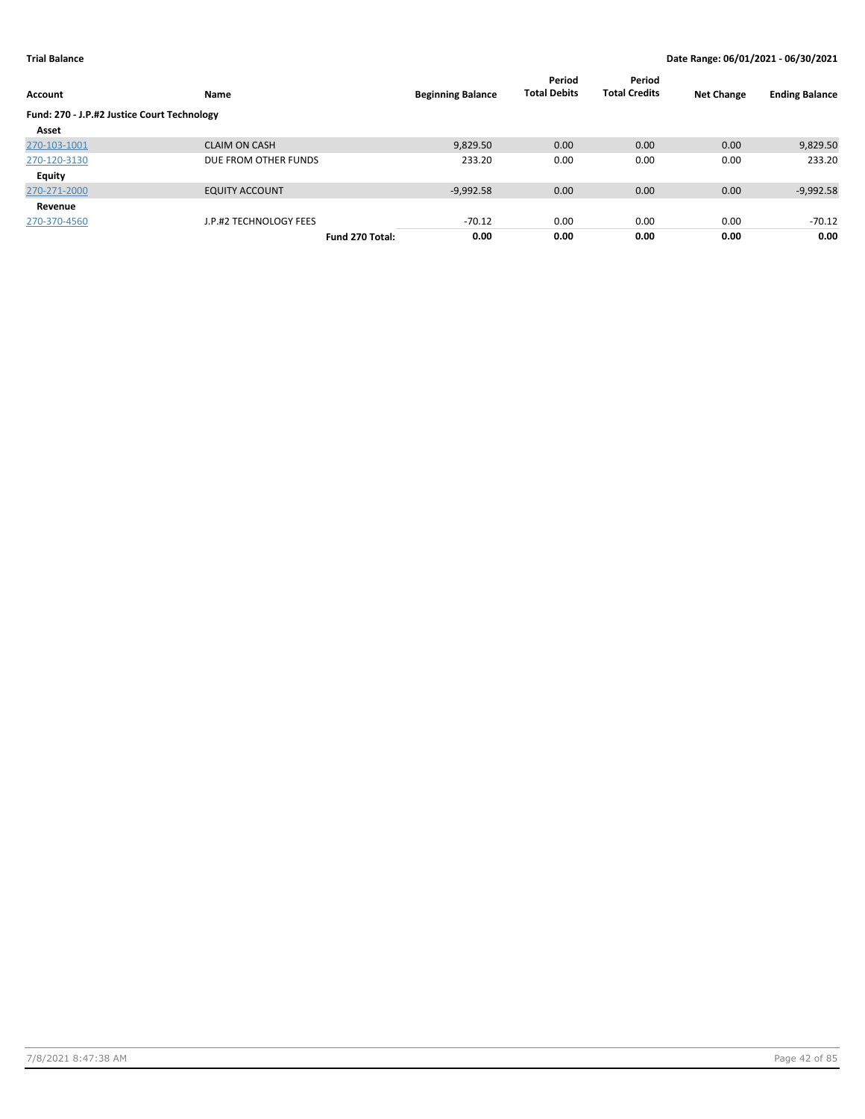| <b>Account</b>                              | Name                   | <b>Beginning Balance</b> | Period<br><b>Total Debits</b> | Period<br><b>Total Credits</b> | <b>Net Change</b> | <b>Ending Balance</b> |
|---------------------------------------------|------------------------|--------------------------|-------------------------------|--------------------------------|-------------------|-----------------------|
| Fund: 270 - J.P.#2 Justice Court Technology |                        |                          |                               |                                |                   |                       |
| Asset                                       |                        |                          |                               |                                |                   |                       |
| 270-103-1001                                | <b>CLAIM ON CASH</b>   | 9,829.50                 | 0.00                          | 0.00                           | 0.00              | 9,829.50              |
| 270-120-3130                                | DUE FROM OTHER FUNDS   | 233.20                   | 0.00                          | 0.00                           | 0.00              | 233.20                |
| <b>Equity</b>                               |                        |                          |                               |                                |                   |                       |
| 270-271-2000                                | <b>EQUITY ACCOUNT</b>  | $-9,992.58$              | 0.00                          | 0.00                           | 0.00              | $-9,992.58$           |
| Revenue                                     |                        |                          |                               |                                |                   |                       |
| 270-370-4560                                | J.P.#2 TECHNOLOGY FEES | $-70.12$                 | 0.00                          | 0.00                           | 0.00              | $-70.12$              |
|                                             | Fund 270 Total:        | 0.00                     | 0.00                          | 0.00                           | 0.00              | 0.00                  |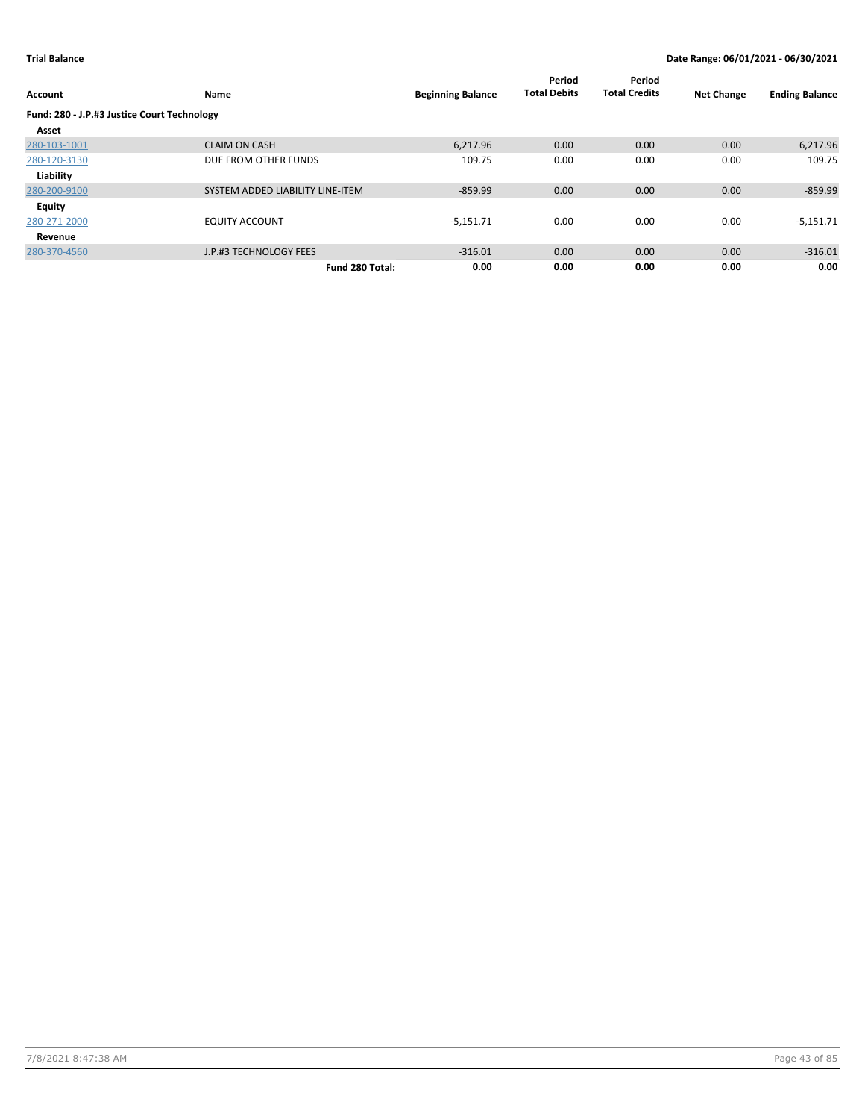| Account                                     | Name                             | <b>Beginning Balance</b> | Period<br><b>Total Debits</b> | Period<br><b>Total Credits</b> | <b>Net Change</b> | <b>Ending Balance</b> |
|---------------------------------------------|----------------------------------|--------------------------|-------------------------------|--------------------------------|-------------------|-----------------------|
| Fund: 280 - J.P.#3 Justice Court Technology |                                  |                          |                               |                                |                   |                       |
| Asset                                       |                                  |                          |                               |                                |                   |                       |
| 280-103-1001                                | <b>CLAIM ON CASH</b>             | 6,217.96                 | 0.00                          | 0.00                           | 0.00              | 6,217.96              |
| 280-120-3130                                | DUE FROM OTHER FUNDS             | 109.75                   | 0.00                          | 0.00                           | 0.00              | 109.75                |
| Liability                                   |                                  |                          |                               |                                |                   |                       |
| 280-200-9100                                | SYSTEM ADDED LIABILITY LINE-ITEM | $-859.99$                | 0.00                          | 0.00                           | 0.00              | $-859.99$             |
| Equity                                      |                                  |                          |                               |                                |                   |                       |
| 280-271-2000                                | <b>EQUITY ACCOUNT</b>            | $-5,151.71$              | 0.00                          | 0.00                           | 0.00              | $-5,151.71$           |
| Revenue                                     |                                  |                          |                               |                                |                   |                       |
| 280-370-4560                                | J.P.#3 TECHNOLOGY FEES           | $-316.01$                | 0.00                          | 0.00                           | 0.00              | $-316.01$             |
|                                             | Fund 280 Total:                  | 0.00                     | 0.00                          | 0.00                           | 0.00              | 0.00                  |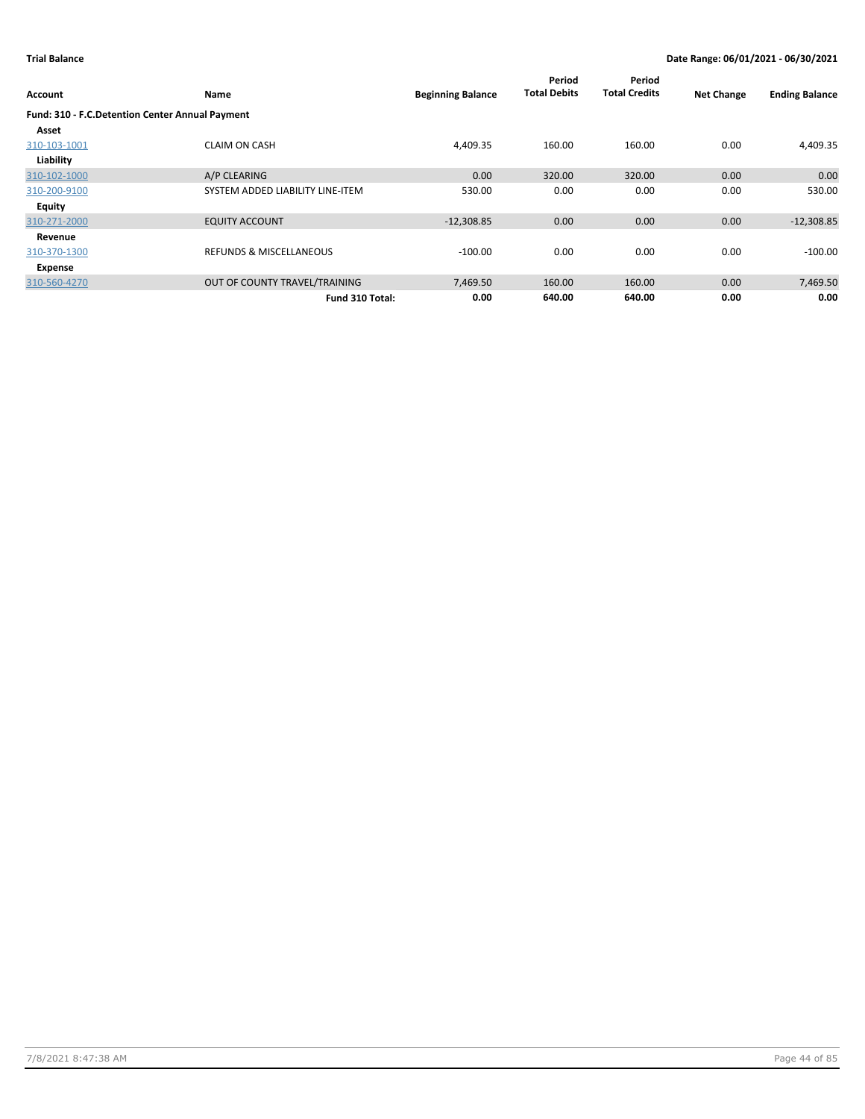|                                                 |                                    |                          | Period              | Period               |                   |                       |
|-------------------------------------------------|------------------------------------|--------------------------|---------------------|----------------------|-------------------|-----------------------|
| <b>Account</b>                                  | Name                               | <b>Beginning Balance</b> | <b>Total Debits</b> | <b>Total Credits</b> | <b>Net Change</b> | <b>Ending Balance</b> |
| Fund: 310 - F.C.Detention Center Annual Payment |                                    |                          |                     |                      |                   |                       |
| Asset                                           |                                    |                          |                     |                      |                   |                       |
| 310-103-1001                                    | <b>CLAIM ON CASH</b>               | 4,409.35                 | 160.00              | 160.00               | 0.00              | 4,409.35              |
| Liability                                       |                                    |                          |                     |                      |                   |                       |
| 310-102-1000                                    | A/P CLEARING                       | 0.00                     | 320.00              | 320.00               | 0.00              | 0.00                  |
| 310-200-9100                                    | SYSTEM ADDED LIABILITY LINE-ITEM   | 530.00                   | 0.00                | 0.00                 | 0.00              | 530.00                |
| Equity                                          |                                    |                          |                     |                      |                   |                       |
| 310-271-2000                                    | <b>EQUITY ACCOUNT</b>              | $-12,308.85$             | 0.00                | 0.00                 | 0.00              | $-12,308.85$          |
| Revenue                                         |                                    |                          |                     |                      |                   |                       |
| 310-370-1300                                    | <b>REFUNDS &amp; MISCELLANEOUS</b> | $-100.00$                | 0.00                | 0.00                 | 0.00              | $-100.00$             |
| Expense                                         |                                    |                          |                     |                      |                   |                       |
| 310-560-4270                                    | OUT OF COUNTY TRAVEL/TRAINING      | 7,469.50                 | 160.00              | 160.00               | 0.00              | 7,469.50              |
|                                                 | Fund 310 Total:                    | 0.00                     | 640.00              | 640.00               | 0.00              | 0.00                  |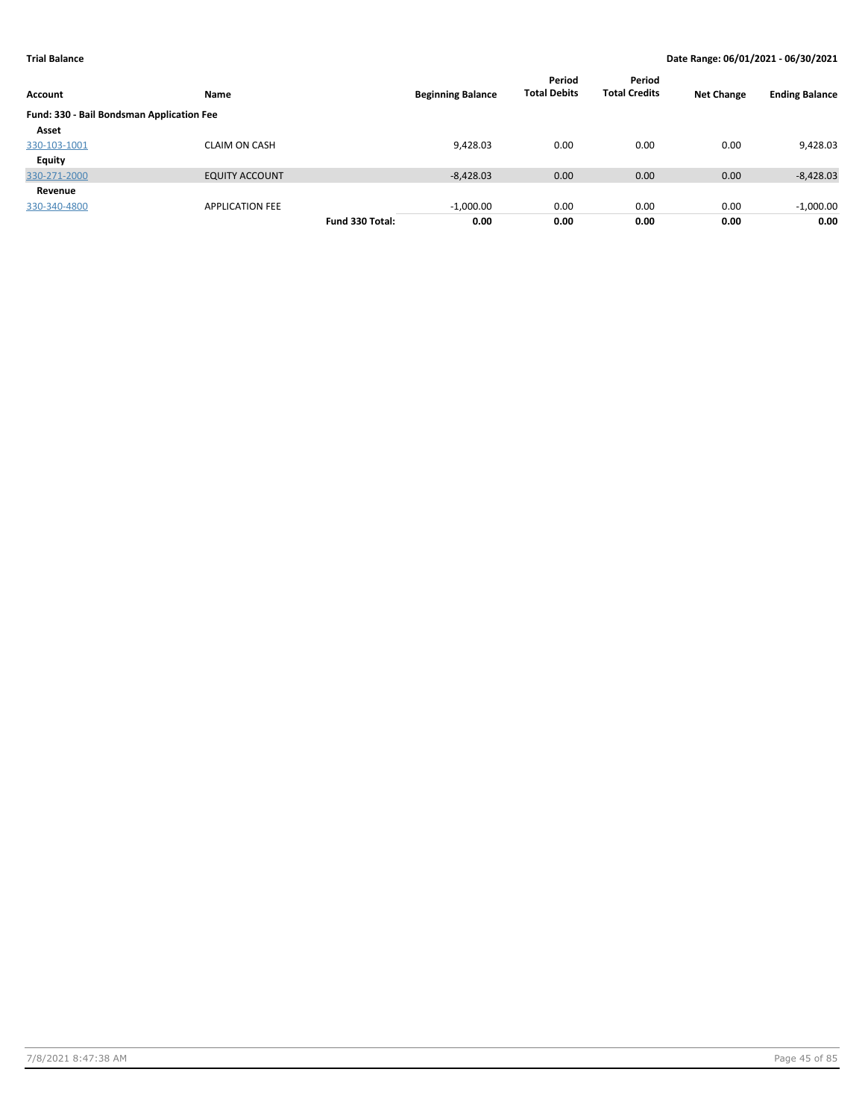| Account                                   | <b>Name</b>            |                 | <b>Beginning Balance</b> | Period<br><b>Total Debits</b> | Period<br><b>Total Credits</b> | <b>Net Change</b> | <b>Ending Balance</b> |
|-------------------------------------------|------------------------|-----------------|--------------------------|-------------------------------|--------------------------------|-------------------|-----------------------|
| Fund: 330 - Bail Bondsman Application Fee |                        |                 |                          |                               |                                |                   |                       |
| Asset                                     |                        |                 |                          |                               |                                |                   |                       |
| 330-103-1001                              | CLAIM ON CASH          |                 | 9,428.03                 | 0.00                          | 0.00                           | 0.00              | 9,428.03              |
| <b>Equity</b>                             |                        |                 |                          |                               |                                |                   |                       |
| 330-271-2000                              | <b>EQUITY ACCOUNT</b>  |                 | $-8,428.03$              | 0.00                          | 0.00                           | 0.00              | $-8,428.03$           |
| Revenue                                   |                        |                 |                          |                               |                                |                   |                       |
| 330-340-4800                              | <b>APPLICATION FEE</b> |                 | $-1,000.00$              | 0.00                          | 0.00                           | 0.00              | $-1,000.00$           |
|                                           |                        | Fund 330 Total: | 0.00                     | 0.00                          | 0.00                           | 0.00              | 0.00                  |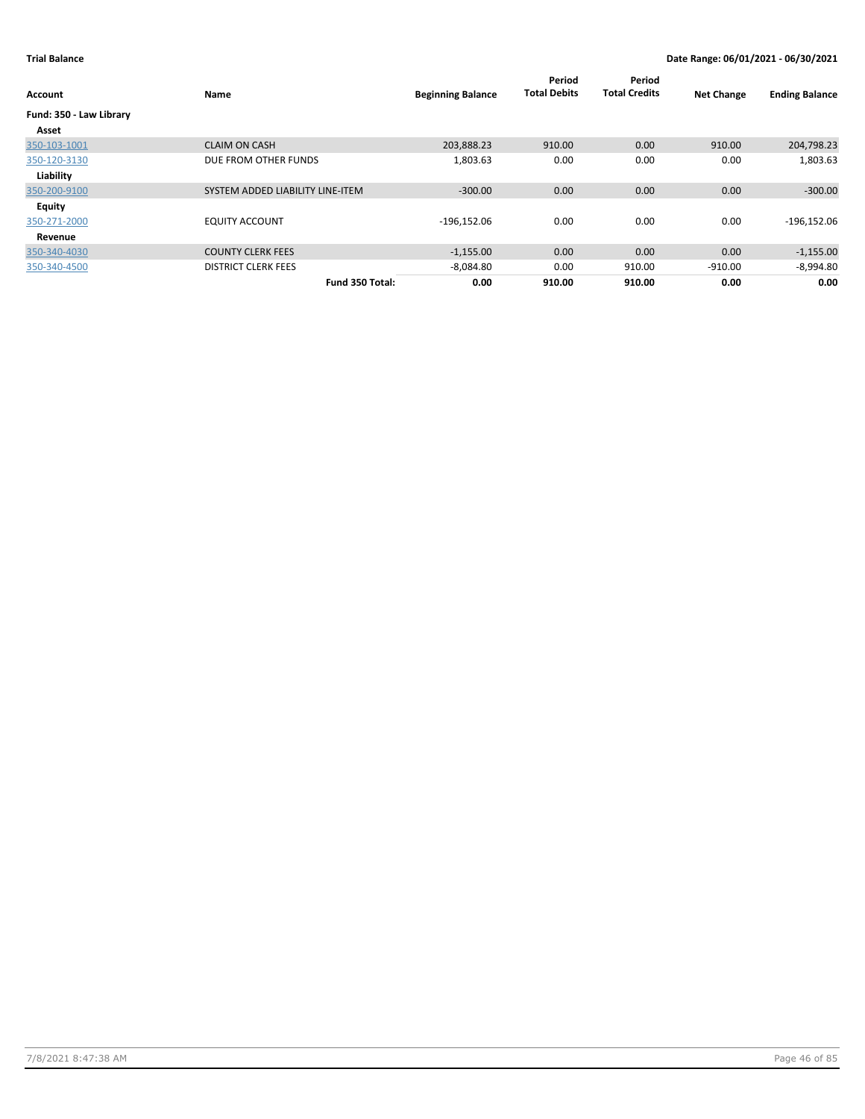| Account                 | <b>Name</b>                      | <b>Beginning Balance</b> | Period<br><b>Total Debits</b> | Period<br><b>Total Credits</b> | <b>Net Change</b> | <b>Ending Balance</b> |
|-------------------------|----------------------------------|--------------------------|-------------------------------|--------------------------------|-------------------|-----------------------|
| Fund: 350 - Law Library |                                  |                          |                               |                                |                   |                       |
| Asset                   |                                  |                          |                               |                                |                   |                       |
| 350-103-1001            | <b>CLAIM ON CASH</b>             | 203,888.23               | 910.00                        | 0.00                           | 910.00            | 204,798.23            |
| 350-120-3130            | DUE FROM OTHER FUNDS             | 1,803.63                 | 0.00                          | 0.00                           | 0.00              | 1,803.63              |
| Liability               |                                  |                          |                               |                                |                   |                       |
| 350-200-9100            | SYSTEM ADDED LIABILITY LINE-ITEM | $-300.00$                | 0.00                          | 0.00                           | 0.00              | $-300.00$             |
| <b>Equity</b>           |                                  |                          |                               |                                |                   |                       |
| 350-271-2000            | <b>EQUITY ACCOUNT</b>            | $-196,152.06$            | 0.00                          | 0.00                           | 0.00              | $-196, 152.06$        |
| Revenue                 |                                  |                          |                               |                                |                   |                       |
| 350-340-4030            | <b>COUNTY CLERK FEES</b>         | $-1,155.00$              | 0.00                          | 0.00                           | 0.00              | $-1,155.00$           |
| 350-340-4500            | <b>DISTRICT CLERK FEES</b>       | $-8,084.80$              | 0.00                          | 910.00                         | $-910.00$         | $-8,994.80$           |
|                         | Fund 350 Total:                  | 0.00                     | 910.00                        | 910.00                         | 0.00              | 0.00                  |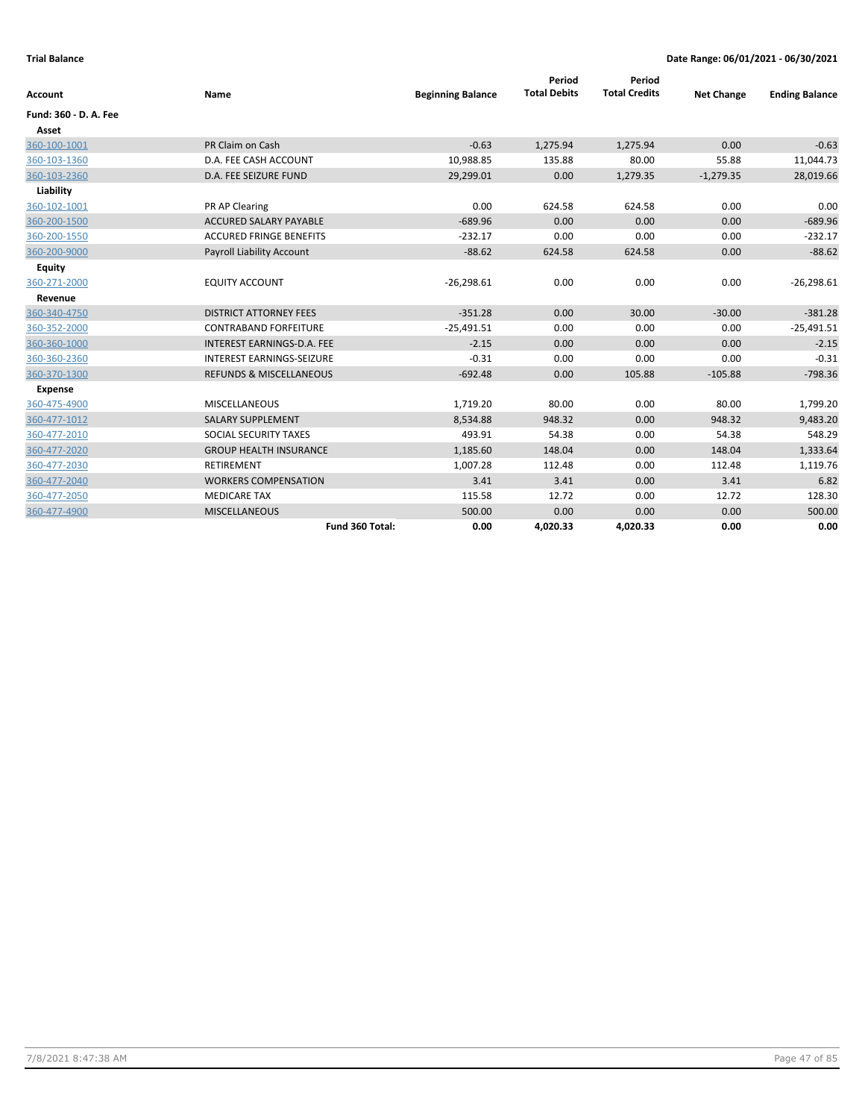| Account               | Name                               | <b>Beginning Balance</b> | Period<br><b>Total Debits</b> | Period<br><b>Total Credits</b> | <b>Net Change</b> | <b>Ending Balance</b> |
|-----------------------|------------------------------------|--------------------------|-------------------------------|--------------------------------|-------------------|-----------------------|
| Fund: 360 - D. A. Fee |                                    |                          |                               |                                |                   |                       |
| Asset                 |                                    |                          |                               |                                |                   |                       |
| 360-100-1001          | PR Claim on Cash                   | $-0.63$                  | 1,275.94                      | 1,275.94                       | 0.00              | $-0.63$               |
| 360-103-1360          | D.A. FEE CASH ACCOUNT              | 10,988.85                | 135.88                        | 80.00                          | 55.88             | 11,044.73             |
| 360-103-2360          | D.A. FEE SEIZURE FUND              | 29,299.01                | 0.00                          | 1,279.35                       | $-1,279.35$       | 28,019.66             |
| Liability             |                                    |                          |                               |                                |                   |                       |
| 360-102-1001          | PR AP Clearing                     | 0.00                     | 624.58                        | 624.58                         | 0.00              | 0.00                  |
| 360-200-1500          | <b>ACCURED SALARY PAYABLE</b>      | $-689.96$                | 0.00                          | 0.00                           | 0.00              | $-689.96$             |
| 360-200-1550          | <b>ACCURED FRINGE BENEFITS</b>     | $-232.17$                | 0.00                          | 0.00                           | 0.00              | $-232.17$             |
| 360-200-9000          | <b>Payroll Liability Account</b>   | $-88.62$                 | 624.58                        | 624.58                         | 0.00              | $-88.62$              |
| <b>Equity</b>         |                                    |                          |                               |                                |                   |                       |
| 360-271-2000          | <b>EQUITY ACCOUNT</b>              | $-26,298.61$             | 0.00                          | 0.00                           | 0.00              | $-26,298.61$          |
| Revenue               |                                    |                          |                               |                                |                   |                       |
| 360-340-4750          | <b>DISTRICT ATTORNEY FEES</b>      | $-351.28$                | 0.00                          | 30.00                          | $-30.00$          | $-381.28$             |
| 360-352-2000          | <b>CONTRABAND FORFEITURE</b>       | $-25,491.51$             | 0.00                          | 0.00                           | 0.00              | $-25,491.51$          |
| 360-360-1000          | INTEREST EARNINGS-D.A. FEE         | $-2.15$                  | 0.00                          | 0.00                           | 0.00              | $-2.15$               |
| 360-360-2360          | <b>INTEREST EARNINGS-SEIZURE</b>   | $-0.31$                  | 0.00                          | 0.00                           | 0.00              | $-0.31$               |
| 360-370-1300          | <b>REFUNDS &amp; MISCELLANEOUS</b> | $-692.48$                | 0.00                          | 105.88                         | $-105.88$         | $-798.36$             |
| <b>Expense</b>        |                                    |                          |                               |                                |                   |                       |
| 360-475-4900          | <b>MISCELLANEOUS</b>               | 1,719.20                 | 80.00                         | 0.00                           | 80.00             | 1,799.20              |
| 360-477-1012          | <b>SALARY SUPPLEMENT</b>           | 8,534.88                 | 948.32                        | 0.00                           | 948.32            | 9,483.20              |
| 360-477-2010          | SOCIAL SECURITY TAXES              | 493.91                   | 54.38                         | 0.00                           | 54.38             | 548.29                |
| 360-477-2020          | <b>GROUP HEALTH INSURANCE</b>      | 1,185.60                 | 148.04                        | 0.00                           | 148.04            | 1,333.64              |
| 360-477-2030          | <b>RETIREMENT</b>                  | 1,007.28                 | 112.48                        | 0.00                           | 112.48            | 1,119.76              |
| 360-477-2040          | <b>WORKERS COMPENSATION</b>        | 3.41                     | 3.41                          | 0.00                           | 3.41              | 6.82                  |
| 360-477-2050          | <b>MEDICARE TAX</b>                | 115.58                   | 12.72                         | 0.00                           | 12.72             | 128.30                |
| 360-477-4900          | <b>MISCELLANEOUS</b>               | 500.00                   | 0.00                          | 0.00                           | 0.00              | 500.00                |
|                       | Fund 360 Total:                    | 0.00                     | 4,020.33                      | 4,020.33                       | 0.00              | 0.00                  |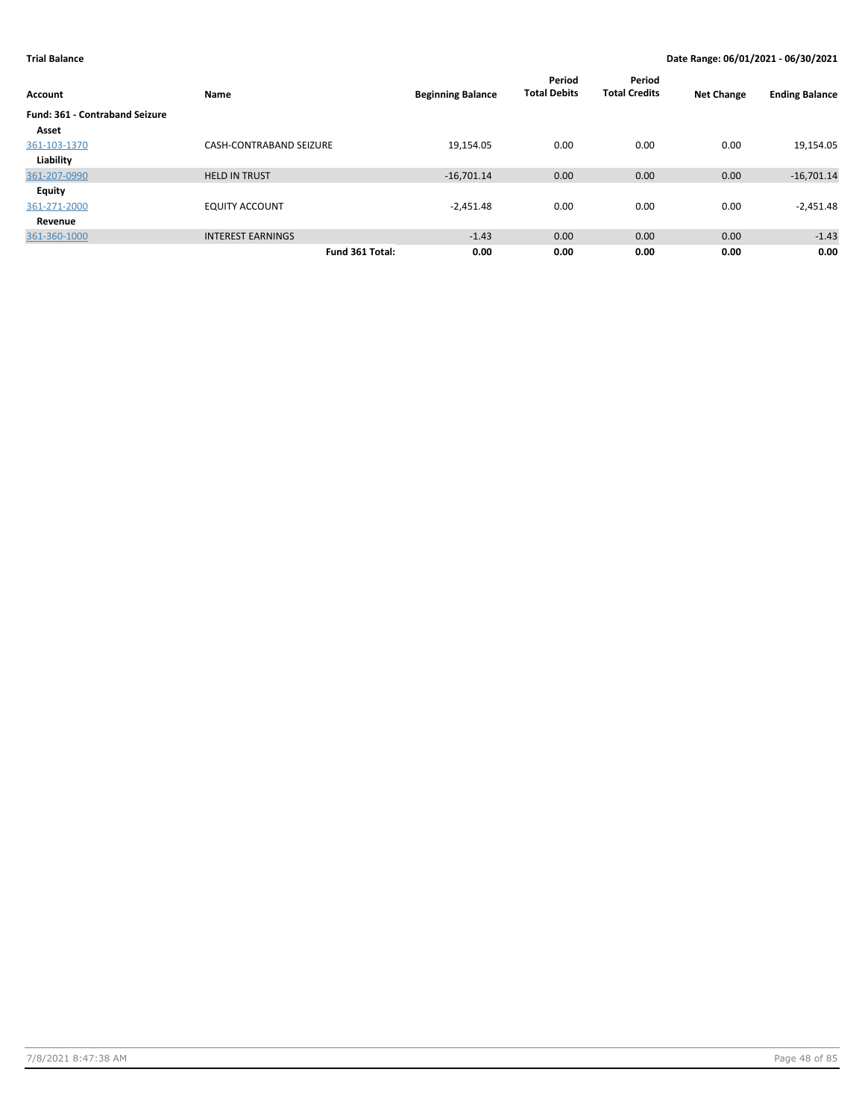| Account                               | Name                           | <b>Beginning Balance</b> | Period<br><b>Total Debits</b> | Period<br><b>Total Credits</b> | <b>Net Change</b> | <b>Ending Balance</b> |
|---------------------------------------|--------------------------------|--------------------------|-------------------------------|--------------------------------|-------------------|-----------------------|
| <b>Fund: 361 - Contraband Seizure</b> |                                |                          |                               |                                |                   |                       |
| Asset                                 |                                |                          |                               |                                |                   |                       |
| 361-103-1370                          | <b>CASH-CONTRABAND SEIZURE</b> | 19,154.05                | 0.00                          | 0.00                           | 0.00              | 19,154.05             |
| Liability                             |                                |                          |                               |                                |                   |                       |
| 361-207-0990                          | <b>HELD IN TRUST</b>           | $-16,701.14$             | 0.00                          | 0.00                           | 0.00              | $-16,701.14$          |
| Equity                                |                                |                          |                               |                                |                   |                       |
| 361-271-2000                          | <b>EQUITY ACCOUNT</b>          | $-2,451.48$              | 0.00                          | 0.00                           | 0.00              | $-2,451.48$           |
| Revenue                               |                                |                          |                               |                                |                   |                       |
| 361-360-1000                          | <b>INTEREST EARNINGS</b>       | $-1.43$                  | 0.00                          | 0.00                           | 0.00              | $-1.43$               |
|                                       | Fund 361 Total:                | 0.00                     | 0.00                          | 0.00                           | 0.00              | 0.00                  |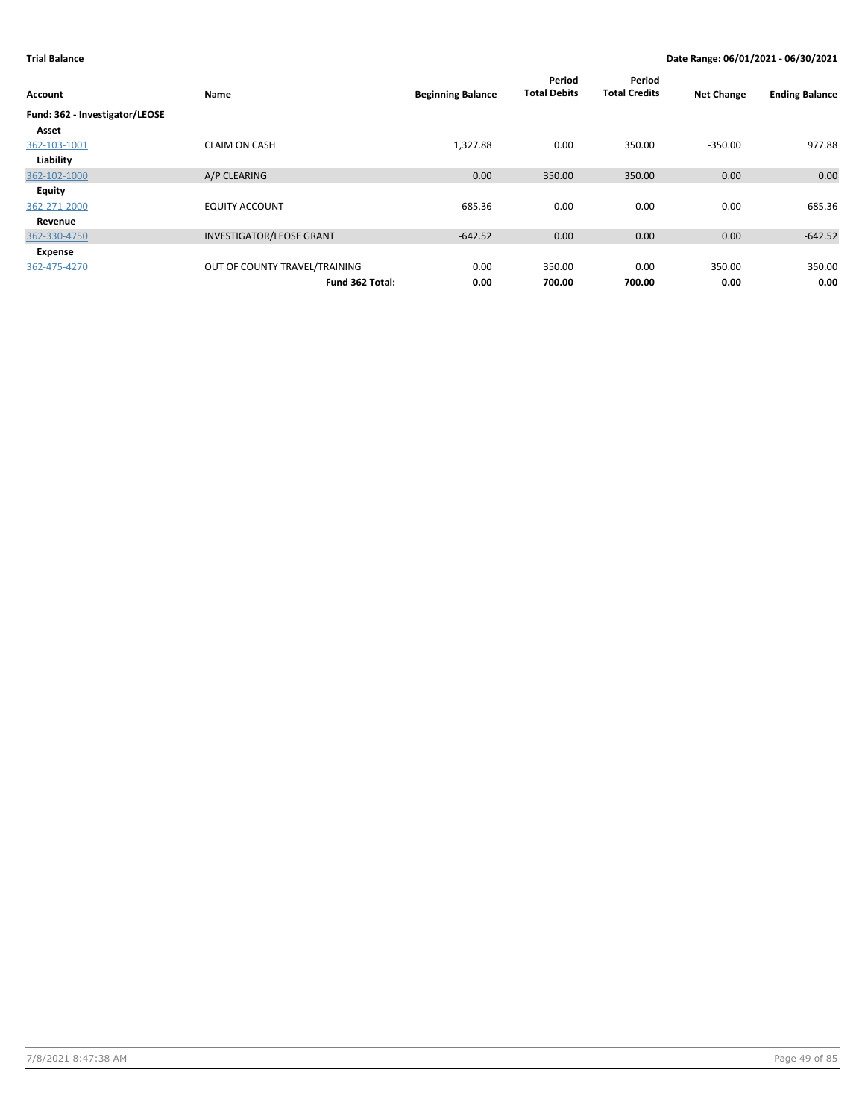| Account                        | Name                            | <b>Beginning Balance</b> | Period<br><b>Total Debits</b> | Period<br><b>Total Credits</b> | <b>Net Change</b> | <b>Ending Balance</b> |
|--------------------------------|---------------------------------|--------------------------|-------------------------------|--------------------------------|-------------------|-----------------------|
| Fund: 362 - Investigator/LEOSE |                                 |                          |                               |                                |                   |                       |
| Asset                          |                                 |                          |                               |                                |                   |                       |
| 362-103-1001                   | <b>CLAIM ON CASH</b>            | 1,327.88                 | 0.00                          | 350.00                         | $-350.00$         | 977.88                |
| Liability                      |                                 |                          |                               |                                |                   |                       |
| 362-102-1000                   | A/P CLEARING                    | 0.00                     | 350.00                        | 350.00                         | 0.00              | 0.00                  |
| <b>Equity</b>                  |                                 |                          |                               |                                |                   |                       |
| 362-271-2000                   | <b>EQUITY ACCOUNT</b>           | $-685.36$                | 0.00                          | 0.00                           | 0.00              | -685.36               |
| Revenue                        |                                 |                          |                               |                                |                   |                       |
| 362-330-4750                   | <b>INVESTIGATOR/LEOSE GRANT</b> | $-642.52$                | 0.00                          | 0.00                           | 0.00              | $-642.52$             |
| Expense                        |                                 |                          |                               |                                |                   |                       |
| 362-475-4270                   | OUT OF COUNTY TRAVEL/TRAINING   | 0.00                     | 350.00                        | 0.00                           | 350.00            | 350.00                |
|                                | Fund 362 Total:                 | 0.00                     | 700.00                        | 700.00                         | 0.00              | 0.00                  |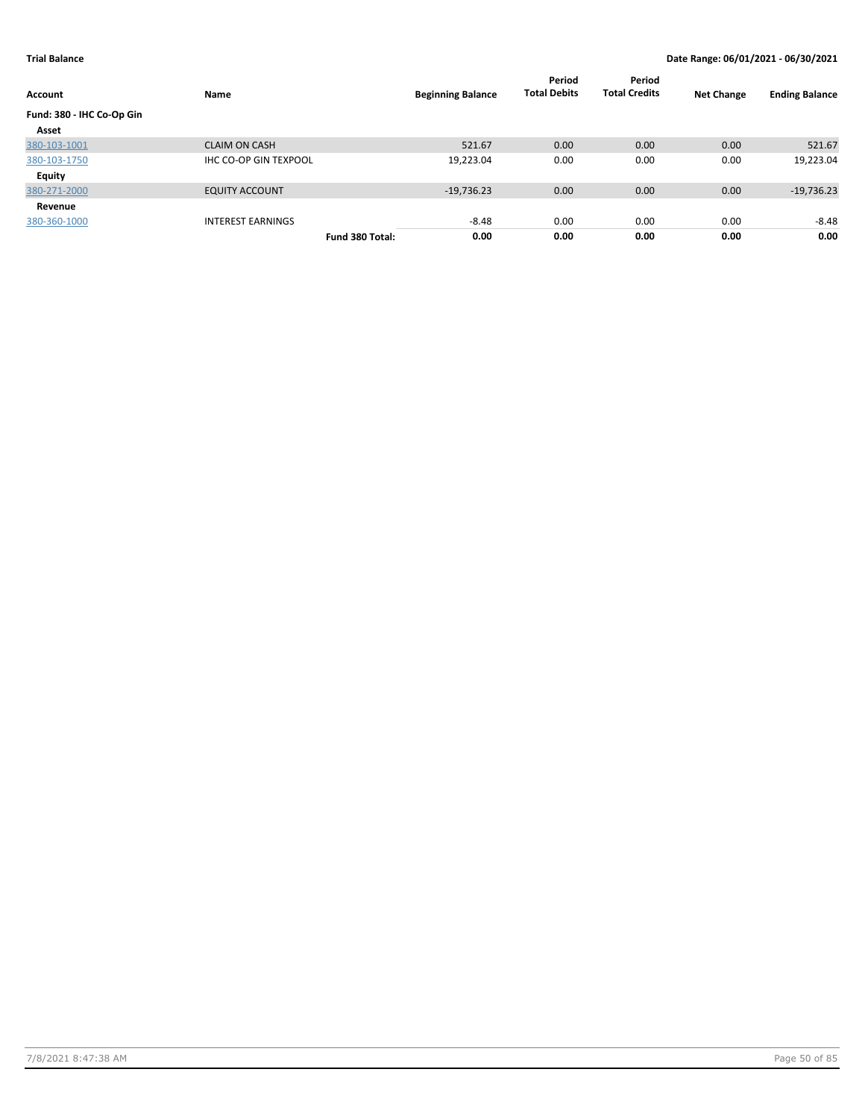| Account                   | Name                         |                 | <b>Beginning Balance</b> | Period<br><b>Total Debits</b> | Period<br><b>Total Credits</b> | <b>Net Change</b> | <b>Ending Balance</b> |
|---------------------------|------------------------------|-----------------|--------------------------|-------------------------------|--------------------------------|-------------------|-----------------------|
| Fund: 380 - IHC Co-Op Gin |                              |                 |                          |                               |                                |                   |                       |
| Asset                     |                              |                 |                          |                               |                                |                   |                       |
| 380-103-1001              | <b>CLAIM ON CASH</b>         |                 | 521.67                   | 0.00                          | 0.00                           | 0.00              | 521.67                |
| 380-103-1750              | <b>IHC CO-OP GIN TEXPOOL</b> |                 | 19,223.04                | 0.00                          | 0.00                           | 0.00              | 19,223.04             |
| <b>Equity</b>             |                              |                 |                          |                               |                                |                   |                       |
| 380-271-2000              | <b>EQUITY ACCOUNT</b>        |                 | $-19,736.23$             | 0.00                          | 0.00                           | 0.00              | $-19,736.23$          |
| Revenue                   |                              |                 |                          |                               |                                |                   |                       |
| 380-360-1000              | <b>INTEREST EARNINGS</b>     |                 | $-8.48$                  | 0.00                          | 0.00                           | 0.00              | $-8.48$               |
|                           |                              | Fund 380 Total: | 0.00                     | 0.00                          | 0.00                           | 0.00              | 0.00                  |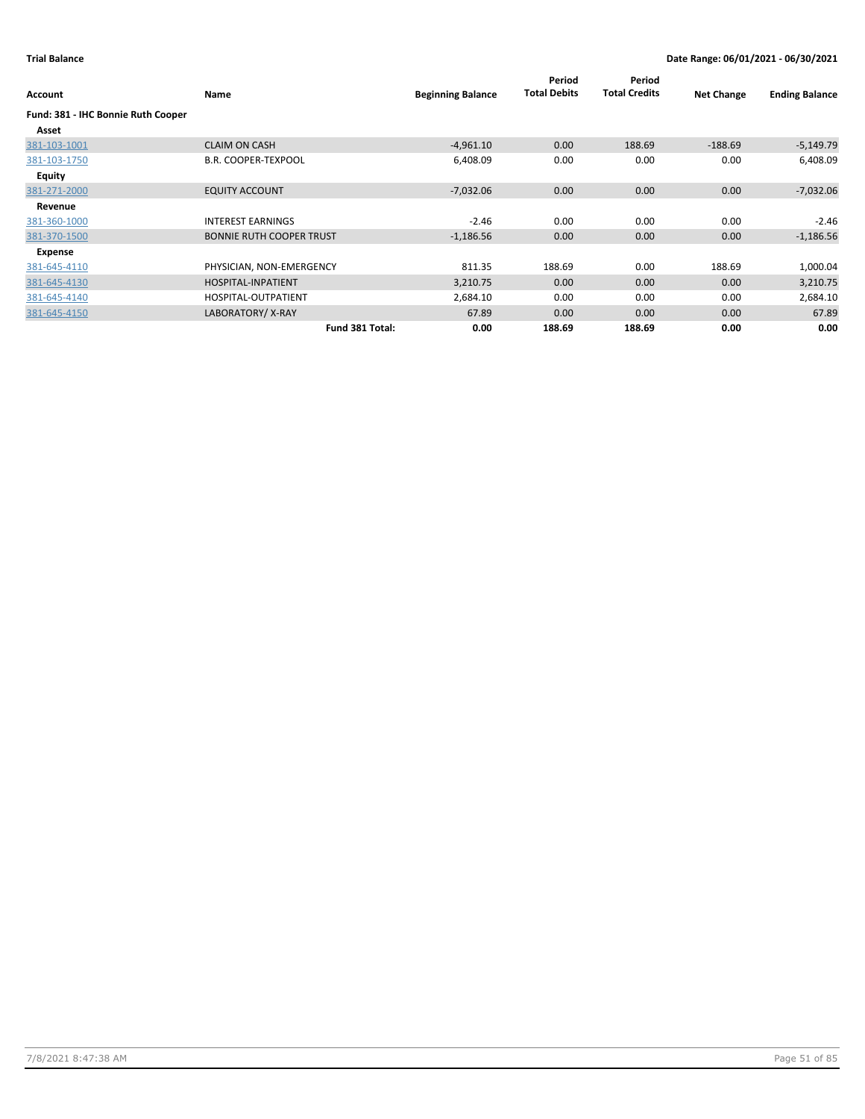| Account                            | Name                            | <b>Beginning Balance</b> | Period<br><b>Total Debits</b> | Period<br><b>Total Credits</b> | <b>Net Change</b> | <b>Ending Balance</b> |
|------------------------------------|---------------------------------|--------------------------|-------------------------------|--------------------------------|-------------------|-----------------------|
| Fund: 381 - IHC Bonnie Ruth Cooper |                                 |                          |                               |                                |                   |                       |
| Asset                              |                                 |                          |                               |                                |                   |                       |
| 381-103-1001                       | <b>CLAIM ON CASH</b>            | $-4,961.10$              | 0.00                          | 188.69                         | $-188.69$         | $-5,149.79$           |
| 381-103-1750                       | <b>B.R. COOPER-TEXPOOL</b>      | 6,408.09                 | 0.00                          | 0.00                           | 0.00              | 6,408.09              |
| Equity                             |                                 |                          |                               |                                |                   |                       |
| 381-271-2000                       | <b>EQUITY ACCOUNT</b>           | $-7,032.06$              | 0.00                          | 0.00                           | 0.00              | $-7,032.06$           |
| Revenue                            |                                 |                          |                               |                                |                   |                       |
| 381-360-1000                       | <b>INTEREST EARNINGS</b>        | $-2.46$                  | 0.00                          | 0.00                           | 0.00              | $-2.46$               |
| 381-370-1500                       | <b>BONNIE RUTH COOPER TRUST</b> | $-1,186.56$              | 0.00                          | 0.00                           | 0.00              | $-1,186.56$           |
| Expense                            |                                 |                          |                               |                                |                   |                       |
| 381-645-4110                       | PHYSICIAN, NON-EMERGENCY        | 811.35                   | 188.69                        | 0.00                           | 188.69            | 1,000.04              |
| 381-645-4130                       | HOSPITAL-INPATIENT              | 3,210.75                 | 0.00                          | 0.00                           | 0.00              | 3,210.75              |
| 381-645-4140                       | HOSPITAL-OUTPATIENT             | 2,684.10                 | 0.00                          | 0.00                           | 0.00              | 2,684.10              |
| 381-645-4150                       | LABORATORY/X-RAY                | 67.89                    | 0.00                          | 0.00                           | 0.00              | 67.89                 |
|                                    | Fund 381 Total:                 | 0.00                     | 188.69                        | 188.69                         | 0.00              | 0.00                  |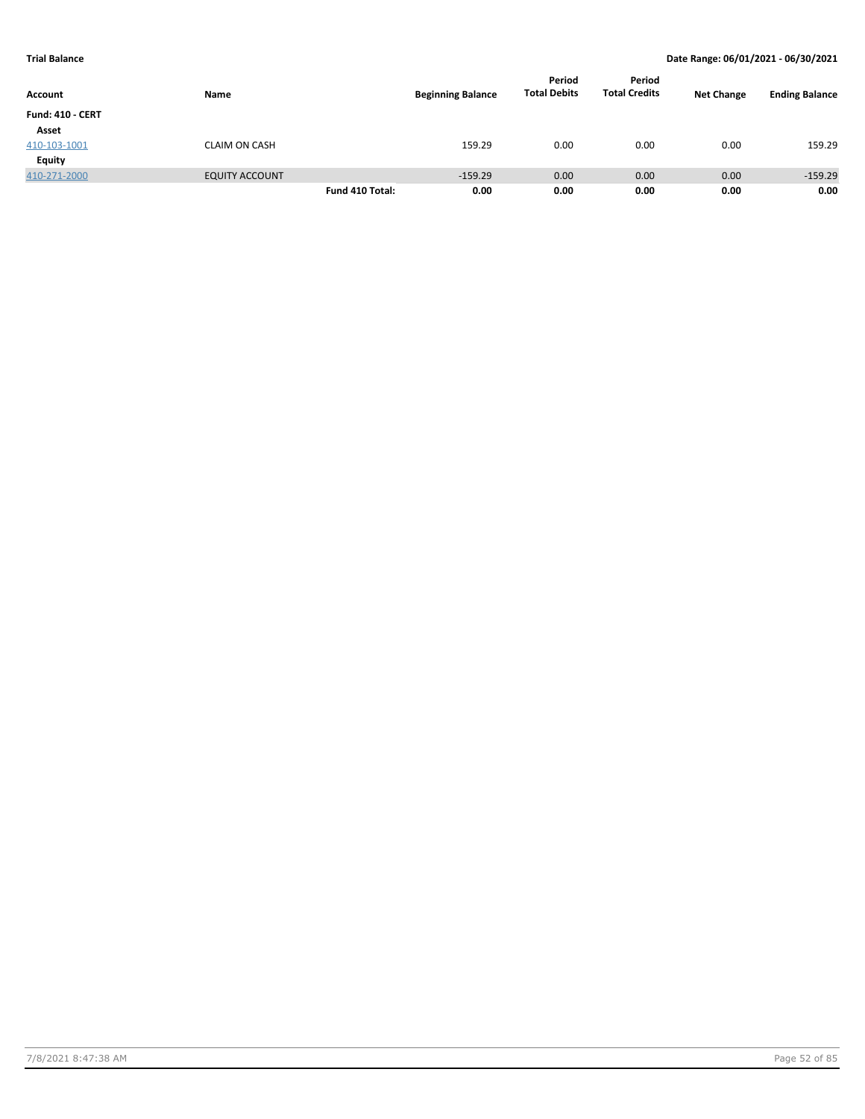| <b>Account</b>          | Name                  |                 | <b>Beginning Balance</b> | Period<br><b>Total Debits</b> | Period<br><b>Total Credits</b> | <b>Net Change</b> | <b>Ending Balance</b> |
|-------------------------|-----------------------|-----------------|--------------------------|-------------------------------|--------------------------------|-------------------|-----------------------|
| <b>Fund: 410 - CERT</b> |                       |                 |                          |                               |                                |                   |                       |
| Asset                   |                       |                 |                          |                               |                                |                   |                       |
| 410-103-1001            | <b>CLAIM ON CASH</b>  |                 | 159.29                   | 0.00                          | 0.00                           | 0.00              | 159.29                |
| <b>Equity</b>           |                       |                 |                          |                               |                                |                   |                       |
| 410-271-2000            | <b>EQUITY ACCOUNT</b> |                 | $-159.29$                | 0.00                          | 0.00                           | 0.00              | $-159.29$             |
|                         |                       | Fund 410 Total: | 0.00                     | 0.00                          | 0.00                           | 0.00              | 0.00                  |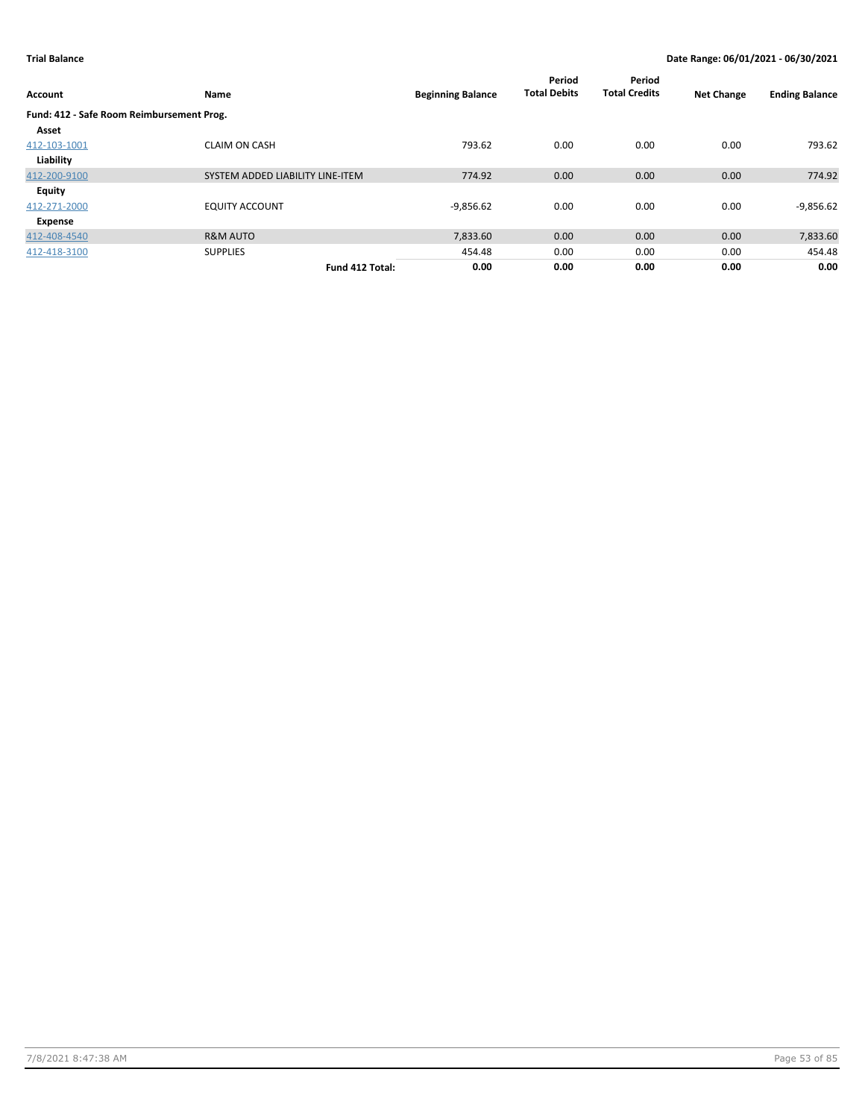| Account                                   | Name                             | <b>Beginning Balance</b> | Period<br><b>Total Debits</b> | Period<br><b>Total Credits</b> | <b>Net Change</b> | <b>Ending Balance</b> |
|-------------------------------------------|----------------------------------|--------------------------|-------------------------------|--------------------------------|-------------------|-----------------------|
| Fund: 412 - Safe Room Reimbursement Prog. |                                  |                          |                               |                                |                   |                       |
| Asset                                     |                                  |                          |                               |                                |                   |                       |
| 412-103-1001                              | <b>CLAIM ON CASH</b>             | 793.62                   | 0.00                          | 0.00                           | 0.00              | 793.62                |
| Liability                                 |                                  |                          |                               |                                |                   |                       |
| 412-200-9100                              | SYSTEM ADDED LIABILITY LINE-ITEM | 774.92                   | 0.00                          | 0.00                           | 0.00              | 774.92                |
| <b>Equity</b>                             |                                  |                          |                               |                                |                   |                       |
| 412-271-2000                              | <b>EQUITY ACCOUNT</b>            | $-9,856.62$              | 0.00                          | 0.00                           | 0.00              | $-9,856.62$           |
| Expense                                   |                                  |                          |                               |                                |                   |                       |
| 412-408-4540                              | <b>R&amp;M AUTO</b>              | 7,833.60                 | 0.00                          | 0.00                           | 0.00              | 7,833.60              |
| 412-418-3100                              | <b>SUPPLIES</b>                  | 454.48                   | 0.00                          | 0.00                           | 0.00              | 454.48                |
|                                           | Fund 412 Total:                  | 0.00                     | 0.00                          | 0.00                           | 0.00              | 0.00                  |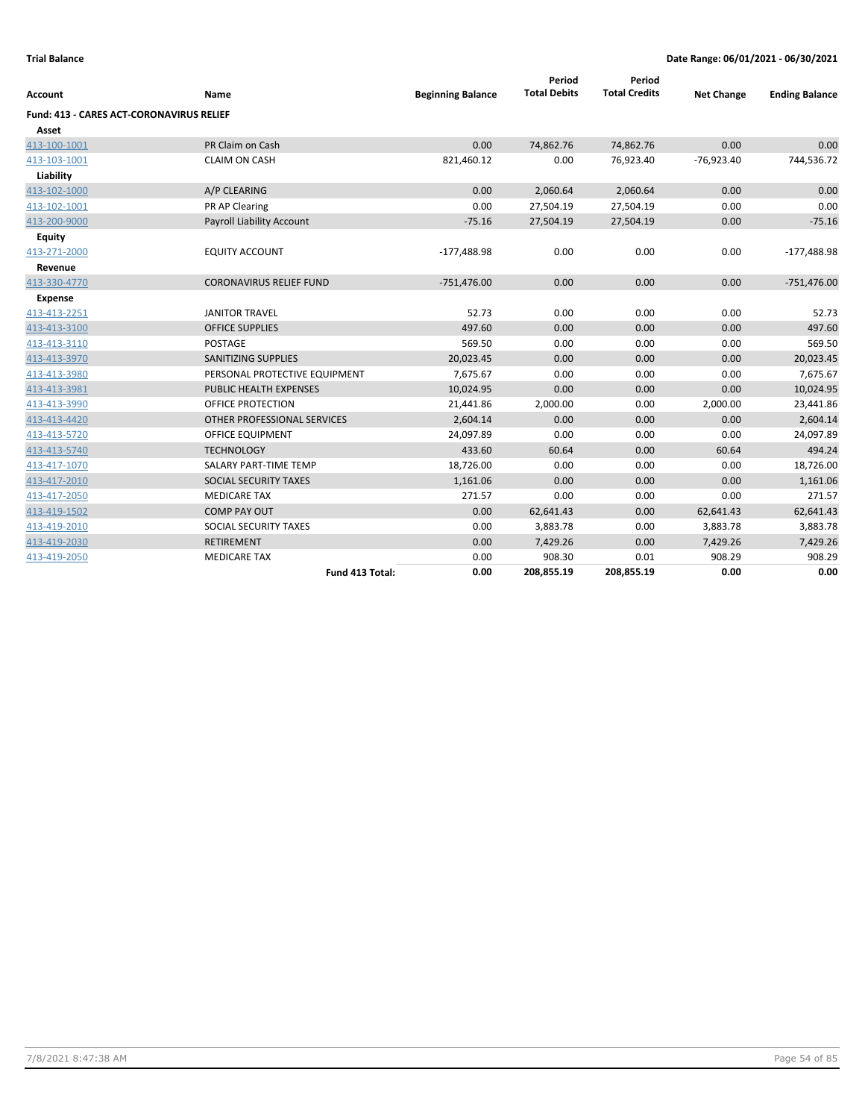| Account                                  | Name                             | <b>Beginning Balance</b> | Period<br><b>Total Debits</b> | Period<br><b>Total Credits</b> | <b>Net Change</b> | <b>Ending Balance</b> |
|------------------------------------------|----------------------------------|--------------------------|-------------------------------|--------------------------------|-------------------|-----------------------|
| Fund: 413 - CARES ACT-CORONAVIRUS RELIEF |                                  |                          |                               |                                |                   |                       |
| Asset                                    |                                  |                          |                               |                                |                   |                       |
| 413-100-1001                             | PR Claim on Cash                 | 0.00                     | 74,862.76                     | 74,862.76                      | 0.00              | 0.00                  |
| 413-103-1001                             | <b>CLAIM ON CASH</b>             | 821,460.12               | 0.00                          | 76,923.40                      | $-76,923.40$      | 744,536.72            |
| Liability                                |                                  |                          |                               |                                |                   |                       |
| 413-102-1000                             | A/P CLEARING                     | 0.00                     | 2,060.64                      | 2,060.64                       | 0.00              | 0.00                  |
| 413-102-1001                             | PR AP Clearing                   | 0.00                     | 27,504.19                     | 27,504.19                      | 0.00              | 0.00                  |
| 413-200-9000                             | <b>Payroll Liability Account</b> | $-75.16$                 | 27,504.19                     | 27,504.19                      | 0.00              | $-75.16$              |
| <b>Equity</b>                            |                                  |                          |                               |                                |                   |                       |
| 413-271-2000                             | <b>EQUITY ACCOUNT</b>            | $-177,488.98$            | 0.00                          | 0.00                           | 0.00              | $-177,488.98$         |
| Revenue                                  |                                  |                          |                               |                                |                   |                       |
| 413-330-4770                             | <b>CORONAVIRUS RELIEF FUND</b>   | $-751,476.00$            | 0.00                          | 0.00                           | 0.00              | $-751,476.00$         |
| <b>Expense</b>                           |                                  |                          |                               |                                |                   |                       |
| 413-413-2251                             | <b>JANITOR TRAVEL</b>            | 52.73                    | 0.00                          | 0.00                           | 0.00              | 52.73                 |
| 413-413-3100                             | <b>OFFICE SUPPLIES</b>           | 497.60                   | 0.00                          | 0.00                           | 0.00              | 497.60                |
| 413-413-3110                             | <b>POSTAGE</b>                   | 569.50                   | 0.00                          | 0.00                           | 0.00              | 569.50                |
| 413-413-3970                             | SANITIZING SUPPLIES              | 20,023.45                | 0.00                          | 0.00                           | 0.00              | 20,023.45             |
| 413-413-3980                             | PERSONAL PROTECTIVE EQUIPMENT    | 7,675.67                 | 0.00                          | 0.00                           | 0.00              | 7,675.67              |
| 413-413-3981                             | PUBLIC HEALTH EXPENSES           | 10,024.95                | 0.00                          | 0.00                           | 0.00              | 10,024.95             |
| 413-413-3990                             | OFFICE PROTECTION                | 21,441.86                | 2,000.00                      | 0.00                           | 2,000.00          | 23,441.86             |
| 413-413-4420                             | OTHER PROFESSIONAL SERVICES      | 2,604.14                 | 0.00                          | 0.00                           | 0.00              | 2,604.14              |
| 413-413-5720                             | <b>OFFICE EQUIPMENT</b>          | 24,097.89                | 0.00                          | 0.00                           | 0.00              | 24,097.89             |
| 413-413-5740                             | <b>TECHNOLOGY</b>                | 433.60                   | 60.64                         | 0.00                           | 60.64             | 494.24                |
| 413-417-1070                             | SALARY PART-TIME TEMP            | 18,726.00                | 0.00                          | 0.00                           | 0.00              | 18,726.00             |
| 413-417-2010                             | SOCIAL SECURITY TAXES            | 1,161.06                 | 0.00                          | 0.00                           | 0.00              | 1,161.06              |
| 413-417-2050                             | <b>MEDICARE TAX</b>              | 271.57                   | 0.00                          | 0.00                           | 0.00              | 271.57                |
| 413-419-1502                             | <b>COMP PAY OUT</b>              | 0.00                     | 62,641.43                     | 0.00                           | 62,641.43         | 62,641.43             |
| 413-419-2010                             | SOCIAL SECURITY TAXES            | 0.00                     | 3,883.78                      | 0.00                           | 3,883.78          | 3,883.78              |
| 413-419-2030                             | <b>RETIREMENT</b>                | 0.00                     | 7,429.26                      | 0.00                           | 7,429.26          | 7,429.26              |
| 413-419-2050                             | <b>MEDICARE TAX</b>              | 0.00                     | 908.30                        | 0.01                           | 908.29            | 908.29                |
|                                          | Fund 413 Total:                  | 0.00                     | 208,855.19                    | 208,855.19                     | 0.00              | 0.00                  |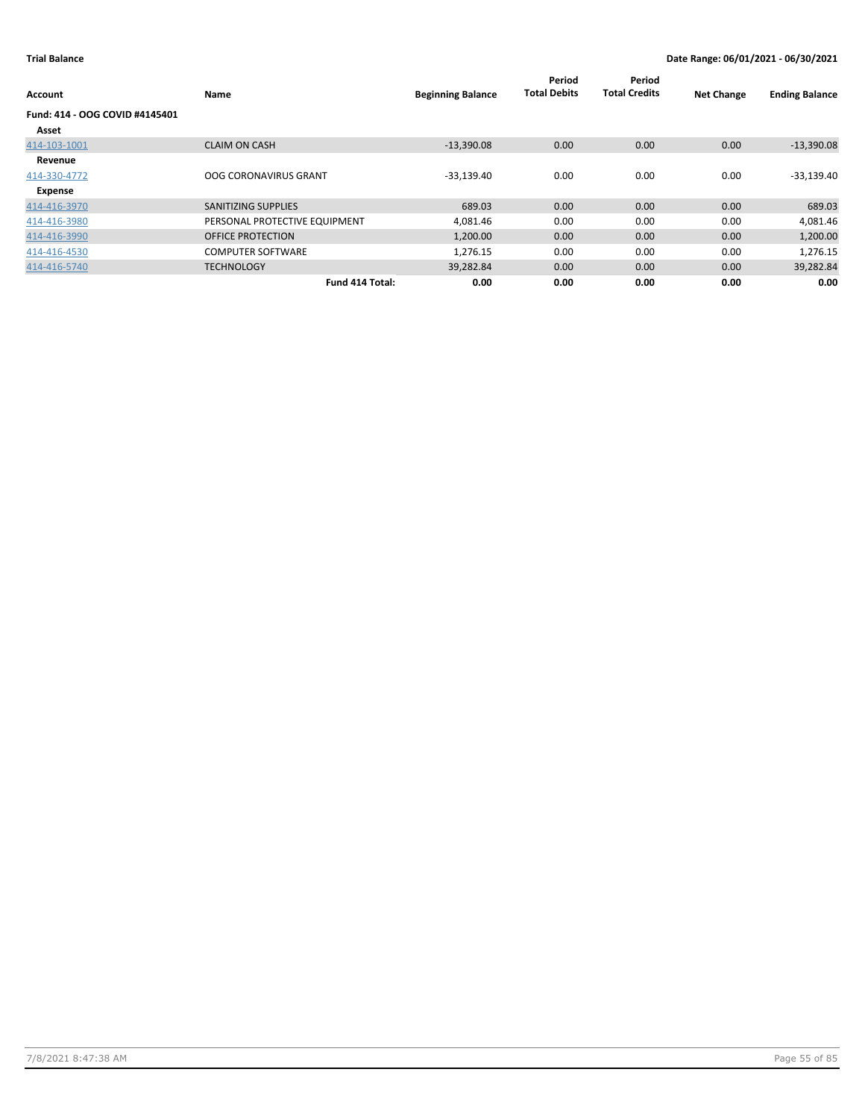| Account                                 | Name                          | <b>Beginning Balance</b> | Period<br><b>Total Debits</b> | Period<br><b>Total Credits</b> | <b>Net Change</b> | <b>Ending Balance</b> |
|-----------------------------------------|-------------------------------|--------------------------|-------------------------------|--------------------------------|-------------------|-----------------------|
| Fund: 414 - OOG COVID #4145401<br>Asset |                               |                          |                               |                                |                   |                       |
| 414-103-1001                            | <b>CLAIM ON CASH</b>          | $-13,390.08$             | 0.00                          | 0.00                           | 0.00              | $-13,390.08$          |
| Revenue<br>414-330-4772                 | <b>OOG CORONAVIRUS GRANT</b>  | $-33,139.40$             | 0.00                          | 0.00                           | 0.00              | $-33,139.40$          |
| Expense                                 |                               |                          |                               |                                |                   |                       |
| 414-416-3970                            | SANITIZING SUPPLIES           | 689.03                   | 0.00                          | 0.00                           | 0.00              | 689.03                |
| 414-416-3980                            | PERSONAL PROTECTIVE EQUIPMENT | 4,081.46                 | 0.00                          | 0.00                           | 0.00              | 4,081.46              |
| 414-416-3990                            | <b>OFFICE PROTECTION</b>      | 1,200.00                 | 0.00                          | 0.00                           | 0.00              | 1,200.00              |
| 414-416-4530                            | <b>COMPUTER SOFTWARE</b>      | 1,276.15                 | 0.00                          | 0.00                           | 0.00              | 1,276.15              |
| 414-416-5740                            | <b>TECHNOLOGY</b>             | 39,282.84                | 0.00                          | 0.00                           | 0.00              | 39,282.84             |
|                                         | Fund 414 Total:               | 0.00                     | 0.00                          | 0.00                           | 0.00              | 0.00                  |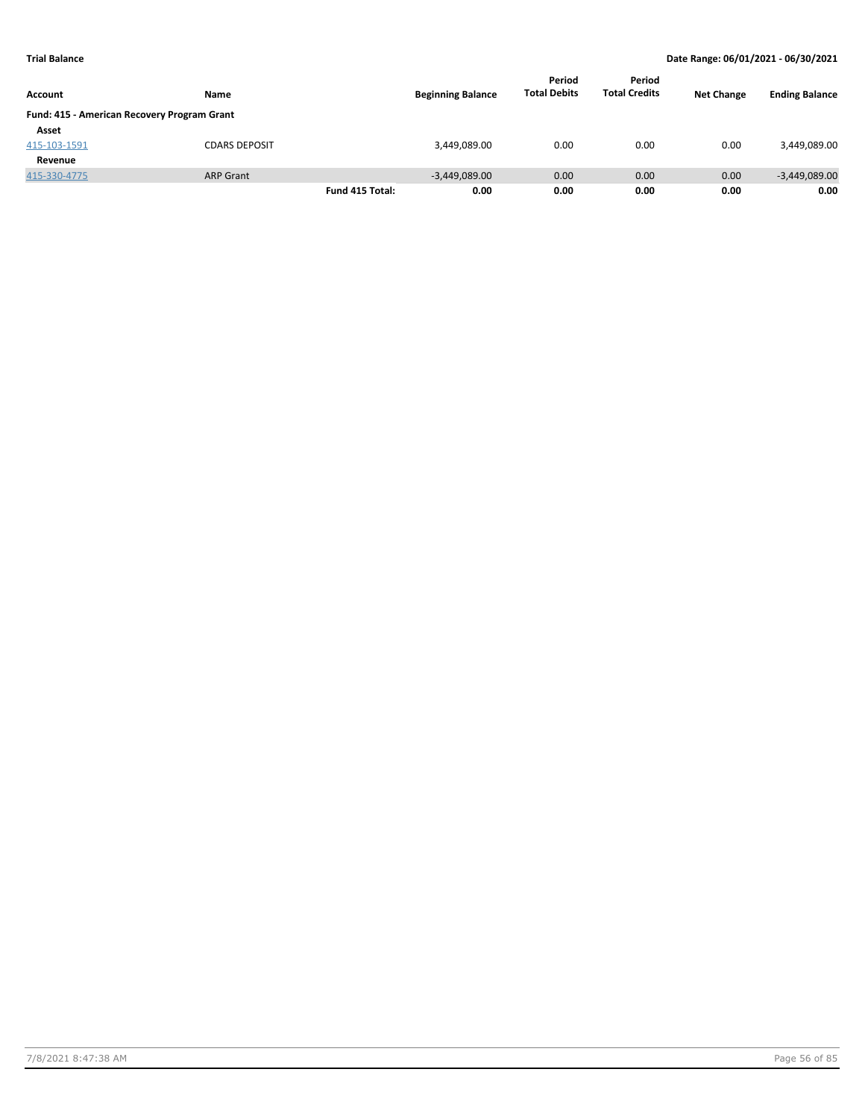|                                             |                      |                 |                          | Period              | Period               |                   |                       |
|---------------------------------------------|----------------------|-----------------|--------------------------|---------------------|----------------------|-------------------|-----------------------|
| <b>Account</b>                              | Name                 |                 | <b>Beginning Balance</b> | <b>Total Debits</b> | <b>Total Credits</b> | <b>Net Change</b> | <b>Ending Balance</b> |
| Fund: 415 - American Recovery Program Grant |                      |                 |                          |                     |                      |                   |                       |
| Asset                                       |                      |                 |                          |                     |                      |                   |                       |
| 415-103-1591                                | <b>CDARS DEPOSIT</b> |                 | 3,449,089.00             | 0.00                | 0.00                 | 0.00              | 3,449,089.00          |
| Revenue                                     |                      |                 |                          |                     |                      |                   |                       |
| 415-330-4775                                | <b>ARP Grant</b>     |                 | $-3,449,089.00$          | 0.00                | 0.00                 | 0.00              | $-3,449,089.00$       |
|                                             |                      | Fund 415 Total: | 0.00                     | 0.00                | 0.00                 | 0.00              | 0.00                  |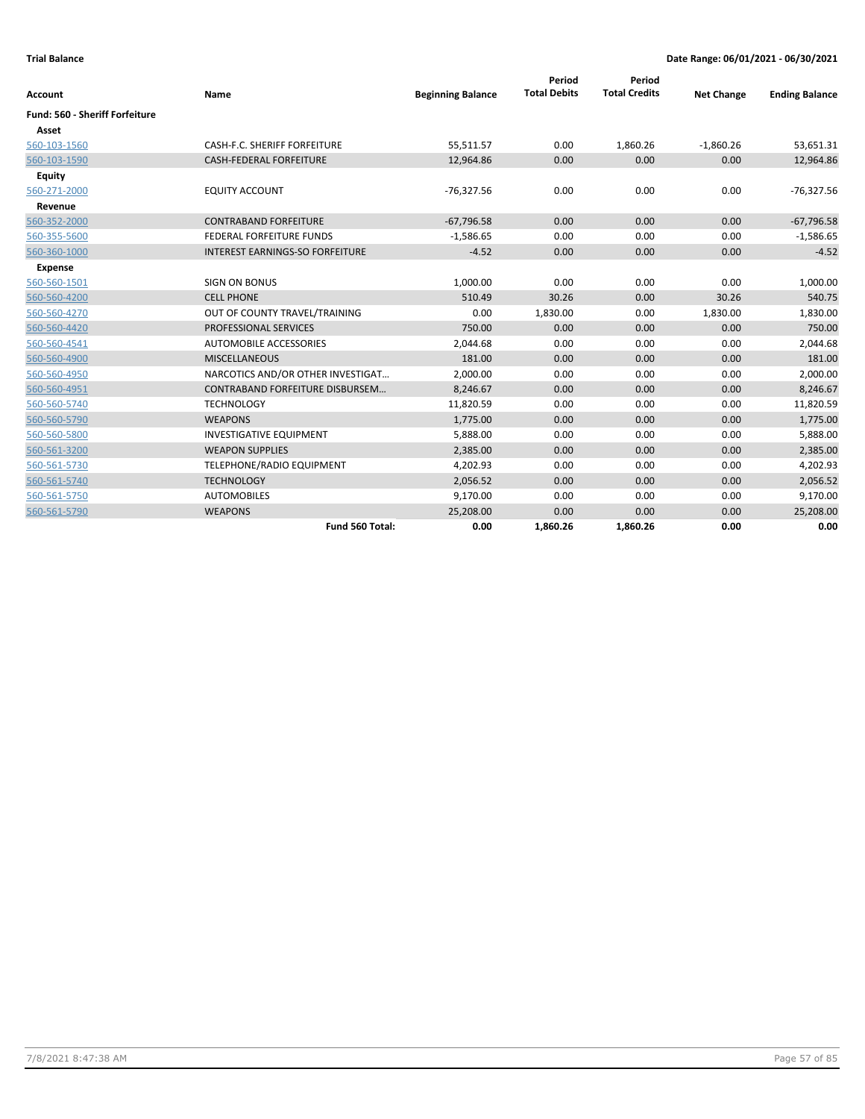| Account                               | Name                                   | <b>Beginning Balance</b> | Period<br><b>Total Debits</b> | Period<br><b>Total Credits</b> | <b>Net Change</b> | <b>Ending Balance</b> |
|---------------------------------------|----------------------------------------|--------------------------|-------------------------------|--------------------------------|-------------------|-----------------------|
| <b>Fund: 560 - Sheriff Forfeiture</b> |                                        |                          |                               |                                |                   |                       |
| Asset                                 |                                        |                          |                               |                                |                   |                       |
| 560-103-1560                          | CASH-F.C. SHERIFF FORFEITURE           | 55,511.57                | 0.00                          | 1,860.26                       | $-1,860.26$       | 53,651.31             |
| 560-103-1590                          | <b>CASH-FEDERAL FORFEITURE</b>         | 12,964.86                | 0.00                          | 0.00                           | 0.00              | 12,964.86             |
| Equity                                |                                        |                          |                               |                                |                   |                       |
| 560-271-2000                          | <b>EQUITY ACCOUNT</b>                  | $-76,327.56$             | 0.00                          | 0.00                           | 0.00              | $-76,327.56$          |
| Revenue                               |                                        |                          |                               |                                |                   |                       |
| 560-352-2000                          | <b>CONTRABAND FORFEITURE</b>           | $-67,796.58$             | 0.00                          | 0.00                           | 0.00              | $-67,796.58$          |
| 560-355-5600                          | <b>FEDERAL FORFEITURE FUNDS</b>        | $-1,586.65$              | 0.00                          | 0.00                           | 0.00              | $-1,586.65$           |
| 560-360-1000                          | <b>INTEREST EARNINGS-SO FORFEITURE</b> | $-4.52$                  | 0.00                          | 0.00                           | 0.00              | $-4.52$               |
| Expense                               |                                        |                          |                               |                                |                   |                       |
| 560-560-1501                          | <b>SIGN ON BONUS</b>                   | 1,000.00                 | 0.00                          | 0.00                           | 0.00              | 1,000.00              |
| 560-560-4200                          | <b>CELL PHONE</b>                      | 510.49                   | 30.26                         | 0.00                           | 30.26             | 540.75                |
| 560-560-4270                          | OUT OF COUNTY TRAVEL/TRAINING          | 0.00                     | 1,830.00                      | 0.00                           | 1,830.00          | 1,830.00              |
| 560-560-4420                          | <b>PROFESSIONAL SERVICES</b>           | 750.00                   | 0.00                          | 0.00                           | 0.00              | 750.00                |
| 560-560-4541                          | AUTOMOBILE ACCESSORIES                 | 2,044.68                 | 0.00                          | 0.00                           | 0.00              | 2,044.68              |
| 560-560-4900                          | <b>MISCELLANEOUS</b>                   | 181.00                   | 0.00                          | 0.00                           | 0.00              | 181.00                |
| 560-560-4950                          | NARCOTICS AND/OR OTHER INVESTIGAT      | 2,000.00                 | 0.00                          | 0.00                           | 0.00              | 2,000.00              |
| 560-560-4951                          | CONTRABAND FORFEITURE DISBURSEM        | 8,246.67                 | 0.00                          | 0.00                           | 0.00              | 8,246.67              |
| 560-560-5740                          | <b>TECHNOLOGY</b>                      | 11,820.59                | 0.00                          | 0.00                           | 0.00              | 11,820.59             |
| 560-560-5790                          | <b>WEAPONS</b>                         | 1,775.00                 | 0.00                          | 0.00                           | 0.00              | 1,775.00              |
| 560-560-5800                          | <b>INVESTIGATIVE EQUIPMENT</b>         | 5,888.00                 | 0.00                          | 0.00                           | 0.00              | 5,888.00              |
| 560-561-3200                          | <b>WEAPON SUPPLIES</b>                 | 2,385.00                 | 0.00                          | 0.00                           | 0.00              | 2,385.00              |
| 560-561-5730                          | TELEPHONE/RADIO EQUIPMENT              | 4,202.93                 | 0.00                          | 0.00                           | 0.00              | 4,202.93              |
| 560-561-5740                          | <b>TECHNOLOGY</b>                      | 2,056.52                 | 0.00                          | 0.00                           | 0.00              | 2,056.52              |
| 560-561-5750                          | <b>AUTOMOBILES</b>                     | 9,170.00                 | 0.00                          | 0.00                           | 0.00              | 9,170.00              |
| 560-561-5790                          | <b>WEAPONS</b>                         | 25,208.00                | 0.00                          | 0.00                           | 0.00              | 25,208.00             |
|                                       | Fund 560 Total:                        | 0.00                     | 1,860.26                      | 1,860.26                       | 0.00              | 0.00                  |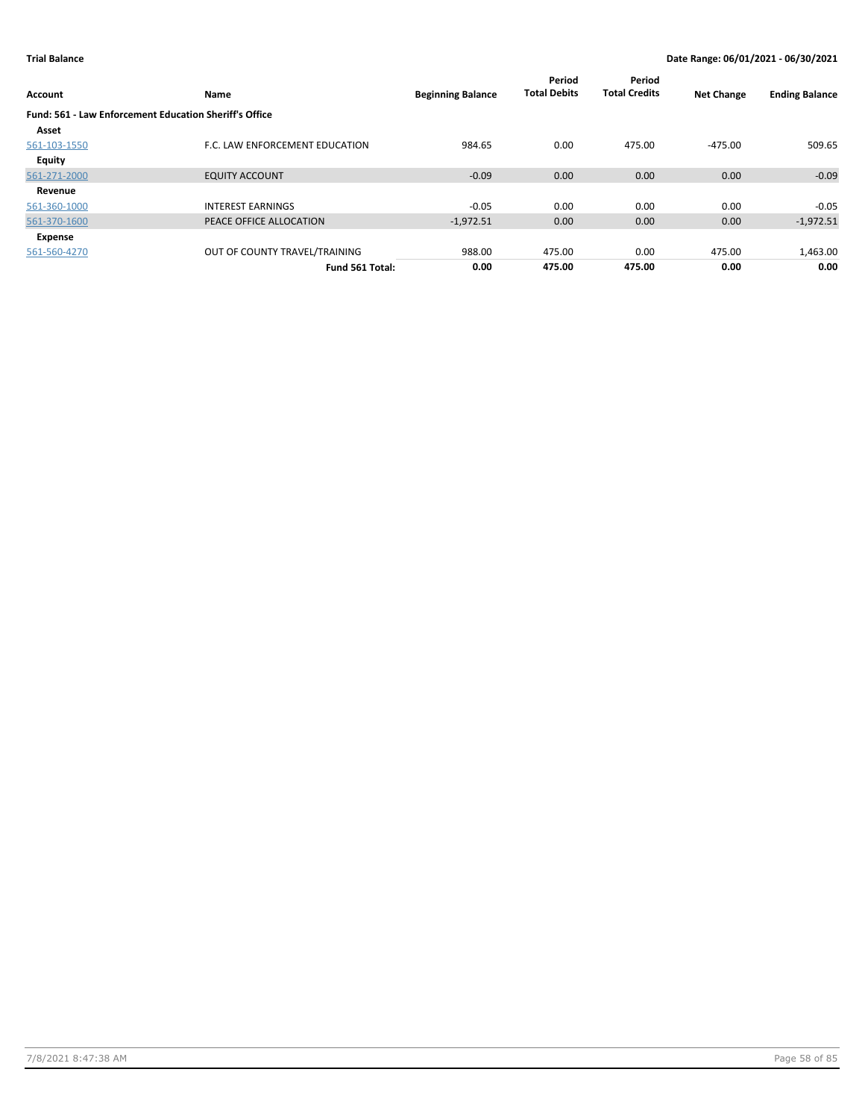| Account                                                       | Name                           | <b>Beginning Balance</b> | Period<br><b>Total Debits</b> | Period<br><b>Total Credits</b> | <b>Net Change</b> | <b>Ending Balance</b> |
|---------------------------------------------------------------|--------------------------------|--------------------------|-------------------------------|--------------------------------|-------------------|-----------------------|
| <b>Fund: 561 - Law Enforcement Education Sheriff's Office</b> |                                |                          |                               |                                |                   |                       |
| Asset                                                         |                                |                          |                               |                                |                   |                       |
| 561-103-1550                                                  | F.C. LAW ENFORCEMENT EDUCATION | 984.65                   | 0.00                          | 475.00                         | $-475.00$         | 509.65                |
| Equity                                                        |                                |                          |                               |                                |                   |                       |
| 561-271-2000                                                  | <b>EQUITY ACCOUNT</b>          | $-0.09$                  | 0.00                          | 0.00                           | 0.00              | $-0.09$               |
| Revenue                                                       |                                |                          |                               |                                |                   |                       |
| 561-360-1000                                                  | <b>INTEREST EARNINGS</b>       | $-0.05$                  | 0.00                          | 0.00                           | 0.00              | $-0.05$               |
| 561-370-1600                                                  | PEACE OFFICE ALLOCATION        | $-1,972.51$              | 0.00                          | 0.00                           | 0.00              | $-1,972.51$           |
| Expense                                                       |                                |                          |                               |                                |                   |                       |
| 561-560-4270                                                  | OUT OF COUNTY TRAVEL/TRAINING  | 988.00                   | 475.00                        | 0.00                           | 475.00            | 1,463.00              |
|                                                               | Fund 561 Total:                | 0.00                     | 475.00                        | 475.00                         | 0.00              | 0.00                  |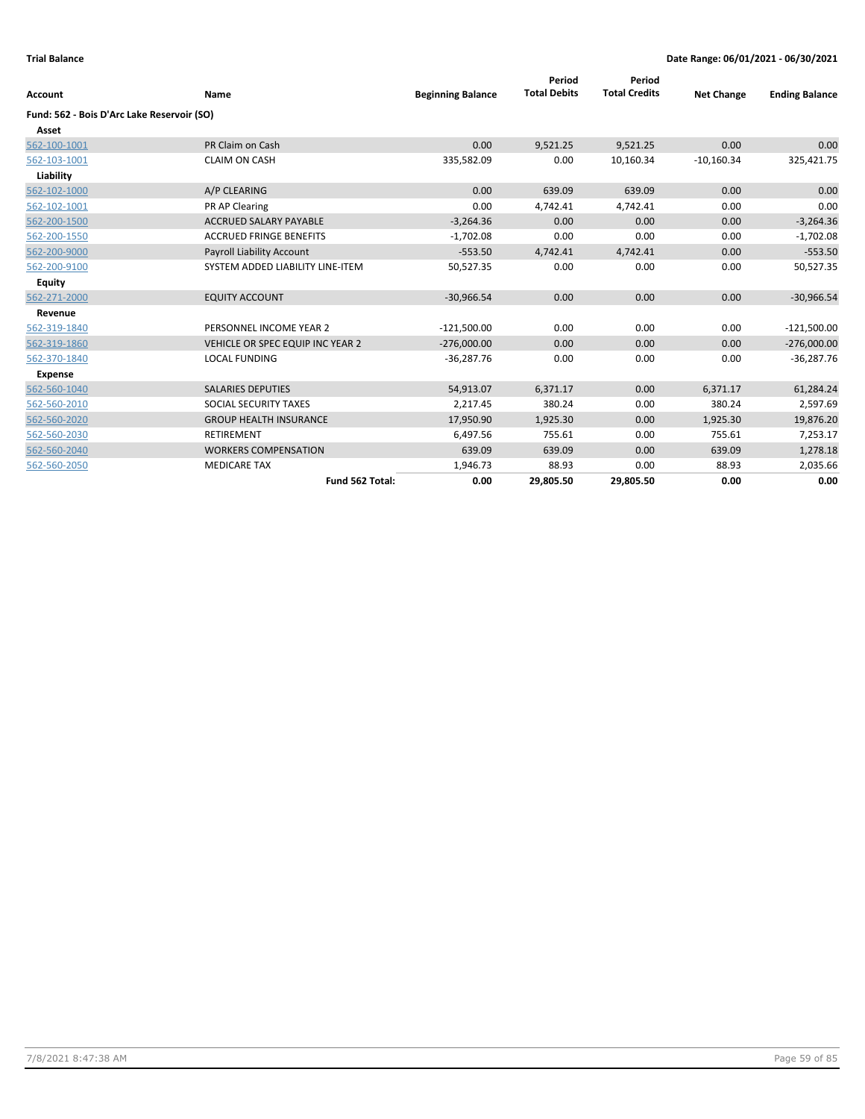| <b>Account</b>                             | Name                                    | <b>Beginning Balance</b> | Period<br><b>Total Debits</b> | Period<br><b>Total Credits</b> | <b>Net Change</b> | <b>Ending Balance</b> |
|--------------------------------------------|-----------------------------------------|--------------------------|-------------------------------|--------------------------------|-------------------|-----------------------|
| Fund: 562 - Bois D'Arc Lake Reservoir (SO) |                                         |                          |                               |                                |                   |                       |
| Asset                                      |                                         |                          |                               |                                |                   |                       |
| 562-100-1001                               | PR Claim on Cash                        | 0.00                     | 9,521.25                      | 9,521.25                       | 0.00              | 0.00                  |
| 562-103-1001                               | <b>CLAIM ON CASH</b>                    | 335,582.09               | 0.00                          | 10,160.34                      | $-10,160.34$      | 325,421.75            |
| Liability                                  |                                         |                          |                               |                                |                   |                       |
| 562-102-1000                               | A/P CLEARING                            | 0.00                     | 639.09                        | 639.09                         | 0.00              | 0.00                  |
| 562-102-1001                               | PR AP Clearing                          | 0.00                     | 4,742.41                      | 4,742.41                       | 0.00              | 0.00                  |
| 562-200-1500                               | <b>ACCRUED SALARY PAYABLE</b>           | $-3,264.36$              | 0.00                          | 0.00                           | 0.00              | $-3,264.36$           |
| 562-200-1550                               | <b>ACCRUED FRINGE BENEFITS</b>          | $-1,702.08$              | 0.00                          | 0.00                           | 0.00              | $-1,702.08$           |
| 562-200-9000                               | Payroll Liability Account               | $-553.50$                | 4,742.41                      | 4,742.41                       | 0.00              | $-553.50$             |
| 562-200-9100                               | SYSTEM ADDED LIABILITY LINE-ITEM        | 50,527.35                | 0.00                          | 0.00                           | 0.00              | 50,527.35             |
| Equity                                     |                                         |                          |                               |                                |                   |                       |
| 562-271-2000                               | <b>EQUITY ACCOUNT</b>                   | $-30,966.54$             | 0.00                          | 0.00                           | 0.00              | $-30,966.54$          |
| Revenue                                    |                                         |                          |                               |                                |                   |                       |
| 562-319-1840                               | PERSONNEL INCOME YEAR 2                 | $-121,500.00$            | 0.00                          | 0.00                           | 0.00              | $-121,500.00$         |
| 562-319-1860                               | <b>VEHICLE OR SPEC EQUIP INC YEAR 2</b> | $-276,000.00$            | 0.00                          | 0.00                           | 0.00              | $-276,000.00$         |
| 562-370-1840                               | <b>LOCAL FUNDING</b>                    | $-36.287.76$             | 0.00                          | 0.00                           | 0.00              | $-36,287.76$          |
| <b>Expense</b>                             |                                         |                          |                               |                                |                   |                       |
| 562-560-1040                               | <b>SALARIES DEPUTIES</b>                | 54,913.07                | 6,371.17                      | 0.00                           | 6,371.17          | 61,284.24             |
| 562-560-2010                               | SOCIAL SECURITY TAXES                   | 2,217.45                 | 380.24                        | 0.00                           | 380.24            | 2,597.69              |
| 562-560-2020                               | <b>GROUP HEALTH INSURANCE</b>           | 17,950.90                | 1,925.30                      | 0.00                           | 1,925.30          | 19,876.20             |
| 562-560-2030                               | RETIREMENT                              | 6,497.56                 | 755.61                        | 0.00                           | 755.61            | 7,253.17              |
| 562-560-2040                               | <b>WORKERS COMPENSATION</b>             | 639.09                   | 639.09                        | 0.00                           | 639.09            | 1,278.18              |
| 562-560-2050                               | <b>MEDICARE TAX</b>                     | 1,946.73                 | 88.93                         | 0.00                           | 88.93             | 2,035.66              |
|                                            | Fund 562 Total:                         | 0.00                     | 29,805.50                     | 29,805.50                      | 0.00              | 0.00                  |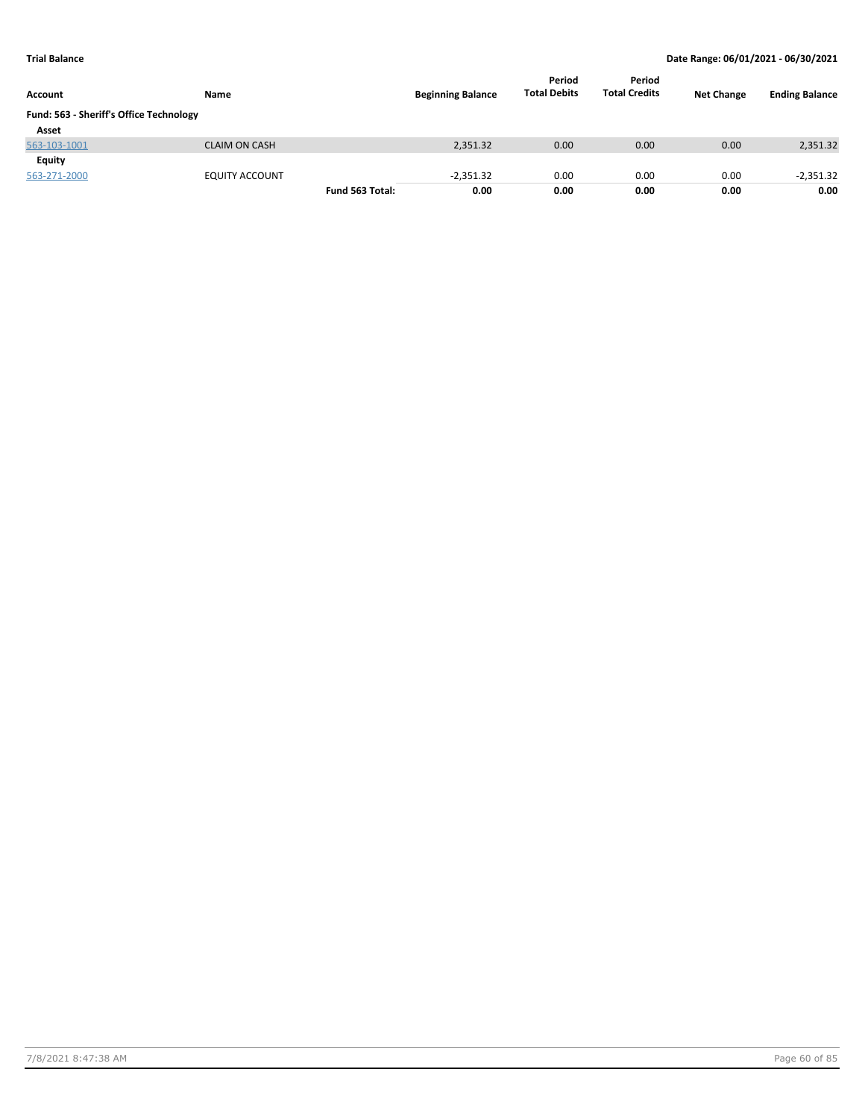| Account                                 | Name                  |                 | <b>Beginning Balance</b> | Period<br><b>Total Debits</b> | Period<br><b>Total Credits</b> | <b>Net Change</b> | <b>Ending Balance</b> |
|-----------------------------------------|-----------------------|-----------------|--------------------------|-------------------------------|--------------------------------|-------------------|-----------------------|
| Fund: 563 - Sheriff's Office Technology |                       |                 |                          |                               |                                |                   |                       |
| Asset                                   |                       |                 |                          |                               |                                |                   |                       |
| 563-103-1001                            | <b>CLAIM ON CASH</b>  |                 | 2,351.32                 | 0.00                          | 0.00                           | 0.00              | 2,351.32              |
| Equity                                  |                       |                 |                          |                               |                                |                   |                       |
| 563-271-2000                            | <b>EQUITY ACCOUNT</b> |                 | $-2,351.32$              | 0.00                          | 0.00                           | 0.00              | $-2,351.32$           |
|                                         |                       | Fund 563 Total: | 0.00                     | 0.00                          | 0.00                           | 0.00              | 0.00                  |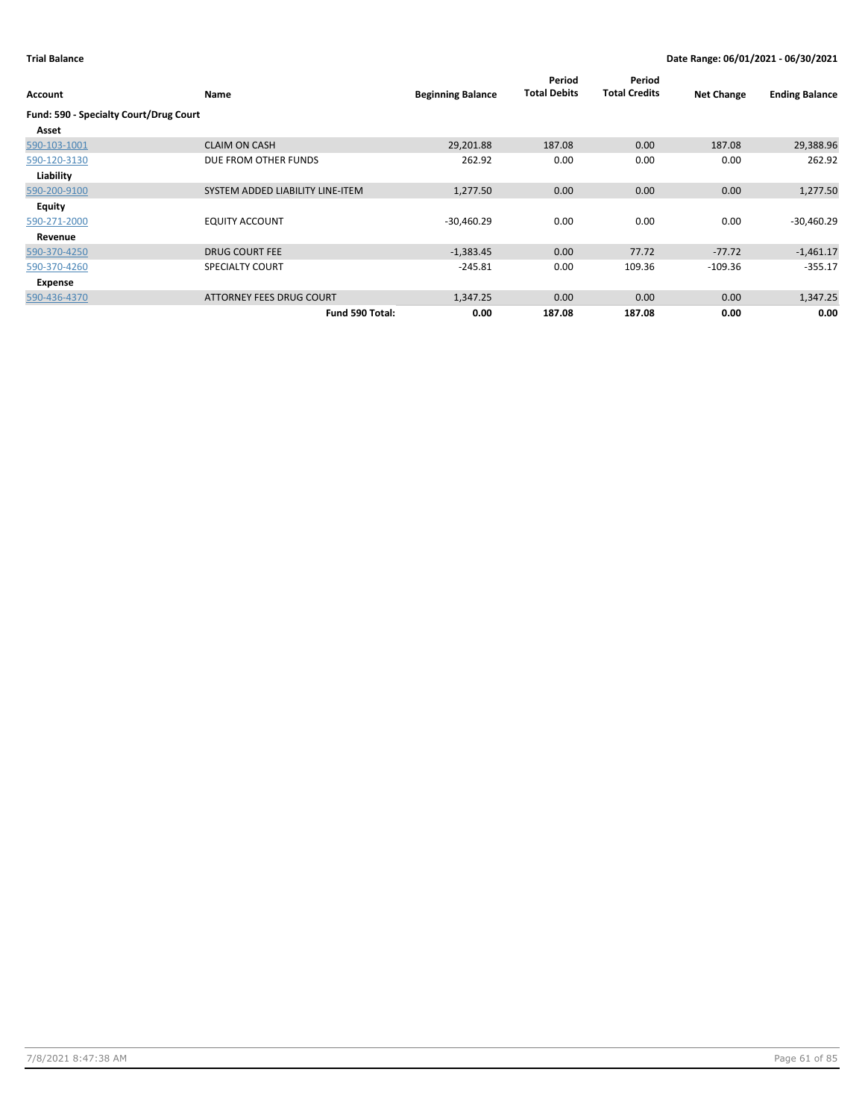| Account                                | Name                             | <b>Beginning Balance</b> | Period<br><b>Total Debits</b> | Period<br><b>Total Credits</b> | <b>Net Change</b> | <b>Ending Balance</b> |
|----------------------------------------|----------------------------------|--------------------------|-------------------------------|--------------------------------|-------------------|-----------------------|
| Fund: 590 - Specialty Court/Drug Court |                                  |                          |                               |                                |                   |                       |
| Asset                                  |                                  |                          |                               |                                |                   |                       |
| 590-103-1001                           | <b>CLAIM ON CASH</b>             | 29,201.88                | 187.08                        | 0.00                           | 187.08            | 29,388.96             |
| 590-120-3130                           | DUE FROM OTHER FUNDS             | 262.92                   | 0.00                          | 0.00                           | 0.00              | 262.92                |
| Liability                              |                                  |                          |                               |                                |                   |                       |
| 590-200-9100                           | SYSTEM ADDED LIABILITY LINE-ITEM | 1,277.50                 | 0.00                          | 0.00                           | 0.00              | 1,277.50              |
| <b>Equity</b>                          |                                  |                          |                               |                                |                   |                       |
| 590-271-2000                           | <b>EQUITY ACCOUNT</b>            | $-30,460.29$             | 0.00                          | 0.00                           | 0.00              | $-30,460.29$          |
| Revenue                                |                                  |                          |                               |                                |                   |                       |
| 590-370-4250                           | <b>DRUG COURT FEE</b>            | $-1,383.45$              | 0.00                          | 77.72                          | $-77.72$          | $-1,461.17$           |
| 590-370-4260                           | <b>SPECIALTY COURT</b>           | $-245.81$                | 0.00                          | 109.36                         | $-109.36$         | $-355.17$             |
| Expense                                |                                  |                          |                               |                                |                   |                       |
| 590-436-4370                           | ATTORNEY FEES DRUG COURT         | 1,347.25                 | 0.00                          | 0.00                           | 0.00              | 1,347.25              |
|                                        | Fund 590 Total:                  | 0.00                     | 187.08                        | 187.08                         | 0.00              | 0.00                  |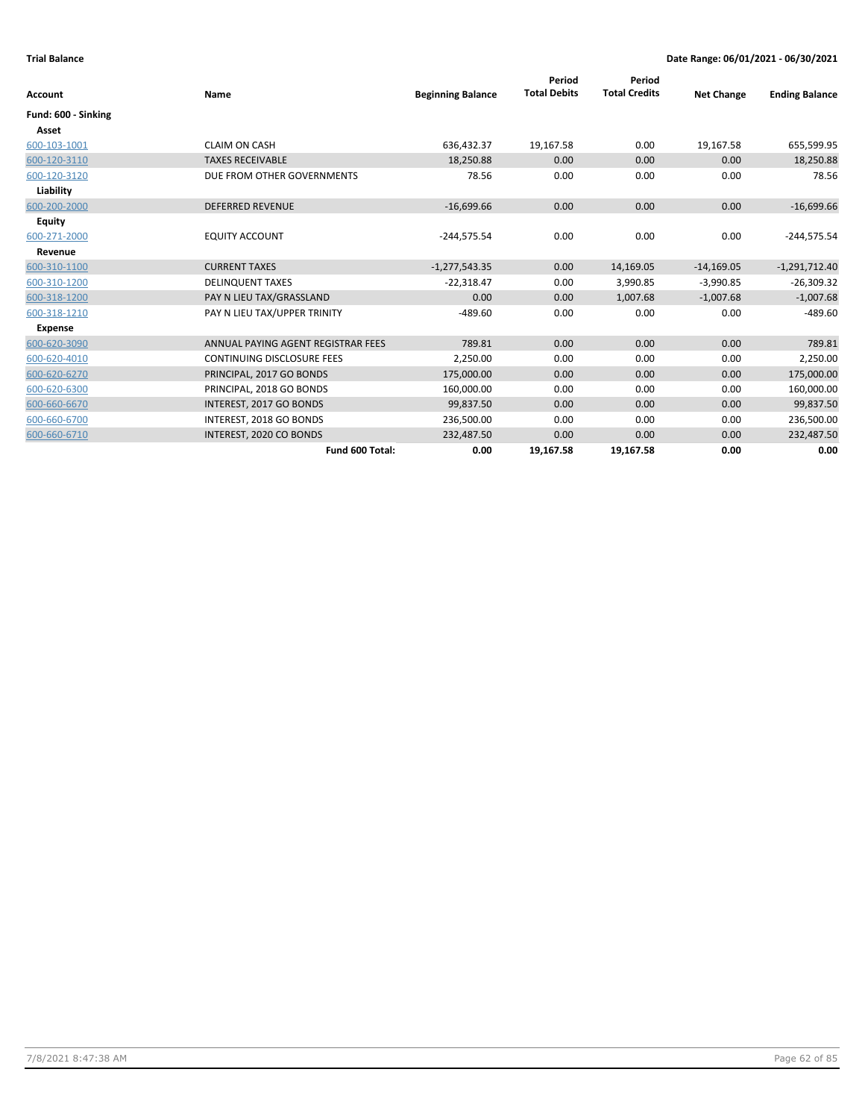| Account             | Name                               | <b>Beginning Balance</b> | Period<br><b>Total Debits</b> | Period<br><b>Total Credits</b> | <b>Net Change</b> | <b>Ending Balance</b> |
|---------------------|------------------------------------|--------------------------|-------------------------------|--------------------------------|-------------------|-----------------------|
| Fund: 600 - Sinking |                                    |                          |                               |                                |                   |                       |
| Asset               |                                    |                          |                               |                                |                   |                       |
| 600-103-1001        | <b>CLAIM ON CASH</b>               | 636,432.37               | 19,167.58                     | 0.00                           | 19,167.58         | 655,599.95            |
| 600-120-3110        | <b>TAXES RECEIVABLE</b>            | 18,250.88                | 0.00                          | 0.00                           | 0.00              | 18,250.88             |
| 600-120-3120        | DUE FROM OTHER GOVERNMENTS         | 78.56                    | 0.00                          | 0.00                           | 0.00              | 78.56                 |
| Liability           |                                    |                          |                               |                                |                   |                       |
| 600-200-2000        | <b>DEFERRED REVENUE</b>            | $-16,699.66$             | 0.00                          | 0.00                           | 0.00              | $-16,699.66$          |
| Equity              |                                    |                          |                               |                                |                   |                       |
| 600-271-2000        | <b>EQUITY ACCOUNT</b>              | $-244,575.54$            | 0.00                          | 0.00                           | 0.00              | $-244,575.54$         |
| Revenue             |                                    |                          |                               |                                |                   |                       |
| 600-310-1100        | <b>CURRENT TAXES</b>               | $-1,277,543.35$          | 0.00                          | 14,169.05                      | $-14,169.05$      | $-1,291,712.40$       |
| 600-310-1200        | <b>DELINQUENT TAXES</b>            | $-22,318.47$             | 0.00                          | 3,990.85                       | $-3,990.85$       | $-26,309.32$          |
| 600-318-1200        | PAY N LIEU TAX/GRASSLAND           | 0.00                     | 0.00                          | 1,007.68                       | $-1,007.68$       | $-1,007.68$           |
| 600-318-1210        | PAY N LIEU TAX/UPPER TRINITY       | $-489.60$                | 0.00                          | 0.00                           | 0.00              | $-489.60$             |
| <b>Expense</b>      |                                    |                          |                               |                                |                   |                       |
| 600-620-3090        | ANNUAL PAYING AGENT REGISTRAR FEES | 789.81                   | 0.00                          | 0.00                           | 0.00              | 789.81                |
| 600-620-4010        | <b>CONTINUING DISCLOSURE FEES</b>  | 2,250.00                 | 0.00                          | 0.00                           | 0.00              | 2,250.00              |
| 600-620-6270        | PRINCIPAL, 2017 GO BONDS           | 175,000.00               | 0.00                          | 0.00                           | 0.00              | 175,000.00            |
| 600-620-6300        | PRINCIPAL, 2018 GO BONDS           | 160,000.00               | 0.00                          | 0.00                           | 0.00              | 160,000.00            |
| 600-660-6670        | INTEREST, 2017 GO BONDS            | 99,837.50                | 0.00                          | 0.00                           | 0.00              | 99,837.50             |
| 600-660-6700        | INTEREST, 2018 GO BONDS            | 236,500.00               | 0.00                          | 0.00                           | 0.00              | 236,500.00            |
| 600-660-6710        | INTEREST, 2020 CO BONDS            | 232,487.50               | 0.00                          | 0.00                           | 0.00              | 232,487.50            |
|                     | Fund 600 Total:                    | 0.00                     | 19,167.58                     | 19,167.58                      | 0.00              | 0.00                  |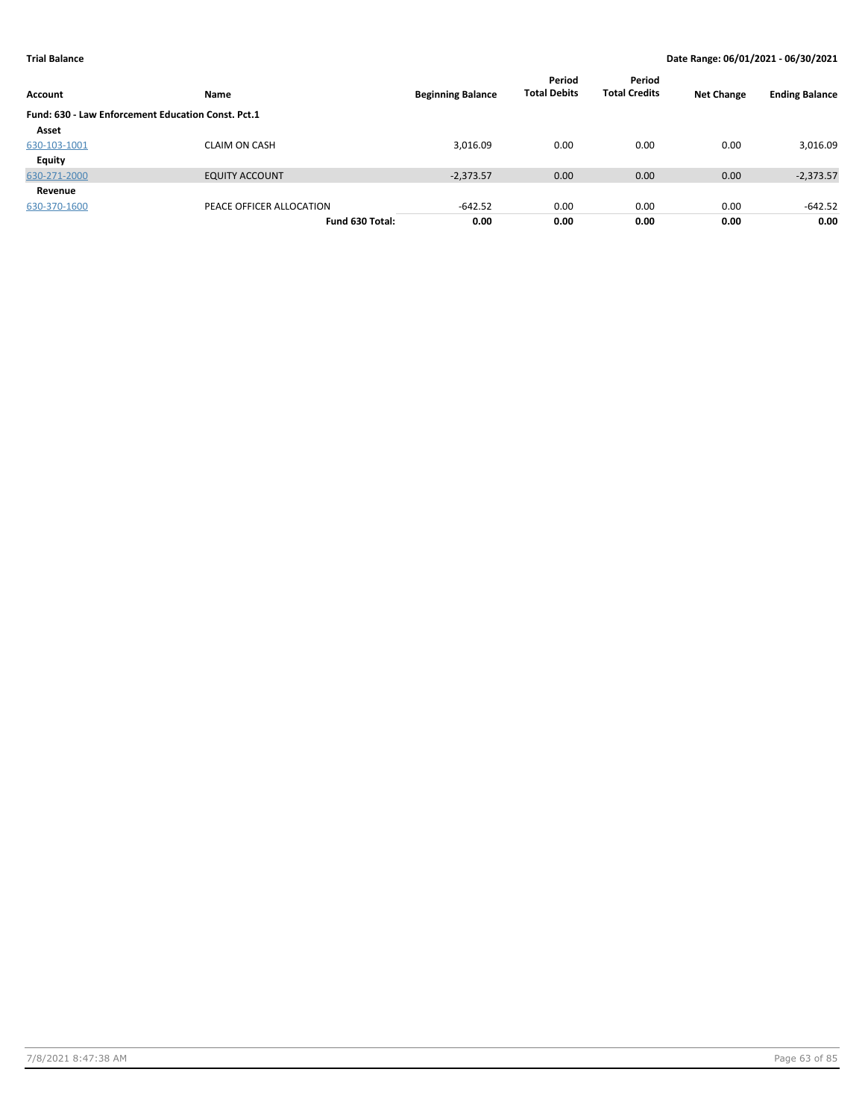| Account                                            | Name                     | <b>Beginning Balance</b> | Period<br><b>Total Debits</b> | Period<br><b>Total Credits</b> | <b>Net Change</b> | <b>Ending Balance</b> |
|----------------------------------------------------|--------------------------|--------------------------|-------------------------------|--------------------------------|-------------------|-----------------------|
| Fund: 630 - Law Enforcement Education Const. Pct.1 |                          |                          |                               |                                |                   |                       |
| Asset                                              |                          |                          |                               |                                |                   |                       |
| 630-103-1001                                       | <b>CLAIM ON CASH</b>     | 3,016.09                 | 0.00                          | 0.00                           | 0.00              | 3,016.09              |
| <b>Equity</b>                                      |                          |                          |                               |                                |                   |                       |
| 630-271-2000                                       | <b>EQUITY ACCOUNT</b>    | $-2,373.57$              | 0.00                          | 0.00                           | 0.00              | $-2,373.57$           |
| Revenue                                            |                          |                          |                               |                                |                   |                       |
| 630-370-1600                                       | PEACE OFFICER ALLOCATION | $-642.52$                | 0.00                          | 0.00                           | 0.00              | $-642.52$             |
|                                                    | Fund 630 Total:          | 0.00                     | 0.00                          | 0.00                           | 0.00              | 0.00                  |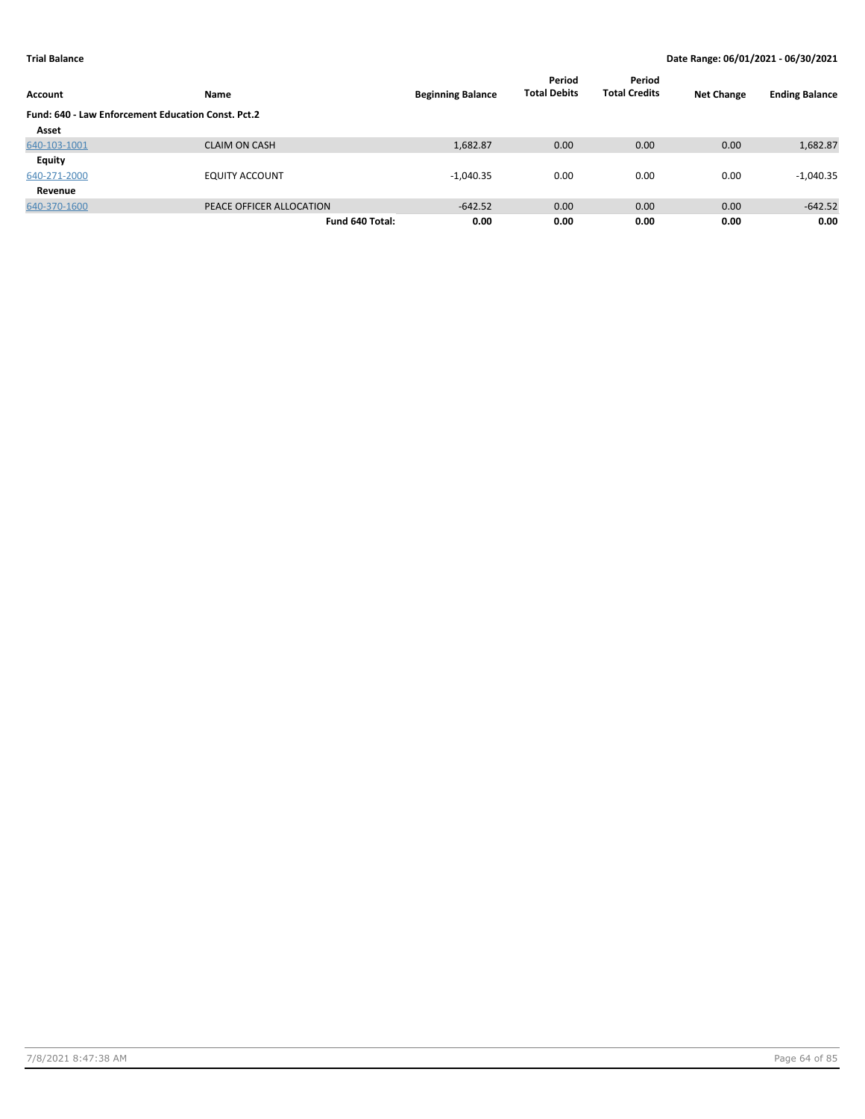| Account      | Name                                               | <b>Beginning Balance</b> | Period<br><b>Total Debits</b> | Period<br><b>Total Credits</b> | <b>Net Change</b> | <b>Ending Balance</b> |  |  |  |  |
|--------------|----------------------------------------------------|--------------------------|-------------------------------|--------------------------------|-------------------|-----------------------|--|--|--|--|
|              | Fund: 640 - Law Enforcement Education Const. Pct.2 |                          |                               |                                |                   |                       |  |  |  |  |
| Asset        |                                                    |                          |                               |                                |                   |                       |  |  |  |  |
| 640-103-1001 | <b>CLAIM ON CASH</b>                               | 1,682.87                 | 0.00                          | 0.00                           | 0.00              | 1,682.87              |  |  |  |  |
| Equity       |                                                    |                          |                               |                                |                   |                       |  |  |  |  |
| 640-271-2000 | <b>EQUITY ACCOUNT</b>                              | $-1,040.35$              | 0.00                          | 0.00                           | 0.00              | $-1,040.35$           |  |  |  |  |
| Revenue      |                                                    |                          |                               |                                |                   |                       |  |  |  |  |
| 640-370-1600 | PEACE OFFICER ALLOCATION                           | $-642.52$                | 0.00                          | 0.00                           | 0.00              | $-642.52$             |  |  |  |  |
|              | Fund 640 Total:                                    | 0.00                     | 0.00                          | 0.00                           | 0.00              | 0.00                  |  |  |  |  |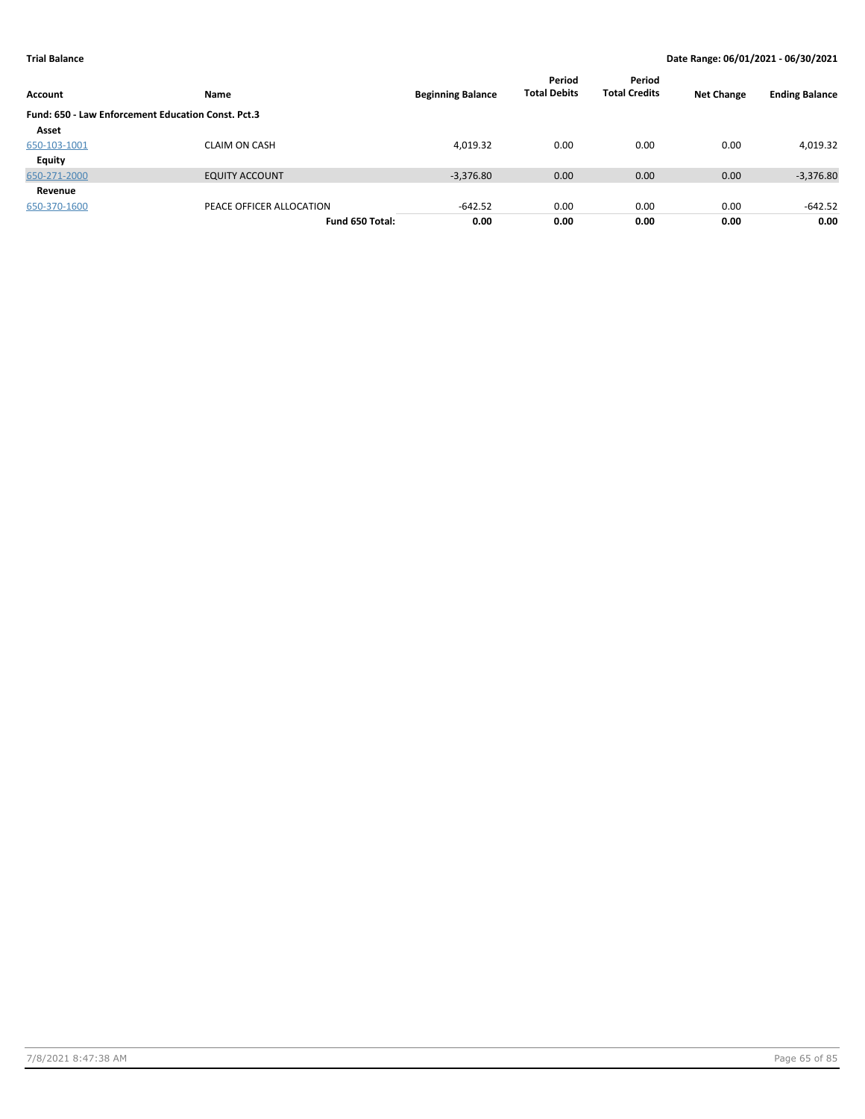| Account                                            | Name                     | <b>Beginning Balance</b> | Period<br><b>Total Debits</b> | Period<br><b>Total Credits</b> | <b>Net Change</b> | <b>Ending Balance</b> |
|----------------------------------------------------|--------------------------|--------------------------|-------------------------------|--------------------------------|-------------------|-----------------------|
| Fund: 650 - Law Enforcement Education Const. Pct.3 |                          |                          |                               |                                |                   |                       |
| Asset                                              |                          |                          |                               |                                |                   |                       |
| 650-103-1001                                       | <b>CLAIM ON CASH</b>     | 4,019.32                 | 0.00                          | 0.00                           | 0.00              | 4,019.32              |
| <b>Equity</b>                                      |                          |                          |                               |                                |                   |                       |
| 650-271-2000                                       | <b>EQUITY ACCOUNT</b>    | $-3,376.80$              | 0.00                          | 0.00                           | 0.00              | $-3,376.80$           |
| Revenue                                            |                          |                          |                               |                                |                   |                       |
| 650-370-1600                                       | PEACE OFFICER ALLOCATION | $-642.52$                | 0.00                          | 0.00                           | 0.00              | $-642.52$             |
|                                                    | Fund 650 Total:          | 0.00                     | 0.00                          | 0.00                           | 0.00              | 0.00                  |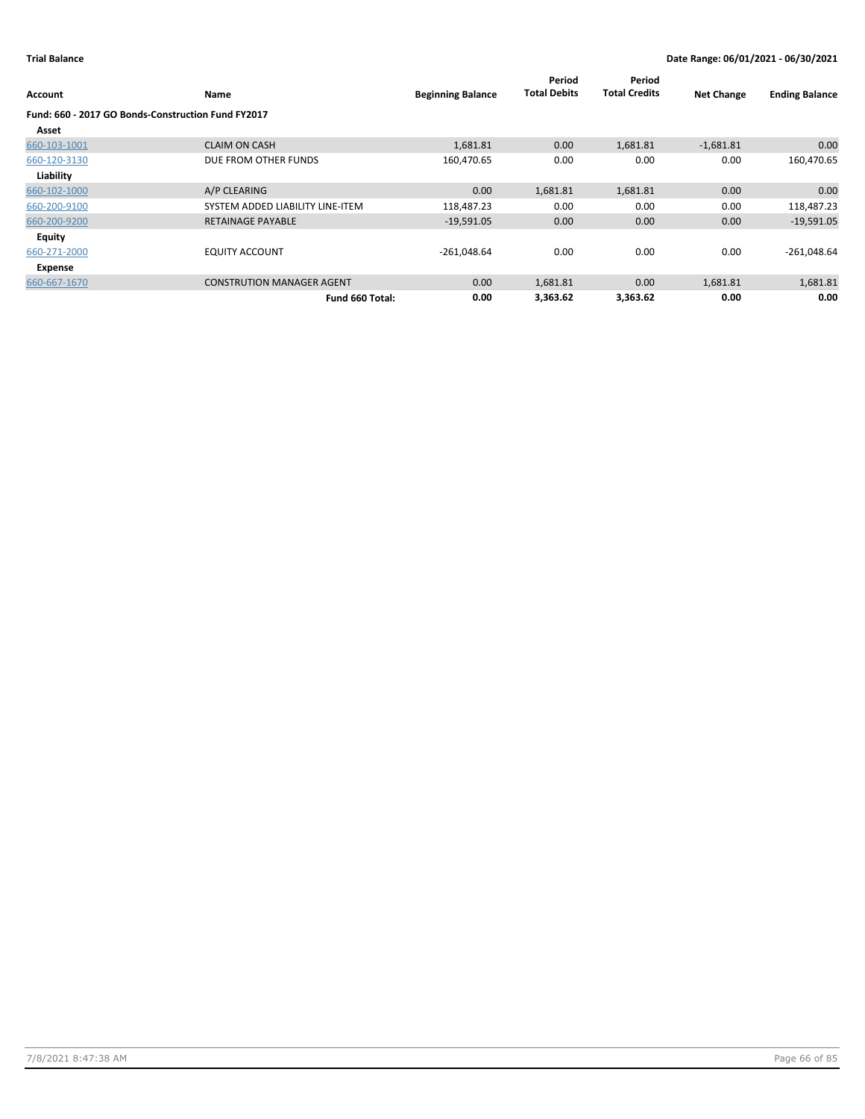| Account       | Name                                               | <b>Beginning Balance</b> | Period<br><b>Total Debits</b> | Period<br><b>Total Credits</b> | <b>Net Change</b> | <b>Ending Balance</b> |
|---------------|----------------------------------------------------|--------------------------|-------------------------------|--------------------------------|-------------------|-----------------------|
|               | Fund: 660 - 2017 GO Bonds-Construction Fund FY2017 |                          |                               |                                |                   |                       |
| Asset         |                                                    |                          |                               |                                |                   |                       |
| 660-103-1001  | <b>CLAIM ON CASH</b>                               | 1,681.81                 | 0.00                          | 1,681.81                       | $-1,681.81$       | 0.00                  |
| 660-120-3130  | DUE FROM OTHER FUNDS                               | 160,470.65               | 0.00                          | 0.00                           | 0.00              | 160,470.65            |
| Liability     |                                                    |                          |                               |                                |                   |                       |
| 660-102-1000  | A/P CLEARING                                       | 0.00                     | 1,681.81                      | 1,681.81                       | 0.00              | 0.00                  |
| 660-200-9100  | SYSTEM ADDED LIABILITY LINE-ITEM                   | 118,487.23               | 0.00                          | 0.00                           | 0.00              | 118,487.23            |
| 660-200-9200  | <b>RETAINAGE PAYABLE</b>                           | $-19,591.05$             | 0.00                          | 0.00                           | 0.00              | $-19,591.05$          |
| <b>Equity</b> |                                                    |                          |                               |                                |                   |                       |
| 660-271-2000  | <b>EQUITY ACCOUNT</b>                              | $-261,048.64$            | 0.00                          | 0.00                           | 0.00              | $-261,048.64$         |
| Expense       |                                                    |                          |                               |                                |                   |                       |
| 660-667-1670  | <b>CONSTRUTION MANAGER AGENT</b>                   | 0.00                     | 1,681.81                      | 0.00                           | 1,681.81          | 1,681.81              |
|               | Fund 660 Total:                                    | 0.00                     | 3,363.62                      | 3,363.62                       | 0.00              | 0.00                  |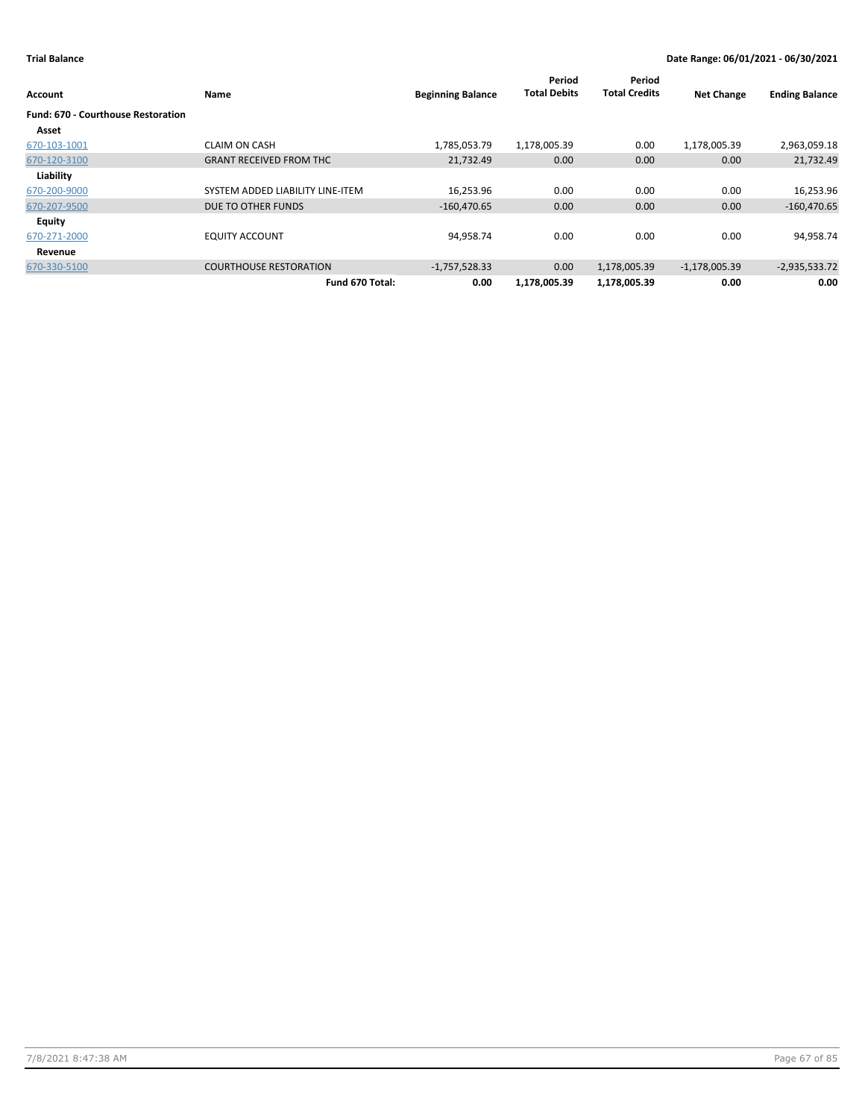| Account                                   | Name                             | <b>Beginning Balance</b> | Period<br><b>Total Debits</b> | Period<br><b>Total Credits</b> | <b>Net Change</b> | <b>Ending Balance</b> |
|-------------------------------------------|----------------------------------|--------------------------|-------------------------------|--------------------------------|-------------------|-----------------------|
| <b>Fund: 670 - Courthouse Restoration</b> |                                  |                          |                               |                                |                   |                       |
| Asset                                     |                                  |                          |                               |                                |                   |                       |
| 670-103-1001                              | <b>CLAIM ON CASH</b>             | 1,785,053.79             | 1,178,005.39                  | 0.00                           | 1,178,005.39      | 2,963,059.18          |
| 670-120-3100                              | <b>GRANT RECEIVED FROM THC</b>   | 21,732.49                | 0.00                          | 0.00                           | 0.00              | 21,732.49             |
| Liability                                 |                                  |                          |                               |                                |                   |                       |
| 670-200-9000                              | SYSTEM ADDED LIABILITY LINE-ITEM | 16,253.96                | 0.00                          | 0.00                           | 0.00              | 16,253.96             |
| 670-207-9500                              | DUE TO OTHER FUNDS               | $-160,470.65$            | 0.00                          | 0.00                           | 0.00              | $-160,470.65$         |
| Equity                                    |                                  |                          |                               |                                |                   |                       |
| 670-271-2000                              | <b>EQUITY ACCOUNT</b>            | 94,958.74                | 0.00                          | 0.00                           | 0.00              | 94,958.74             |
| Revenue                                   |                                  |                          |                               |                                |                   |                       |
| 670-330-5100                              | <b>COURTHOUSE RESTORATION</b>    | $-1,757,528.33$          | 0.00                          | 1,178,005.39                   | $-1,178,005.39$   | $-2,935,533.72$       |
|                                           | Fund 670 Total:                  | 0.00                     | 1,178,005.39                  | 1,178,005.39                   | 0.00              | 0.00                  |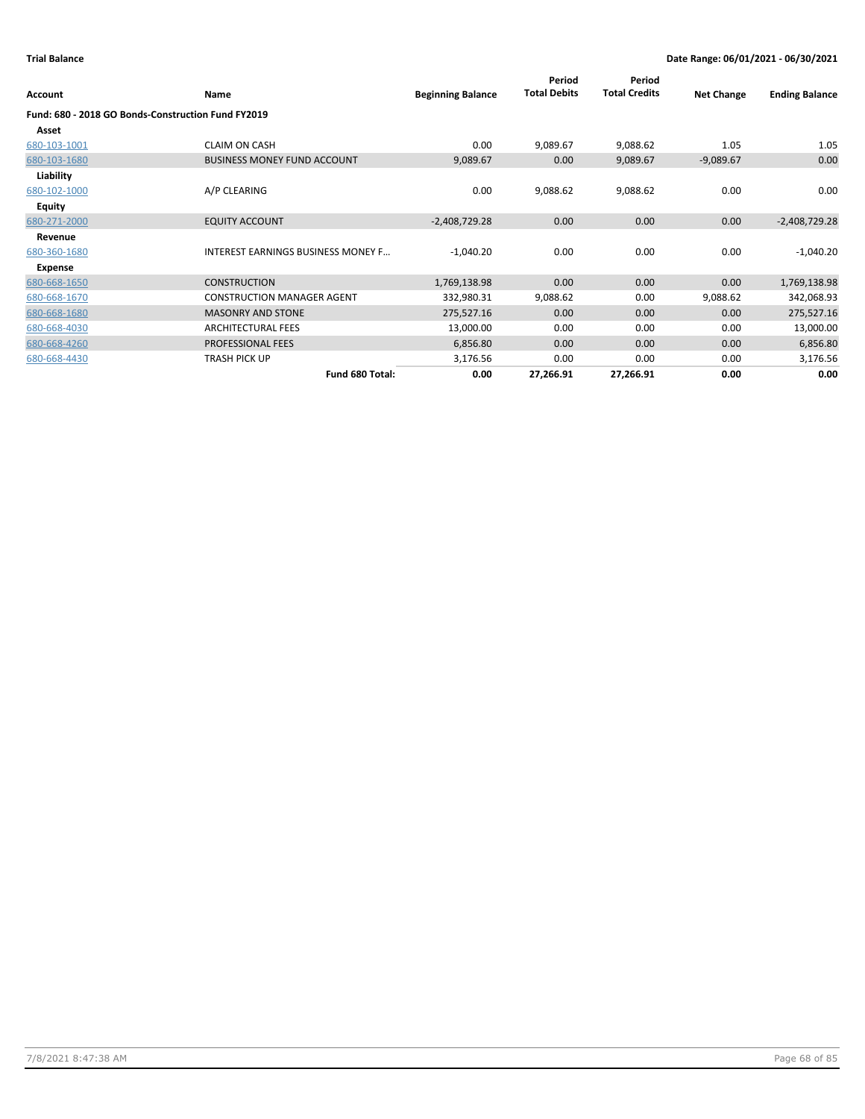| Account                                            | <b>Name</b>                               | <b>Beginning Balance</b> | Period<br><b>Total Debits</b> | Period<br><b>Total Credits</b> | <b>Net Change</b> | <b>Ending Balance</b> |
|----------------------------------------------------|-------------------------------------------|--------------------------|-------------------------------|--------------------------------|-------------------|-----------------------|
| Fund: 680 - 2018 GO Bonds-Construction Fund FY2019 |                                           |                          |                               |                                |                   |                       |
| Asset                                              |                                           |                          |                               |                                |                   |                       |
| 680-103-1001                                       | <b>CLAIM ON CASH</b>                      | 0.00                     | 9,089.67                      | 9,088.62                       | 1.05              | 1.05                  |
| 680-103-1680                                       | <b>BUSINESS MONEY FUND ACCOUNT</b>        | 9,089.67                 | 0.00                          | 9,089.67                       | $-9,089.67$       | 0.00                  |
| Liability                                          |                                           |                          |                               |                                |                   |                       |
| 680-102-1000                                       | A/P CLEARING                              | 0.00                     | 9,088.62                      | 9,088.62                       | 0.00              | 0.00                  |
| <b>Equity</b>                                      |                                           |                          |                               |                                |                   |                       |
| 680-271-2000                                       | <b>EQUITY ACCOUNT</b>                     | $-2,408,729.28$          | 0.00                          | 0.00                           | 0.00              | $-2,408,729.28$       |
| Revenue                                            |                                           |                          |                               |                                |                   |                       |
| 680-360-1680                                       | <b>INTEREST EARNINGS BUSINESS MONEY F</b> | $-1,040.20$              | 0.00                          | 0.00                           | 0.00              | $-1,040.20$           |
| Expense                                            |                                           |                          |                               |                                |                   |                       |
| 680-668-1650                                       | <b>CONSTRUCTION</b>                       | 1,769,138.98             | 0.00                          | 0.00                           | 0.00              | 1,769,138.98          |
| 680-668-1670                                       | <b>CONSTRUCTION MANAGER AGENT</b>         | 332,980.31               | 9,088.62                      | 0.00                           | 9,088.62          | 342,068.93            |
| 680-668-1680                                       | <b>MASONRY AND STONE</b>                  | 275,527.16               | 0.00                          | 0.00                           | 0.00              | 275,527.16            |
| 680-668-4030                                       | <b>ARCHITECTURAL FEES</b>                 | 13,000.00                | 0.00                          | 0.00                           | 0.00              | 13,000.00             |
| 680-668-4260                                       | <b>PROFESSIONAL FEES</b>                  | 6,856.80                 | 0.00                          | 0.00                           | 0.00              | 6,856.80              |
| 680-668-4430                                       | <b>TRASH PICK UP</b>                      | 3,176.56                 | 0.00                          | 0.00                           | 0.00              | 3,176.56              |
|                                                    | Fund 680 Total:                           | 0.00                     | 27,266.91                     | 27,266.91                      | 0.00              | 0.00                  |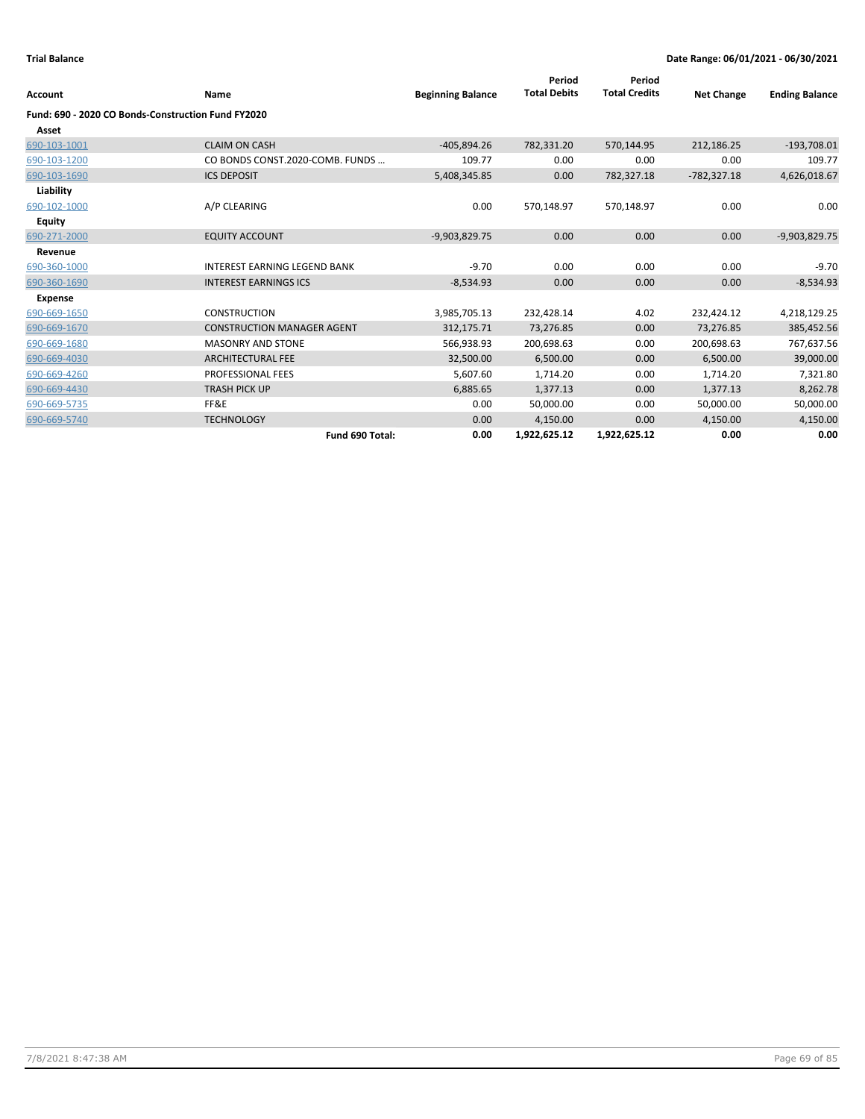|                                                    |                                     |                          | Period              | Period               |                   |                       |
|----------------------------------------------------|-------------------------------------|--------------------------|---------------------|----------------------|-------------------|-----------------------|
| Account                                            | Name                                | <b>Beginning Balance</b> | <b>Total Debits</b> | <b>Total Credits</b> | <b>Net Change</b> | <b>Ending Balance</b> |
| Fund: 690 - 2020 CO Bonds-Construction Fund FY2020 |                                     |                          |                     |                      |                   |                       |
| Asset                                              |                                     |                          |                     |                      |                   |                       |
| 690-103-1001                                       | <b>CLAIM ON CASH</b>                | $-405,894.26$            | 782,331.20          | 570,144.95           | 212,186.25        | $-193,708.01$         |
| 690-103-1200                                       | CO BONDS CONST.2020-COMB. FUNDS     | 109.77                   | 0.00                | 0.00                 | 0.00              | 109.77                |
| 690-103-1690                                       | <b>ICS DEPOSIT</b>                  | 5,408,345.85             | 0.00                | 782,327.18           | $-782,327.18$     | 4,626,018.67          |
| Liability                                          |                                     |                          |                     |                      |                   |                       |
| 690-102-1000                                       | A/P CLEARING                        | 0.00                     | 570,148.97          | 570,148.97           | 0.00              | 0.00                  |
| Equity                                             |                                     |                          |                     |                      |                   |                       |
| 690-271-2000                                       | <b>EQUITY ACCOUNT</b>               | $-9,903,829.75$          | 0.00                | 0.00                 | 0.00              | $-9,903,829.75$       |
| Revenue                                            |                                     |                          |                     |                      |                   |                       |
| 690-360-1000                                       | <b>INTEREST EARNING LEGEND BANK</b> | $-9.70$                  | 0.00                | 0.00                 | 0.00              | $-9.70$               |
| 690-360-1690                                       | <b>INTEREST EARNINGS ICS</b>        | $-8,534.93$              | 0.00                | 0.00                 | 0.00              | $-8,534.93$           |
| <b>Expense</b>                                     |                                     |                          |                     |                      |                   |                       |
| 690-669-1650                                       | <b>CONSTRUCTION</b>                 | 3,985,705.13             | 232,428.14          | 4.02                 | 232,424.12        | 4,218,129.25          |
| 690-669-1670                                       | <b>CONSTRUCTION MANAGER AGENT</b>   | 312,175.71               | 73,276.85           | 0.00                 | 73,276.85         | 385,452.56            |
| 690-669-1680                                       | <b>MASONRY AND STONE</b>            | 566,938.93               | 200,698.63          | 0.00                 | 200,698.63        | 767,637.56            |
| 690-669-4030                                       | <b>ARCHITECTURAL FEE</b>            | 32,500.00                | 6,500.00            | 0.00                 | 6,500.00          | 39,000.00             |
| 690-669-4260                                       | PROFESSIONAL FEES                   | 5,607.60                 | 1,714.20            | 0.00                 | 1,714.20          | 7,321.80              |
| 690-669-4430                                       | <b>TRASH PICK UP</b>                | 6,885.65                 | 1,377.13            | 0.00                 | 1,377.13          | 8,262.78              |
| 690-669-5735                                       | FF&E                                | 0.00                     | 50,000.00           | 0.00                 | 50,000.00         | 50,000.00             |
| 690-669-5740                                       | <b>TECHNOLOGY</b>                   | 0.00                     | 4,150.00            | 0.00                 | 4,150.00          | 4,150.00              |
|                                                    | Fund 690 Total:                     | 0.00                     | 1,922,625.12        | 1,922,625.12         | 0.00              | 0.00                  |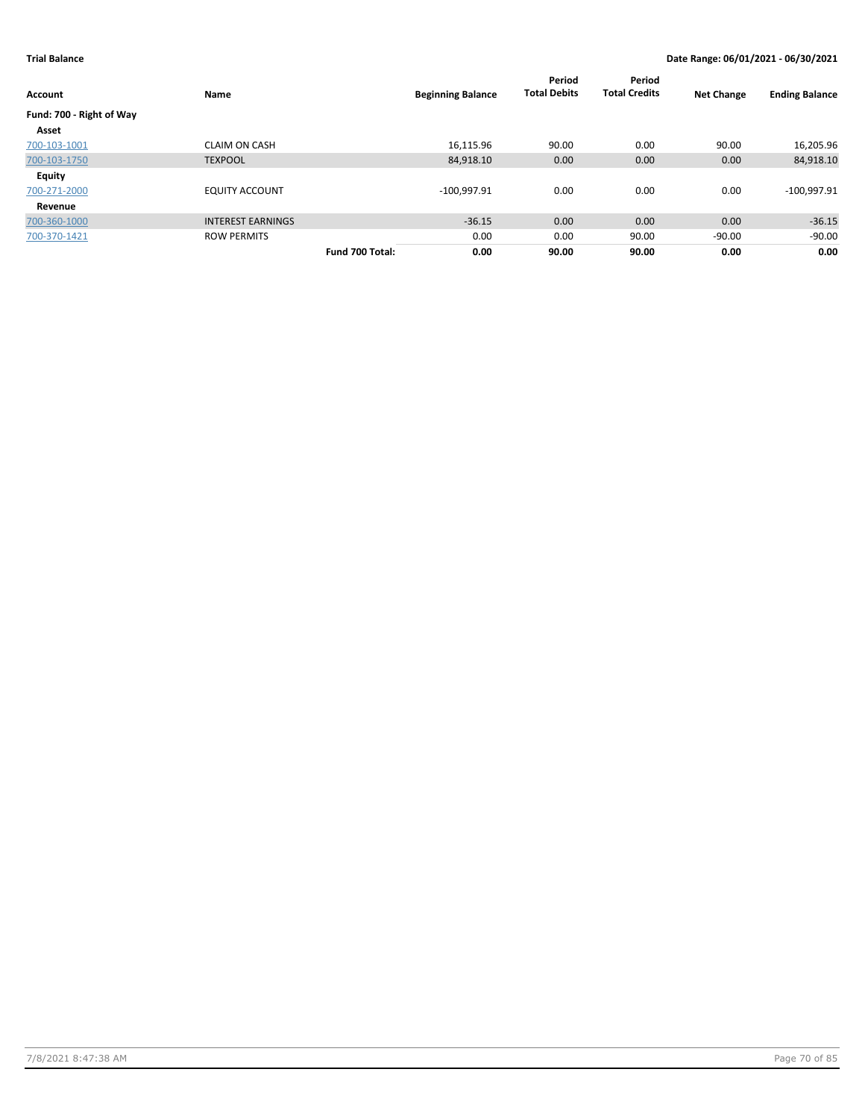| Account                  | Name                     |                 | <b>Beginning Balance</b> | Period<br><b>Total Debits</b> | Period<br><b>Total Credits</b> | <b>Net Change</b> | <b>Ending Balance</b> |
|--------------------------|--------------------------|-----------------|--------------------------|-------------------------------|--------------------------------|-------------------|-----------------------|
| Fund: 700 - Right of Way |                          |                 |                          |                               |                                |                   |                       |
| Asset                    |                          |                 |                          |                               |                                |                   |                       |
| 700-103-1001             | <b>CLAIM ON CASH</b>     |                 | 16,115.96                | 90.00                         | 0.00                           | 90.00             | 16,205.96             |
| 700-103-1750             | <b>TEXPOOL</b>           |                 | 84,918.10                | 0.00                          | 0.00                           | 0.00              | 84,918.10             |
| Equity                   |                          |                 |                          |                               |                                |                   |                       |
| 700-271-2000             | <b>EQUITY ACCOUNT</b>    |                 | $-100,997.91$            | 0.00                          | 0.00                           | 0.00              | $-100,997.91$         |
| Revenue                  |                          |                 |                          |                               |                                |                   |                       |
| 700-360-1000             | <b>INTEREST EARNINGS</b> |                 | $-36.15$                 | 0.00                          | 0.00                           | 0.00              | $-36.15$              |
| 700-370-1421             | <b>ROW PERMITS</b>       |                 | 0.00                     | 0.00                          | 90.00                          | $-90.00$          | $-90.00$              |
|                          |                          | Fund 700 Total: | 0.00                     | 90.00                         | 90.00                          | 0.00              | 0.00                  |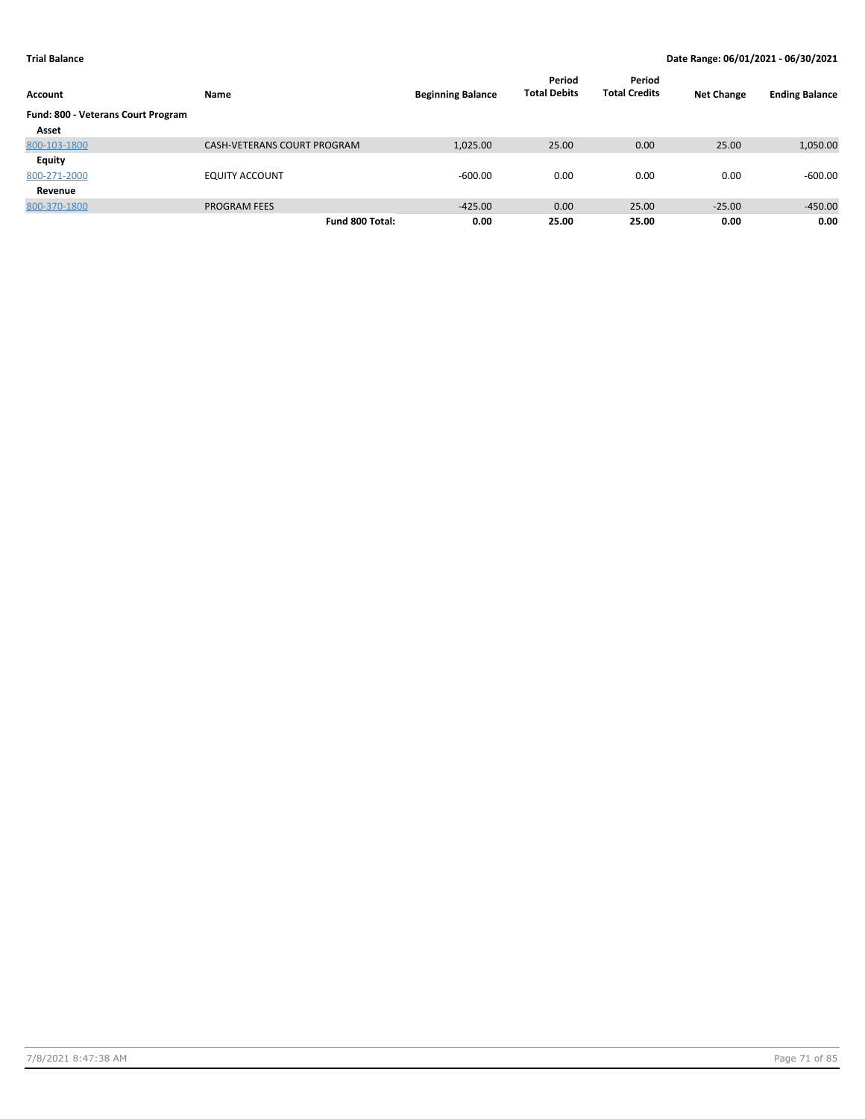| Account                            | Name                        | <b>Beginning Balance</b> | Period<br><b>Total Debits</b> | Period<br><b>Total Credits</b> | <b>Net Change</b> | <b>Ending Balance</b> |
|------------------------------------|-----------------------------|--------------------------|-------------------------------|--------------------------------|-------------------|-----------------------|
| Fund: 800 - Veterans Court Program |                             |                          |                               |                                |                   |                       |
| Asset                              |                             |                          |                               |                                |                   |                       |
| 800-103-1800                       | CASH-VETERANS COURT PROGRAM | 1,025.00                 | 25.00                         | 0.00                           | 25.00             | 1,050.00              |
| Equity                             |                             |                          |                               |                                |                   |                       |
| 800-271-2000                       | <b>EQUITY ACCOUNT</b>       | $-600.00$                | 0.00                          | 0.00                           | 0.00              | $-600.00$             |
| Revenue                            |                             |                          |                               |                                |                   |                       |
| 800-370-1800                       | <b>PROGRAM FEES</b>         | $-425.00$                | 0.00                          | 25.00                          | $-25.00$          | $-450.00$             |
|                                    | Fund 800 Total:             | 0.00                     | 25.00                         | 25.00                          | 0.00              | 0.00                  |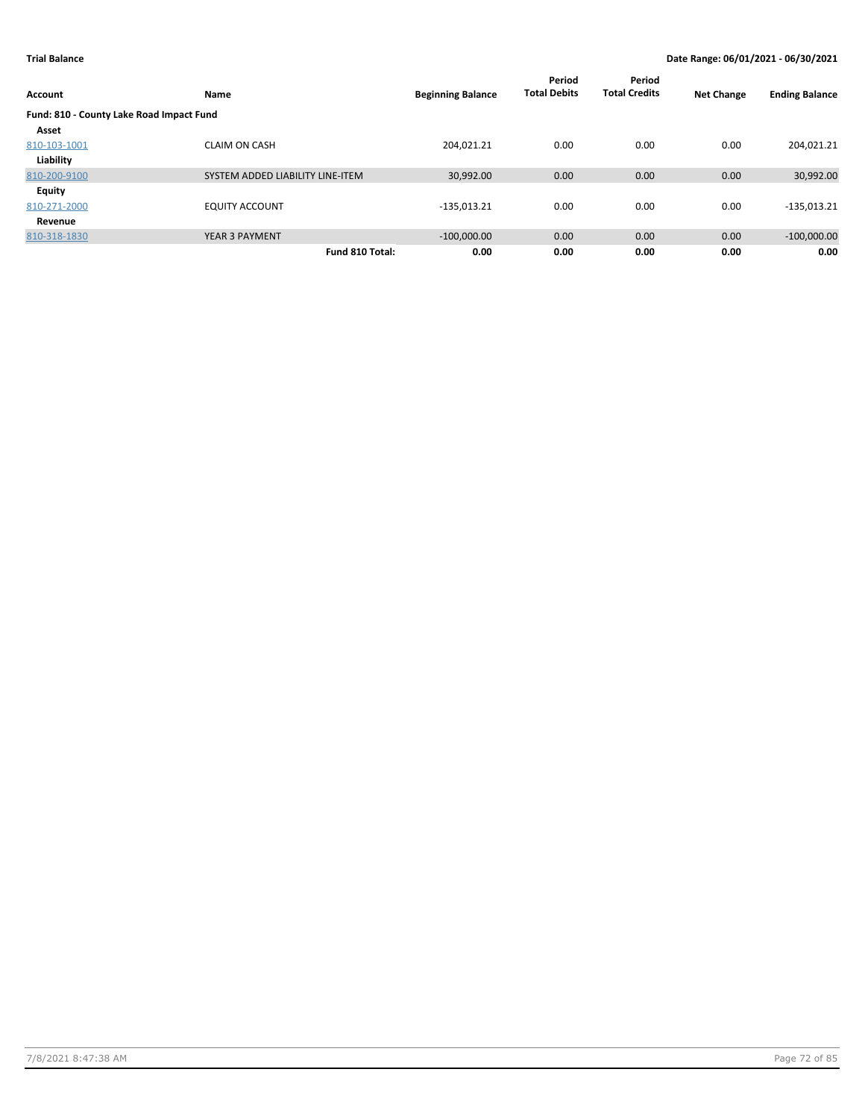| Account                                  | Name                             | <b>Beginning Balance</b> | Period<br><b>Total Debits</b> | Period<br><b>Total Credits</b> | <b>Net Change</b> | <b>Ending Balance</b> |
|------------------------------------------|----------------------------------|--------------------------|-------------------------------|--------------------------------|-------------------|-----------------------|
| Fund: 810 - County Lake Road Impact Fund |                                  |                          |                               |                                |                   |                       |
| Asset                                    |                                  |                          |                               |                                |                   |                       |
| 810-103-1001                             | <b>CLAIM ON CASH</b>             | 204.021.21               | 0.00                          | 0.00                           | 0.00              | 204,021.21            |
| Liability                                |                                  |                          |                               |                                |                   |                       |
| 810-200-9100                             | SYSTEM ADDED LIABILITY LINE-ITEM | 30,992.00                | 0.00                          | 0.00                           | 0.00              | 30,992.00             |
| Equity                                   |                                  |                          |                               |                                |                   |                       |
| 810-271-2000                             | <b>EQUITY ACCOUNT</b>            | $-135,013.21$            | 0.00                          | 0.00                           | 0.00              | $-135,013.21$         |
| Revenue                                  |                                  |                          |                               |                                |                   |                       |
| 810-318-1830                             | YEAR 3 PAYMENT                   | $-100,000.00$            | 0.00                          | 0.00                           | 0.00              | $-100,000.00$         |
|                                          | Fund 810 Total:                  | 0.00                     | 0.00                          | 0.00                           | 0.00              | 0.00                  |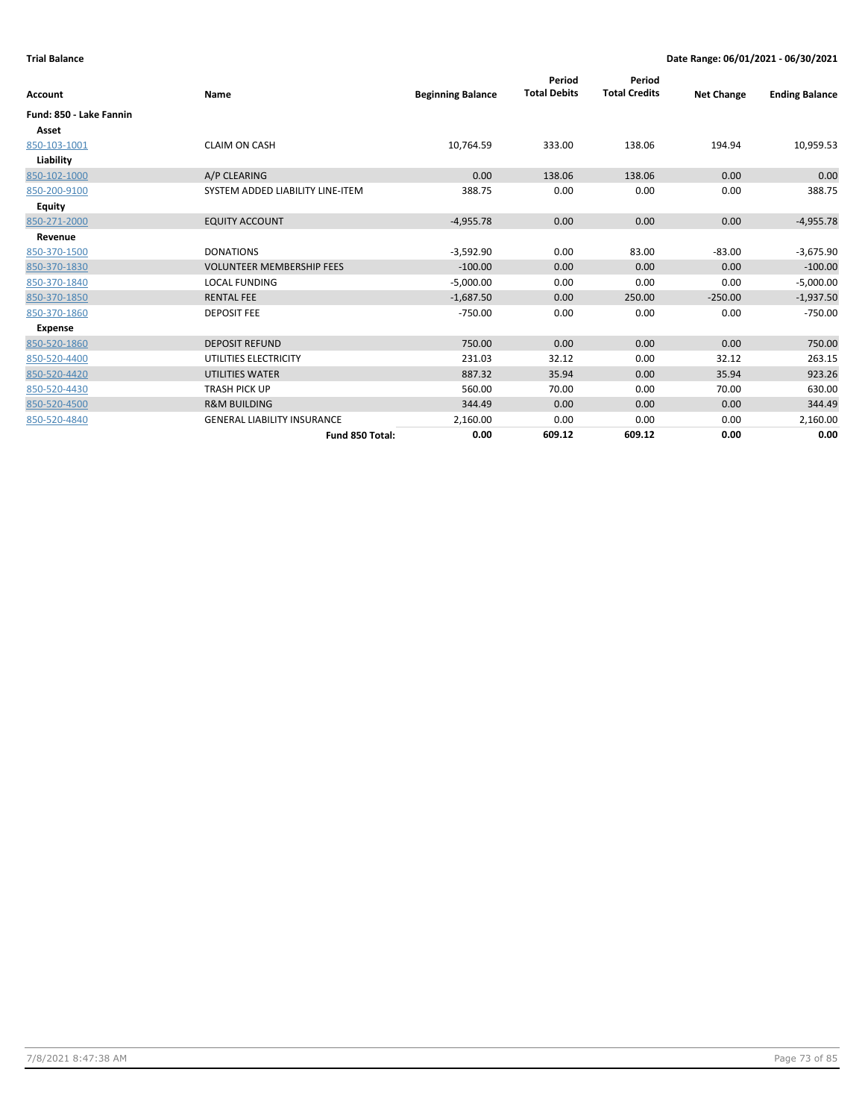| Account                 | <b>Name</b>                        | <b>Beginning Balance</b> | Period<br><b>Total Debits</b> | Period<br><b>Total Credits</b> | <b>Net Change</b> | <b>Ending Balance</b> |
|-------------------------|------------------------------------|--------------------------|-------------------------------|--------------------------------|-------------------|-----------------------|
| Fund: 850 - Lake Fannin |                                    |                          |                               |                                |                   |                       |
| Asset                   |                                    |                          |                               |                                |                   |                       |
| 850-103-1001            | <b>CLAIM ON CASH</b>               | 10,764.59                | 333.00                        | 138.06                         | 194.94            | 10,959.53             |
| Liability               |                                    |                          |                               |                                |                   |                       |
| 850-102-1000            | A/P CLEARING                       | 0.00                     | 138.06                        | 138.06                         | 0.00              | 0.00                  |
| 850-200-9100            | SYSTEM ADDED LIABILITY LINE-ITEM   | 388.75                   | 0.00                          | 0.00                           | 0.00              | 388.75                |
| <b>Equity</b>           |                                    |                          |                               |                                |                   |                       |
| 850-271-2000            | <b>EQUITY ACCOUNT</b>              | $-4,955.78$              | 0.00                          | 0.00                           | 0.00              | $-4,955.78$           |
| Revenue                 |                                    |                          |                               |                                |                   |                       |
| 850-370-1500            | <b>DONATIONS</b>                   | $-3,592.90$              | 0.00                          | 83.00                          | $-83.00$          | $-3,675.90$           |
| 850-370-1830            | <b>VOLUNTEER MEMBERSHIP FEES</b>   | $-100.00$                | 0.00                          | 0.00                           | 0.00              | $-100.00$             |
| 850-370-1840            | <b>LOCAL FUNDING</b>               | $-5,000.00$              | 0.00                          | 0.00                           | 0.00              | $-5,000.00$           |
| 850-370-1850            | <b>RENTAL FEE</b>                  | $-1,687.50$              | 0.00                          | 250.00                         | $-250.00$         | $-1,937.50$           |
| 850-370-1860            | <b>DEPOSIT FEE</b>                 | $-750.00$                | 0.00                          | 0.00                           | 0.00              | $-750.00$             |
| Expense                 |                                    |                          |                               |                                |                   |                       |
| 850-520-1860            | <b>DEPOSIT REFUND</b>              | 750.00                   | 0.00                          | 0.00                           | 0.00              | 750.00                |
| 850-520-4400            | UTILITIES ELECTRICITY              | 231.03                   | 32.12                         | 0.00                           | 32.12             | 263.15                |
| 850-520-4420            | UTILITIES WATER                    | 887.32                   | 35.94                         | 0.00                           | 35.94             | 923.26                |
| 850-520-4430            | <b>TRASH PICK UP</b>               | 560.00                   | 70.00                         | 0.00                           | 70.00             | 630.00                |
| 850-520-4500            | <b>R&amp;M BUILDING</b>            | 344.49                   | 0.00                          | 0.00                           | 0.00              | 344.49                |
| 850-520-4840            | <b>GENERAL LIABILITY INSURANCE</b> | 2,160.00                 | 0.00                          | 0.00                           | 0.00              | 2,160.00              |
|                         | Fund 850 Total:                    | 0.00                     | 609.12                        | 609.12                         | 0.00              | 0.00                  |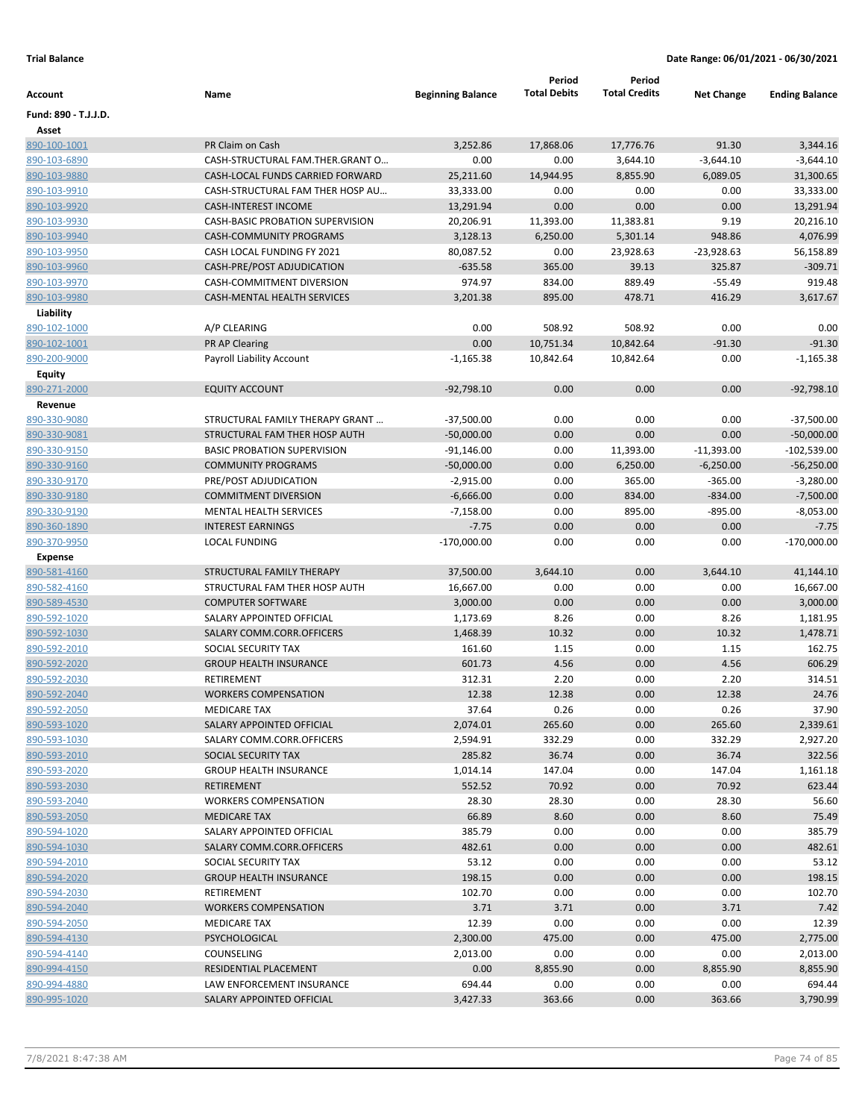|                      |                                         |                          | Period              | Period               |                   |                       |
|----------------------|-----------------------------------------|--------------------------|---------------------|----------------------|-------------------|-----------------------|
| Account              | Name                                    | <b>Beginning Balance</b> | <b>Total Debits</b> | <b>Total Credits</b> | <b>Net Change</b> | <b>Ending Balance</b> |
| Fund: 890 - T.J.J.D. |                                         |                          |                     |                      |                   |                       |
| Asset                |                                         |                          |                     |                      |                   |                       |
| 890-100-1001         | PR Claim on Cash                        | 3,252.86                 | 17,868.06           | 17,776.76            | 91.30             | 3,344.16              |
| 890-103-6890         | CASH-STRUCTURAL FAM.THER.GRANT O        | 0.00                     | 0.00                | 3,644.10             | $-3,644.10$       | $-3,644.10$           |
| 890-103-9880         | CASH-LOCAL FUNDS CARRIED FORWARD        | 25,211.60                | 14,944.95           | 8,855.90             | 6,089.05          | 31,300.65             |
| 890-103-9910         | CASH-STRUCTURAL FAM THER HOSP AU        | 33,333.00                | 0.00                | 0.00                 | 0.00              | 33,333.00             |
| 890-103-9920         | <b>CASH-INTEREST INCOME</b>             | 13,291.94                | 0.00                | 0.00                 | 0.00              | 13,291.94             |
| 890-103-9930         | <b>CASH-BASIC PROBATION SUPERVISION</b> | 20,206.91                | 11,393.00           | 11,383.81            | 9.19              | 20,216.10             |
| 890-103-9940         | <b>CASH-COMMUNITY PROGRAMS</b>          | 3,128.13                 | 6,250.00            | 5,301.14             | 948.86            | 4,076.99              |
| 890-103-9950         | CASH LOCAL FUNDING FY 2021              | 80,087.52                | 0.00                | 23,928.63            | $-23,928.63$      | 56,158.89             |
| 890-103-9960         | CASH-PRE/POST ADJUDICATION              | $-635.58$                | 365.00              | 39.13                | 325.87            | $-309.71$             |
| 890-103-9970         | CASH-COMMITMENT DIVERSION               | 974.97                   | 834.00              | 889.49               | $-55.49$          | 919.48                |
| 890-103-9980         | CASH-MENTAL HEALTH SERVICES             | 3,201.38                 | 895.00              | 478.71               | 416.29            | 3,617.67              |
| Liability            |                                         |                          |                     |                      |                   |                       |
| 890-102-1000         | A/P CLEARING                            | 0.00                     | 508.92              | 508.92               | 0.00              | 0.00                  |
| <u>890-102-1001</u>  | PR AP Clearing                          | 0.00                     | 10,751.34           | 10,842.64            | $-91.30$          | $-91.30$              |
| 890-200-9000         | Payroll Liability Account               | $-1,165.38$              | 10,842.64           | 10,842.64            | 0.00              | $-1,165.38$           |
| <b>Equity</b>        |                                         |                          |                     |                      |                   |                       |
| 890-271-2000         | <b>EQUITY ACCOUNT</b>                   | $-92,798.10$             | 0.00                | 0.00                 | 0.00              | $-92,798.10$          |
| Revenue              |                                         |                          |                     |                      |                   |                       |
| 890-330-9080         | STRUCTURAL FAMILY THERAPY GRANT         | $-37,500.00$             | 0.00                | 0.00                 | 0.00              | $-37,500.00$          |
| 890-330-9081         | STRUCTURAL FAM THER HOSP AUTH           | $-50,000.00$             | 0.00                | 0.00                 | 0.00              | $-50,000.00$          |
| 890-330-9150         | <b>BASIC PROBATION SUPERVISION</b>      | $-91,146.00$             | 0.00                | 11,393.00            | $-11,393.00$      | $-102,539.00$         |
| 890-330-9160         | <b>COMMUNITY PROGRAMS</b>               | $-50,000.00$             | 0.00                | 6,250.00             | $-6,250.00$       | $-56,250.00$          |
| 890-330-9170         | PRE/POST ADJUDICATION                   | $-2,915.00$              | 0.00                | 365.00               | $-365.00$         | $-3,280.00$           |
| 890-330-9180         | <b>COMMITMENT DIVERSION</b>             | $-6,666.00$              | 0.00                | 834.00               | $-834.00$         | $-7,500.00$           |
| 890-330-9190         | <b>MENTAL HEALTH SERVICES</b>           | $-7,158.00$              | 0.00                | 895.00               | $-895.00$         | $-8,053.00$           |
| 890-360-1890         | <b>INTEREST EARNINGS</b>                | $-7.75$                  | 0.00                | 0.00                 | 0.00              | $-7.75$               |
| 890-370-9950         | <b>LOCAL FUNDING</b>                    | $-170,000.00$            | 0.00                | 0.00                 | 0.00              | $-170,000.00$         |
| <b>Expense</b>       |                                         |                          |                     |                      |                   |                       |
| 890-581-4160         | STRUCTURAL FAMILY THERAPY               | 37,500.00                | 3,644.10            | 0.00                 | 3,644.10          | 41,144.10             |
| 890-582-4160         | STRUCTURAL FAM THER HOSP AUTH           | 16,667.00                | 0.00                | 0.00                 | 0.00              | 16,667.00             |
| 890-589-4530         | <b>COMPUTER SOFTWARE</b>                | 3,000.00                 | 0.00                | 0.00                 | 0.00              | 3,000.00              |
| 890-592-1020         | SALARY APPOINTED OFFICIAL               | 1,173.69                 | 8.26                | 0.00                 | 8.26              | 1,181.95              |
| 890-592-1030         | SALARY COMM.CORR.OFFICERS               | 1,468.39                 | 10.32               | 0.00                 | 10.32             | 1,478.71              |
| 890-592-2010         | SOCIAL SECURITY TAX                     | 161.60                   | 1.15                | 0.00                 | 1.15              | 162.75                |
| 890-592-2020         | <b>GROUP HEALTH INSURANCE</b>           | 601.73                   | 4.56                | 0.00                 | 4.56              | 606.29                |
| 890-592-2030         | <b>RETIREMENT</b>                       | 312.31                   | 2.20                | 0.00                 | 2.20              | 314.51                |
| 890-592-2040         | <b>WORKERS COMPENSATION</b>             | 12.38                    | 12.38               | 0.00                 | 12.38             | 24.76                 |
| 890-592-2050         | <b>MEDICARE TAX</b>                     | 37.64                    | 0.26                | 0.00                 | 0.26              | 37.90                 |
| 890-593-1020         | SALARY APPOINTED OFFICIAL               | 2,074.01                 | 265.60              | 0.00                 | 265.60            | 2,339.61              |
| 890-593-1030         | SALARY COMM.CORR.OFFICERS               | 2,594.91                 | 332.29              | 0.00                 | 332.29            | 2,927.20              |
| 890-593-2010         | SOCIAL SECURITY TAX                     | 285.82                   | 36.74               | 0.00                 | 36.74             | 322.56                |
| 890-593-2020         | <b>GROUP HEALTH INSURANCE</b>           | 1,014.14                 | 147.04              | 0.00                 | 147.04            | 1,161.18              |
| 890-593-2030         | RETIREMENT                              | 552.52                   | 70.92               | 0.00                 | 70.92             | 623.44                |
| 890-593-2040         | <b>WORKERS COMPENSATION</b>             | 28.30                    | 28.30               | 0.00                 | 28.30             | 56.60                 |
| 890-593-2050         | <b>MEDICARE TAX</b>                     | 66.89                    | 8.60                | 0.00                 | 8.60              | 75.49                 |
| 890-594-1020         | SALARY APPOINTED OFFICIAL               | 385.79                   | 0.00                | 0.00                 | 0.00              | 385.79                |
| 890-594-1030         | SALARY COMM.CORR.OFFICERS               | 482.61                   | 0.00                | 0.00                 | 0.00              | 482.61                |
| 890-594-2010         | SOCIAL SECURITY TAX                     | 53.12                    | 0.00                | 0.00                 | 0.00              | 53.12                 |
| 890-594-2020         | <b>GROUP HEALTH INSURANCE</b>           | 198.15                   | 0.00                | 0.00                 | 0.00              | 198.15                |
| 890-594-2030         | RETIREMENT                              | 102.70                   | 0.00                | 0.00                 | 0.00              | 102.70                |
| 890-594-2040         | <b>WORKERS COMPENSATION</b>             | 3.71                     | 3.71                | 0.00                 | 3.71              | 7.42                  |
| 890-594-2050         | MEDICARE TAX                            | 12.39                    | 0.00                | 0.00                 | 0.00              | 12.39                 |
| 890-594-4130         | PSYCHOLOGICAL                           | 2,300.00                 | 475.00              | 0.00                 | 475.00            | 2,775.00              |
| 890-594-4140         | COUNSELING                              | 2,013.00                 | 0.00                | 0.00                 | 0.00              | 2,013.00              |
| 890-994-4150         | RESIDENTIAL PLACEMENT                   | 0.00                     | 8,855.90            | 0.00                 | 8,855.90          | 8,855.90              |
| 890-994-4880         | LAW ENFORCEMENT INSURANCE               | 694.44                   | 0.00                | 0.00                 | 0.00              | 694.44                |
| 890-995-1020         | SALARY APPOINTED OFFICIAL               | 3,427.33                 | 363.66              | 0.00                 | 363.66            | 3,790.99              |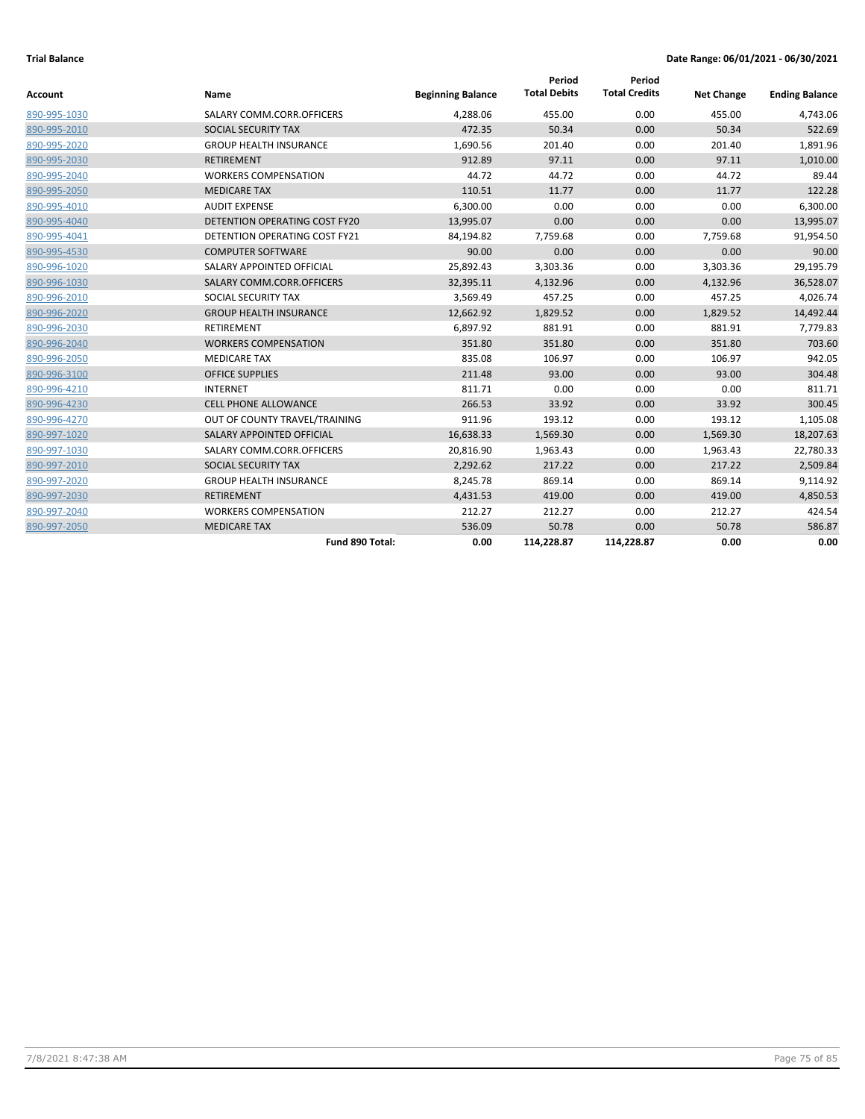| Account      | Name                                 | <b>Beginning Balance</b> | Period<br><b>Total Debits</b> | Period<br><b>Total Credits</b> | <b>Net Change</b> | <b>Ending Balance</b> |
|--------------|--------------------------------------|--------------------------|-------------------------------|--------------------------------|-------------------|-----------------------|
| 890-995-1030 | SALARY COMM.CORR.OFFICERS            | 4,288.06                 | 455.00                        | 0.00                           | 455.00            | 4,743.06              |
| 890-995-2010 | SOCIAL SECURITY TAX                  | 472.35                   | 50.34                         | 0.00                           | 50.34             | 522.69                |
| 890-995-2020 | <b>GROUP HEALTH INSURANCE</b>        | 1,690.56                 | 201.40                        | 0.00                           | 201.40            | 1,891.96              |
| 890-995-2030 | RETIREMENT                           | 912.89                   | 97.11                         | 0.00                           | 97.11             | 1,010.00              |
| 890-995-2040 | <b>WORKERS COMPENSATION</b>          | 44.72                    | 44.72                         | 0.00                           | 44.72             | 89.44                 |
| 890-995-2050 | <b>MEDICARE TAX</b>                  | 110.51                   | 11.77                         | 0.00                           | 11.77             | 122.28                |
| 890-995-4010 | <b>AUDIT EXPENSE</b>                 | 6,300.00                 | 0.00                          | 0.00                           | 0.00              | 6,300.00              |
| 890-995-4040 | DETENTION OPERATING COST FY20        | 13,995.07                | 0.00                          | 0.00                           | 0.00              | 13,995.07             |
| 890-995-4041 | <b>DETENTION OPERATING COST FY21</b> | 84,194.82                | 7,759.68                      | 0.00                           | 7,759.68          | 91,954.50             |
| 890-995-4530 | <b>COMPUTER SOFTWARE</b>             | 90.00                    | 0.00                          | 0.00                           | 0.00              | 90.00                 |
| 890-996-1020 | SALARY APPOINTED OFFICIAL            | 25,892.43                | 3,303.36                      | 0.00                           | 3,303.36          | 29,195.79             |
| 890-996-1030 | SALARY COMM.CORR.OFFICERS            | 32,395.11                | 4,132.96                      | 0.00                           | 4,132.96          | 36,528.07             |
| 890-996-2010 | SOCIAL SECURITY TAX                  | 3,569.49                 | 457.25                        | 0.00                           | 457.25            | 4,026.74              |
| 890-996-2020 | <b>GROUP HEALTH INSURANCE</b>        | 12,662.92                | 1,829.52                      | 0.00                           | 1,829.52          | 14,492.44             |
| 890-996-2030 | <b>RETIREMENT</b>                    | 6,897.92                 | 881.91                        | 0.00                           | 881.91            | 7,779.83              |
| 890-996-2040 | <b>WORKERS COMPENSATION</b>          | 351.80                   | 351.80                        | 0.00                           | 351.80            | 703.60                |
| 890-996-2050 | <b>MEDICARE TAX</b>                  | 835.08                   | 106.97                        | 0.00                           | 106.97            | 942.05                |
| 890-996-3100 | <b>OFFICE SUPPLIES</b>               | 211.48                   | 93.00                         | 0.00                           | 93.00             | 304.48                |
| 890-996-4210 | <b>INTERNET</b>                      | 811.71                   | 0.00                          | 0.00                           | 0.00              | 811.71                |
| 890-996-4230 | <b>CELL PHONE ALLOWANCE</b>          | 266.53                   | 33.92                         | 0.00                           | 33.92             | 300.45                |
| 890-996-4270 | OUT OF COUNTY TRAVEL/TRAINING        | 911.96                   | 193.12                        | 0.00                           | 193.12            | 1,105.08              |
| 890-997-1020 | SALARY APPOINTED OFFICIAL            | 16,638.33                | 1,569.30                      | 0.00                           | 1,569.30          | 18,207.63             |
| 890-997-1030 | SALARY COMM.CORR.OFFICERS            | 20,816.90                | 1,963.43                      | 0.00                           | 1,963.43          | 22,780.33             |
| 890-997-2010 | SOCIAL SECURITY TAX                  | 2,292.62                 | 217.22                        | 0.00                           | 217.22            | 2,509.84              |
| 890-997-2020 | <b>GROUP HEALTH INSURANCE</b>        | 8,245.78                 | 869.14                        | 0.00                           | 869.14            | 9,114.92              |
| 890-997-2030 | <b>RETIREMENT</b>                    | 4,431.53                 | 419.00                        | 0.00                           | 419.00            | 4,850.53              |
| 890-997-2040 | <b>WORKERS COMPENSATION</b>          | 212.27                   | 212.27                        | 0.00                           | 212.27            | 424.54                |
| 890-997-2050 | <b>MEDICARE TAX</b>                  | 536.09                   | 50.78                         | 0.00                           | 50.78             | 586.87                |
|              | Fund 890 Total:                      | 0.00                     | 114,228.87                    | 114,228.87                     | 0.00              | 0.00                  |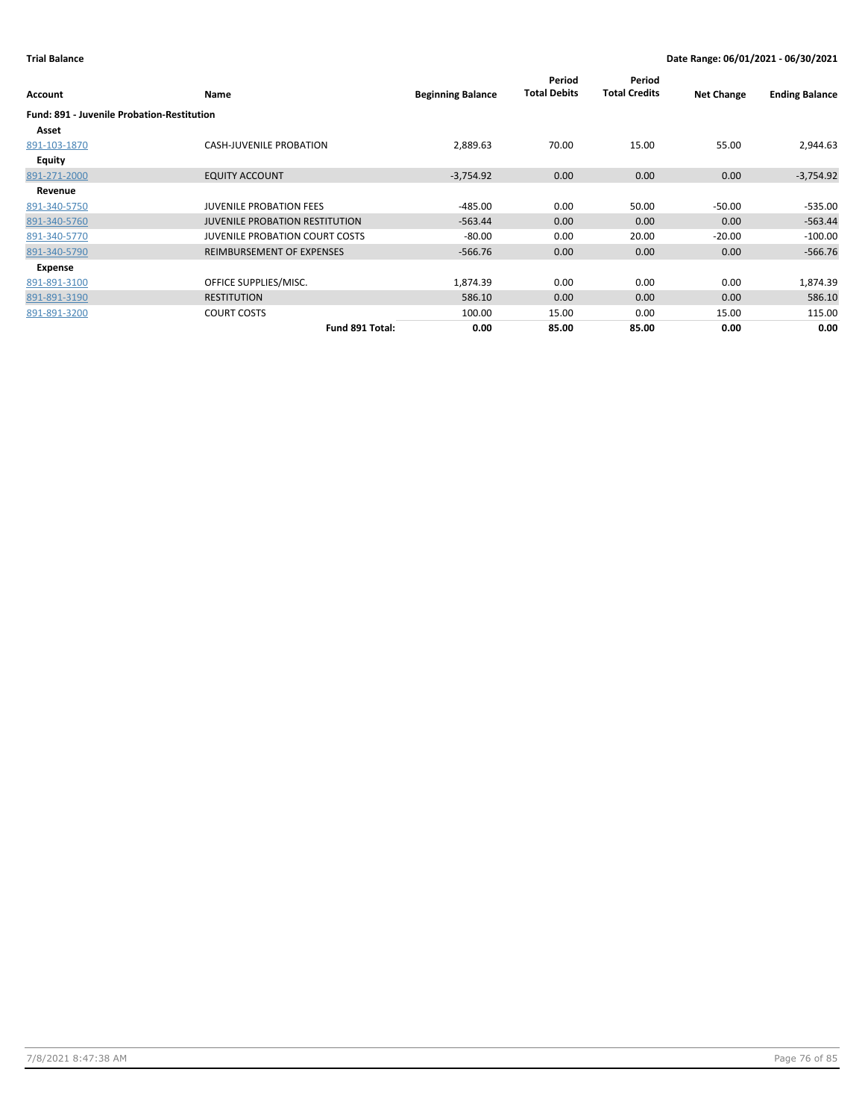| Account                                           | Name                                  | <b>Beginning Balance</b> | Period<br><b>Total Debits</b> | Period<br><b>Total Credits</b> | <b>Net Change</b> | <b>Ending Balance</b> |
|---------------------------------------------------|---------------------------------------|--------------------------|-------------------------------|--------------------------------|-------------------|-----------------------|
| <b>Fund: 891 - Juvenile Probation-Restitution</b> |                                       |                          |                               |                                |                   |                       |
| Asset                                             |                                       |                          |                               |                                |                   |                       |
| 891-103-1870                                      | <b>CASH-JUVENILE PROBATION</b>        | 2,889.63                 | 70.00                         | 15.00                          | 55.00             | 2,944.63              |
| <b>Equity</b>                                     |                                       |                          |                               |                                |                   |                       |
| 891-271-2000                                      | <b>EQUITY ACCOUNT</b>                 | $-3,754.92$              | 0.00                          | 0.00                           | 0.00              | $-3,754.92$           |
| Revenue                                           |                                       |                          |                               |                                |                   |                       |
| 891-340-5750                                      | <b>JUVENILE PROBATION FEES</b>        | $-485.00$                | 0.00                          | 50.00                          | $-50.00$          | $-535.00$             |
| 891-340-5760                                      | <b>JUVENILE PROBATION RESTITUTION</b> | $-563.44$                | 0.00                          | 0.00                           | 0.00              | $-563.44$             |
| 891-340-5770                                      | <b>JUVENILE PROBATION COURT COSTS</b> | $-80.00$                 | 0.00                          | 20.00                          | $-20.00$          | $-100.00$             |
| 891-340-5790                                      | REIMBURSEMENT OF EXPENSES             | $-566.76$                | 0.00                          | 0.00                           | 0.00              | $-566.76$             |
| Expense                                           |                                       |                          |                               |                                |                   |                       |
| 891-891-3100                                      | OFFICE SUPPLIES/MISC.                 | 1,874.39                 | 0.00                          | 0.00                           | 0.00              | 1,874.39              |
| 891-891-3190                                      | <b>RESTITUTION</b>                    | 586.10                   | 0.00                          | 0.00                           | 0.00              | 586.10                |
| 891-891-3200                                      | <b>COURT COSTS</b>                    | 100.00                   | 15.00                         | 0.00                           | 15.00             | 115.00                |
|                                                   | Fund 891 Total:                       | 0.00                     | 85.00                         | 85.00                          | 0.00              | 0.00                  |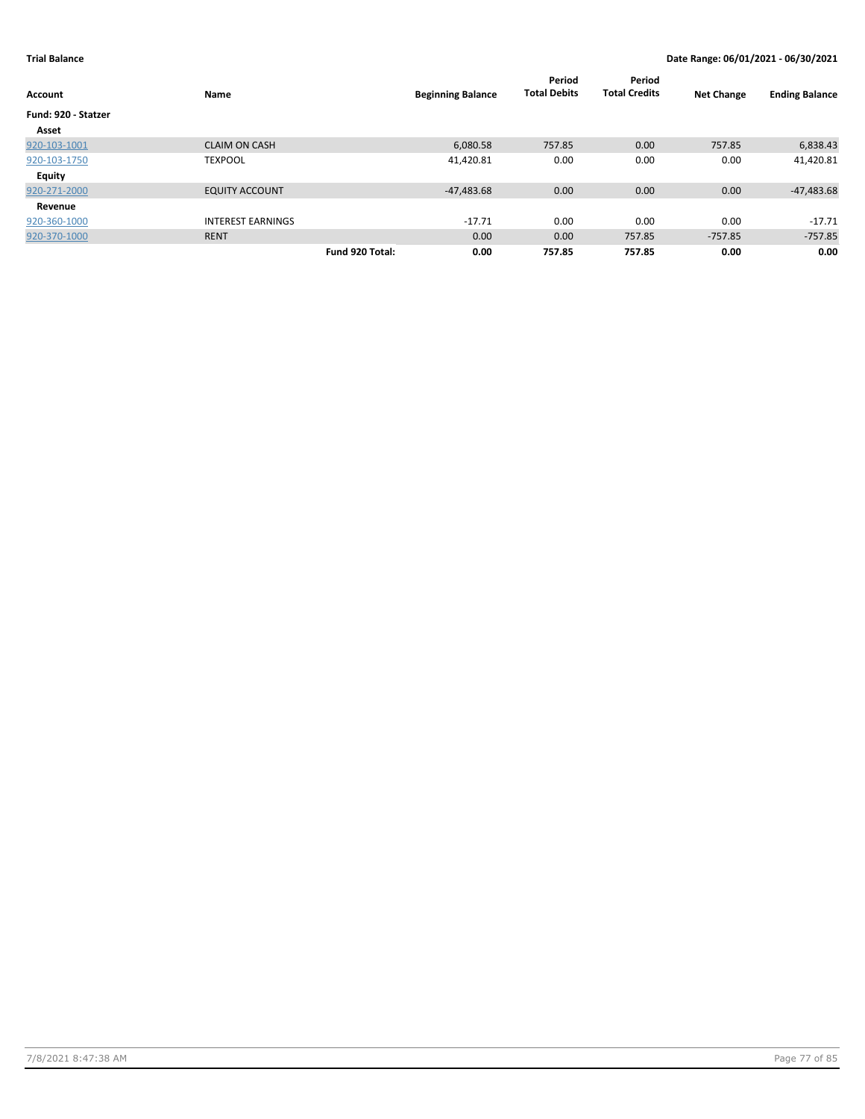| <b>Account</b>      | Name                     |                 | <b>Beginning Balance</b> | Period<br><b>Total Debits</b> | Period<br><b>Total Credits</b> | <b>Net Change</b> | <b>Ending Balance</b> |
|---------------------|--------------------------|-----------------|--------------------------|-------------------------------|--------------------------------|-------------------|-----------------------|
| Fund: 920 - Statzer |                          |                 |                          |                               |                                |                   |                       |
| Asset               |                          |                 |                          |                               |                                |                   |                       |
| 920-103-1001        | <b>CLAIM ON CASH</b>     |                 | 6,080.58                 | 757.85                        | 0.00                           | 757.85            | 6,838.43              |
| 920-103-1750        | <b>TEXPOOL</b>           |                 | 41,420.81                | 0.00                          | 0.00                           | 0.00              | 41,420.81             |
| <b>Equity</b>       |                          |                 |                          |                               |                                |                   |                       |
| 920-271-2000        | <b>EQUITY ACCOUNT</b>    |                 | $-47,483.68$             | 0.00                          | 0.00                           | 0.00              | $-47,483.68$          |
| Revenue             |                          |                 |                          |                               |                                |                   |                       |
| 920-360-1000        | <b>INTEREST EARNINGS</b> |                 | $-17.71$                 | 0.00                          | 0.00                           | 0.00              | $-17.71$              |
| 920-370-1000        | <b>RENT</b>              |                 | 0.00                     | 0.00                          | 757.85                         | $-757.85$         | $-757.85$             |
|                     |                          | Fund 920 Total: | 0.00                     | 757.85                        | 757.85                         | 0.00              | 0.00                  |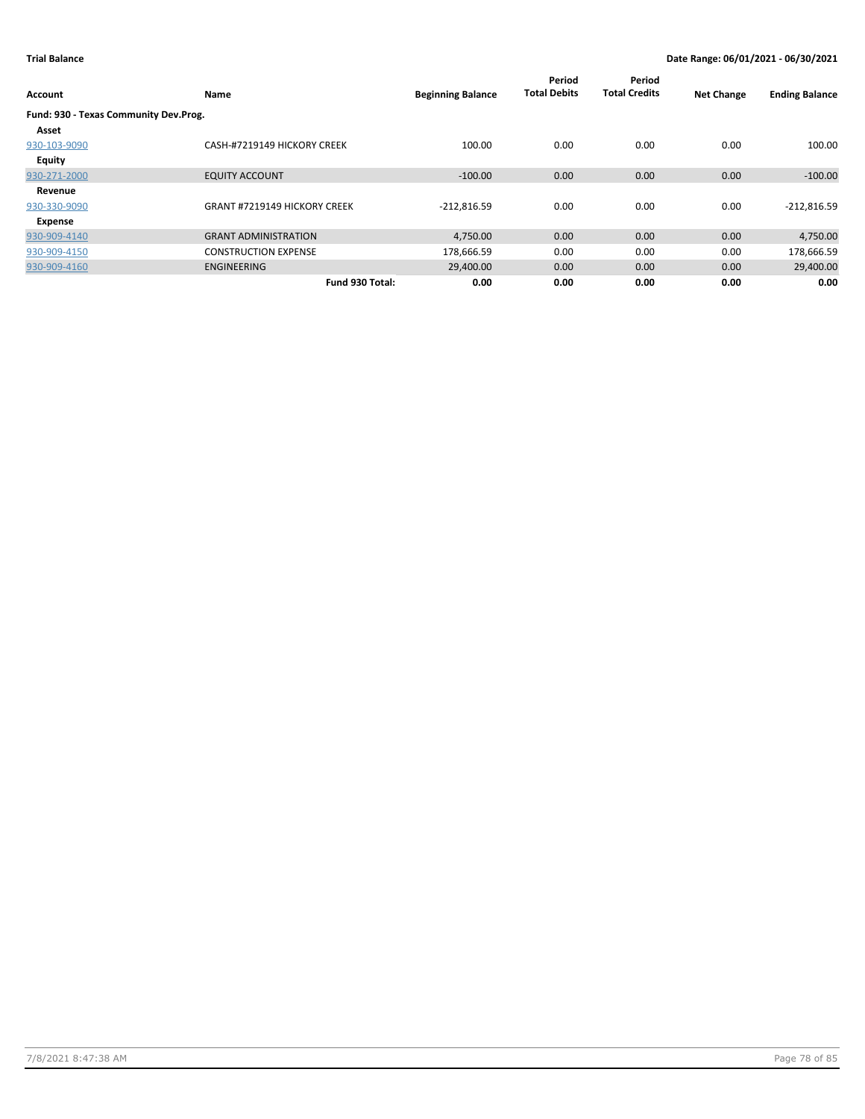| Account                               | Name                                | <b>Beginning Balance</b> | Period<br><b>Total Debits</b> | Period<br><b>Total Credits</b> | <b>Net Change</b> | <b>Ending Balance</b> |
|---------------------------------------|-------------------------------------|--------------------------|-------------------------------|--------------------------------|-------------------|-----------------------|
| Fund: 930 - Texas Community Dev.Prog. |                                     |                          |                               |                                |                   |                       |
| Asset                                 |                                     |                          |                               |                                |                   |                       |
| 930-103-9090                          | CASH-#7219149 HICKORY CREEK         | 100.00                   | 0.00                          | 0.00                           | 0.00              | 100.00                |
| <b>Equity</b>                         |                                     |                          |                               |                                |                   |                       |
| 930-271-2000                          | <b>EQUITY ACCOUNT</b>               | $-100.00$                | 0.00                          | 0.00                           | 0.00              | $-100.00$             |
| Revenue                               |                                     |                          |                               |                                |                   |                       |
| 930-330-9090                          | <b>GRANT #7219149 HICKORY CREEK</b> | $-212,816.59$            | 0.00                          | 0.00                           | 0.00              | $-212,816.59$         |
| Expense                               |                                     |                          |                               |                                |                   |                       |
| 930-909-4140                          | <b>GRANT ADMINISTRATION</b>         | 4,750.00                 | 0.00                          | 0.00                           | 0.00              | 4,750.00              |
| 930-909-4150                          | <b>CONSTRUCTION EXPENSE</b>         | 178,666.59               | 0.00                          | 0.00                           | 0.00              | 178,666.59            |
| 930-909-4160                          | <b>ENGINEERING</b>                  | 29,400.00                | 0.00                          | 0.00                           | 0.00              | 29,400.00             |
|                                       | Fund 930 Total:                     | 0.00                     | 0.00                          | 0.00                           | 0.00              | 0.00                  |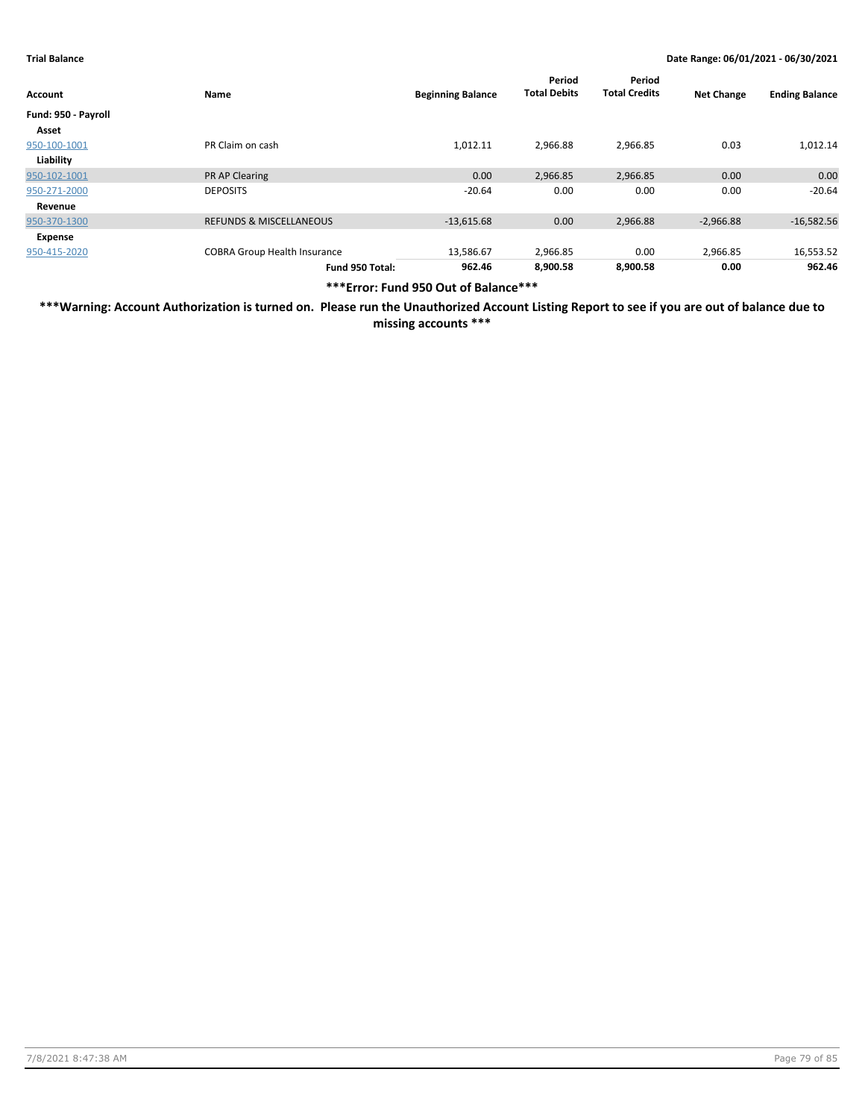| Account             | Name                                | <b>Beginning Balance</b> | Period<br><b>Total Debits</b> | Period<br><b>Total Credits</b> | <b>Net Change</b> | <b>Ending Balance</b> |
|---------------------|-------------------------------------|--------------------------|-------------------------------|--------------------------------|-------------------|-----------------------|
| Fund: 950 - Payroll |                                     |                          |                               |                                |                   |                       |
| Asset               |                                     |                          |                               |                                |                   |                       |
| 950-100-1001        | PR Claim on cash                    | 1,012.11                 | 2,966.88                      | 2,966.85                       | 0.03              | 1,012.14              |
| Liability           |                                     |                          |                               |                                |                   |                       |
| 950-102-1001        | <b>PR AP Clearing</b>               | 0.00                     | 2,966.85                      | 2,966.85                       | 0.00              | 0.00                  |
| 950-271-2000        | <b>DEPOSITS</b>                     | $-20.64$                 | 0.00                          | 0.00                           | 0.00              | $-20.64$              |
| Revenue             |                                     |                          |                               |                                |                   |                       |
| 950-370-1300        | <b>REFUNDS &amp; MISCELLANEOUS</b>  | $-13,615.68$             | 0.00                          | 2,966.88                       | $-2,966.88$       | $-16,582.56$          |
| Expense             |                                     |                          |                               |                                |                   |                       |
| 950-415-2020        | <b>COBRA Group Health Insurance</b> | 13,586.67                | 2,966.85                      | 0.00                           | 2,966.85          | 16,553.52             |
|                     | Fund 950 Total:                     | 962.46                   | 8.900.58                      | 8.900.58                       | 0.00              | 962.46                |

**\*\*\*Error: Fund 950 Out of Balance\*\*\***

**\*\*\*Warning: Account Authorization is turned on. Please run the Unauthorized Account Listing Report to see if you are out of balance due to missing accounts \*\*\***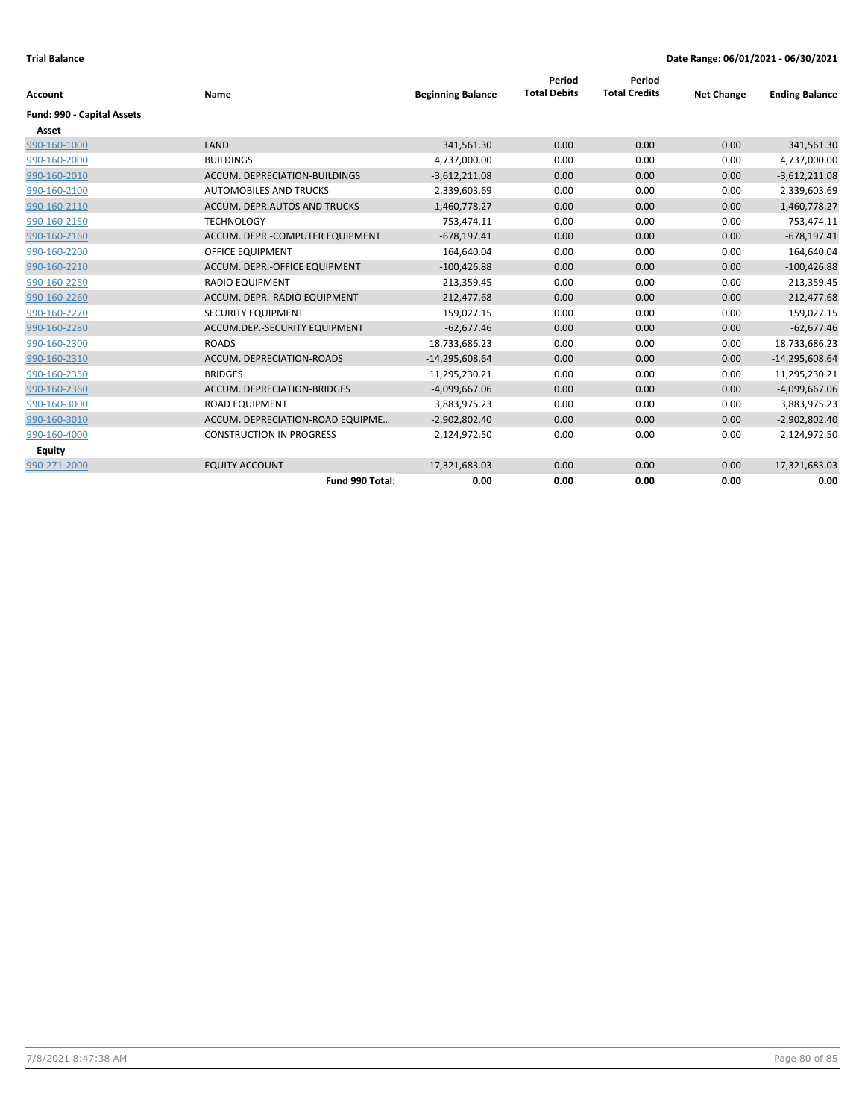|                            | Name                             | <b>Beginning Balance</b> | Period<br><b>Total Debits</b> | Period<br><b>Total Credits</b> | <b>Net Change</b> |                       |
|----------------------------|----------------------------------|--------------------------|-------------------------------|--------------------------------|-------------------|-----------------------|
| Account                    |                                  |                          |                               |                                |                   | <b>Ending Balance</b> |
| Fund: 990 - Capital Assets |                                  |                          |                               |                                |                   |                       |
| Asset                      |                                  |                          |                               |                                |                   |                       |
| 990-160-1000               | LAND                             | 341,561.30               | 0.00                          | 0.00                           | 0.00              | 341,561.30            |
| 990-160-2000               | <b>BUILDINGS</b>                 | 4,737,000.00             | 0.00                          | 0.00                           | 0.00              | 4,737,000.00          |
| 990-160-2010               | ACCUM. DEPRECIATION-BUILDINGS    | $-3,612,211.08$          | 0.00                          | 0.00                           | 0.00              | $-3,612,211.08$       |
| 990-160-2100               | <b>AUTOMOBILES AND TRUCKS</b>    | 2,339,603.69             | 0.00                          | 0.00                           | 0.00              | 2,339,603.69          |
| 990-160-2110               | ACCUM. DEPR.AUTOS AND TRUCKS     | $-1,460,778.27$          | 0.00                          | 0.00                           | 0.00              | $-1,460,778.27$       |
| 990-160-2150               | <b>TECHNOLOGY</b>                | 753,474.11               | 0.00                          | 0.00                           | 0.00              | 753,474.11            |
| 990-160-2160               | ACCUM. DEPR.-COMPUTER EQUIPMENT  | $-678,197.41$            | 0.00                          | 0.00                           | 0.00              | $-678,197.41$         |
| 990-160-2200               | <b>OFFICE EQUIPMENT</b>          | 164,640.04               | 0.00                          | 0.00                           | 0.00              | 164,640.04            |
| 990-160-2210               | ACCUM. DEPR.-OFFICE EQUIPMENT    | $-100,426.88$            | 0.00                          | 0.00                           | 0.00              | $-100,426.88$         |
| 990-160-2250               | <b>RADIO EQUIPMENT</b>           | 213,359.45               | 0.00                          | 0.00                           | 0.00              | 213,359.45            |
| 990-160-2260               | ACCUM. DEPR.-RADIO EQUIPMENT     | $-212,477.68$            | 0.00                          | 0.00                           | 0.00              | $-212,477.68$         |
| 990-160-2270               | SECURITY EQUIPMENT               | 159,027.15               | 0.00                          | 0.00                           | 0.00              | 159,027.15            |
| 990-160-2280               | ACCUM.DEP.-SECURITY EQUIPMENT    | $-62,677.46$             | 0.00                          | 0.00                           | 0.00              | $-62,677.46$          |
| 990-160-2300               | <b>ROADS</b>                     | 18,733,686.23            | 0.00                          | 0.00                           | 0.00              | 18,733,686.23         |
| 990-160-2310               | ACCUM. DEPRECIATION-ROADS        | $-14,295,608.64$         | 0.00                          | 0.00                           | 0.00              | $-14,295,608.64$      |
| 990-160-2350               | <b>BRIDGES</b>                   | 11,295,230.21            | 0.00                          | 0.00                           | 0.00              | 11,295,230.21         |
| 990-160-2360               | ACCUM. DEPRECIATION-BRIDGES      | $-4,099,667.06$          | 0.00                          | 0.00                           | 0.00              | $-4,099,667.06$       |
| 990-160-3000               | <b>ROAD EQUIPMENT</b>            | 3,883,975.23             | 0.00                          | 0.00                           | 0.00              | 3,883,975.23          |
| 990-160-3010               | ACCUM. DEPRECIATION-ROAD EQUIPME | $-2,902,802.40$          | 0.00                          | 0.00                           | 0.00              | $-2,902,802.40$       |
| 990-160-4000               | <b>CONSTRUCTION IN PROGRESS</b>  | 2,124,972.50             | 0.00                          | 0.00                           | 0.00              | 2,124,972.50          |
| <b>Equity</b>              |                                  |                          |                               |                                |                   |                       |
| 990-271-2000               | <b>EQUITY ACCOUNT</b>            | $-17,321,683.03$         | 0.00                          | 0.00                           | 0.00              | $-17,321,683.03$      |
|                            | Fund 990 Total:                  | 0.00                     | 0.00                          | 0.00                           | 0.00              | 0.00                  |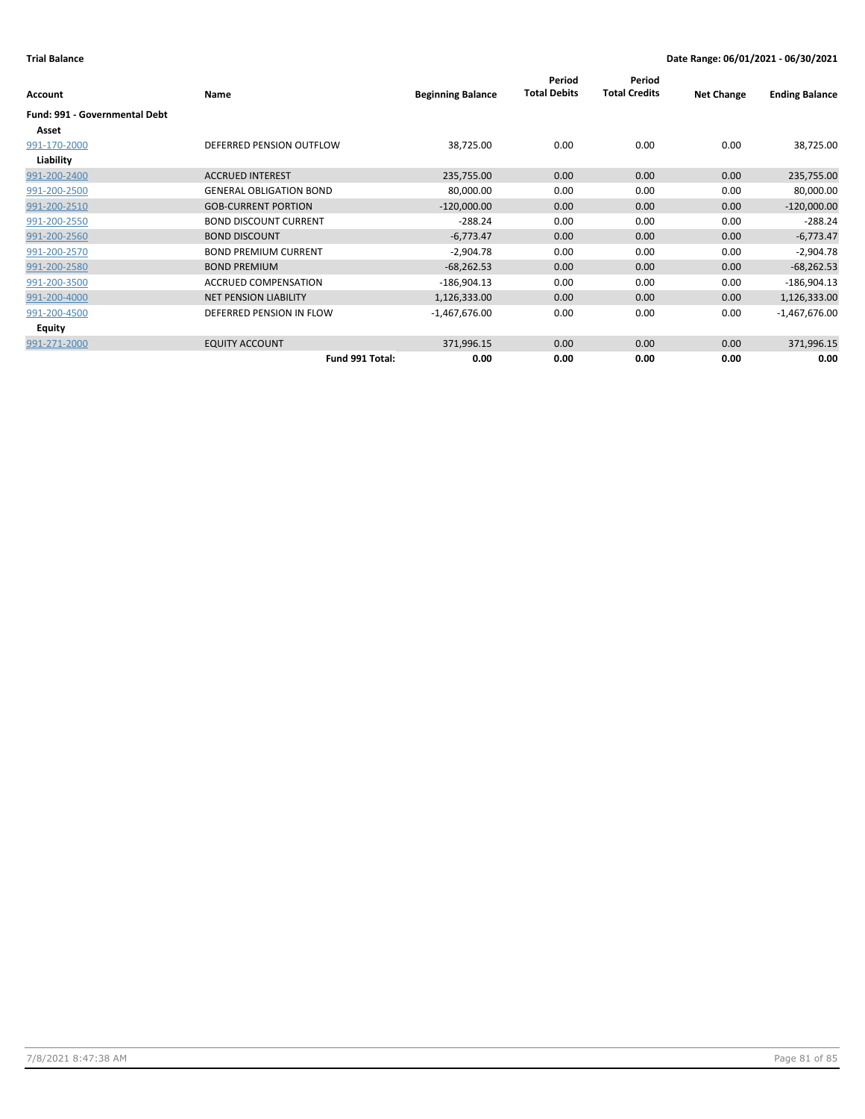|                                      |                                |                          | Period              | Period               |                   |                       |
|--------------------------------------|--------------------------------|--------------------------|---------------------|----------------------|-------------------|-----------------------|
| Account                              | <b>Name</b>                    | <b>Beginning Balance</b> | <b>Total Debits</b> | <b>Total Credits</b> | <b>Net Change</b> | <b>Ending Balance</b> |
| <b>Fund: 991 - Governmental Debt</b> |                                |                          |                     |                      |                   |                       |
| Asset                                |                                |                          |                     |                      |                   |                       |
| 991-170-2000                         | DEFERRED PENSION OUTFLOW       | 38,725.00                | 0.00                | 0.00                 | 0.00              | 38,725.00             |
| Liability                            |                                |                          |                     |                      |                   |                       |
| 991-200-2400                         | <b>ACCRUED INTEREST</b>        | 235,755.00               | 0.00                | 0.00                 | 0.00              | 235,755.00            |
| 991-200-2500                         | <b>GENERAL OBLIGATION BOND</b> | 80,000.00                | 0.00                | 0.00                 | 0.00              | 80,000.00             |
| 991-200-2510                         | <b>GOB-CURRENT PORTION</b>     | $-120,000.00$            | 0.00                | 0.00                 | 0.00              | $-120,000.00$         |
| 991-200-2550                         | <b>BOND DISCOUNT CURRENT</b>   | $-288.24$                | 0.00                | 0.00                 | 0.00              | $-288.24$             |
| 991-200-2560                         | <b>BOND DISCOUNT</b>           | $-6,773.47$              | 0.00                | 0.00                 | 0.00              | $-6,773.47$           |
| 991-200-2570                         | <b>BOND PREMIUM CURRENT</b>    | $-2,904.78$              | 0.00                | 0.00                 | 0.00              | $-2,904.78$           |
| 991-200-2580                         | <b>BOND PREMIUM</b>            | $-68,262.53$             | 0.00                | 0.00                 | 0.00              | $-68,262.53$          |
| 991-200-3500                         | <b>ACCRUED COMPENSATION</b>    | $-186,904.13$            | 0.00                | 0.00                 | 0.00              | $-186,904.13$         |
| 991-200-4000                         | <b>NET PENSION LIABILITY</b>   | 1,126,333.00             | 0.00                | 0.00                 | 0.00              | 1,126,333.00          |
| 991-200-4500                         | DEFERRED PENSION IN FLOW       | $-1,467,676.00$          | 0.00                | 0.00                 | 0.00              | $-1,467,676.00$       |
| Equity                               |                                |                          |                     |                      |                   |                       |
| 991-271-2000                         | <b>EQUITY ACCOUNT</b>          | 371,996.15               | 0.00                | 0.00                 | 0.00              | 371,996.15            |
|                                      | Fund 991 Total:                | 0.00                     | 0.00                | 0.00                 | 0.00              | 0.00                  |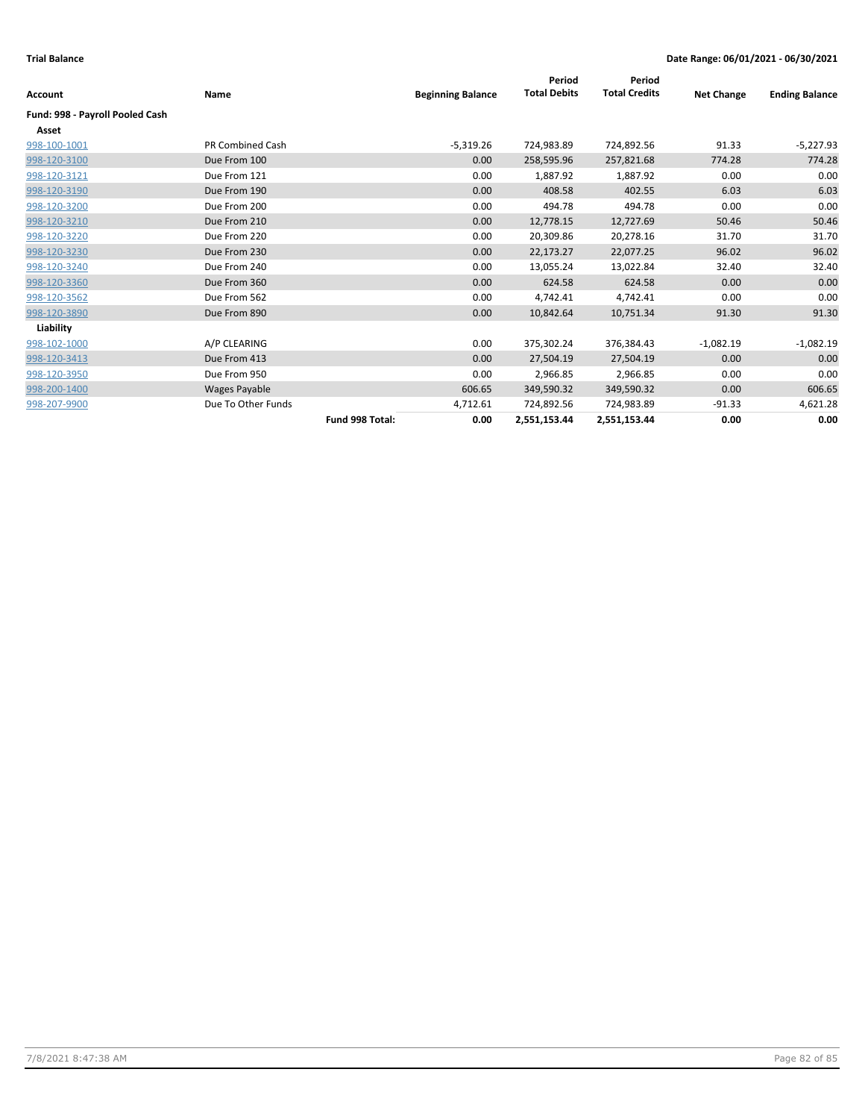|                                 |                      |                 |                          | Period              | Period               |                   |                       |
|---------------------------------|----------------------|-----------------|--------------------------|---------------------|----------------------|-------------------|-----------------------|
| Account                         | Name                 |                 | <b>Beginning Balance</b> | <b>Total Debits</b> | <b>Total Credits</b> | <b>Net Change</b> | <b>Ending Balance</b> |
| Fund: 998 - Payroll Pooled Cash |                      |                 |                          |                     |                      |                   |                       |
| Asset                           |                      |                 |                          |                     |                      |                   |                       |
| 998-100-1001                    | PR Combined Cash     |                 | $-5,319.26$              | 724,983.89          | 724,892.56           | 91.33             | $-5,227.93$           |
| 998-120-3100                    | Due From 100         |                 | 0.00                     | 258,595.96          | 257,821.68           | 774.28            | 774.28                |
| 998-120-3121                    | Due From 121         |                 | 0.00                     | 1,887.92            | 1,887.92             | 0.00              | 0.00                  |
| 998-120-3190                    | Due From 190         |                 | 0.00                     | 408.58              | 402.55               | 6.03              | 6.03                  |
| 998-120-3200                    | Due From 200         |                 | 0.00                     | 494.78              | 494.78               | 0.00              | 0.00                  |
| 998-120-3210                    | Due From 210         |                 | 0.00                     | 12,778.15           | 12,727.69            | 50.46             | 50.46                 |
| 998-120-3220                    | Due From 220         |                 | 0.00                     | 20,309.86           | 20,278.16            | 31.70             | 31.70                 |
| 998-120-3230                    | Due From 230         |                 | 0.00                     | 22,173.27           | 22,077.25            | 96.02             | 96.02                 |
| 998-120-3240                    | Due From 240         |                 | 0.00                     | 13,055.24           | 13,022.84            | 32.40             | 32.40                 |
| 998-120-3360                    | Due From 360         |                 | 0.00                     | 624.58              | 624.58               | 0.00              | 0.00                  |
| 998-120-3562                    | Due From 562         |                 | 0.00                     | 4,742.41            | 4,742.41             | 0.00              | 0.00                  |
| 998-120-3890                    | Due From 890         |                 | 0.00                     | 10,842.64           | 10,751.34            | 91.30             | 91.30                 |
| Liability                       |                      |                 |                          |                     |                      |                   |                       |
| 998-102-1000                    | A/P CLEARING         |                 | 0.00                     | 375,302.24          | 376,384.43           | $-1,082.19$       | $-1,082.19$           |
| 998-120-3413                    | Due From 413         |                 | 0.00                     | 27,504.19           | 27,504.19            | 0.00              | 0.00                  |
| 998-120-3950                    | Due From 950         |                 | 0.00                     | 2,966.85            | 2,966.85             | 0.00              | 0.00                  |
| 998-200-1400                    | <b>Wages Payable</b> |                 | 606.65                   | 349,590.32          | 349,590.32           | 0.00              | 606.65                |
| 998-207-9900                    | Due To Other Funds   |                 | 4,712.61                 | 724,892.56          | 724,983.89           | $-91.33$          | 4,621.28              |
|                                 |                      | Fund 998 Total: | 0.00                     | 2,551,153.44        | 2,551,153.44         | 0.00              | 0.00                  |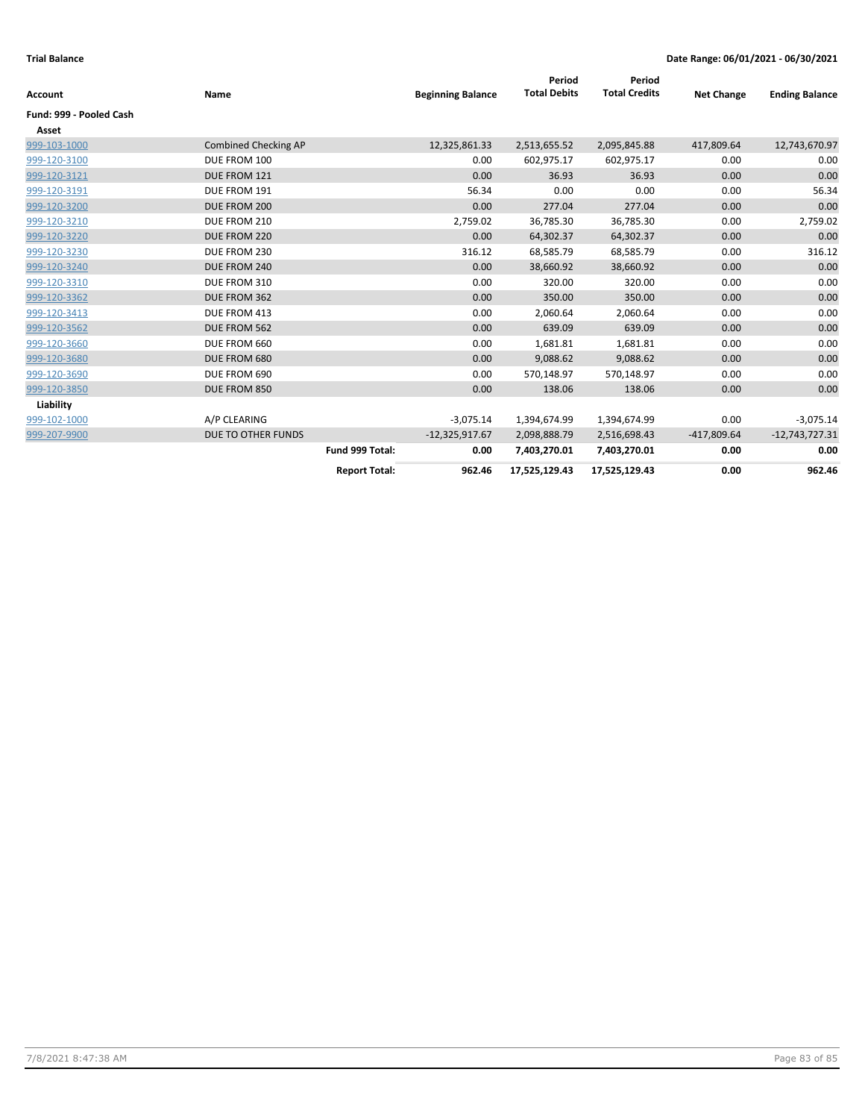| Account                 | Name                        |                      | <b>Beginning Balance</b> | Period<br><b>Total Debits</b> | Period<br><b>Total Credits</b> | <b>Net Change</b> | <b>Ending Balance</b> |
|-------------------------|-----------------------------|----------------------|--------------------------|-------------------------------|--------------------------------|-------------------|-----------------------|
| Fund: 999 - Pooled Cash |                             |                      |                          |                               |                                |                   |                       |
| Asset                   |                             |                      |                          |                               |                                |                   |                       |
| 999-103-1000            | <b>Combined Checking AP</b> |                      | 12,325,861.33            | 2,513,655.52                  | 2,095,845.88                   | 417,809.64        | 12,743,670.97         |
| 999-120-3100            | DUE FROM 100                |                      | 0.00                     | 602,975.17                    | 602,975.17                     | 0.00              | 0.00                  |
| 999-120-3121            | DUE FROM 121                |                      | 0.00                     | 36.93                         | 36.93                          | 0.00              | 0.00                  |
| 999-120-3191            | DUE FROM 191                |                      | 56.34                    | 0.00                          | 0.00                           | 0.00              | 56.34                 |
| 999-120-3200            | DUE FROM 200                |                      | 0.00                     | 277.04                        | 277.04                         | 0.00              | 0.00                  |
| 999-120-3210            | DUE FROM 210                |                      | 2,759.02                 | 36,785.30                     | 36,785.30                      | 0.00              | 2,759.02              |
| 999-120-3220            | DUE FROM 220                |                      | 0.00                     | 64,302.37                     | 64,302.37                      | 0.00              | 0.00                  |
| 999-120-3230            | DUE FROM 230                |                      | 316.12                   | 68,585.79                     | 68,585.79                      | 0.00              | 316.12                |
| 999-120-3240            | DUE FROM 240                |                      | 0.00                     | 38,660.92                     | 38,660.92                      | 0.00              | 0.00                  |
| 999-120-3310            | DUE FROM 310                |                      | 0.00                     | 320.00                        | 320.00                         | 0.00              | 0.00                  |
| 999-120-3362            | DUE FROM 362                |                      | 0.00                     | 350.00                        | 350.00                         | 0.00              | 0.00                  |
| 999-120-3413            | DUE FROM 413                |                      | 0.00                     | 2,060.64                      | 2,060.64                       | 0.00              | 0.00                  |
| 999-120-3562            | DUE FROM 562                |                      | 0.00                     | 639.09                        | 639.09                         | 0.00              | 0.00                  |
| 999-120-3660            | DUE FROM 660                |                      | 0.00                     | 1,681.81                      | 1,681.81                       | 0.00              | 0.00                  |
| 999-120-3680            | DUE FROM 680                |                      | 0.00                     | 9,088.62                      | 9,088.62                       | 0.00              | 0.00                  |
| 999-120-3690            | DUE FROM 690                |                      | 0.00                     | 570,148.97                    | 570,148.97                     | 0.00              | 0.00                  |
| 999-120-3850            | DUE FROM 850                |                      | 0.00                     | 138.06                        | 138.06                         | 0.00              | 0.00                  |
| Liability               |                             |                      |                          |                               |                                |                   |                       |
| 999-102-1000            | A/P CLEARING                |                      | $-3,075.14$              | 1,394,674.99                  | 1,394,674.99                   | 0.00              | $-3,075.14$           |
| 999-207-9900            | DUE TO OTHER FUNDS          |                      | $-12,325,917.67$         | 2,098,888.79                  | 2,516,698.43                   | $-417,809.64$     | $-12,743,727.31$      |
|                         |                             | Fund 999 Total:      | 0.00                     | 7,403,270.01                  | 7,403,270.01                   | 0.00              | 0.00                  |
|                         |                             | <b>Report Total:</b> | 962.46                   | 17,525,129.43                 | 17,525,129.43                  | 0.00              | 962.46                |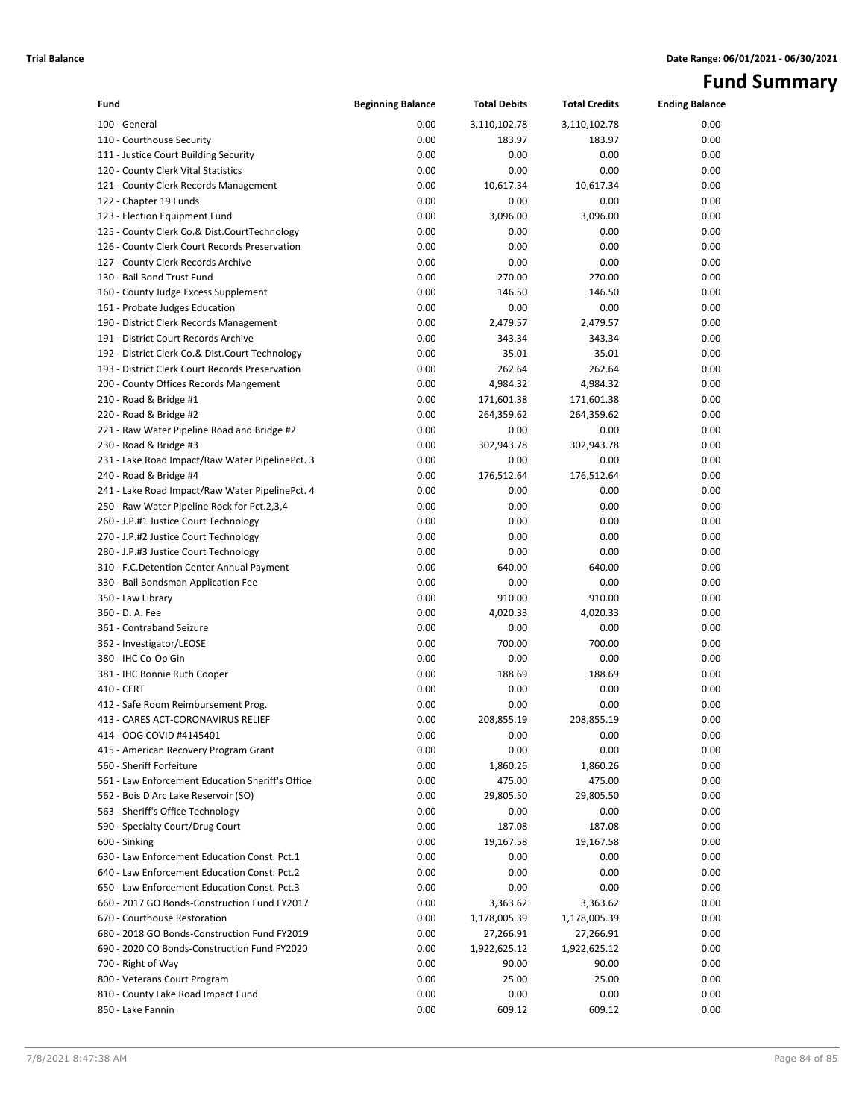# **Fund Summary**

| Fund                                             | <b>Beginning Balance</b> | <b>Total Debits</b> | <b>Total Credits</b> | <b>Ending Balance</b> |
|--------------------------------------------------|--------------------------|---------------------|----------------------|-----------------------|
| 100 - General                                    | 0.00                     | 3,110,102.78        | 3,110,102.78         | 0.00                  |
| 110 - Courthouse Security                        | 0.00                     | 183.97              | 183.97               | 0.00                  |
| 111 - Justice Court Building Security            | 0.00                     | 0.00                | 0.00                 | 0.00                  |
| 120 - County Clerk Vital Statistics              | 0.00                     | 0.00                | 0.00                 | 0.00                  |
| 121 - County Clerk Records Management            | 0.00                     | 10,617.34           | 10,617.34            | 0.00                  |
| 122 - Chapter 19 Funds                           | 0.00                     | 0.00                | 0.00                 | 0.00                  |
| 123 - Election Equipment Fund                    | 0.00                     | 3,096.00            | 3,096.00             | 0.00                  |
| 125 - County Clerk Co.& Dist.CourtTechnology     | 0.00                     | 0.00                | 0.00                 | 0.00                  |
| 126 - County Clerk Court Records Preservation    | 0.00                     | 0.00                | 0.00                 | 0.00                  |
| 127 - County Clerk Records Archive               | 0.00                     | 0.00                | 0.00                 | 0.00                  |
| 130 - Bail Bond Trust Fund                       | 0.00                     | 270.00              | 270.00               | 0.00                  |
| 160 - County Judge Excess Supplement             | 0.00                     | 146.50              | 146.50               | 0.00                  |
| 161 - Probate Judges Education                   | 0.00                     | 0.00                | 0.00                 | 0.00                  |
| 190 - District Clerk Records Management          | 0.00                     | 2,479.57            | 2,479.57             | 0.00                  |
| 191 - District Court Records Archive             | 0.00                     | 343.34              | 343.34               | 0.00                  |
| 192 - District Clerk Co.& Dist.Court Technology  | 0.00                     | 35.01               | 35.01                | 0.00                  |
| 193 - District Clerk Court Records Preservation  | 0.00                     | 262.64              | 262.64               | 0.00                  |
| 200 - County Offices Records Mangement           | 0.00                     | 4,984.32            | 4,984.32             | 0.00                  |
| 210 - Road & Bridge #1                           | 0.00                     | 171,601.38          | 171,601.38           | 0.00                  |
| 220 - Road & Bridge #2                           | 0.00                     | 264,359.62          | 264,359.62           | 0.00                  |
| 221 - Raw Water Pipeline Road and Bridge #2      | 0.00                     | 0.00                | 0.00                 | 0.00                  |
| 230 - Road & Bridge #3                           | 0.00                     | 302,943.78          | 302,943.78           | 0.00                  |
| 231 - Lake Road Impact/Raw Water PipelinePct. 3  | 0.00                     | 0.00                | 0.00                 | 0.00                  |
| 240 - Road & Bridge #4                           | 0.00                     | 176,512.64          | 176,512.64           | 0.00                  |
| 241 - Lake Road Impact/Raw Water PipelinePct. 4  | 0.00                     | 0.00                | 0.00                 | 0.00                  |
| 250 - Raw Water Pipeline Rock for Pct.2,3,4      | 0.00                     | 0.00                | 0.00                 | 0.00                  |
| 260 - J.P.#1 Justice Court Technology            | 0.00                     | 0.00                | 0.00                 | 0.00                  |
| 270 - J.P.#2 Justice Court Technology            | 0.00                     | 0.00                | 0.00                 | 0.00                  |
| 280 - J.P.#3 Justice Court Technology            | 0.00                     | 0.00                | 0.00                 | 0.00                  |
| 310 - F.C.Detention Center Annual Payment        | 0.00                     | 640.00              | 640.00               | 0.00                  |
| 330 - Bail Bondsman Application Fee              | 0.00                     | 0.00                | 0.00                 | 0.00                  |
| 350 - Law Library                                | 0.00                     | 910.00              | 910.00               | 0.00                  |
| 360 - D. A. Fee                                  | 0.00                     | 4,020.33            | 4,020.33             | 0.00                  |
| 361 - Contraband Seizure                         | 0.00                     | 0.00                | 0.00                 | 0.00                  |
| 362 - Investigator/LEOSE                         | 0.00                     | 700.00              | 700.00               | 0.00                  |
| 380 - IHC Co-Op Gin                              | 0.00                     | 0.00                | 0.00                 | 0.00                  |
| 381 - IHC Bonnie Ruth Cooper                     | 0.00                     | 188.69              | 188.69               | 0.00                  |
| 410 - CERT                                       | 0.00                     | 0.00                | 0.00                 | 0.00                  |
| 412 - Safe Room Reimbursement Prog.              | 0.00                     | 0.00                | 0.00                 | 0.00                  |
| 413 - CARES ACT-CORONAVIRUS RELIEF               | 0.00                     | 208,855.19          | 208,855.19           | 0.00                  |
| 414 - OOG COVID #4145401                         | 0.00                     | 0.00                | 0.00                 | 0.00                  |
| 415 - American Recovery Program Grant            | 0.00                     | 0.00                | 0.00                 | 0.00                  |
| 560 - Sheriff Forfeiture                         | 0.00                     | 1,860.26            | 1,860.26             | 0.00                  |
| 561 - Law Enforcement Education Sheriff's Office | 0.00                     | 475.00              | 475.00               | 0.00                  |
| 562 - Bois D'Arc Lake Reservoir (SO)             | 0.00                     | 29,805.50           | 29,805.50            | 0.00                  |
| 563 - Sheriff's Office Technology                | 0.00                     | 0.00                | 0.00                 | 0.00                  |
| 590 - Specialty Court/Drug Court                 | 0.00                     | 187.08              | 187.08               | 0.00                  |
| 600 - Sinking                                    | 0.00                     | 19,167.58           | 19,167.58            | 0.00                  |
| 630 - Law Enforcement Education Const. Pct.1     | 0.00                     | 0.00                | 0.00                 | 0.00                  |
| 640 - Law Enforcement Education Const. Pct.2     | 0.00                     | 0.00                | 0.00                 | 0.00                  |
| 650 - Law Enforcement Education Const. Pct.3     | 0.00                     | 0.00                | 0.00                 | 0.00                  |
| 660 - 2017 GO Bonds-Construction Fund FY2017     | 0.00                     | 3,363.62            | 3,363.62             | 0.00                  |
| 670 - Courthouse Restoration                     | 0.00                     | 1,178,005.39        | 1,178,005.39         | 0.00                  |
| 680 - 2018 GO Bonds-Construction Fund FY2019     | 0.00                     | 27,266.91           | 27,266.91            | 0.00                  |
| 690 - 2020 CO Bonds-Construction Fund FY2020     | 0.00                     | 1,922,625.12        | 1,922,625.12         | 0.00                  |
| 700 - Right of Way                               | 0.00                     | 90.00               | 90.00                | 0.00                  |
| 800 - Veterans Court Program                     | 0.00                     | 25.00               | 25.00                | 0.00                  |
| 810 - County Lake Road Impact Fund               | 0.00                     | 0.00                | 0.00                 | 0.00                  |
| 850 - Lake Fannin                                | 0.00                     | 609.12              | 609.12               | 0.00                  |